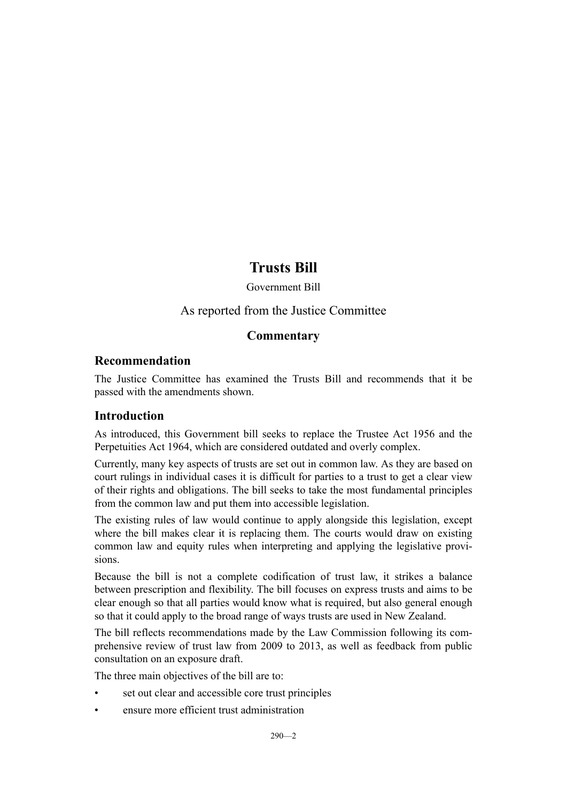# **Trusts Bill**

# Government Bill

# As reported from the Justice Committee

# **Commentary**

# **Recommendation**

The Justice Committee has examined the Trusts Bill and recommends that it be passed with the amendments shown.

# **Introduction**

As introduced, this Government bill seeks to replace the Trustee Act 1956 and the Perpetuities Act 1964, which are considered outdated and overly complex.

Currently, many key aspects of trusts are set out in common law. As they are based on court rulings in individual cases it is difficult for parties to a trust to get a clear view of their rights and obligations. The bill seeks to take the most fundamental principles from the common law and put them into accessible legislation.

The existing rules of law would continue to apply alongside this legislation, except where the bill makes clear it is replacing them. The courts would draw on existing common law and equity rules when interpreting and applying the legislative provisions.

Because the bill is not a complete codification of trust law, it strikes a balance between prescription and flexibility. The bill focuses on express trusts and aims to be clear enough so that all parties would know what is required, but also general enough so that it could apply to the broad range of ways trusts are used in New Zealand.

The bill reflects recommendations made by the Law Commission following its comprehensive review of trust law from 2009 to 2013, as well as feedback from public consultation on an exposure draft.

The three main objectives of the bill are to:

- set out clear and accessible core trust principles
- ensure more efficient trust administration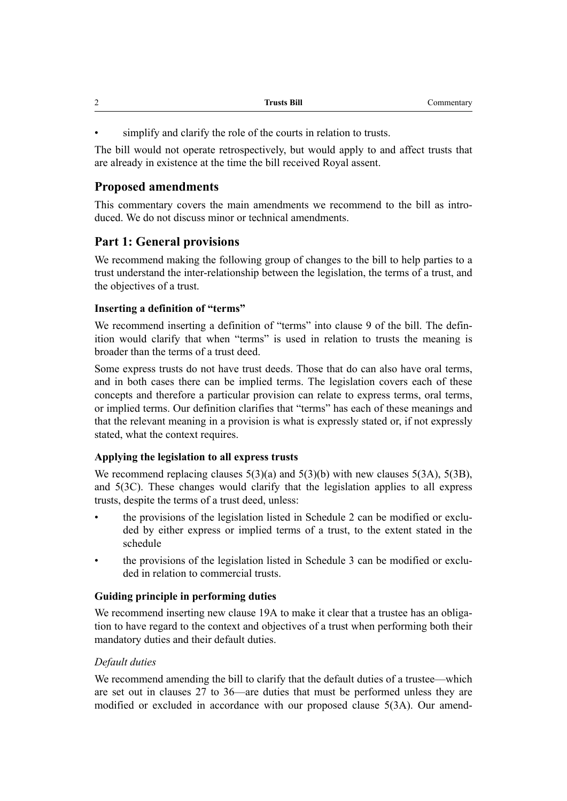| $\sim$<br><b>__</b> | <b>Trusts Bill</b> | Commentary |
|---------------------|--------------------|------------|
|                     |                    |            |

simplify and clarify the role of the courts in relation to trusts.

The bill would not operate retrospectively, but would apply to and affect trusts that are already in existence at the time the bill received Royal assent.

# **Proposed amendments**

This commentary covers the main amendments we recommend to the bill as introduced. We do not discuss minor or technical amendments.

# **Part 1: General provisions**

We recommend making the following group of changes to the bill to help parties to a trust understand the inter-relationship between the legislation, the terms of a trust, and the objectives of a trust.

# **Inserting a definition of "terms"**

We recommend inserting a definition of "terms" into clause 9 of the bill. The definition would clarify that when "terms" is used in relation to trusts the meaning is broader than the terms of a trust deed.

Some express trusts do not have trust deeds. Those that do can also have oral terms, and in both cases there can be implied terms. The legislation covers each of these concepts and therefore a particular provision can relate to express terms, oral terms, or implied terms. Our definition clarifies that "terms" has each of these meanings and that the relevant meaning in a provision is what is expressly stated or, if not expressly stated, what the context requires.

# **Applying the legislation to all express trusts**

We recommend replacing clauses  $5(3)(a)$  and  $5(3)(b)$  with new clauses  $5(3A)$ ,  $5(3B)$ , and 5(3C). These changes would clarify that the legislation applies to all express trusts, despite the terms of a trust deed, unless:

- the provisions of the legislation listed in Schedule 2 can be modified or excluded by either express or implied terms of a trust, to the extent stated in the schedule
- the provisions of the legislation listed in Schedule 3 can be modified or excluded in relation to commercial trusts.

# **Guiding principle in performing duties**

We recommend inserting new clause 19A to make it clear that a trustee has an obligation to have regard to the context and objectives of a trust when performing both their mandatory duties and their default duties.

# *Default duties*

We recommend amending the bill to clarify that the default duties of a trustee—which are set out in clauses 27 to 36—are duties that must be performed unless they are modified or excluded in accordance with our proposed clause 5(3A). Our amend-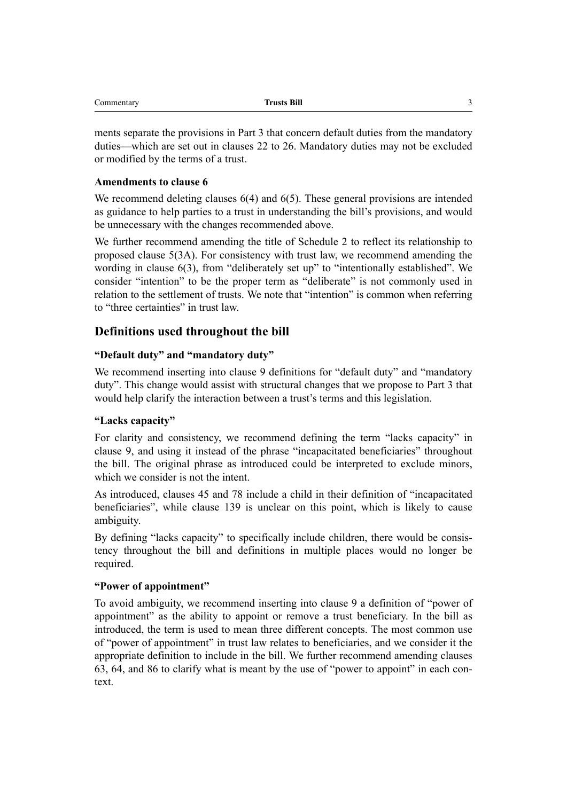| Commentary | <b>Trusts Bill</b> |  |
|------------|--------------------|--|
|            |                    |  |

ments separate the provisions in Part 3 that concern default duties from the mandatory duties—which are set out in clauses 22 to 26. Mandatory duties may not be excluded or modified by the terms of a trust.

#### **Amendments to clause 6**

We recommend deleting clauses 6(4) and 6(5). These general provisions are intended as guidance to help parties to a trust in understanding the bill's provisions, and would be unnecessary with the changes recommended above.

We further recommend amending the title of Schedule 2 to reflect its relationship to proposed clause 5(3A). For consistency with trust law, we recommend amending the wording in clause 6(3), from "deliberately set up" to "intentionally established". We consider "intention" to be the proper term as "deliberate" is not commonly used in relation to the settlement of trusts. We note that "intention" is common when referring to "three certainties" in trust law.

# **Definitions used throughout the bill**

#### **"Default duty" and "mandatory duty"**

We recommend inserting into clause 9 definitions for "default duty" and "mandatory" duty". This change would assist with structural changes that we propose to Part 3 that would help clarify the interaction between a trust's terms and this legislation.

#### **"Lacks capacity"**

For clarity and consistency, we recommend defining the term "lacks capacity" in clause 9, and using it instead of the phrase "incapacitated beneficiaries" throughout the bill. The original phrase as introduced could be interpreted to exclude minors, which we consider is not the intent.

As introduced, clauses 45 and 78 include a child in their definition of "incapacitated beneficiaries", while clause 139 is unclear on this point, which is likely to cause ambiguity.

By defining "lacks capacity" to specifically include children, there would be consistency throughout the bill and definitions in multiple places would no longer be required.

#### **"Power of appointment"**

To avoid ambiguity, we recommend inserting into clause 9 a definition of "power of appointment" as the ability to appoint or remove a trust beneficiary. In the bill as introduced, the term is used to mean three different concepts. The most common use of "power of appointment" in trust law relates to beneficiaries, and we consider it the appropriate definition to include in the bill. We further recommend amending clauses 63, 64, and 86 to clarify what is meant by the use of "power to appoint" in each context.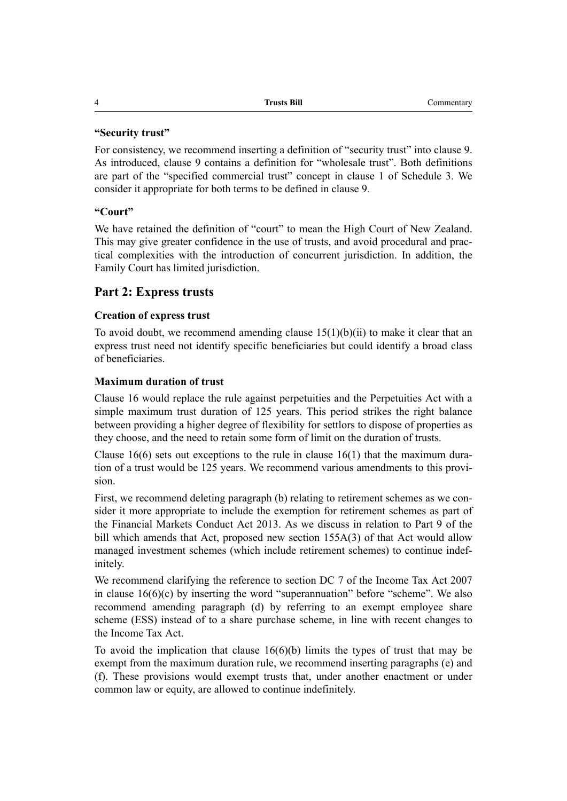#### **"Security trust"**

For consistency, we recommend inserting a definition of "security trust" into clause 9. As introduced, clause 9 contains a definition for "wholesale trust". Both definitions are part of the "specified commercial trust" concept in clause 1 of Schedule 3. We consider it appropriate for both terms to be defined in clause 9.

#### **"Court"**

We have retained the definition of "court" to mean the High Court of New Zealand. This may give greater confidence in the use of trusts, and avoid procedural and practical complexities with the introduction of concurrent jurisdiction. In addition, the Family Court has limited jurisdiction.

# **Part 2: Express trusts**

#### **Creation of express trust**

To avoid doubt, we recommend amending clause  $15(1)(b)(ii)$  to make it clear that an express trust need not identify specific beneficiaries but could identify a broad class of beneficiaries.

#### **Maximum duration of trust**

Clause 16 would replace the rule against perpetuities and the Perpetuities Act with a simple maximum trust duration of 125 years. This period strikes the right balance between providing a higher degree of flexibility for settlors to dispose of properties as they choose, and the need to retain some form of limit on the duration of trusts.

Clause  $16(6)$  sets out exceptions to the rule in clause  $16(1)$  that the maximum duration of a trust would be 125 years. We recommend various amendments to this provision.

First, we recommend deleting paragraph (b) relating to retirement schemes as we consider it more appropriate to include the exemption for retirement schemes as part of the Financial Markets Conduct Act 2013. As we discuss in relation to Part 9 of the bill which amends that Act, proposed new section 155A(3) of that Act would allow managed investment schemes (which include retirement schemes) to continue indefinitely.

We recommend clarifying the reference to section DC 7 of the Income Tax Act 2007 in clause  $16(6)(c)$  by inserting the word "superannuation" before "scheme". We also recommend amending paragraph (d) by referring to an exempt employee share scheme (ESS) instead of to a share purchase scheme, in line with recent changes to the Income Tax Act.

To avoid the implication that clause  $16(6)(b)$  limits the types of trust that may be exempt from the maximum duration rule, we recommend inserting paragraphs (e) and (f). These provisions would exempt trusts that, under another enactment or under common law or equity, are allowed to continue indefinitely.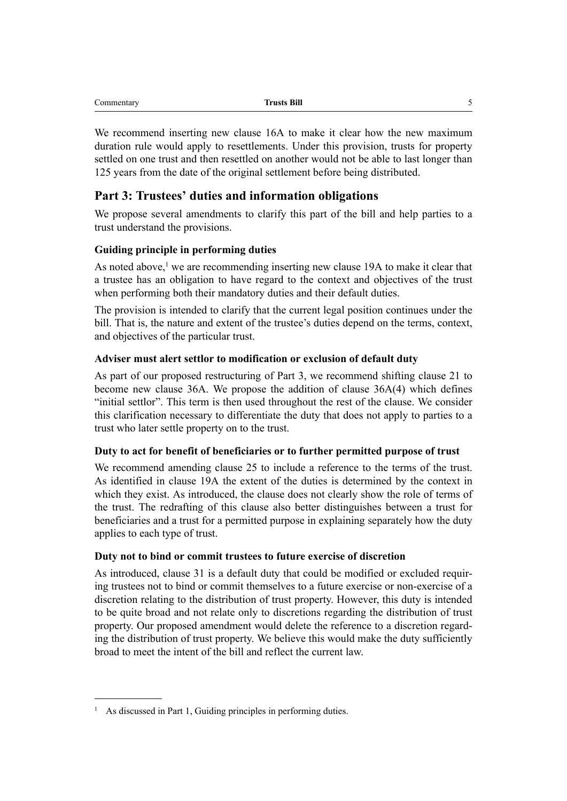| <b>Trusts Bill</b> |  |
|--------------------|--|
|                    |  |

We recommend inserting new clause 16A to make it clear how the new maximum duration rule would apply to resettlements. Under this provision, trusts for property settled on one trust and then resettled on another would not be able to last longer than 125 years from the date of the original settlement before being distributed.

# **Part 3: Trustees' duties and information obligations**

We propose several amendments to clarify this part of the bill and help parties to a trust understand the provisions.

## **Guiding principle in performing duties**

As noted above,<sup>1</sup> we are recommending inserting new clause 19A to make it clear that a trustee has an obligation to have regard to the context and objectives of the trust when performing both their mandatory duties and their default duties.

The provision is intended to clarify that the current legal position continues under the bill. That is, the nature and extent of the trustee's duties depend on the terms, context, and objectives of the particular trust.

#### **Adviser must alert settlor to modification or exclusion of default duty**

As part of our proposed restructuring of Part 3, we recommend shifting clause 21 to become new clause 36A. We propose the addition of clause 36A(4) which defines "initial settlor". This term is then used throughout the rest of the clause. We consider this clarification necessary to differentiate the duty that does not apply to parties to a trust who later settle property on to the trust.

#### **Duty to act for benefit of beneficiaries or to further permitted purpose of trust**

We recommend amending clause 25 to include a reference to the terms of the trust. As identified in clause 19A the extent of the duties is determined by the context in which they exist. As introduced, the clause does not clearly show the role of terms of the trust. The redrafting of this clause also better distinguishes between a trust for beneficiaries and a trust for a permitted purpose in explaining separately how the duty applies to each type of trust.

#### **Duty not to bind or commit trustees to future exercise of discretion**

As introduced, clause 31 is a default duty that could be modified or excluded requiring trustees not to bind or commit themselves to a future exercise or non-exercise of a discretion relating to the distribution of trust property. However, this duty is intended to be quite broad and not relate only to discretions regarding the distribution of trust property. Our proposed amendment would delete the reference to a discretion regarding the distribution of trust property. We believe this would make the duty sufficiently broad to meet the intent of the bill and reflect the current law.

As discussed in Part 1, Guiding principles in performing duties.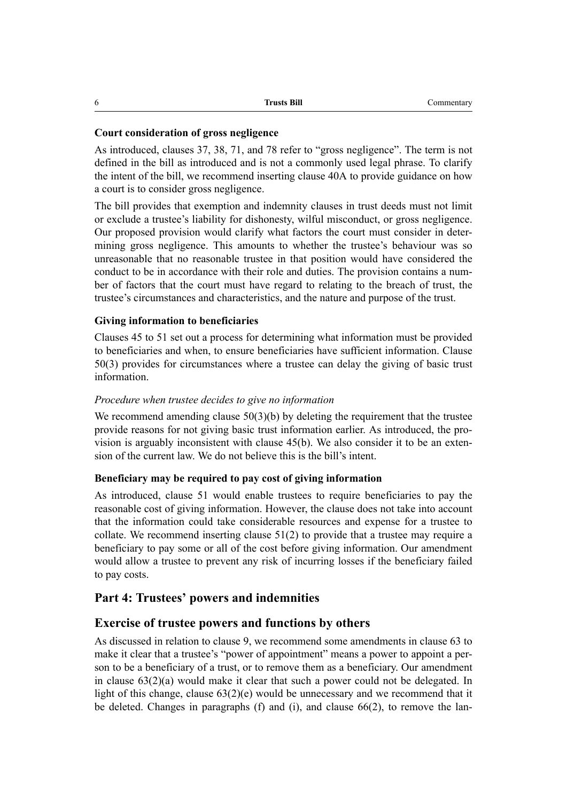| h | <b>Trusts Bill</b> | Commentary |
|---|--------------------|------------|
|---|--------------------|------------|

#### **Court consideration of gross negligence**

As introduced, clauses 37, 38, 71, and 78 refer to "gross negligence". The term is not defined in the bill as introduced and is not a commonly used legal phrase. To clarify the intent of the bill, we recommend inserting clause 40A to provide guidance on how a court is to consider gross negligence.

The bill provides that exemption and indemnity clauses in trust deeds must not limit or exclude a trustee's liability for dishonesty, wilful misconduct, or gross negligence. Our proposed provision would clarify what factors the court must consider in determining gross negligence. This amounts to whether the trustee's behaviour was so unreasonable that no reasonable trustee in that position would have considered the conduct to be in accordance with their role and duties. The provision contains a number of factors that the court must have regard to relating to the breach of trust, the trustee's circumstances and characteristics, and the nature and purpose of the trust.

#### **Giving information to beneficiaries**

Clauses 45 to 51 set out a process for determining what information must be provided to beneficiaries and when, to ensure beneficiaries have sufficient information. Clause 50(3) provides for circumstances where a trustee can delay the giving of basic trust information.

#### *Procedure when trustee decides to give no information*

We recommend amending clause  $50(3)(b)$  by deleting the requirement that the trustee provide reasons for not giving basic trust information earlier. As introduced, the provision is arguably inconsistent with clause 45(b). We also consider it to be an extension of the current law. We do not believe this is the bill's intent.

#### **Beneficiary may be required to pay cost of giving information**

As introduced, clause 51 would enable trustees to require beneficiaries to pay the reasonable cost of giving information. However, the clause does not take into account that the information could take considerable resources and expense for a trustee to collate. We recommend inserting clause 51(2) to provide that a trustee may require a beneficiary to pay some or all of the cost before giving information. Our amendment would allow a trustee to prevent any risk of incurring losses if the beneficiary failed to pay costs.

#### **Part 4: Trustees' powers and indemnities**

#### **Exercise of trustee powers and functions by others**

As discussed in relation to clause 9, we recommend some amendments in clause 63 to make it clear that a trustee's "power of appointment" means a power to appoint a person to be a beneficiary of a trust, or to remove them as a beneficiary. Our amendment in clause 63(2)(a) would make it clear that such a power could not be delegated. In light of this change, clause  $63(2)(e)$  would be unnecessary and we recommend that it be deleted. Changes in paragraphs (f) and (i), and clause 66(2), to remove the lan-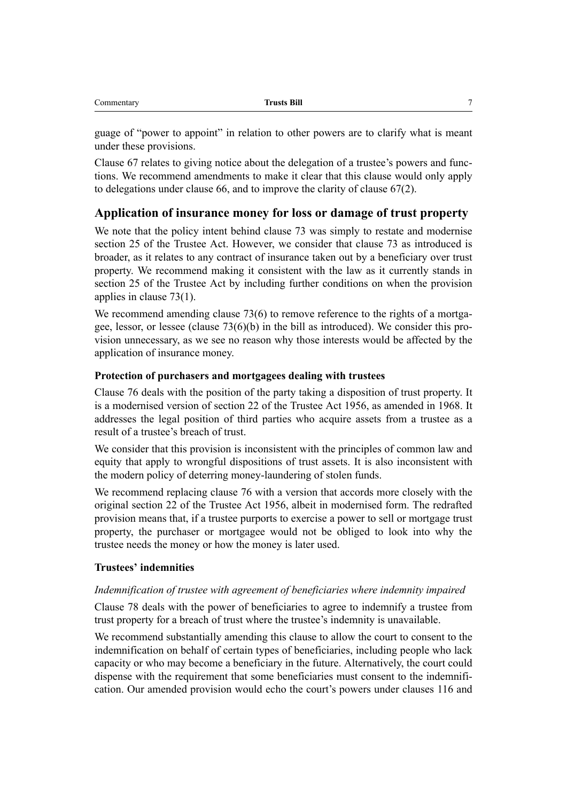| $-$ | D:11<br>_______<br>ш |  |
|-----|----------------------|--|
|     |                      |  |

guage of "power to appoint" in relation to other powers are to clarify what is meant under these provisions.

Clause 67 relates to giving notice about the delegation of a trustee's powers and functions. We recommend amendments to make it clear that this clause would only apply to delegations under clause 66, and to improve the clarity of clause 67(2).

# **Application of insurance money for loss or damage of trust property**

We note that the policy intent behind clause 73 was simply to restate and modernise section 25 of the Trustee Act. However, we consider that clause 73 as introduced is broader, as it relates to any contract of insurance taken out by a beneficiary over trust property. We recommend making it consistent with the law as it currently stands in section 25 of the Trustee Act by including further conditions on when the provision applies in clause 73(1).

We recommend amending clause 73(6) to remove reference to the rights of a mortgagee, lessor, or lessee (clause 73(6)(b) in the bill as introduced). We consider this provision unnecessary, as we see no reason why those interests would be affected by the application of insurance money.

#### **Protection of purchasers and mortgagees dealing with trustees**

Clause 76 deals with the position of the party taking a disposition of trust property. It is a modernised version of section 22 of the Trustee Act 1956, as amended in 1968. It addresses the legal position of third parties who acquire assets from a trustee as a result of a trustee's breach of trust.

We consider that this provision is inconsistent with the principles of common law and equity that apply to wrongful dispositions of trust assets. It is also inconsistent with the modern policy of deterring money-laundering of stolen funds.

We recommend replacing clause 76 with a version that accords more closely with the original section 22 of the Trustee Act 1956, albeit in modernised form. The redrafted provision means that, if a trustee purports to exercise a power to sell or mortgage trust property, the purchaser or mortgagee would not be obliged to look into why the trustee needs the money or how the money is later used.

#### **Trustees' indemnities**

#### *Indemnification of trustee with agreement of beneficiaries where indemnity impaired*

Clause 78 deals with the power of beneficiaries to agree to indemnify a trustee from trust property for a breach of trust where the trustee's indemnity is unavailable.

We recommend substantially amending this clause to allow the court to consent to the indemnification on behalf of certain types of beneficiaries, including people who lack capacity or who may become a beneficiary in the future. Alternatively, the court could dispense with the requirement that some beneficiaries must consent to the indemnification. Our amended provision would echo the court's powers under clauses 116 and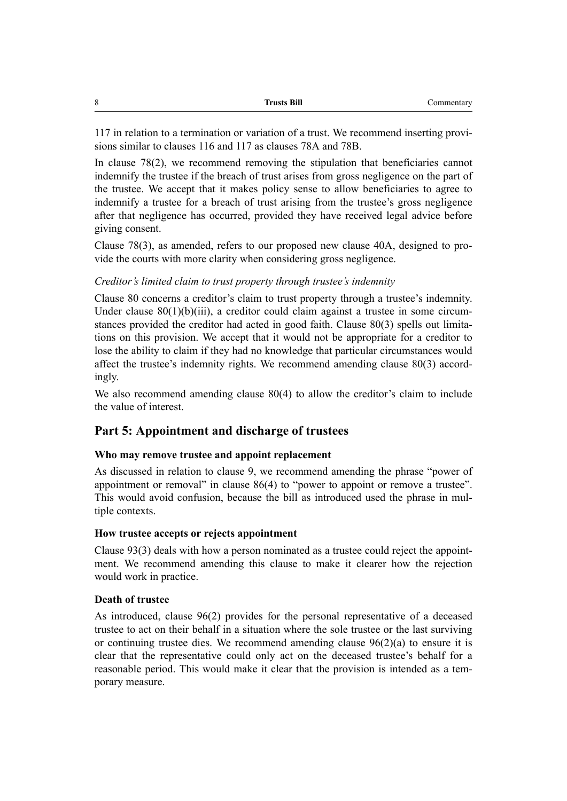| Commentary |
|------------|
|            |

117 in relation to a termination or variation of a trust. We recommend inserting provisions similar to clauses 116 and 117 as clauses 78A and 78B.

In clause 78(2), we recommend removing the stipulation that beneficiaries cannot indemnify the trustee if the breach of trust arises from gross negligence on the part of the trustee. We accept that it makes policy sense to allow beneficiaries to agree to indemnify a trustee for a breach of trust arising from the trustee's gross negligence after that negligence has occurred, provided they have received legal advice before giving consent.

Clause 78(3), as amended, refers to our proposed new clause 40A, designed to provide the courts with more clarity when considering gross negligence.

#### *Creditor's limited claim to trust property through trustee's indemnity*

Clause 80 concerns a creditor's claim to trust property through a trustee's indemnity. Under clause 80(1)(b)(iii), a creditor could claim against a trustee in some circumstances provided the creditor had acted in good faith. Clause 80(3) spells out limitations on this provision. We accept that it would not be appropriate for a creditor to lose the ability to claim if they had no knowledge that particular circumstances would affect the trustee's indemnity rights. We recommend amending clause 80(3) accordingly.

We also recommend amending clause 80(4) to allow the creditor's claim to include the value of interest.

#### **Part 5: Appointment and discharge of trustees**

#### **Who may remove trustee and appoint replacement**

As discussed in relation to clause 9, we recommend amending the phrase "power of appointment or removal" in clause 86(4) to "power to appoint or remove a trustee". This would avoid confusion, because the bill as introduced used the phrase in multiple contexts.

#### **How trustee accepts or rejects appointment**

Clause 93(3) deals with how a person nominated as a trustee could reject the appointment. We recommend amending this clause to make it clearer how the rejection would work in practice.

#### **Death of trustee**

As introduced, clause 96(2) provides for the personal representative of a deceased trustee to act on their behalf in a situation where the sole trustee or the last surviving or continuing trustee dies. We recommend amending clause 96(2)(a) to ensure it is clear that the representative could only act on the deceased trustee's behalf for a reasonable period. This would make it clear that the provision is intended as a temporary measure.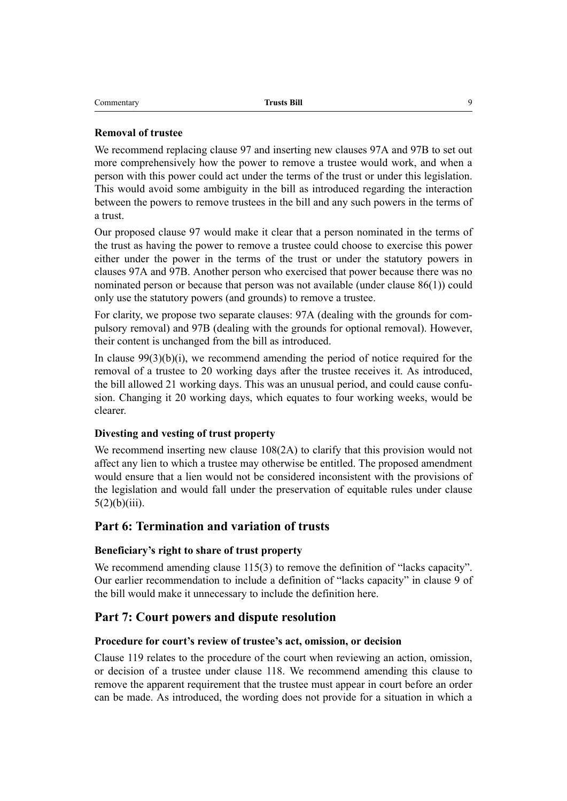| Commentary | <b>Trusts Bill</b> |  |
|------------|--------------------|--|
|------------|--------------------|--|

#### **Removal of trustee**

We recommend replacing clause 97 and inserting new clauses 97A and 97B to set out more comprehensively how the power to remove a trustee would work, and when a person with this power could act under the terms of the trust or under this legislation. This would avoid some ambiguity in the bill as introduced regarding the interaction between the powers to remove trustees in the bill and any such powers in the terms of a trust.

Our proposed clause 97 would make it clear that a person nominated in the terms of the trust as having the power to remove a trustee could choose to exercise this power either under the power in the terms of the trust or under the statutory powers in clauses 97A and 97B. Another person who exercised that power because there was no nominated person or because that person was not available (under clause 86(1)) could only use the statutory powers (and grounds) to remove a trustee.

For clarity, we propose two separate clauses: 97A (dealing with the grounds for compulsory removal) and 97B (dealing with the grounds for optional removal). However, their content is unchanged from the bill as introduced.

In clause  $99(3)(b)(i)$ , we recommend amending the period of notice required for the removal of a trustee to 20 working days after the trustee receives it. As introduced, the bill allowed 21 working days. This was an unusual period, and could cause confusion. Changing it 20 working days, which equates to four working weeks, would be clearer.

#### **Divesting and vesting of trust property**

We recommend inserting new clause 108(2A) to clarify that this provision would not affect any lien to which a trustee may otherwise be entitled. The proposed amendment would ensure that a lien would not be considered inconsistent with the provisions of the legislation and would fall under the preservation of equitable rules under clause  $5(2)(b)(iii)$ .

#### **Part 6: Termination and variation of trusts**

#### **Beneficiary's right to share of trust property**

We recommend amending clause 115(3) to remove the definition of "lacks capacity". Our earlier recommendation to include a definition of "lacks capacity" in clause 9 of the bill would make it unnecessary to include the definition here.

#### **Part 7: Court powers and dispute resolution**

#### **Procedure for court's review of trustee's act, omission, or decision**

Clause 119 relates to the procedure of the court when reviewing an action, omission, or decision of a trustee under clause 118. We recommend amending this clause to remove the apparent requirement that the trustee must appear in court before an order can be made. As introduced, the wording does not provide for a situation in which a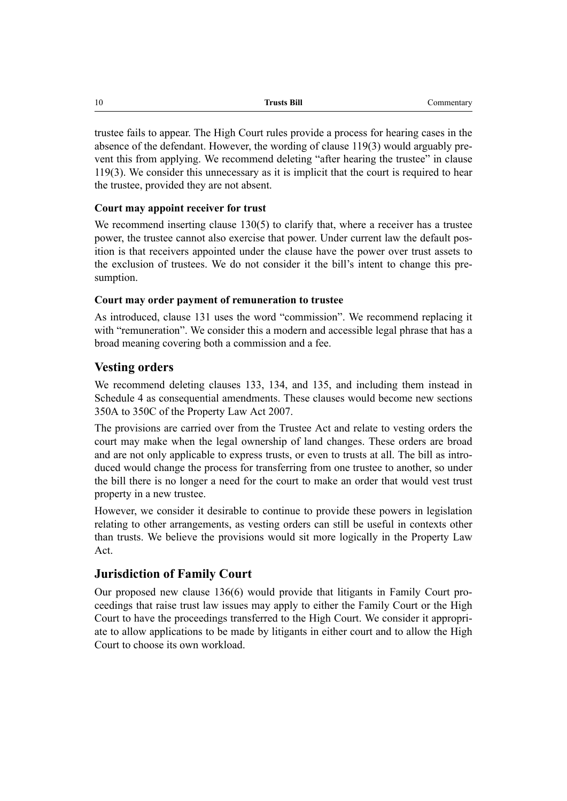| 10 | <b>Trusts Bill</b> | Commentary |
|----|--------------------|------------|
|    |                    |            |

trustee fails to appear. The High Court rules provide a process for hearing cases in the absence of the defendant. However, the wording of clause 119(3) would arguably prevent this from applying. We recommend deleting "after hearing the trustee" in clause 119(3). We consider this unnecessary as it is implicit that the court is required to hear the trustee, provided they are not absent.

## **Court may appoint receiver for trust**

We recommend inserting clause 130(5) to clarify that, where a receiver has a trustee power, the trustee cannot also exercise that power. Under current law the default position is that receivers appointed under the clause have the power over trust assets to the exclusion of trustees. We do not consider it the bill's intent to change this presumption.

#### **Court may order payment of remuneration to trustee**

As introduced, clause 131 uses the word "commission". We recommend replacing it with "remuneration". We consider this a modern and accessible legal phrase that has a broad meaning covering both a commission and a fee.

# **Vesting orders**

We recommend deleting clauses 133, 134, and 135, and including them instead in Schedule 4 as consequential amendments. These clauses would become new sections 350A to 350C of the Property Law Act 2007.

The provisions are carried over from the Trustee Act and relate to vesting orders the court may make when the legal ownership of land changes. These orders are broad and are not only applicable to express trusts, or even to trusts at all. The bill as introduced would change the process for transferring from one trustee to another, so under the bill there is no longer a need for the court to make an order that would vest trust property in a new trustee.

However, we consider it desirable to continue to provide these powers in legislation relating to other arrangements, as vesting orders can still be useful in contexts other than trusts. We believe the provisions would sit more logically in the Property Law Act.

# **Jurisdiction of Family Court**

Our proposed new clause 136(6) would provide that litigants in Family Court proceedings that raise trust law issues may apply to either the Family Court or the High Court to have the proceedings transferred to the High Court. We consider it appropriate to allow applications to be made by litigants in either court and to allow the High Court to choose its own workload.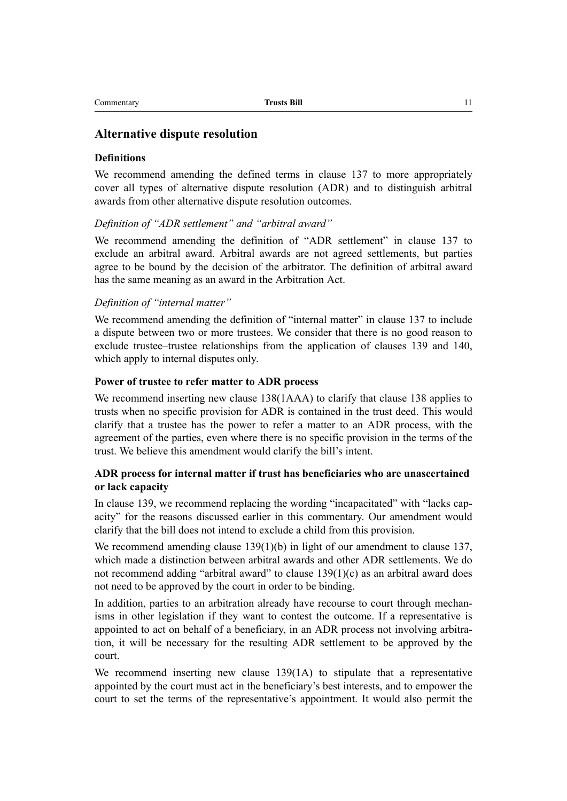#### **Alternative dispute resolution**

#### **Definitions**

We recommend amending the defined terms in clause 137 to more appropriately cover all types of alternative dispute resolution (ADR) and to distinguish arbitral awards from other alternative dispute resolution outcomes.

#### *Definition of "ADR settlement" and "arbitral award"*

We recommend amending the definition of "ADR settlement" in clause 137 to exclude an arbitral award. Arbitral awards are not agreed settlements, but parties agree to be bound by the decision of the arbitrator. The definition of arbitral award has the same meaning as an award in the Arbitration Act.

#### *Definition of "internal matter"*

We recommend amending the definition of "internal matter" in clause 137 to include a dispute between two or more trustees. We consider that there is no good reason to exclude trustee–trustee relationships from the application of clauses 139 and 140, which apply to internal disputes only.

#### **Power of trustee to refer matter to ADR process**

We recommend inserting new clause 138(1AAA) to clarify that clause 138 applies to trusts when no specific provision for ADR is contained in the trust deed. This would clarify that a trustee has the power to refer a matter to an ADR process, with the agreement of the parties, even where there is no specific provision in the terms of the trust. We believe this amendment would clarify the bill's intent.

#### **ADR process for internal matter if trust has beneficiaries who are unascertained or lack capacity**

In clause 139, we recommend replacing the wording "incapacitated" with "lacks capacity" for the reasons discussed earlier in this commentary. Our amendment would clarify that the bill does not intend to exclude a child from this provision.

We recommend amending clause  $139(1)(b)$  in light of our amendment to clause 137, which made a distinction between arbitral awards and other ADR settlements. We do not recommend adding "arbitral award" to clause 139(1)(c) as an arbitral award does not need to be approved by the court in order to be binding.

In addition, parties to an arbitration already have recourse to court through mechanisms in other legislation if they want to contest the outcome. If a representative is appointed to act on behalf of a beneficiary, in an ADR process not involving arbitration, it will be necessary for the resulting ADR settlement to be approved by the court.

We recommend inserting new clause 139(1A) to stipulate that a representative appointed by the court must act in the beneficiary's best interests, and to empower the court to set the terms of the representative's appointment. It would also permit the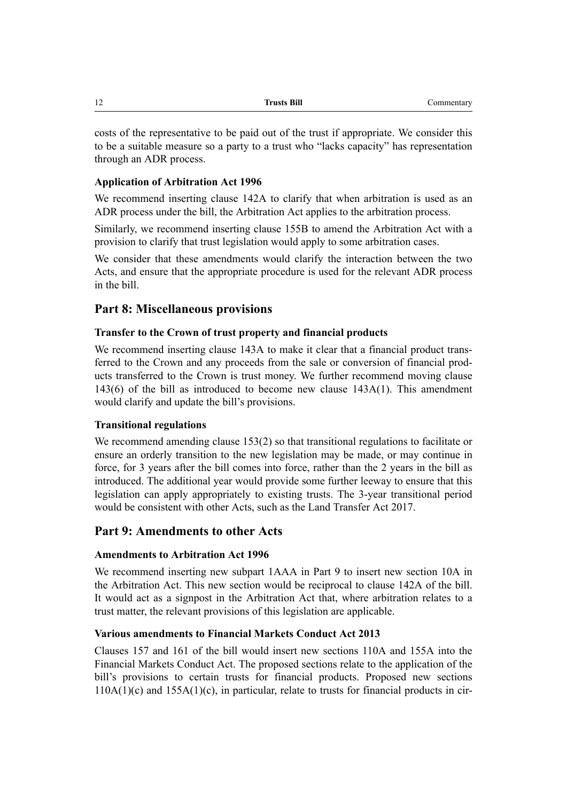| <b>Trusts Bill</b><br>Commentary<br>$\frac{1}{2}$ |
|---------------------------------------------------|
|                                                   |

costs of the representative to be paid out of the trust if appropriate. We consider this to be a suitable measure so a party to a trust who "lacks capacity" has representation through an ADR process.

#### **Application of Arbitration Act 1996**

We recommend inserting clause 142A to clarify that when arbitration is used as an ADR process under the bill, the Arbitration Act applies to the arbitration process.

Similarly, we recommend inserting clause 155B to amend the Arbitration Act with a provision to clarify that trust legislation would apply to some arbitration cases.

We consider that these amendments would clarify the interaction between the two Acts, and ensure that the appropriate procedure is used for the relevant ADR process in the bill.

# **Part 8: Miscellaneous provisions**

## **Transfer to the Crown of trust property and financial products**

We recommend inserting clause 143A to make it clear that a financial product transferred to the Crown and any proceeds from the sale or conversion of financial products transferred to the Crown is trust money. We further recommend moving clause 143(6) of the bill as introduced to become new clause 143A(1). This amendment would clarify and update the bill's provisions.

#### **Transitional regulations**

We recommend amending clause 153(2) so that transitional regulations to facilitate or ensure an orderly transition to the new legislation may be made, or may continue in force, for 3 years after the bill comes into force, rather than the 2 years in the bill as introduced. The additional year would provide some further leeway to ensure that this legislation can apply appropriately to existing trusts. The 3-year transitional period would be consistent with other Acts, such as the Land Transfer Act 2017.

# **Part 9: Amendments to other Acts**

#### **Amendments to Arbitration Act 1996**

We recommend inserting new subpart 1AAA in Part 9 to insert new section 10A in the Arbitration Act. This new section would be reciprocal to clause 142A of the bill. It would act as a signpost in the Arbitration Act that, where arbitration relates to a trust matter, the relevant provisions of this legislation are applicable.

#### **Various amendments to Financial Markets Conduct Act 2013**

Clauses 157 and 161 of the bill would insert new sections 110A and 155A into the Financial Markets Conduct Act. The proposed sections relate to the application of the bill's provisions to certain trusts for financial products. Proposed new sections  $110A(1)(c)$  and  $155A(1)(c)$ , in particular, relate to trusts for financial products in cir-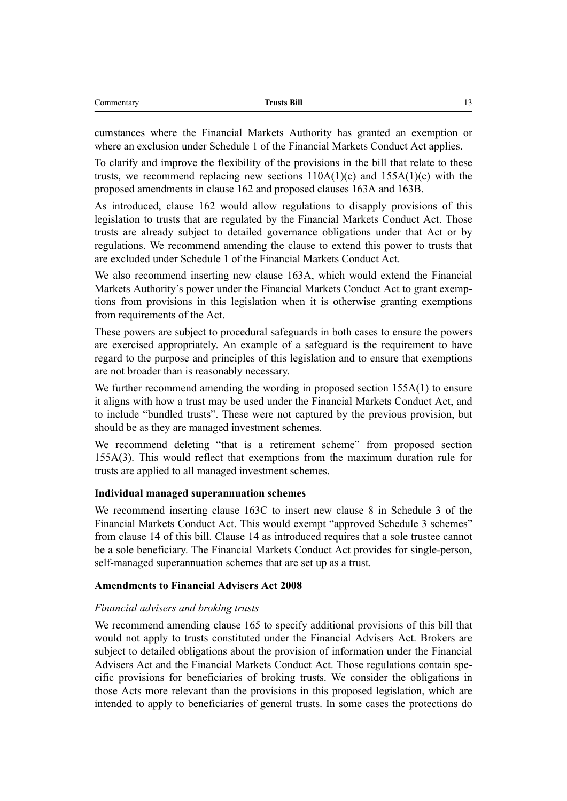| ⌒<br>`ommentar | <b>Trusts Bill</b> | $\overline{\phantom{a}}$<br>. . |
|----------------|--------------------|---------------------------------|
|                |                    |                                 |

cumstances where the Financial Markets Authority has granted an exemption or where an exclusion under Schedule 1 of the Financial Markets Conduct Act applies.

To clarify and improve the flexibility of the provisions in the bill that relate to these trusts, we recommend replacing new sections  $110A(1)(c)$  and  $155A(1)(c)$  with the proposed amendments in clause 162 and proposed clauses 163A and 163B.

As introduced, clause 162 would allow regulations to disapply provisions of this legislation to trusts that are regulated by the Financial Markets Conduct Act. Those trusts are already subject to detailed governance obligations under that Act or by regulations. We recommend amending the clause to extend this power to trusts that are excluded under Schedule 1 of the Financial Markets Conduct Act.

We also recommend inserting new clause 163A, which would extend the Financial Markets Authority's power under the Financial Markets Conduct Act to grant exemptions from provisions in this legislation when it is otherwise granting exemptions from requirements of the Act.

These powers are subject to procedural safeguards in both cases to ensure the powers are exercised appropriately. An example of a safeguard is the requirement to have regard to the purpose and principles of this legislation and to ensure that exemptions are not broader than is reasonably necessary.

We further recommend amending the wording in proposed section 155A(1) to ensure it aligns with how a trust may be used under the Financial Markets Conduct Act, and to include "bundled trusts". These were not captured by the previous provision, but should be as they are managed investment schemes.

We recommend deleting "that is a retirement scheme" from proposed section 155A(3). This would reflect that exemptions from the maximum duration rule for trusts are applied to all managed investment schemes.

#### **Individual managed superannuation schemes**

We recommend inserting clause 163C to insert new clause 8 in Schedule 3 of the Financial Markets Conduct Act. This would exempt "approved Schedule 3 schemes" from clause 14 of this bill. Clause 14 as introduced requires that a sole trustee cannot be a sole beneficiary. The Financial Markets Conduct Act provides for single-person, self-managed superannuation schemes that are set up as a trust.

#### **Amendments to Financial Advisers Act 2008**

#### *Financial advisers and broking trusts*

We recommend amending clause 165 to specify additional provisions of this bill that would not apply to trusts constituted under the Financial Advisers Act. Brokers are subject to detailed obligations about the provision of information under the Financial Advisers Act and the Financial Markets Conduct Act. Those regulations contain specific provisions for beneficiaries of broking trusts. We consider the obligations in those Acts more relevant than the provisions in this proposed legislation, which are intended to apply to beneficiaries of general trusts. In some cases the protections do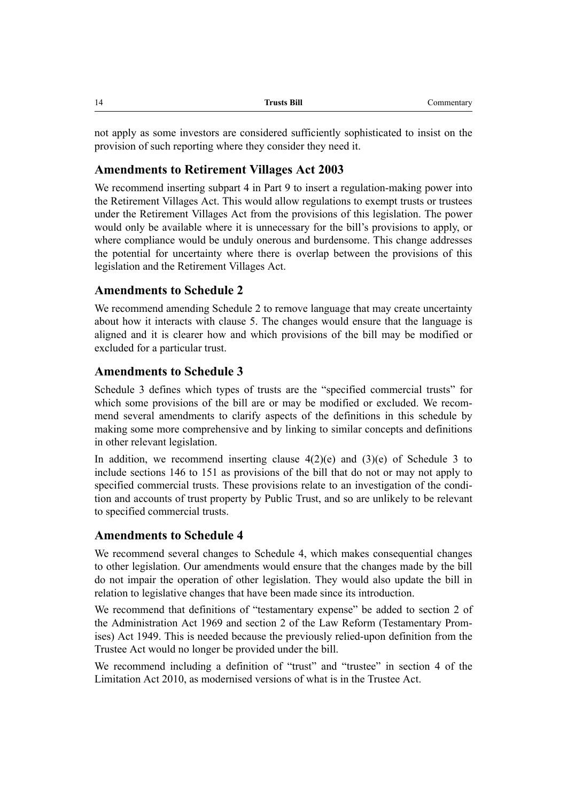not apply as some investors are considered sufficiently sophisticated to insist on the provision of such reporting where they consider they need it.

### **Amendments to Retirement Villages Act 2003**

We recommend inserting subpart 4 in Part 9 to insert a regulation-making power into the Retirement Villages Act. This would allow regulations to exempt trusts or trustees under the Retirement Villages Act from the provisions of this legislation. The power would only be available where it is unnecessary for the bill's provisions to apply, or where compliance would be unduly onerous and burdensome. This change addresses the potential for uncertainty where there is overlap between the provisions of this legislation and the Retirement Villages Act.

## **Amendments to Schedule 2**

We recommend amending Schedule 2 to remove language that may create uncertainty about how it interacts with clause 5. The changes would ensure that the language is aligned and it is clearer how and which provisions of the bill may be modified or excluded for a particular trust.

## **Amendments to Schedule 3**

Schedule 3 defines which types of trusts are the "specified commercial trusts" for which some provisions of the bill are or may be modified or excluded. We recommend several amendments to clarify aspects of the definitions in this schedule by making some more comprehensive and by linking to similar concepts and definitions in other relevant legislation.

In addition, we recommend inserting clause  $4(2)(e)$  and  $(3)(e)$  of Schedule 3 to include sections 146 to 151 as provisions of the bill that do not or may not apply to specified commercial trusts. These provisions relate to an investigation of the condition and accounts of trust property by Public Trust, and so are unlikely to be relevant to specified commercial trusts.

## **Amendments to Schedule 4**

We recommend several changes to Schedule 4, which makes consequential changes to other legislation. Our amendments would ensure that the changes made by the bill do not impair the operation of other legislation. They would also update the bill in relation to legislative changes that have been made since its introduction.

We recommend that definitions of "testamentary expense" be added to section 2 of the Administration Act 1969 and section 2 of the Law Reform (Testamentary Promises) Act 1949. This is needed because the previously relied-upon definition from the Trustee Act would no longer be provided under the bill.

We recommend including a definition of "trust" and "trustee" in section 4 of the Limitation Act 2010, as modernised versions of what is in the Trustee Act.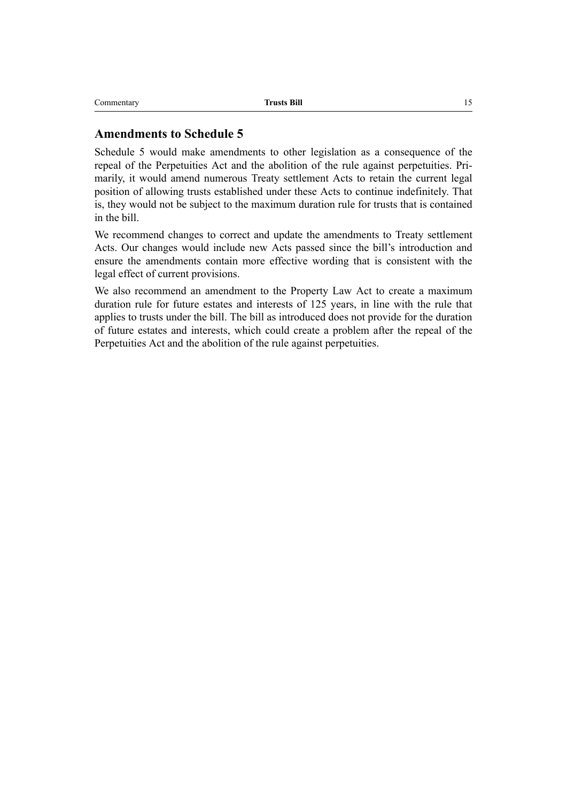## **Amendments to Schedule 5**

Schedule 5 would make amendments to other legislation as a consequence of the repeal of the Perpetuities Act and the abolition of the rule against perpetuities. Primarily, it would amend numerous Treaty settlement Acts to retain the current legal position of allowing trusts established under these Acts to continue indefinitely. That is, they would not be subject to the maximum duration rule for trusts that is contained in the bill.

We recommend changes to correct and update the amendments to Treaty settlement Acts. Our changes would include new Acts passed since the bill's introduction and ensure the amendments contain more effective wording that is consistent with the legal effect of current provisions.

We also recommend an amendment to the Property Law Act to create a maximum duration rule for future estates and interests of 125 years, in line with the rule that applies to trusts under the bill. The bill as introduced does not provide for the duration of future estates and interests, which could create a problem after the repeal of the Perpetuities Act and the abolition of the rule against perpetuities.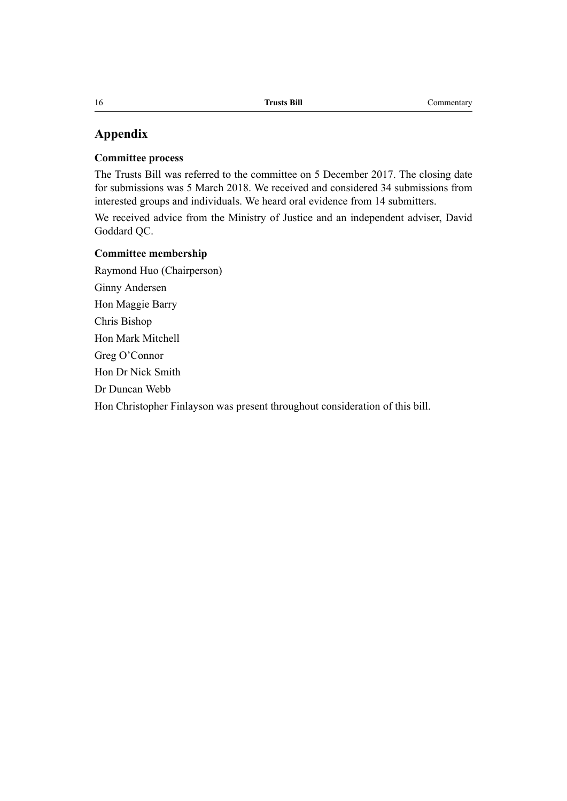# **Appendix**

#### **Committee process**

The Trusts Bill was referred to the committee on 5 December 2017. The closing date for submissions was 5 March 2018. We received and considered 34 submissions from interested groups and individuals. We heard oral evidence from 14 submitters.

We received advice from the Ministry of Justice and an independent adviser, David Goddard QC.

#### **Committee membership**

Raymond Huo (Chairperson) Ginny Andersen Hon Maggie Barry Chris Bishop Hon Mark Mitchell Greg O'Connor Hon Dr Nick Smith Dr Duncan Webb Hon Christopher Finlayson was present throughout consideration of this bill.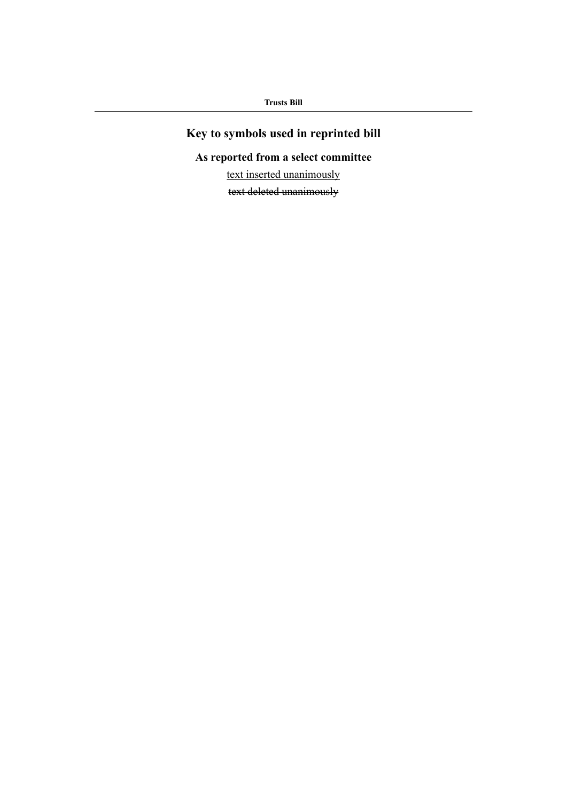# **Key to symbols used in reprinted bill**

# **As reported from a select committee**

text inserted unanimously

text deleted unanimously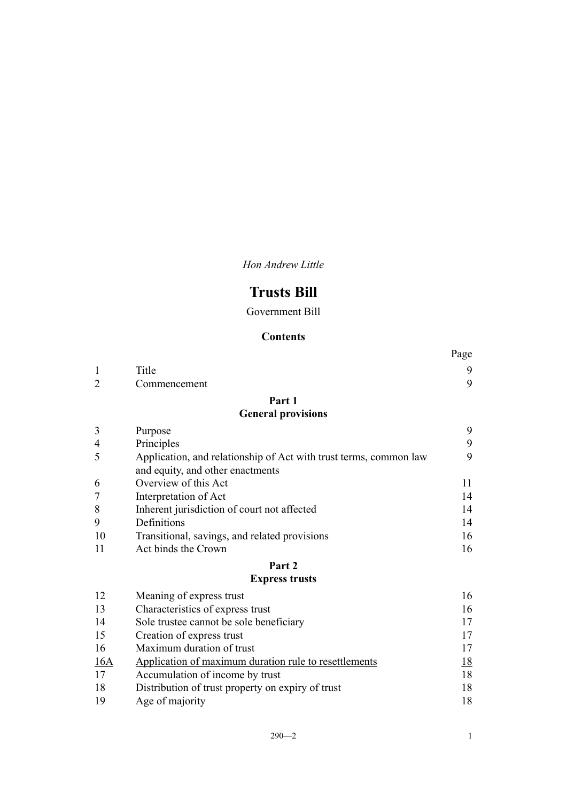*Hon Andrew Little*

# **Trusts Bill**

Government Bill

# **Contents**

|                |                                                                                                       | Page      |
|----------------|-------------------------------------------------------------------------------------------------------|-----------|
| $\mathbf{1}$   | Title                                                                                                 | 9         |
| $\overline{2}$ | Commencement                                                                                          | 9         |
|                | Part 1                                                                                                |           |
|                | <b>General provisions</b>                                                                             |           |
| 3              | Purpose                                                                                               | 9         |
| $\overline{4}$ | Principles                                                                                            | 9         |
| 5              | Application, and relationship of Act with trust terms, common law<br>and equity, and other enactments | 9         |
| 6              | Overview of this Act                                                                                  | 11        |
| 7              | Interpretation of Act                                                                                 | 14        |
| 8              | Inherent jurisdiction of court not affected                                                           | 14        |
| 9              | Definitions                                                                                           | 14        |
| 10             | Transitional, savings, and related provisions                                                         | 16        |
| 11             | Act binds the Crown                                                                                   | 16        |
|                | Part 2                                                                                                |           |
|                | <b>Express trusts</b>                                                                                 |           |
| 12             | Meaning of express trust                                                                              | 16        |
| 13             | Characteristics of express trust                                                                      | 16        |
| 14             | Sole trustee cannot be sole beneficiary                                                               | 17        |
| 15             | Creation of express trust                                                                             | 17        |
| 16             | Maximum duration of trust                                                                             | 17        |
| 16A            | Application of maximum duration rule to resettlements                                                 | <u>18</u> |
| 17             | Accumulation of income by trust                                                                       | 18        |
| 18             | Distribution of trust property on expiry of trust                                                     | 18        |

[Age of majority](#page-35-0) [18](#page-35-0)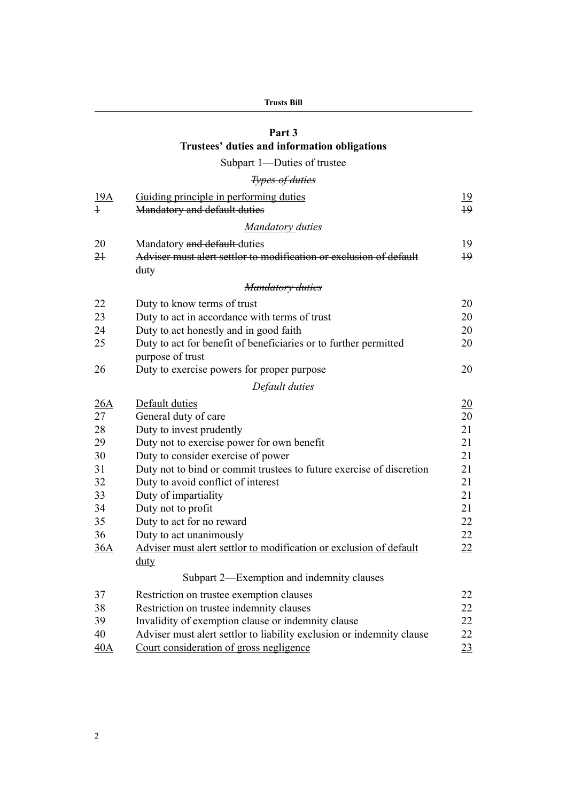# **[Part 3](#page-36-0) [Trustees' duties and information obligations](#page-36-0)**

# [Subpart 1—Duties of trustee](#page-36-0)

# *[Types of duties](#page-36-0)*

| <u>19A</u>     | Guiding principle in performing duties                                | 19              |
|----------------|-----------------------------------------------------------------------|-----------------|
| $\ddagger$     | Mandatory and default duties                                          | $+9$            |
|                | Mandatory duties                                                      |                 |
| 20             | Mandatory and default-duties                                          | 19              |
| 2 <sup>1</sup> | Adviser must alert settlor to modification or exclusion of default    | $\overline{19}$ |
|                | $_{\text{duty}}$                                                      |                 |
|                | <b>Mandatory duties</b>                                               |                 |
| 22             | Duty to know terms of trust                                           | 20              |
| 23             | Duty to act in accordance with terms of trust                         | 20              |
| 24             | Duty to act honestly and in good faith                                | 20              |
| 25             | Duty to act for benefit of beneficiaries or to further permitted      | 20              |
|                | purpose of trust                                                      |                 |
| 26             | Duty to exercise powers for proper purpose                            | 20              |
|                | Default duties                                                        |                 |
| 26A            | Default duties                                                        | 20              |
| 27             | General duty of care                                                  | 20              |
| 28             | Duty to invest prudently                                              | 21              |
| 29             | Duty not to exercise power for own benefit                            | 21              |
| 30             | Duty to consider exercise of power                                    | 21              |
| 31             | Duty not to bind or commit trustees to future exercise of discretion  | 21              |
| 32             | Duty to avoid conflict of interest                                    | 21              |
| 33             | Duty of impartiality                                                  | 21              |
| 34             | Duty not to profit                                                    | 21              |
| 35             | Duty to act for no reward                                             | 22              |
| 36             | Duty to act unanimously                                               | 22              |
| 36A            | Adviser must alert settlor to modification or exclusion of default    | 22              |
|                | $_{\text{duty}}$                                                      |                 |
|                | Subpart 2—Exemption and indemnity clauses                             |                 |
| 37             | Restriction on trustee exemption clauses                              | 22              |
| 38             | Restriction on trustee indemnity clauses                              | 22              |
| 39             | Invalidity of exemption clause or indemnity clause                    | 22              |
| 40             | Adviser must alert settlor to liability exclusion or indemnity clause | 22              |
| 40A            | Court consideration of gross negligence                               | 23              |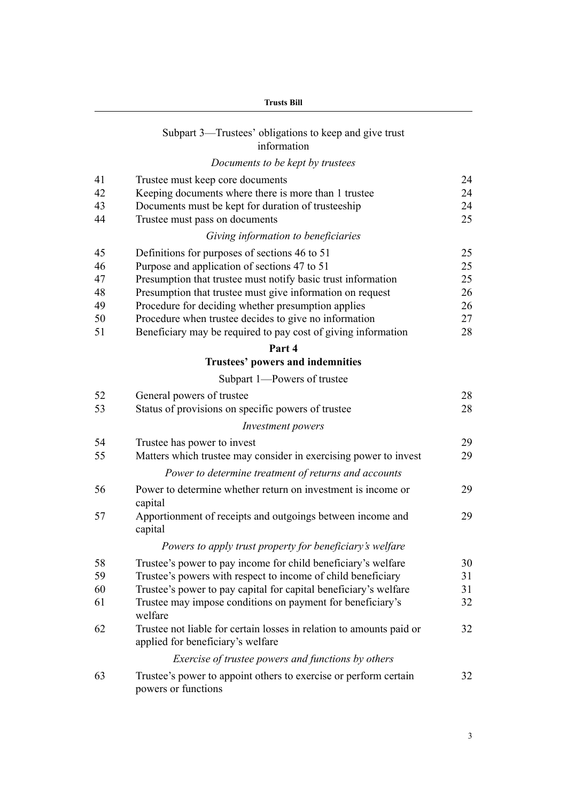|    | <b>Trusts Bill</b>                                                                                        |    |  |
|----|-----------------------------------------------------------------------------------------------------------|----|--|
|    | Subpart 3—Trustees' obligations to keep and give trust<br>information                                     |    |  |
|    | Documents to be kept by trustees                                                                          |    |  |
| 41 | Trustee must keep core documents                                                                          | 24 |  |
| 42 | Keeping documents where there is more than 1 trustee                                                      | 24 |  |
| 43 | Documents must be kept for duration of trusteeship                                                        | 24 |  |
| 44 | Trustee must pass on documents                                                                            | 25 |  |
|    | Giving information to beneficiaries                                                                       |    |  |
| 45 | Definitions for purposes of sections 46 to 51                                                             | 25 |  |
| 46 | Purpose and application of sections 47 to 51                                                              | 25 |  |
| 47 | Presumption that trustee must notify basic trust information                                              | 25 |  |
| 48 | Presumption that trustee must give information on request                                                 | 26 |  |
| 49 | Procedure for deciding whether presumption applies                                                        | 26 |  |
| 50 | Procedure when trustee decides to give no information                                                     | 27 |  |
| 51 | Beneficiary may be required to pay cost of giving information                                             | 28 |  |
|    | Part 4                                                                                                    |    |  |
|    | Trustees' powers and indemnities                                                                          |    |  |
|    | Subpart 1-Powers of trustee                                                                               |    |  |
| 52 | General powers of trustee                                                                                 | 28 |  |
| 53 | Status of provisions on specific powers of trustee                                                        | 28 |  |
|    | <i>Investment powers</i>                                                                                  |    |  |
| 54 | Trustee has power to invest                                                                               | 29 |  |
| 55 | Matters which trustee may consider in exercising power to invest                                          | 29 |  |
|    | Power to determine treatment of returns and accounts                                                      |    |  |
| 56 | Power to determine whether return on investment is income or<br>capital                                   | 29 |  |
| 57 | Apportionment of receipts and outgoings between income and<br>capital                                     | 29 |  |
|    | Powers to apply trust property for beneficiary's welfare                                                  |    |  |
| 58 | Trustee's power to pay income for child beneficiary's welfare                                             | 30 |  |
| 59 | Trustee's powers with respect to income of child beneficiary                                              | 31 |  |
| 60 | Trustee's power to pay capital for capital beneficiary's welfare                                          | 31 |  |
| 61 | Trustee may impose conditions on payment for beneficiary's<br>welfare                                     | 32 |  |
| 62 | Trustee not liable for certain losses in relation to amounts paid or<br>applied for beneficiary's welfare | 32 |  |
|    | Exercise of trustee powers and functions by others                                                        |    |  |
| 63 | Trustee's power to appoint others to exercise or perform certain<br>powers or functions                   | 32 |  |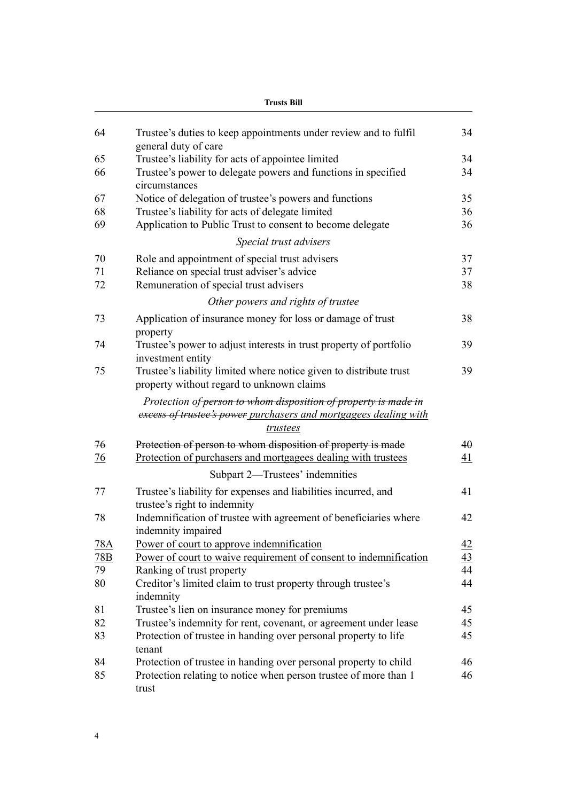|            | <b>Trusts Bill</b>                                                                                                                              |                 |  |
|------------|-------------------------------------------------------------------------------------------------------------------------------------------------|-----------------|--|
| 64         | Trustee's duties to keep appointments under review and to fulfil<br>general duty of care                                                        | 34              |  |
| 65         | Trustee's liability for acts of appointee limited                                                                                               | 34              |  |
| 66         | Trustee's power to delegate powers and functions in specified<br>circumstances                                                                  | 34              |  |
| 67         | Notice of delegation of trustee's powers and functions                                                                                          | 35              |  |
| 68         | Trustee's liability for acts of delegate limited                                                                                                | 36              |  |
| 69         | Application to Public Trust to consent to become delegate                                                                                       | 36              |  |
|            | Special trust advisers                                                                                                                          |                 |  |
| 70         | Role and appointment of special trust advisers                                                                                                  | 37              |  |
| 71         | Reliance on special trust adviser's advice                                                                                                      | 37              |  |
| 72         | Remuneration of special trust advisers                                                                                                          | 38              |  |
|            | Other powers and rights of trustee                                                                                                              |                 |  |
| 73         | Application of insurance money for loss or damage of trust<br>property                                                                          | 38              |  |
| 74         | Trustee's power to adjust interests in trust property of portfolio<br>investment entity                                                         | 39              |  |
| 75         | Trustee's liability limited where notice given to distribute trust<br>property without regard to unknown claims                                 | 39              |  |
|            | Protection of person to whom disposition of property is made in<br>excess of trustee's power purchasers and mortgagees dealing with<br>trustees |                 |  |
| 76         | Protection of person to whom disposition of property is made                                                                                    | 40              |  |
| <u>76</u>  | Protection of purchasers and mortgagees dealing with trustees                                                                                   | $\overline{41}$ |  |
|            | Subpart 2—Trustees' indemnities                                                                                                                 |                 |  |
| 77         | Trustee's liability for expenses and liabilities incurred, and<br>trustee's right to indemnity                                                  | 41              |  |
| 78         | Indemnification of trustee with agreement of beneficiaries where<br>indemnity impaired                                                          | 42              |  |
| <u>78A</u> | Power of court to approve indemnification                                                                                                       | <u>42</u>       |  |
| 78B        | Power of court to waive requirement of consent to indemnification                                                                               | 43              |  |
| 79         | Ranking of trust property                                                                                                                       | 44              |  |
| 80         | Creditor's limited claim to trust property through trustee's<br>indemnity                                                                       | 44              |  |
| 81         | Trustee's lien on insurance money for premiums                                                                                                  | 45              |  |
| 82         | Trustee's indemnity for rent, covenant, or agreement under lease                                                                                | 45              |  |
| 83         | Protection of trustee in handing over personal property to life<br>tenant                                                                       | 45              |  |
| 84         | Protection of trustee in handing over personal property to child                                                                                | 46              |  |
| 85         | Protection relating to notice when person trustee of more than 1<br>trust                                                                       | 46              |  |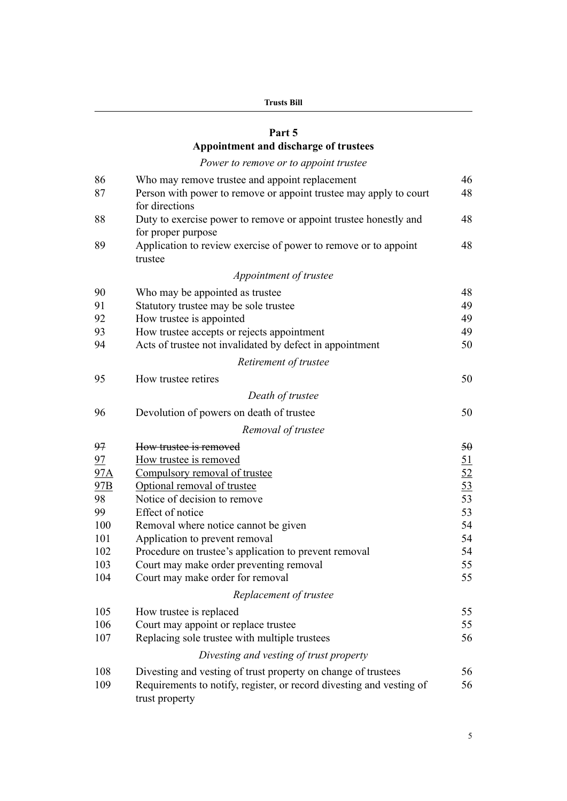| Trusts Bill |  |
|-------------|--|
|-------------|--|

# **[Part 5](#page-63-0) [Appointment and discharge of trustees](#page-63-0)**

# *[Power to remove or to appoint trustee](#page-63-0)*

| 86  | Who may remove trustee and appoint replacement                                         | 46              |
|-----|----------------------------------------------------------------------------------------|-----------------|
| 87  | Person with power to remove or appoint trustee may apply to court<br>for directions    | 48              |
| 88  | Duty to exercise power to remove or appoint trustee honestly and<br>for proper purpose | 48              |
| 89  | Application to review exercise of power to remove or to appoint<br>trustee             | 48              |
|     | Appointment of trustee                                                                 |                 |
| 90  | Who may be appointed as trustee                                                        | 48              |
| 91  | Statutory trustee may be sole trustee                                                  | 49              |
| 92  | How trustee is appointed                                                               | 49              |
| 93  | How trustee accepts or rejects appointment                                             | 49              |
| 94  | Acts of trustee not invalidated by defect in appointment                               | 50              |
|     | Retirement of trustee                                                                  |                 |
| 95  | How trustee retires                                                                    | 50              |
|     | Death of trustee                                                                       |                 |
| 96  | Devolution of powers on death of trustee                                               | 50              |
|     | Removal of trustee                                                                     |                 |
| 97  | How trustee is removed                                                                 | 50              |
| 97  | How trustee is removed                                                                 | 51              |
| 97A | Compulsory removal of trustee                                                          | <u>52</u>       |
| 97B | Optional removal of trustee                                                            | $\overline{53}$ |
| 98  | Notice of decision to remove                                                           | 53              |
| 99  | Effect of notice                                                                       | 53              |
| 100 | Removal where notice cannot be given                                                   | 54              |
| 101 | Application to prevent removal                                                         | 54              |
| 102 | Procedure on trustee's application to prevent removal                                  | 54              |
| 103 | Court may make order preventing removal                                                | 55              |
| 104 | Court may make order for removal                                                       | 55              |
|     | Replacement of trustee                                                                 |                 |
| 105 | How trustee is replaced                                                                | 55              |
| 106 | Court may appoint or replace trustee                                                   | 55              |
| 107 | Replacing sole trustee with multiple trustees                                          | 56              |
|     | Divesting and vesting of trust property                                                |                 |
| 108 | Divesting and vesting of trust property on change of trustees                          | 56              |
| 109 | Requirements to notify, register, or record divesting and vesting of<br>trust property | 56              |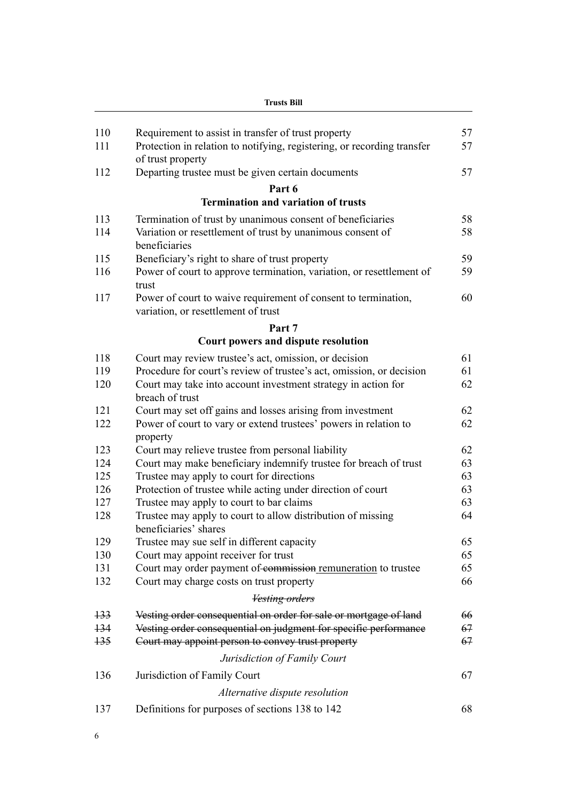| Frusts Bill |  |
|-------------|--|
|-------------|--|

| 110   | Requirement to assist in transfer of trust property                                                   | 57 |
|-------|-------------------------------------------------------------------------------------------------------|----|
| 111   | Protection in relation to notifying, registering, or recording transfer<br>of trust property          | 57 |
| 112   | Departing trustee must be given certain documents                                                     | 57 |
|       | Part 6                                                                                                |    |
|       | <b>Termination and variation of trusts</b>                                                            |    |
| 113   | Termination of trust by unanimous consent of beneficiaries                                            | 58 |
| 114   | Variation or resettlement of trust by unanimous consent of<br>beneficiaries                           | 58 |
| 115   | Beneficiary's right to share of trust property                                                        | 59 |
| 116   | Power of court to approve termination, variation, or resettlement of<br>trust                         | 59 |
| 117   | Power of court to waive requirement of consent to termination,<br>variation, or resettlement of trust | 60 |
|       | Part 7                                                                                                |    |
|       | Court powers and dispute resolution                                                                   |    |
| 118   | Court may review trustee's act, omission, or decision                                                 | 61 |
| 119   | Procedure for court's review of trustee's act, omission, or decision                                  | 61 |
| 120   | Court may take into account investment strategy in action for<br>breach of trust                      | 62 |
| 121   | Court may set off gains and losses arising from investment                                            | 62 |
| 122   | Power of court to vary or extend trustees' powers in relation to<br>property                          | 62 |
| 123   | Court may relieve trustee from personal liability                                                     | 62 |
| 124   | Court may make beneficiary indemnify trustee for breach of trust                                      | 63 |
| 125   | Trustee may apply to court for directions                                                             | 63 |
| 126   | Protection of trustee while acting under direction of court                                           | 63 |
| 127   | Trustee may apply to court to bar claims                                                              | 63 |
| 128   | Trustee may apply to court to allow distribution of missing<br>beneficiaries' shares                  | 64 |
| 129   | Trustee may sue self in different capacity                                                            | 65 |
| 130   | Court may appoint receiver for trust                                                                  | 65 |
| 131   | Court may order payment of commission remuneration to trustee                                         | 65 |
| 132   | Court may charge costs on trust property                                                              | 66 |
|       | <b>Vesting orders</b>                                                                                 |    |
| $+33$ | Vesting order consequential on order for sale or mortgage of land                                     | 66 |
| $+34$ | Vesting order consequential on judgment for specific performance                                      | 67 |
| $+35$ | Court may appoint person to convey trust property                                                     | 67 |
|       | Jurisdiction of Family Court                                                                          |    |
| 136   | Jurisdiction of Family Court                                                                          | 67 |
|       | Alternative dispute resolution                                                                        |    |
| 137   | Definitions for purposes of sections 138 to 142                                                       | 68 |
|       |                                                                                                       |    |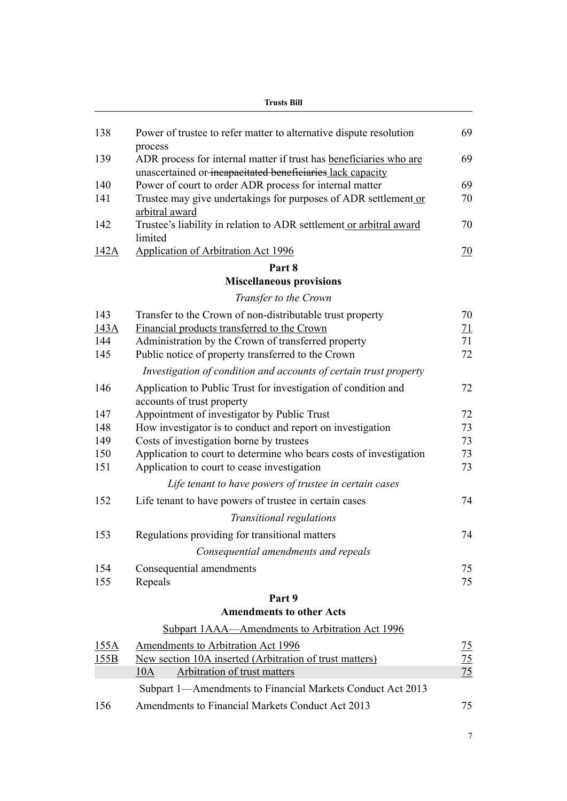|            | <b>Trusts Bill</b>                                                                                                    |                |  |
|------------|-----------------------------------------------------------------------------------------------------------------------|----------------|--|
| 138        | Power of trustee to refer matter to alternative dispute resolution                                                    | 69             |  |
| 139        | process<br>ADR process for internal matter if trust has beneficiaries who are                                         | 69             |  |
| 140        | unascertained or incapacitated beneficiaries lack capacity<br>Power of court to order ADR process for internal matter | 69             |  |
| 141        | Trustee may give undertakings for purposes of ADR settlement or<br>arbitral award                                     | 70             |  |
| 142        | Trustee's liability in relation to ADR settlement or arbitral award<br>limited                                        | 70             |  |
| 142A       | <b>Application of Arbitration Act 1996</b>                                                                            | 70             |  |
|            | Part 8                                                                                                                |                |  |
|            | <b>Miscellaneous provisions</b>                                                                                       |                |  |
|            | Transfer to the Crown                                                                                                 |                |  |
| 143        | Transfer to the Crown of non-distributable trust property                                                             | 70             |  |
| 143A       | Financial products transferred to the Crown                                                                           | 71             |  |
| 144        | Administration by the Crown of transferred property                                                                   | 71             |  |
| 145        | Public notice of property transferred to the Crown                                                                    | 72             |  |
|            | Investigation of condition and accounts of certain trust property                                                     |                |  |
| 146        | Application to Public Trust for investigation of condition and<br>accounts of trust property                          | 72             |  |
| 147        | Appointment of investigator by Public Trust                                                                           | 72             |  |
| 148        | How investigator is to conduct and report on investigation                                                            | 73             |  |
| 149        | Costs of investigation borne by trustees                                                                              | 73             |  |
| 150<br>151 | Application to court to determine who bears costs of investigation<br>Application to court to cease investigation     | 73<br>73       |  |
|            | Life tenant to have powers of trustee in certain cases                                                                |                |  |
| 152        | Life tenant to have powers of trustee in certain cases                                                                | 74             |  |
|            | Transitional regulations                                                                                              |                |  |
| 153        | Regulations providing for transitional matters                                                                        | 74             |  |
|            | Consequential amendments and repeals                                                                                  |                |  |
| 154        | Consequential amendments                                                                                              | 75             |  |
| 155        | Repeals                                                                                                               | 75             |  |
|            | Part 9                                                                                                                |                |  |
|            | <b>Amendments to other Acts</b>                                                                                       |                |  |
|            | Subpart 1AAA—Amendments to Arbitration Act 1996                                                                       |                |  |
| 155A       | Amendments to Arbitration Act 1996                                                                                    | <u>75</u>      |  |
| 155B       | New section 10A inserted (Arbitration of trust matters)                                                               | $\frac{75}{2}$ |  |
|            | Arbitration of trust matters<br>10A                                                                                   | 75             |  |
|            | Subpart 1—Amendments to Financial Markets Conduct Act 2013                                                            |                |  |
| 156        | Amendments to Financial Markets Conduct Act 2013                                                                      | 75             |  |
|            |                                                                                                                       |                |  |

7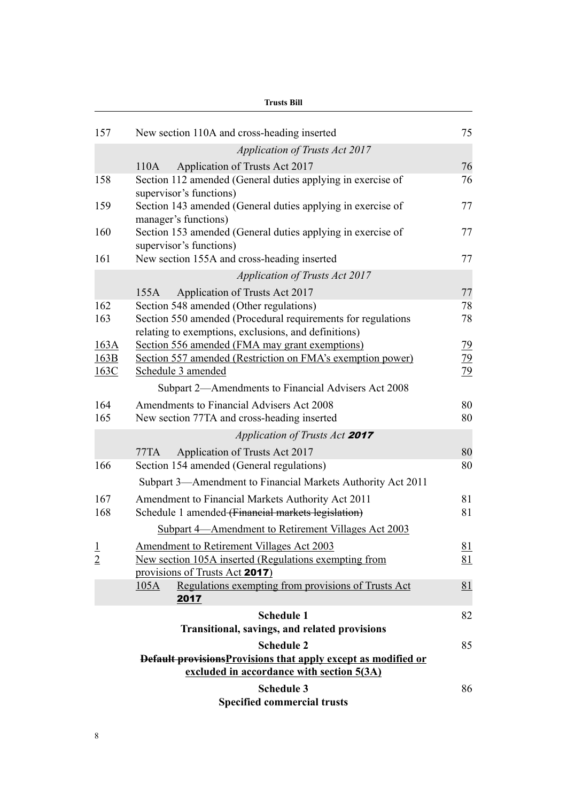| <b>Trusts Bill</b>   |                                                                                                                                    |                            |
|----------------------|------------------------------------------------------------------------------------------------------------------------------------|----------------------------|
| 157                  | New section 110A and cross-heading inserted                                                                                        | 75                         |
|                      | <b>Application of Trusts Act 2017</b>                                                                                              |                            |
|                      | Application of Trusts Act 2017<br>110A                                                                                             | 76                         |
| 158                  | Section 112 amended (General duties applying in exercise of<br>supervisor's functions)                                             | 76                         |
| 159                  | Section 143 amended (General duties applying in exercise of<br>manager's functions)                                                | 77                         |
| 160                  | Section 153 amended (General duties applying in exercise of<br>supervisor's functions)                                             | 77                         |
| 161                  | New section 155A and cross-heading inserted                                                                                        | 77                         |
|                      | <b>Application of Trusts Act 2017</b>                                                                                              |                            |
|                      | Application of Trusts Act 2017<br>155A                                                                                             | 77                         |
| 162<br>163           | Section 548 amended (Other regulations)<br>Section 550 amended (Procedural requirements for regulations                            | 78<br>78                   |
|                      | relating to exemptions, exclusions, and definitions)                                                                               |                            |
| 163A<br>163B<br>163C | Section 556 amended (FMA may grant exemptions)<br>Section 557 amended (Restriction on FMA's exemption power)<br>Schedule 3 amended | 79<br>79<br>$\frac{79}{2}$ |
|                      | Subpart 2—Amendments to Financial Advisers Act 2008                                                                                |                            |
| 164<br>165           | Amendments to Financial Advisers Act 2008<br>New section 77TA and cross-heading inserted                                           | 80<br>80                   |
|                      | Application of Trusts Act 2017                                                                                                     |                            |
|                      | Application of Trusts Act 2017<br>77TA                                                                                             | 80                         |
| 166                  | Section 154 amended (General regulations)                                                                                          | 80                         |
|                      | Subpart 3—Amendment to Financial Markets Authority Act 2011                                                                        |                            |
| 167                  | Amendment to Financial Markets Authority Act 2011                                                                                  | 81                         |
| 168                  | Schedule 1 amended (Financial markets legislation)                                                                                 | 81                         |
|                      | Subpart 4—Amendment to Retirement Villages Act 2003                                                                                |                            |
|                      | Amendment to Retirement Villages Act 2003                                                                                          | <u>81</u>                  |
| $\frac{1}{2}$        | New section 105A inserted (Regulations exempting from<br>provisions of Trusts Act 2017)                                            | 81                         |
|                      | Regulations exempting from provisions of Trusts Act<br>105A<br>2017                                                                | 81                         |
|                      | <b>Schedule 1</b>                                                                                                                  | 82                         |
|                      | Transitional, savings, and related provisions                                                                                      |                            |
|                      | <b>Schedule 2</b>                                                                                                                  | 85                         |
|                      | Default provisions Provisions that apply except as modified or<br>excluded in accordance with section 5(3A)                        |                            |
|                      | <b>Schedule 3</b><br><b>Specified commercial trusts</b>                                                                            | 86                         |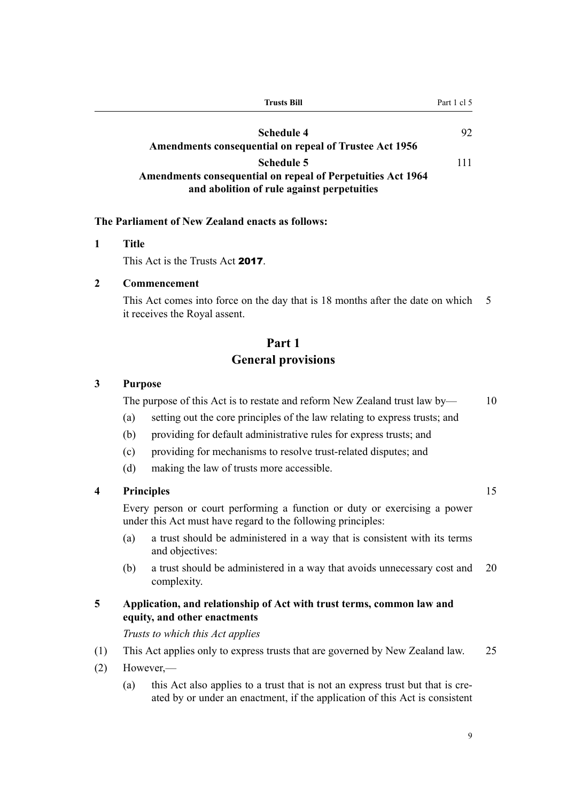<span id="page-26-0"></span>

| <b>Trusts Bill</b>                                                                                                                    | Part 1 cl 5 |
|---------------------------------------------------------------------------------------------------------------------------------------|-------------|
| <b>Schedule 4</b><br><b>Amendments consequential on repeal of Trustee Act 1956</b>                                                    | 92          |
| <b>Schedule 5</b><br><b>Amendments consequential on repeal of Perpetuities Act 1964</b><br>and abolition of rule against perpetuities | 111         |

#### **The Parliament of New Zealand enacts as follows:**

#### **1 Title**

This Act is the Trusts Act 2017.

#### **2 Commencement**

This Act comes into force on the day that is 18 months after the date on which 5 it receives the Royal assent.

# **Part 1 General provisions**

#### **3 Purpose**

The purpose of this Act is to restate and reform New Zealand trust law by — 10

(a) setting out the core principles of the law relating to express trusts; and

- (b) providing for default administrative rules for express trusts; and
- (c) providing for mechanisms to resolve trust-related disputes; and
- (d) making the law of trusts more accessible.

## **4 Principles** 15

Every person or court performing a function or duty or exercising a power under this Act must have regard to the following principles:

- (a) a trust should be administered in a way that is consistent with its terms and objectives:
- (b) a trust should be administered in a way that avoids unnecessary cost and 20 complexity.

#### **5 Application, and relationship of Act with trust terms, common law and equity, and other enactments**

*Trusts to which this Act applies*

- (1) This Act applies only to express trusts that are governed by New Zealand law. 25
- (2) However,—
	- (a) this Act also applies to a trust that is not an express trust but that is created by or under an enactment, if the application of this Act is consistent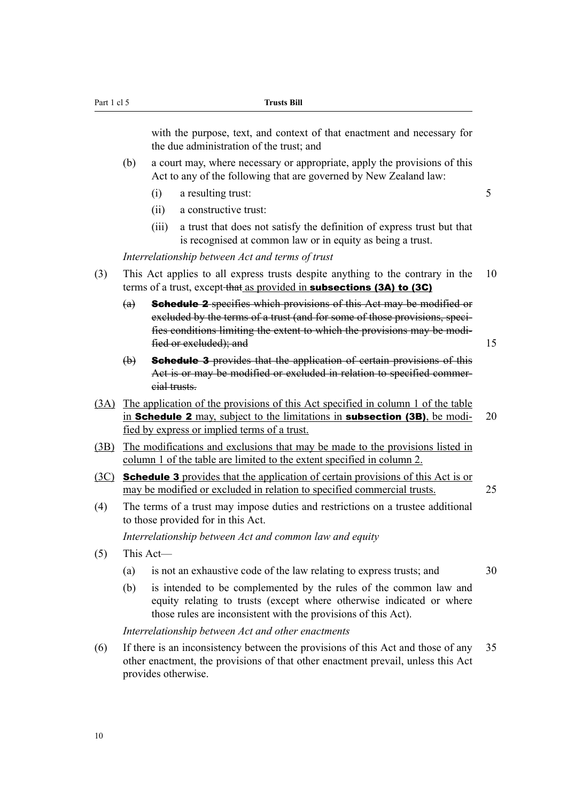with the purpose, text, and context of that enactment and necessary for the due administration of the trust; and

- (b) a court may, where necessary or appropriate, apply the provisions of this Act to any of the following that are governed by New Zealand law:
	- (i) a resulting trust: 5
	- (ii) a constructive trust:
	- (iii) a trust that does not satisfy the definition of express trust but that is recognised at common law or in equity as being a trust.

*Interrelationship between Act and terms of trust*

- (3) This Act applies to all express trusts despite anything to the contrary in the 10 terms of a trust, except that as provided in subsections (3A) to (3C)
	- (a) Schedule 2 specifies which provisions of this Act may be modified or excluded by the terms of a trust (and for some of those provisions, specifies conditions limiting the extent to which the provisions may be modified or excluded); and 15
	- (b) Schedule 3 provides that the application of certain provisions of this Act is or may be modified or excluded in relation to specified commercial trusts.
- (3A) The application of the provisions of this Act specified in column 1 of the table in **Schedule 2** may, subject to the limitations in **subsection (3B)**, be modi- 20 fied by express or implied terms of a trust.
- (3B) The modifications and exclusions that may be made to the provisions listed in column 1 of the table are limited to the extent specified in column 2.
- (3C) Schedule 3 provides that the application of certain provisions of this Act is or may be modified or excluded in relation to specified commercial trusts. 25
- (4) The terms of a trust may impose duties and restrictions on a trustee additional to those provided for in this Act.

*Interrelationship between Act and common law and equity*

- (5) This Act—
	- (a) is not an exhaustive code of the law relating to express trusts; and 30
	- (b) is intended to be complemented by the rules of the common law and equity relating to trusts (except where otherwise indicated or where those rules are inconsistent with the provisions of this Act).

*Interrelationship between Act and other enactments*

(6) If there is an inconsistency between the provisions of this Act and those of any 35 other enactment, the provisions of that other enactment prevail, unless this Act provides otherwise.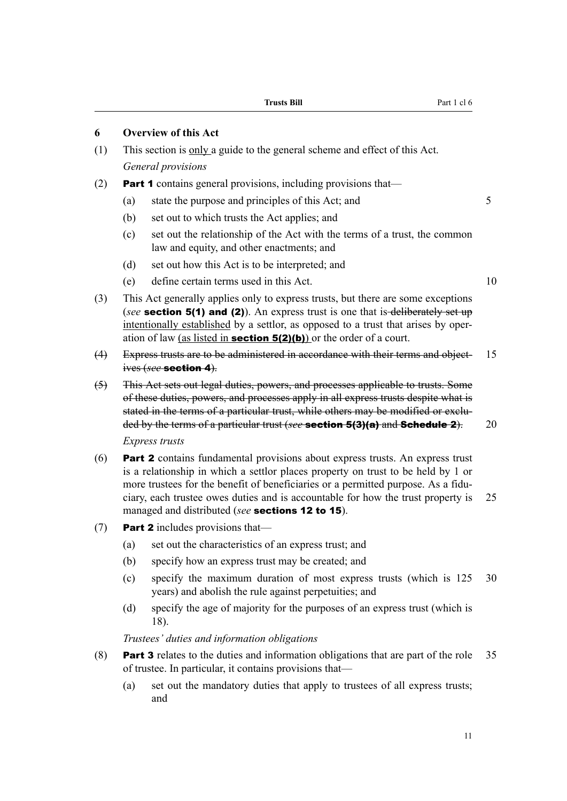#### <span id="page-28-0"></span>**6 Overview of this Act**

- (1) This section is only a guide to the general scheme and effect of this Act. *General provisions*
- (2) Part 1 contains general provisions, including provisions that—
	- (a) state the purpose and principles of this Act; and 5
	- (b) set out to which trusts the Act applies; and
	- (c) set out the relationship of the Act with the terms of a trust, the common law and equity, and other enactments; and
	- (d) set out how this Act is to be interpreted; and
	- (e) define certain terms used in this Act. 10
- (3) This Act generally applies only to express trusts, but there are some exceptions (*see* **section 5(1) and (2)**). An express trust is one that is-deliberately set up intentionally established by a settlor, as opposed to a trust that arises by operation of law (as listed in **section 5(2)(b)**) or the order of a court.
- (4) Express trusts are to be administered in accordance with their terms and object- 15 ives (*see* section 4).
- (5) This Act sets out legal duties, powers, and processes applicable to trusts. Some of these duties, powers, and processes apply in all express trusts despite what is stated in the terms of a particular trust, while others may be modified or excluded by the terms of a particular trust (*see* section 5(3)(a) and Schedule 2). 20 *Express trusts*
- (6) Part 2 contains fundamental provisions about express trusts. An express trust is a relationship in which a settlor places property on trust to be held by 1 or more trustees for the benefit of beneficiaries or a permitted purpose. As a fiduciary, each trustee owes duties and is accountable for how the trust property is 25 managed and distributed (*see* sections 12 to 15).
- (7) **Part 2** includes provisions that—
	- (a) set out the characteristics of an express trust; and
	- (b) specify how an express trust may be created; and
	- (c) specify the maximum duration of most express trusts (which is 125 30 years) and abolish the rule against perpetuities; and
	- (d) specify the age of majority for the purposes of an express trust (which is 18).

*Trustees' duties and information obligations*

- (8) Part 3 relates to the duties and information obligations that are part of the role 35 of trustee. In particular, it contains provisions that—
	- (a) set out the mandatory duties that apply to trustees of all express trusts; and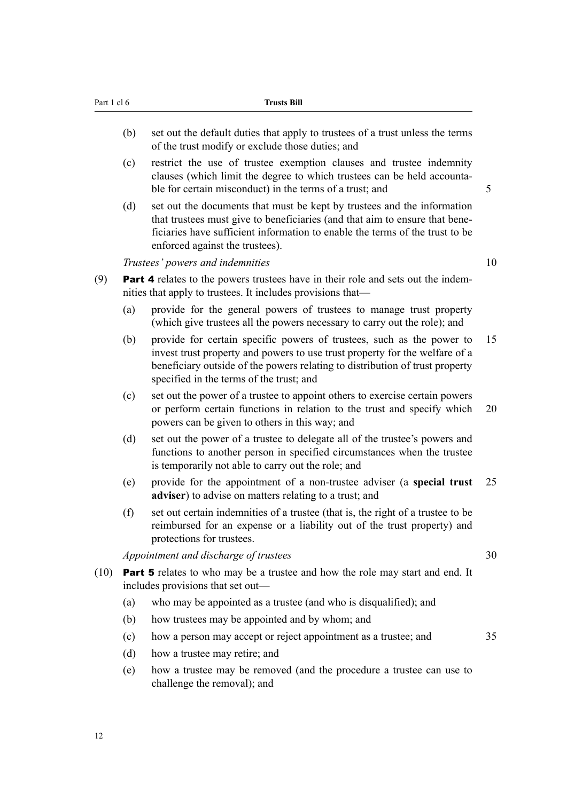- (b) set out the default duties that apply to trustees of a trust unless the terms of the trust modify or exclude those duties; and
- (c) restrict the use of trustee exemption clauses and trustee indemnity clauses (which limit the degree to which trustees can be held accountable for certain misconduct) in the terms of a trust; and 5
- (d) set out the documents that must be kept by trustees and the information that trustees must give to beneficiaries (and that aim to ensure that beneficiaries have sufficient information to enable the terms of the trust to be enforced against the trustees).

*Trustees' powers and indemnities* 10

- (9) Part 4 relates to the powers trustees have in their role and sets out the indemnities that apply to trustees. It includes provisions that—
	- (a) provide for the general powers of trustees to manage trust property (which give trustees all the powers necessary to carry out the role); and
	- (b) provide for certain specific powers of trustees, such as the power to 15 invest trust property and powers to use trust property for the welfare of a beneficiary outside of the powers relating to distribution of trust property specified in the terms of the trust; and
	- (c) set out the power of a trustee to appoint others to exercise certain powers or perform certain functions in relation to the trust and specify which 20 powers can be given to others in this way; and
	- (d) set out the power of a trustee to delegate all of the trustee's powers and functions to another person in specified circumstances when the trustee is temporarily not able to carry out the role; and
	- (e) provide for the appointment of a non-trustee adviser (a **special trust** 25 **adviser**) to advise on matters relating to a trust; and
	- (f) set out certain indemnities of a trustee (that is, the right of a trustee to be reimbursed for an expense or a liability out of the trust property) and protections for trustees.

*Appointment and discharge of trustees* 30

- (10) Part 5 relates to who may be a trustee and how the role may start and end. It includes provisions that set out—
	- (a) who may be appointed as a trustee (and who is disqualified); and
	- (b) how trustees may be appointed and by whom; and
	- (c) how a person may accept or reject appointment as a trustee; and 35
	- (d) how a trustee may retire; and
	- (e) how a trustee may be removed (and the procedure a trustee can use to challenge the removal); and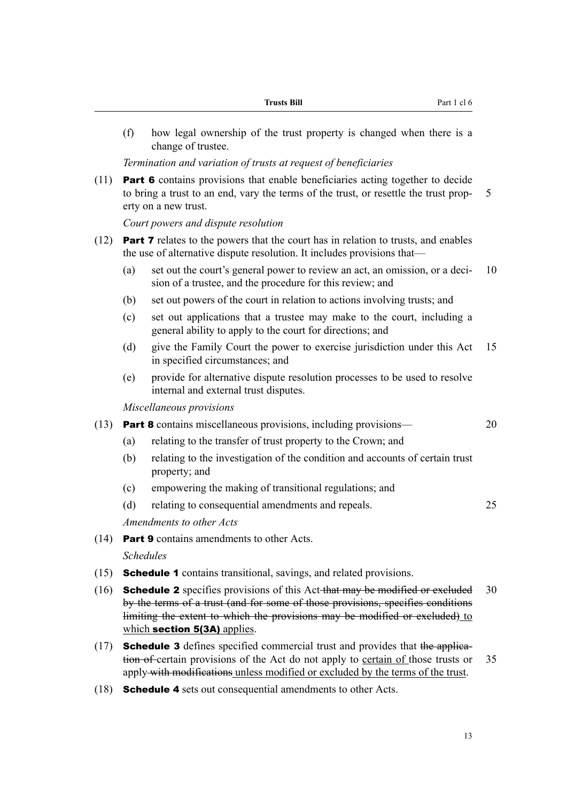(f) how legal ownership of the trust property is changed when there is a change of trustee.

#### *Termination and variation of trusts at request of beneficiaries*

(11) Part 6 contains provisions that enable beneficiaries acting together to decide to bring a trust to an end, vary the terms of the trust, or resettle the trust prop- 5 erty on a new trust.

*Court powers and dispute resolution*

- (12) Part 7 relates to the powers that the court has in relation to trusts, and enables the use of alternative dispute resolution. It includes provisions that—
	- (a) set out the court's general power to review an act, an omission, or a deci- 10 sion of a trustee, and the procedure for this review; and
	- (b) set out powers of the court in relation to actions involving trusts; and
	- (c) set out applications that a trustee may make to the court, including a general ability to apply to the court for directions; and
	- (d) give the Family Court the power to exercise jurisdiction under this Act 15 in specified circumstances; and
	- (e) provide for alternative dispute resolution processes to be used to resolve internal and external trust disputes.

*Miscellaneous provisions*

- (13) Part 8 contains miscellaneous provisions, including provisions— 20
	- (a) relating to the transfer of trust property to the Crown; and
	- (b) relating to the investigation of the condition and accounts of certain trust property; and
	- (c) empowering the making of transitional regulations; and
	- (d) relating to consequential amendments and repeals. 25

*Amendments to other Acts*

(14) Part 9 contains amendments to other Acts.

*Schedules*

- (15) Schedule 1 contains transitional, savings, and related provisions.
- (16) **Schedule 2** specifies provisions of this Act that may be modified or excluded  $30$ by the terms of a trust (and for some of those provisions, specifies conditions limiting the extent to which the provisions may be modified or excluded) to which section 5(3A) applies.
- (17) Schedule 3 defines specified commercial trust and provides that the application of certain provisions of the Act do not apply to certain of those trusts or 35 apply with modifications unless modified or excluded by the terms of the trust.
- (18) Schedule 4 sets out consequential amendments to other Acts.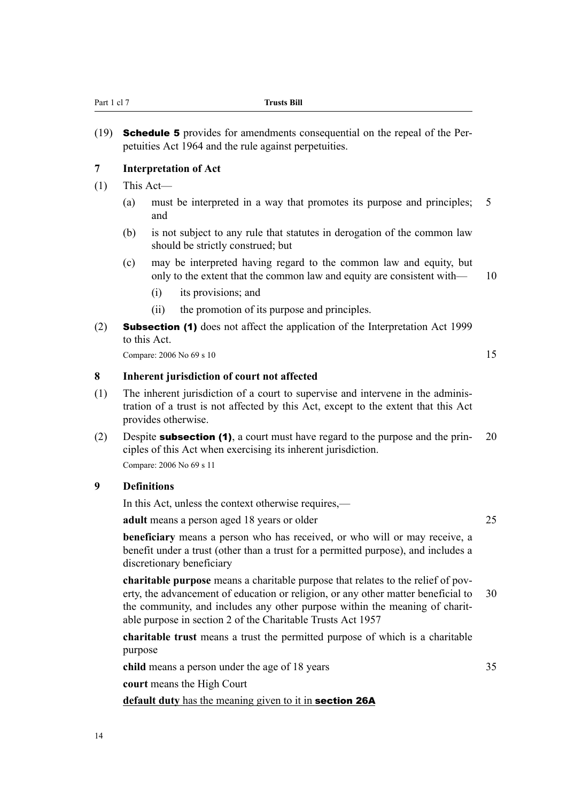<span id="page-31-0"></span>(19) Schedule 5 provides for amendments consequential on the repeal of the Perpetuities Act 1964 and the rule against perpetuities.

#### **7 Interpretation of Act**

- (1) This Act—
	- (a) must be interpreted in a way that promotes its purpose and principles; 5 and
	- (b) is not subject to any rule that statutes in derogation of the common law should be strictly construed; but
	- (c) may be interpreted having regard to the common law and equity, but only to the extent that the common law and equity are consistent with— 10
		- (i) its provisions; and
		- (ii) the promotion of its purpose and principles.
- (2) Subsection (1) does not affect the application of the Interpretation Act 1999 to this Act.

Compare:  $2006 \text{ No } 69 \text{ s } 10$  15

**8 Inherent jurisdiction of court not affected**

- (1) The inherent jurisdiction of a court to supervise and intervene in the administration of a trust is not affected by this Act, except to the extent that this Act provides otherwise.
- (2) Despite **subsection (1)**, a court must have regard to the purpose and the prin- 20 ciples of this Act when exercising its inherent jurisdiction.

Compare: 2006 No 69 s 11

### **9 Definitions**

In this Act, unless the context otherwise requires,—

**adult** means a person aged 18 years or older 25

**beneficiary** means a person who has received, or who will or may receive, a benefit under a trust (other than a trust for a permitted purpose), and includes a discretionary beneficiary

**charitable purpose** means a charitable purpose that relates to the relief of poverty, the advancement of education or religion, or any other matter beneficial to 30 the community, and includes any other purpose within the meaning of charitable purpose in section 2 of the Charitable Trusts Act 1957

**charitable trust** means a trust the permitted purpose of which is a charitable purpose

**child** means a person under the age of 18 years 35

**court** means the High Court

**default duty** has the meaning given to it in section 26A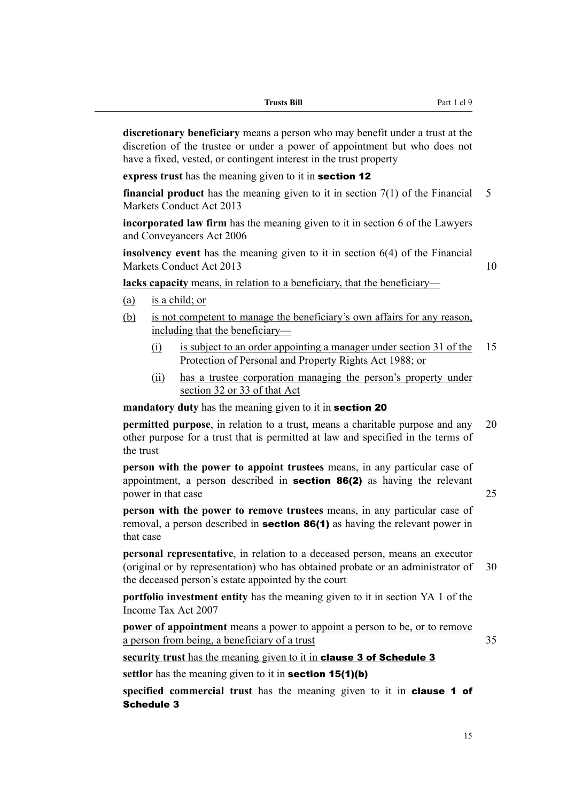| <b>Trusts Bill</b> | Part 1 cl 9 |
|--------------------|-------------|
|--------------------|-------------|

**discretionary beneficiary** means a person who may benefit under a trust at the discretion of the trustee or under a power of appointment but who does not have a fixed, vested, or contingent interest in the trust property

**express trust** has the meaning given to it in section 12

**financial product** has the meaning given to it in section 7(1) of the Financial 5 Markets Conduct Act 2013

**incorporated law firm** has the meaning given to it in section 6 of the Lawyers and Conveyancers Act 2006

**insolvency event** has the meaning given to it in section 6(4) of the Financial Markets Conduct Act 2013 10

**lacks capacity** means, in relation to a beneficiary, that the beneficiary—

- (a) is a child; or
- (b) is not competent to manage the beneficiary's own affairs for any reason, including that the beneficiary—
	- (i) is subject to an order appointing a manager under section 31 of the 15 Protection of Personal and Property Rights Act 1988; or
	- (ii) has a trustee corporation managing the person's property under section 32 or 33 of that Act

### **mandatory duty** has the meaning given to it in **section 20**

**permitted purpose**, in relation to a trust, means a charitable purpose and any 20 other purpose for a trust that is permitted at law and specified in the terms of the trust

**person with the power to appoint trustees** means, in any particular case of appointment, a person described in section 86(2) as having the relevant power in that case 25

**person with the power to remove trustees** means, in any particular case of removal, a person described in **section 86(1)** as having the relevant power in that case

**personal representative**, in relation to a deceased person, means an executor (original or by representation) who has obtained probate or an administrator of 30 the deceased person's estate appointed by the court

**portfolio investment entity** has the meaning given to it in section YA 1 of the Income Tax Act 2007

**power of appointment** means a power to appoint a person to be, or to remove a person from being, a beneficiary of a trust 35

security trust has the meaning given to it in **clause 3 of Schedule 3** 

**settlor** has the meaning given to it in **section 15(1)(b)** 

specified commercial trust has the meaning given to it in **clause 1 of** Schedule 3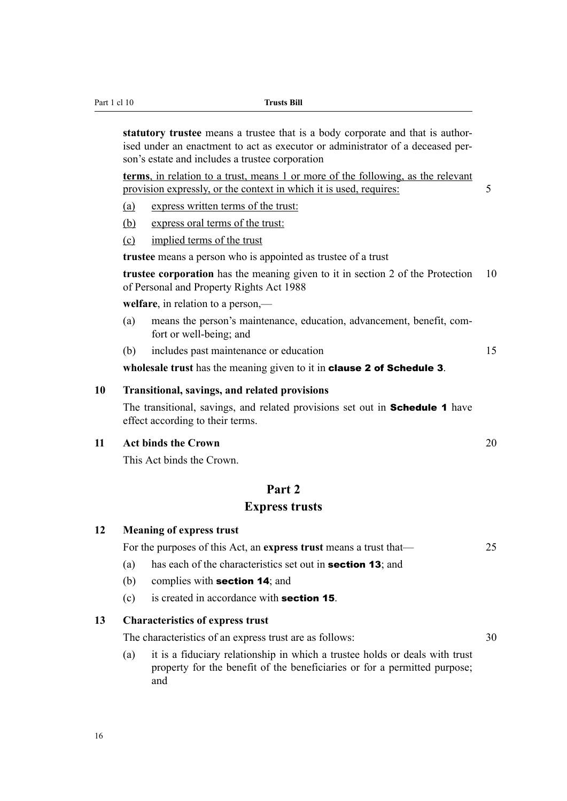<span id="page-33-0"></span>Part 1 cl 10 **Trusts Bill**

**statutory trustee** means a trustee that is a body corporate and that is authorised under an enactment to act as executor or administrator of a deceased person's estate and includes a trustee corporation

**terms**, in relation to a trust, means 1 or more of the following, as the relevant provision expressly, or the context in which it is used, requires: 5

- (a) express written terms of the trust:
- (b) express oral terms of the trust:
- (c) implied terms of the trust

**trustee** means a person who is appointed as trustee of a trust

**trustee corporation** has the meaning given to it in section 2 of the Protection 10 of Personal and Property Rights Act 1988

**welfare**, in relation to a person,—

- (a) means the person's maintenance, education, advancement, benefit, comfort or well-being; and
- (b) includes past maintenance or education 15

**wholesale trust** has the meaning given to it in clause 2 of Schedule 3.

#### **10 Transitional, savings, and related provisions**

The transitional, savings, and related provisions set out in **Schedule 1** have effect according to their terms.

#### **11 Act binds the Crown** 20

**12 Meaning of express trust**

and

This Act binds the Crown.

#### **Part 2**

#### **Express trusts**

|    |     | For the purposes of this Act, an express trust means a trust that—                                                                                       | 25 |
|----|-----|----------------------------------------------------------------------------------------------------------------------------------------------------------|----|
|    | (a) | has each of the characteristics set out in <b>section 13</b> ; and                                                                                       |    |
|    | (b) | complies with <b>section 14</b> ; and                                                                                                                    |    |
|    | (c) | is created in accordance with <b>section 15</b> .                                                                                                        |    |
| 13 |     | <b>Characteristics of express trust</b>                                                                                                                  |    |
|    |     | The characteristics of an express trust are as follows:                                                                                                  | 30 |
|    | (a) | it is a fiduciary relationship in which a trustee holds or deals with trust<br>property for the benefit of the beneficiaries or for a permitted purpose; |    |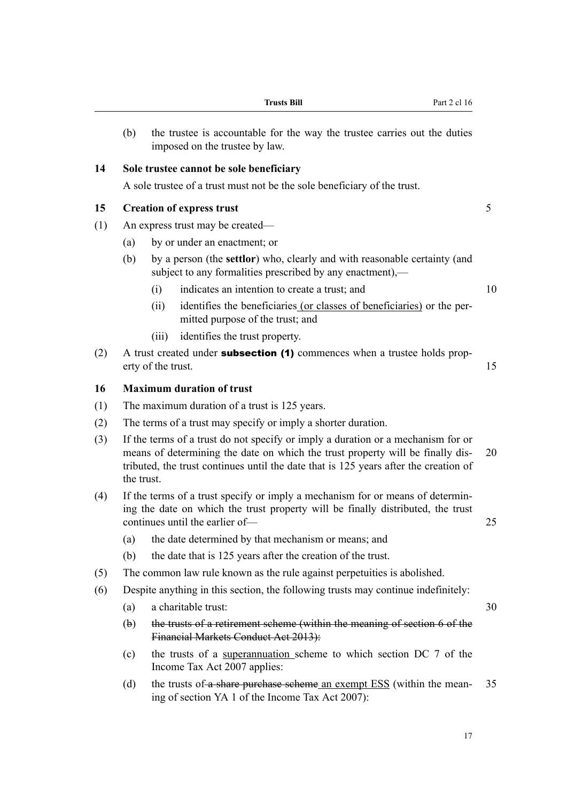| (a)        | a charitable trust:                                                                                               | 30 |
|------------|-------------------------------------------------------------------------------------------------------------------|----|
| $(\theta)$ | the trusts of a retirement scheme (within the meaning of section 6 of the<br>Financial Markets Conduct Act 2013): |    |
| (c)        | the trusts of a superannuation scheme to which section DC 7 of the<br>Income Tax Act 2007 applies:                |    |

(d) the trusts of a share purchase scheme an exempt ESS (within the mean- 35 ing of section YA 1 of the Income Tax Act 2007):

# **14 Sole trustee cannot be sole beneficiary**

imposed on the trustee by law.

A sole trustee of a trust must not be the sole beneficiary of the trust.

# **15 Creation of express trust** 5

- (1) An express trust may be created—
	- (a) by or under an enactment; or
	- (b) by a person (the **settlor**) who, clearly and with reasonable certainty (and subject to any formalities prescribed by any enactment),—

<span id="page-34-0"></span>(b) the trustee is accountable for the way the trustee carries out the duties

- (i) indicates an intention to create a trust; and 10
- (ii) identifies the beneficiaries (or classes of beneficiaries) or the permitted purpose of the trust; and
- (iii) identifies the trust property.
- (2) A trust created under **subsection (1)** commences when a trustee holds property of the trust. 15

# **16 Maximum duration of trust**

- (1) The maximum duration of a trust is 125 years.
- (2) The terms of a trust may specify or imply a shorter duration.
- (3) If the terms of a trust do not specify or imply a duration or a mechanism for or means of determining the date on which the trust property will be finally dis- 20 tributed, the trust continues until the date that is 125 years after the creation of the trust.
- (4) If the terms of a trust specify or imply a mechanism for or means of determining the date on which the trust property will be finally distributed, the trust continues until the earlier of— 25
	- (a) the date determined by that mechanism or means; and
	- (b) the date that is 125 years after the creation of the trust.
- (5) The common law rule known as the rule against perpetuities is abolished.
- (6) Despite anything in this section, the following trusts may continue indefinitely:
- 

17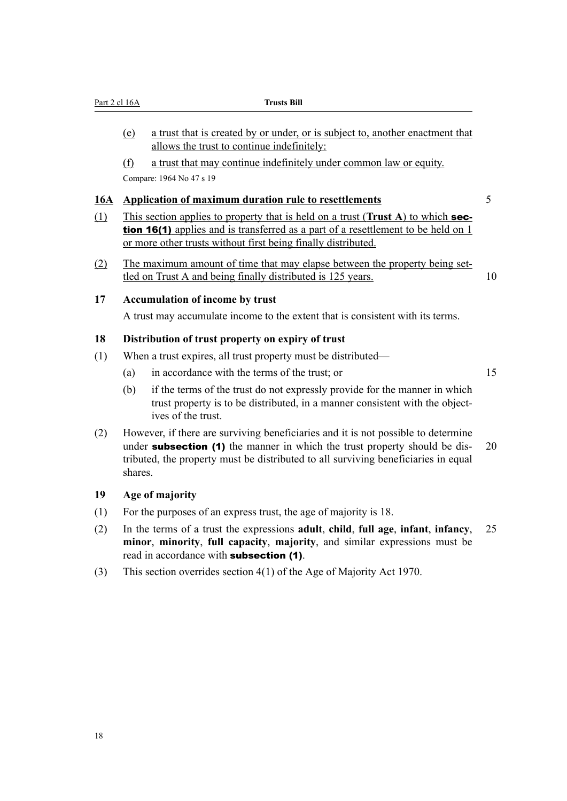<span id="page-35-0"></span>

|            | Part 2 cl 16A | <b>Trusts Bill</b>                                                                                                                                                                                                                                           |                 |
|------------|---------------|--------------------------------------------------------------------------------------------------------------------------------------------------------------------------------------------------------------------------------------------------------------|-----------------|
|            | (e)           | a trust that is created by or under, or is subject to, another enactment that<br>allows the trust to continue indefinitely:                                                                                                                                  |                 |
|            | $\circ$       | a trust that may continue indefinitely under common law or equity.<br>Compare: 1964 No 47 s 19                                                                                                                                                               |                 |
| <u>16A</u> |               | <b>Application of maximum duration rule to resettlements</b>                                                                                                                                                                                                 | $5\overline{)}$ |
| (1)        |               | This section applies to property that is held on a trust (Trust A) to which sec-<br>tion 16(1) applies and is transferred as a part of a resettlement to be held on 1<br>or more other trusts without first being finally distributed.                       |                 |
| (2)        |               | The maximum amount of time that may elapse between the property being set-<br>tled on Trust A and being finally distributed is 125 years.                                                                                                                    | 10              |
| 17         |               | <b>Accumulation of income by trust</b>                                                                                                                                                                                                                       |                 |
|            |               | A trust may accumulate income to the extent that is consistent with its terms.                                                                                                                                                                               |                 |
| 18         |               | Distribution of trust property on expiry of trust                                                                                                                                                                                                            |                 |
| (1)        |               | When a trust expires, all trust property must be distributed—                                                                                                                                                                                                |                 |
|            | (a)           | in accordance with the terms of the trust; or                                                                                                                                                                                                                | 15              |
|            | (b)           | if the terms of the trust do not expressly provide for the manner in which<br>trust property is to be distributed, in a manner consistent with the object-<br>ives of the trust.                                                                             |                 |
| (2)        | shares.       | However, if there are surviving beneficiaries and it is not possible to determine<br>under <b>subsection</b> (1) the manner in which the trust property should be dis-<br>tributed, the property must be distributed to all surviving beneficiaries in equal | 20              |
| 19         |               | Age of majority                                                                                                                                                                                                                                              |                 |
| (1)        |               | For the purposes of an express trust, the age of majority is 18.                                                                                                                                                                                             |                 |
|            |               | In the terms of a trust the expressions adult, child, full age, infant, infancy,<br>minor, minority, full capacity, majority, and similar expressions must be                                                                                                | 25              |
| (2)        |               | read in accordance with <b>subsection (1)</b> .                                                                                                                                                                                                              |                 |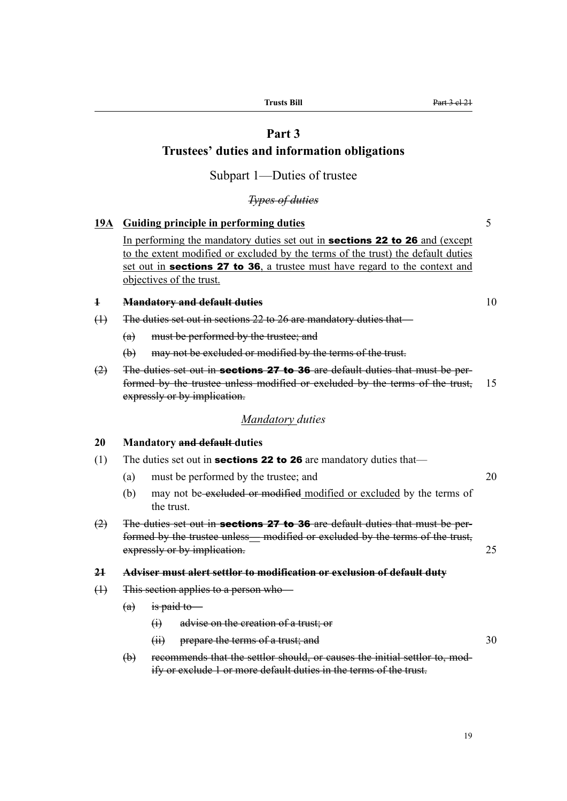# **Part 3**

# **Trustees' duties and information obligations**

Subpart 1—Duties of trustee

*Types of duties*

# **19A Guiding principle in performing duties** 5

In performing the mandatory duties set out in **sections 22 to 26** and (except to the extent modified or excluded by the terms of the trust) the default duties set out in **sections 27 to 36**, a trustee must have regard to the context and objectives of the trust.

#### **1 Mandatory and default duties** 10

- (1) The duties set out in sections 22 to 26 are mandatory duties that—
	- (a) must be performed by the trustee; and
	- (b) may not be excluded or modified by the terms of the trust.
- $(2)$  The duties set out in **sections 27 to 36** are default duties that must be performed by the trustee unless modified or excluded by the terms of the trust, 15 expressly or by implication.

#### *Mandatory duties*

#### **20 Mandatory and default duties**

- (1) The duties set out in **sections 22 to 26** are mandatory duties that—
	- (a) must be performed by the trustee; and 20
	- (b) may not be excluded or modified modified or excluded by the terms of the trust.
- $(2)$  The duties set out in **sections 27 to 36** are default duties that must be performed by the trustee unless— modified or excluded by the terms of the trust, expressly or by implication. 25

#### **21 Adviser must alert settlor to modification or exclusion of default duty**

- (1) This section applies to a person who—
	- $(a)$  is paid to
		- (i) advise on the creation of a trust; or
		- (ii) prepare the terms of a trust; and 30
	- (b) recommends that the settlor should, or causes the initial settlor to, modify or exclude 1 or more default duties in the terms of the trust.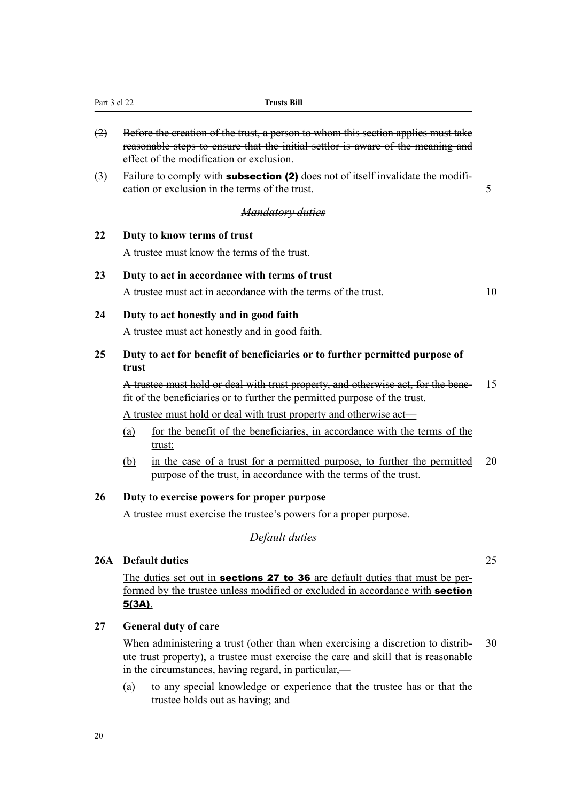| (2)                        | Before the creation of the trust, a person to whom this section applies must take<br>reasonable steps to ensure that the initial settlor is aware of the meaning and<br>effect of the modification or exclusion. |    |  |  |  |  |  |  |  |
|----------------------------|------------------------------------------------------------------------------------------------------------------------------------------------------------------------------------------------------------------|----|--|--|--|--|--|--|--|
| $\left(\frac{3}{2}\right)$ | Failure to comply with subsection (2) does not of itself invalidate the modifi-<br>cation or exclusion in the terms of the trust.                                                                                | 5  |  |  |  |  |  |  |  |
|                            | <b>Mandatory duties</b>                                                                                                                                                                                          |    |  |  |  |  |  |  |  |
| 22                         | Duty to know terms of trust                                                                                                                                                                                      |    |  |  |  |  |  |  |  |
|                            | A trustee must know the terms of the trust.                                                                                                                                                                      |    |  |  |  |  |  |  |  |
| 23                         | Duty to act in accordance with terms of trust                                                                                                                                                                    |    |  |  |  |  |  |  |  |
|                            | A trustee must act in accordance with the terms of the trust.                                                                                                                                                    | 10 |  |  |  |  |  |  |  |
| 24                         | Duty to act honestly and in good faith                                                                                                                                                                           |    |  |  |  |  |  |  |  |
|                            | A trustee must act honestly and in good faith.                                                                                                                                                                   |    |  |  |  |  |  |  |  |
| 25                         | Duty to act for benefit of beneficiaries or to further permitted purpose of<br>trust                                                                                                                             |    |  |  |  |  |  |  |  |
|                            | A trustee must hold or deal with trust property, and otherwise act, for the bene-<br>fit of the beneficiaries or to further the permitted purpose of the trust.                                                  | 15 |  |  |  |  |  |  |  |
|                            | A trustee must hold or deal with trust property and otherwise act—                                                                                                                                               |    |  |  |  |  |  |  |  |
|                            | for the benefit of the beneficiaries, in accordance with the terms of the<br>(a)<br>trust:                                                                                                                       |    |  |  |  |  |  |  |  |
|                            | in the case of a trust for a permitted purpose, to further the permitted<br>(b)<br>purpose of the trust, in accordance with the terms of the trust.                                                              | 20 |  |  |  |  |  |  |  |
| 26                         | Duty to exercise powers for proper purpose                                                                                                                                                                       |    |  |  |  |  |  |  |  |
|                            | A trustee must exercise the trustee's powers for a proper purpose.                                                                                                                                               |    |  |  |  |  |  |  |  |
|                            | Default duties                                                                                                                                                                                                   |    |  |  |  |  |  |  |  |
| 26A                        | <b>Default duties</b>                                                                                                                                                                                            | 25 |  |  |  |  |  |  |  |
|                            | The duties set out in <b>sections 27 to 36</b> are default duties that must be per-                                                                                                                              |    |  |  |  |  |  |  |  |
|                            | formed by the trustee unless modified or excluded in accordance with <b>section</b><br>$5(3A)$ .                                                                                                                 |    |  |  |  |  |  |  |  |
| 27                         | <b>General duty of care</b>                                                                                                                                                                                      |    |  |  |  |  |  |  |  |
|                            | When administering a trust (other than when exercising a discretion to distrib-<br>ute trust property), a trustee must exercise the care and skill that is reasonable                                            | 30 |  |  |  |  |  |  |  |

Part 3 cl 22 **Trusts Bill** 

(a) to any special knowledge or experience that the trustee has or that the trustee holds out as having; and

in the circumstances, having regard, in particular,—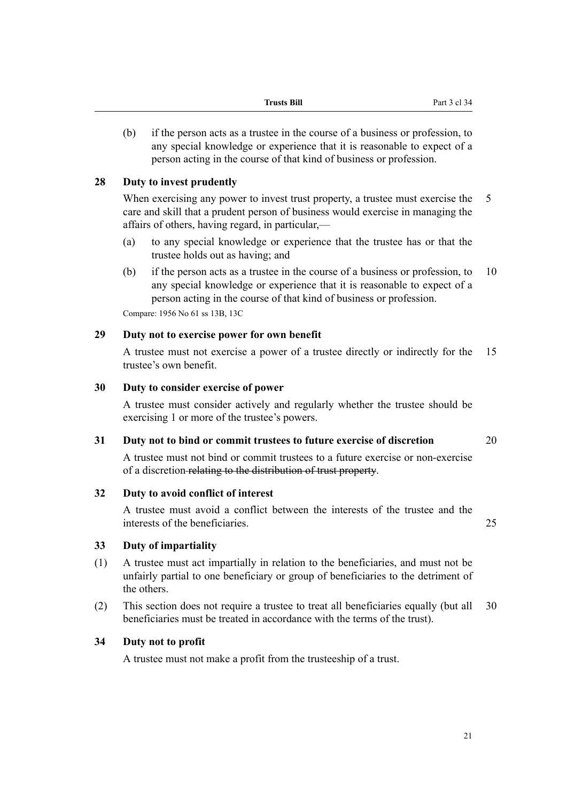(b) if the person acts as a trustee in the course of a business or profession, to any special knowledge or experience that it is reasonable to expect of a person acting in the course of that kind of business or profession.

# **28 Duty to invest prudently**

When exercising any power to invest trust property, a trustee must exercise the 5 care and skill that a prudent person of business would exercise in managing the affairs of others, having regard, in particular,—

- (a) to any special knowledge or experience that the trustee has or that the trustee holds out as having; and
- (b) if the person acts as a trustee in the course of a business or profession, to 10 any special knowledge or experience that it is reasonable to expect of a person acting in the course of that kind of business or profession.

Compare: 1956 No 61 ss 13B, 13C

# **29 Duty not to exercise power for own benefit**

A trustee must not exercise a power of a trustee directly or indirectly for the 15 trustee's own benefit.

# **30 Duty to consider exercise of power**

A trustee must consider actively and regularly whether the trustee should be exercising 1 or more of the trustee's powers.

# **31 Duty not to bind or commit trustees to future exercise of discretion** 20

A trustee must not bind or commit trustees to a future exercise or non-exercise of a discretion relating to the distribution of trust property.

# **32 Duty to avoid conflict of interest**

A trustee must avoid a conflict between the interests of the trustee and the interests of the beneficiaries. 25

**33 Duty of impartiality**

- (1) A trustee must act impartially in relation to the beneficiaries, and must not be unfairly partial to one beneficiary or group of beneficiaries to the detriment of the others.
- (2) This section does not require a trustee to treat all beneficiaries equally (but all 30 beneficiaries must be treated in accordance with the terms of the trust).

# **34 Duty not to profit**

A trustee must not make a profit from the trusteeship of a trust.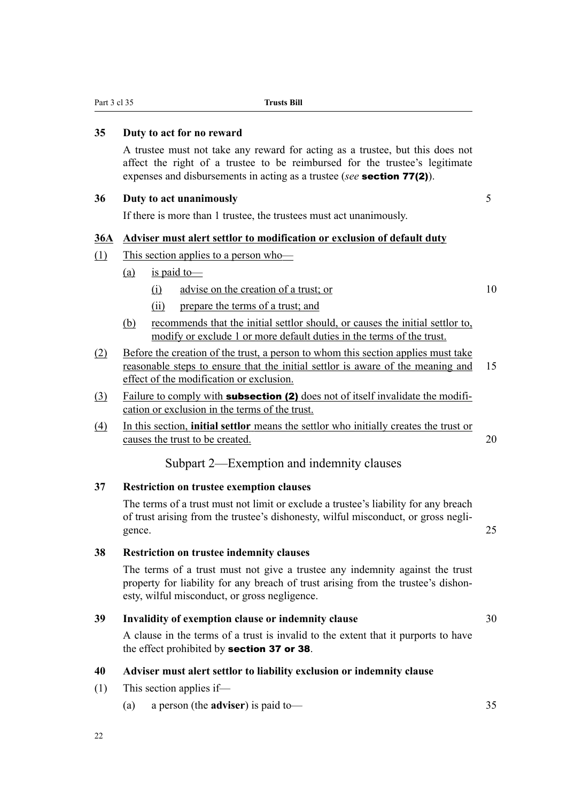Part 3 cl 35 **Trusts Bill**

#### **35 Duty to act for no reward**

A trustee must not take any reward for acting as a trustee, but this does not affect the right of a trustee to be reimbursed for the trustee's legitimate expenses and disbursements in acting as a trustee (*see* section 77(2)).

#### **36 Duty to act unanimously** 5

If there is more than 1 trustee, the trustees must act unanimously.

#### **36A Adviser must alert settlor to modification or exclusion of default duty**

- (1) This section applies to a person who—
	- (a) is paid to
		- (i) advise on the creation of a trust; or 10
		- (ii) prepare the terms of a trust; and
	- (b) recommends that the initial settlor should, or causes the initial settlor to, modify or exclude 1 or more default duties in the terms of the trust.
- (2) Before the creation of the trust, a person to whom this section applies must take reasonable steps to ensure that the initial settlor is aware of the meaning and 15 effect of the modification or exclusion.
- (3) Failure to comply with **subsection (2)** does not of itself invalidate the modification or exclusion in the terms of the trust.
- (4) In this section, **initial settlor** means the settlor who initially creates the trust or causes the trust to be created. 20

Subpart 2—Exemption and indemnity clauses

# **37 Restriction on trustee exemption clauses**

The terms of a trust must not limit or exclude a trustee's liability for any breach of trust arising from the trustee's dishonesty, wilful misconduct, or gross negligence. 25

#### **38 Restriction on trustee indemnity clauses**

The terms of a trust must not give a trustee any indemnity against the trust property for liability for any breach of trust arising from the trustee's dishonesty, wilful misconduct, or gross negligence.

#### **39 Invalidity of exemption clause or indemnity clause** 30

A clause in the terms of a trust is invalid to the extent that it purports to have the effect prohibited by section 37 or 38.

#### **40 Adviser must alert settlor to liability exclusion or indemnity clause**

- (1) This section applies if—
	- (a) a person (the **adviser**) is paid to— 35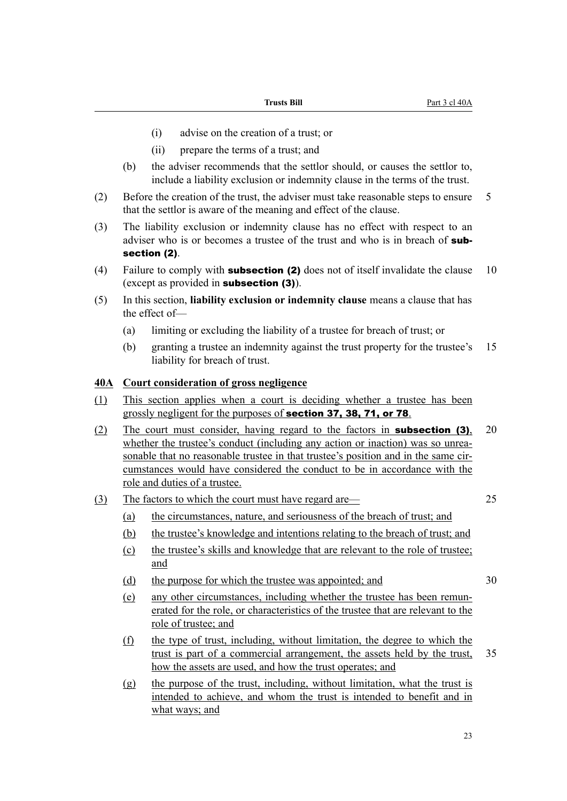- (i) advise on the creation of a trust; or
- (ii) prepare the terms of a trust; and
- (b) the adviser recommends that the settlor should, or causes the settlor to, include a liability exclusion or indemnity clause in the terms of the trust.
- (2) Before the creation of the trust, the adviser must take reasonable steps to ensure 5 that the settlor is aware of the meaning and effect of the clause.
- (3) The liability exclusion or indemnity clause has no effect with respect to an adviser who is or becomes a trustee of the trust and who is in breach of **sub**section (2).
- (4) Failure to comply with **subsection (2)** does not of itself invalidate the clause  $10$ (except as provided in subsection (3)).
- (5) In this section, **liability exclusion or indemnity clause** means a clause that has the effect of—
	- (a) limiting or excluding the liability of a trustee for breach of trust; or
	- (b) granting a trustee an indemnity against the trust property for the trustee's 15 liability for breach of trust.

### **40A Court consideration of gross negligence**

- (1) This section applies when a court is deciding whether a trustee has been grossly negligent for the purposes of section 37, 38, 71, or 78.
- (2) The court must consider, having regard to the factors in subsection (3), 20 whether the trustee's conduct (including any action or inaction) was so unreasonable that no reasonable trustee in that trustee's position and in the same circumstances would have considered the conduct to be in accordance with the role and duties of a trustee.
- (3) The factors to which the court must have regard are— 25

- (a) the circumstances, nature, and seriousness of the breach of trust; and
- (b) the trustee's knowledge and intentions relating to the breach of trust; and
- (c) the trustee's skills and knowledge that are relevant to the role of trustee; and
- (d) the purpose for which the trustee was appointed; and  $30$
- (e) any other circumstances, including whether the trustee has been remunerated for the role, or characteristics of the trustee that are relevant to the role of trustee; and
- (f) the type of trust, including, without limitation, the degree to which the trust is part of a commercial arrangement, the assets held by the trust, 35 how the assets are used, and how the trust operates; and
- (g) the purpose of the trust, including, without limitation, what the trust is intended to achieve, and whom the trust is intended to benefit and in what ways; and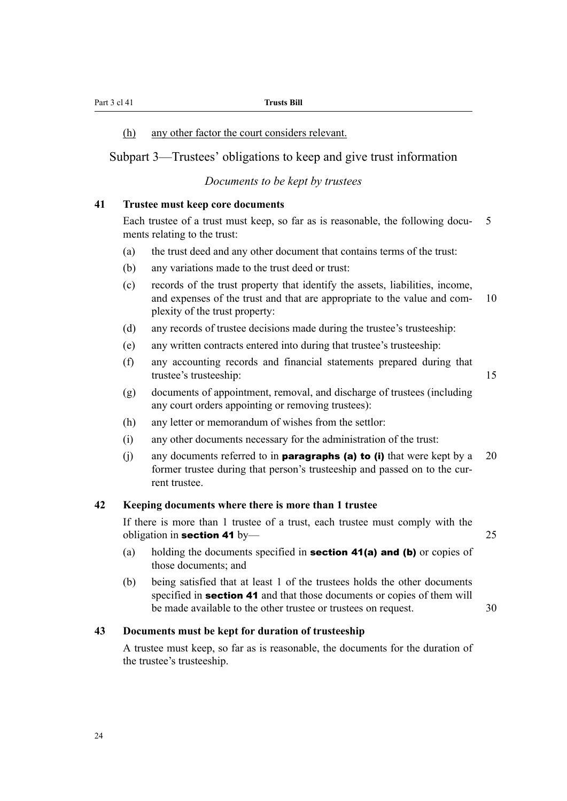Part 3 cl 41 **Trusts Bill**

#### (h) any other factor the court considers relevant.

# Subpart 3—Trustees' obligations to keep and give trust information

#### *Documents to be kept by trustees*

#### **41 Trustee must keep core documents**

Each trustee of a trust must keep, so far as is reasonable, the following docu- 5 ments relating to the trust:

- (a) the trust deed and any other document that contains terms of the trust:
- (b) any variations made to the trust deed or trust:
- (c) records of the trust property that identify the assets, liabilities, income, and expenses of the trust and that are appropriate to the value and com- 10 plexity of the trust property:
- (d) any records of trustee decisions made during the trustee's trusteeship:
- (e) any written contracts entered into during that trustee's trusteeship:
- (f) any accounting records and financial statements prepared during that trustee's trusteeship: 15
- (g) documents of appointment, removal, and discharge of trustees (including any court orders appointing or removing trustees):
- (h) any letter or memorandum of wishes from the settlor:
- (i) any other documents necessary for the administration of the trust:
- (i) any documents referred to in **paragraphs (a) to (i)** that were kept by a 20 former trustee during that person's trusteeship and passed on to the current trustee.

#### **42 Keeping documents where there is more than 1 trustee**

If there is more than 1 trustee of a trust, each trustee must comply with the obligation in section 41 by— 25

- (a) holding the documents specified in **section 41(a) and (b)** or copies of those documents; and
- (b) being satisfied that at least 1 of the trustees holds the other documents specified in **section 41** and that those documents or copies of them will be made available to the other trustee or trustees on request. 30

# **43 Documents must be kept for duration of trusteeship**

A trustee must keep, so far as is reasonable, the documents for the duration of the trustee's trusteeship.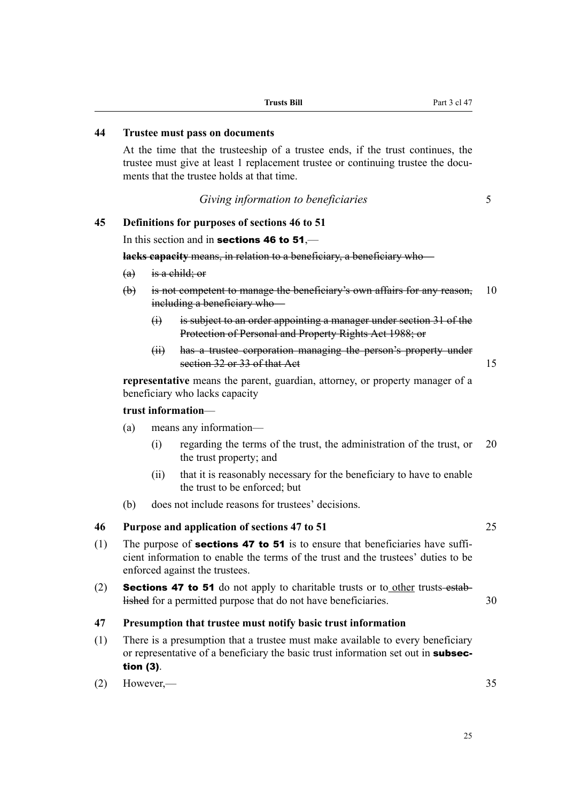# **44 Trustee must pass on documents**

At the time that the trusteeship of a trustee ends, if the trust continues, the trustee must give at least 1 replacement trustee or continuing trustee the documents that the trustee holds at that time.

*Giving information to beneficiaries* 5

#### **45 Definitions for purposes of sections 46 to 51**

In this section and in **sections 46 to 51**,—

**lacks capacity** means, in relation to a beneficiary, a beneficiary who—

- $(a)$  is a child; or
- (b) is not competent to manage the beneficiary's own affairs for any reason, 10 including a beneficiary who—
	- (i) is subject to an order appointing a manager under section 31 of the Protection of Personal and Property Rights Act 1988; or
	- (ii) has a trustee corporation managing the person's property under section 32 or 33 of that Act 15

**representative** means the parent, guardian, attorney, or property manager of a beneficiary who lacks capacity

#### **trust information**—

- (a) means any information—
	- (i) regarding the terms of the trust, the administration of the trust, or 20 the trust property; and
	- (ii) that it is reasonably necessary for the beneficiary to have to enable the trust to be enforced; but
- (b) does not include reasons for trustees' decisions.

#### **46 Purpose and application of sections 47 to 51** 25

- (1) The purpose of **sections 47 to 51** is to ensure that beneficiaries have sufficient information to enable the terms of the trust and the trustees' duties to be enforced against the trustees.
- (2) **Sections 47 to 51** do not apply to charitable trusts or to other trusts established for a permitted purpose that do not have beneficiaries. 30

#### **47 Presumption that trustee must notify basic trust information**

(1) There is a presumption that a trustee must make available to every beneficiary or representative of a beneficiary the basic trust information set out in **subsec**tion (3).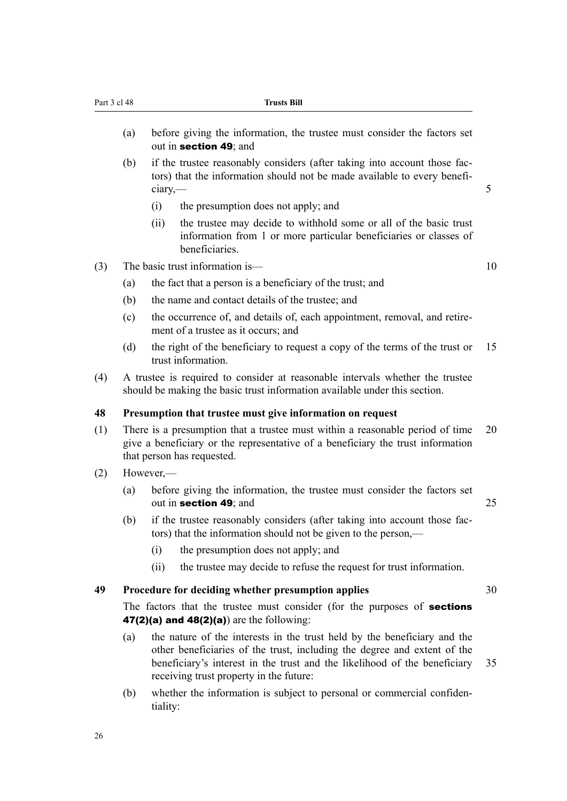- (a) before giving the information, the trustee must consider the factors set out in section 49; and
- (b) if the trustee reasonably considers (after taking into account those factors) that the information should not be made available to every beneficiary, — 5
	- (i) the presumption does not apply; and
	- (ii) the trustee may decide to withhold some or all of the basic trust information from 1 or more particular beneficiaries or classes of beneficiaries.
- (3) The basic trust information is— 10
	- (a) the fact that a person is a beneficiary of the trust; and
	- (b) the name and contact details of the trustee; and
	- (c) the occurrence of, and details of, each appointment, removal, and retirement of a trustee as it occurs; and
	- (d) the right of the beneficiary to request a copy of the terms of the trust or 15 trust information.
- (4) A trustee is required to consider at reasonable intervals whether the trustee should be making the basic trust information available under this section.

# **48 Presumption that trustee must give information on request**

- (1) There is a presumption that a trustee must within a reasonable period of time 20 give a beneficiary or the representative of a beneficiary the trust information that person has requested.
- (2) However,—
	- (a) before giving the information, the trustee must consider the factors set out in section 49; and 25
	- (b) if the trustee reasonably considers (after taking into account those factors) that the information should not be given to the person,—
		- (i) the presumption does not apply; and
		- (ii) the trustee may decide to refuse the request for trust information.

#### **49 Procedure for deciding whether presumption applies** 30

The factors that the trustee must consider (for the purposes of **sections** 47(2)(a) and  $48(2)(a)$  are the following:

- (a) the nature of the interests in the trust held by the beneficiary and the other beneficiaries of the trust, including the degree and extent of the beneficiary's interest in the trust and the likelihood of the beneficiary 35 receiving trust property in the future:
- (b) whether the information is subject to personal or commercial confidentiality: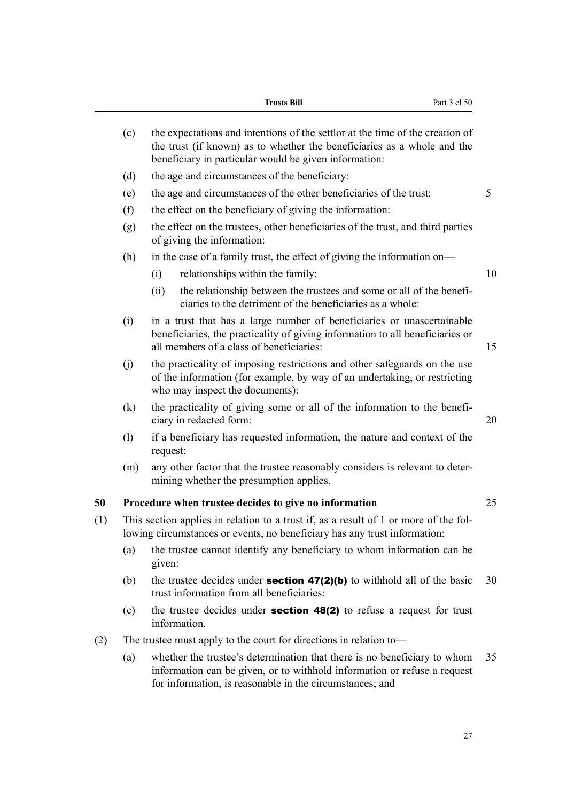| Trusts Bill |  |
|-------------|--|
|-------------|--|

|     | (c)                        | the expectations and intentions of the settlor at the time of the creation of<br>the trust (if known) as to whether the beneficiaries as a whole and the<br>beneficiary in particular would be given information: |    |  |  |  |  |  |
|-----|----------------------------|-------------------------------------------------------------------------------------------------------------------------------------------------------------------------------------------------------------------|----|--|--|--|--|--|
|     | (d)                        | the age and circumstances of the beneficiary:                                                                                                                                                                     |    |  |  |  |  |  |
|     | (e)                        | the age and circumstances of the other beneficiaries of the trust:                                                                                                                                                | 5  |  |  |  |  |  |
|     | (f)                        | the effect on the beneficiary of giving the information:                                                                                                                                                          |    |  |  |  |  |  |
|     | (g)                        | the effect on the trustees, other beneficiaries of the trust, and third parties<br>of giving the information:                                                                                                     |    |  |  |  |  |  |
|     | (h)                        | in the case of a family trust, the effect of giving the information on—                                                                                                                                           |    |  |  |  |  |  |
|     |                            | relationships within the family:<br>(i)                                                                                                                                                                           | 10 |  |  |  |  |  |
|     |                            | the relationship between the trustees and some or all of the benefi-<br>(ii)<br>ciaries to the detriment of the beneficiaries as a whole:                                                                         |    |  |  |  |  |  |
|     | (i)                        | in a trust that has a large number of beneficiaries or unascertainable<br>beneficiaries, the practicality of giving information to all beneficiaries or<br>all members of a class of beneficiaries:               | 15 |  |  |  |  |  |
|     | (j)                        | the practicality of imposing restrictions and other safeguards on the use<br>of the information (for example, by way of an undertaking, or restricting<br>who may inspect the documents):                         |    |  |  |  |  |  |
|     | (k)                        | the practicality of giving some or all of the information to the benefi-<br>ciary in redacted form:                                                                                                               | 20 |  |  |  |  |  |
|     | $\left( \mathrm{l}\right)$ | if a beneficiary has requested information, the nature and context of the<br>request:                                                                                                                             |    |  |  |  |  |  |
|     | (m)                        | any other factor that the trustee reasonably considers is relevant to deter-<br>mining whether the presumption applies.                                                                                           |    |  |  |  |  |  |
| 50  |                            | Procedure when trustee decides to give no information                                                                                                                                                             | 25 |  |  |  |  |  |
| (1) |                            | This section applies in relation to a trust if, as a result of 1 or more of the fol-<br>lowing circumstances or events, no beneficiary has any trust information:                                                 |    |  |  |  |  |  |
|     |                            | (a) the trustee cannot identify any beneficiary to whom information can be<br>given:                                                                                                                              |    |  |  |  |  |  |
|     | (b)                        | the trustee decides under <b>section 47(2)(b)</b> to withhold all of the basic<br>trust information from all beneficiaries:                                                                                       | 30 |  |  |  |  |  |
|     | (c)                        | the trustee decides under <b>section 48(2)</b> to refuse a request for trust<br>information.                                                                                                                      |    |  |  |  |  |  |
| (2) |                            | The trustee must apply to the court for directions in relation to—                                                                                                                                                |    |  |  |  |  |  |
|     | (a)                        | whether the trustee's determination that there is no beneficiary to whom<br>information can be given, or to withhold information or refuse a request<br>for information, is reasonable in the circumstances; and  | 35 |  |  |  |  |  |
|     |                            |                                                                                                                                                                                                                   |    |  |  |  |  |  |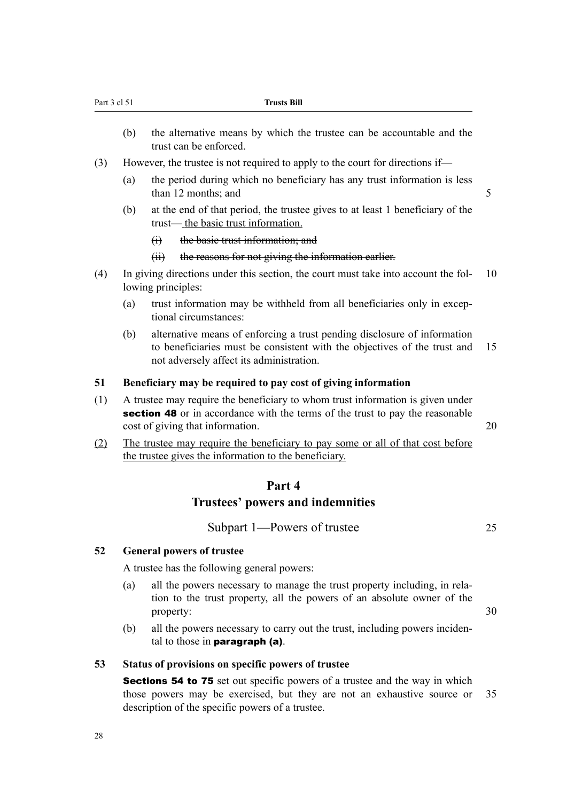- (b) the alternative means by which the trustee can be accountable and the trust can be enforced.
- (3) However, the trustee is not required to apply to the court for directions if—
	- (a) the period during which no beneficiary has any trust information is less  $\frac{12 \text{ months}}{5}$
	- (b) at the end of that period, the trustee gives to at least 1 beneficiary of the trust— the basic trust information.
		- (i) the basic trust information; and
		- (ii) the reasons for not giving the information earlier.
- (4) In giving directions under this section, the court must take into account the fol- 10 lowing principles:
	- (a) trust information may be withheld from all beneficiaries only in exceptional circumstances:
	- (b) alternative means of enforcing a trust pending disclosure of information to beneficiaries must be consistent with the objectives of the trust and 15 not adversely affect its administration.

### **51 Beneficiary may be required to pay cost of giving information**

- (1) A trustee may require the beneficiary to whom trust information is given under section 48 or in accordance with the terms of the trust to pay the reasonable cost of giving that information. 20
- (2) The trustee may require the beneficiary to pay some or all of that cost before the trustee gives the information to the beneficiary.

# **Part 4 Trustees' powers and indemnities**

Subpart 1—Powers of trustee 25

# **52 General powers of trustee**

A trustee has the following general powers:

- (a) all the powers necessary to manage the trust property including, in relation to the trust property, all the powers of an absolute owner of the property: 30
- (b) all the powers necessary to carry out the trust, including powers incidental to those in paragraph (a).

#### **53 Status of provisions on specific powers of trustee**

Sections 54 to 75 set out specific powers of a trustee and the way in which those powers may be exercised, but they are not an exhaustive source or 35 description of the specific powers of a trustee.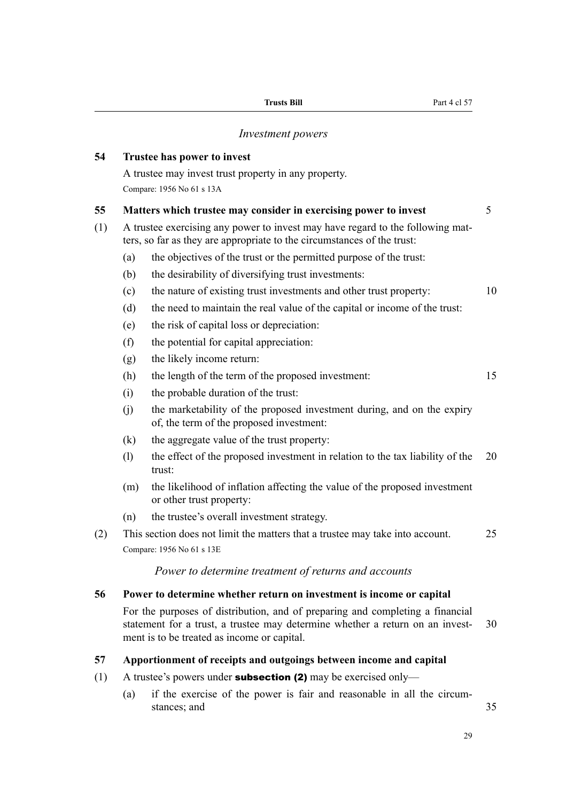#### *Investment powers*

# **54 Trustee has power to invest**

A trustee may invest trust property in any property. Compare: 1956 No 61 s 13A

#### **55 Matters which trustee may consider in exercising power to invest** 5

- (1) A trustee exercising any power to invest may have regard to the following matters, so far as they are appropriate to the circumstances of the trust:
	- (a) the objectives of the trust or the permitted purpose of the trust:
	- (b) the desirability of diversifying trust investments:
	- (c) the nature of existing trust investments and other trust property: 10
	- (d) the need to maintain the real value of the capital or income of the trust:
	- (e) the risk of capital loss or depreciation:
	- (f) the potential for capital appreciation:
	- (g) the likely income return:
	- (h) the length of the term of the proposed investment: 15
	- (i) the probable duration of the trust:
	- (j) the marketability of the proposed investment during, and on the expiry of, the term of the proposed investment:
	- (k) the aggregate value of the trust property:
	- (l) the effect of the proposed investment in relation to the tax liability of the 20 trust:
	- (m) the likelihood of inflation affecting the value of the proposed investment or other trust property:
	- (n) the trustee's overall investment strategy.
- (2) This section does not limit the matters that a trustee may take into account. 25 Compare: 1956 No 61 s 13E

#### *Power to determine treatment of returns and accounts*

#### **56 Power to determine whether return on investment is income or capital**

For the purposes of distribution, and of preparing and completing a financial statement for a trust, a trustee may determine whether a return on an invest- 30 ment is to be treated as income or capital.

# **57 Apportionment of receipts and outgoings between income and capital**

- (1) A trustee's powers under **subsection (2)** may be exercised only—
	- (a) if the exercise of the power is fair and reasonable in all the circumstances; and 35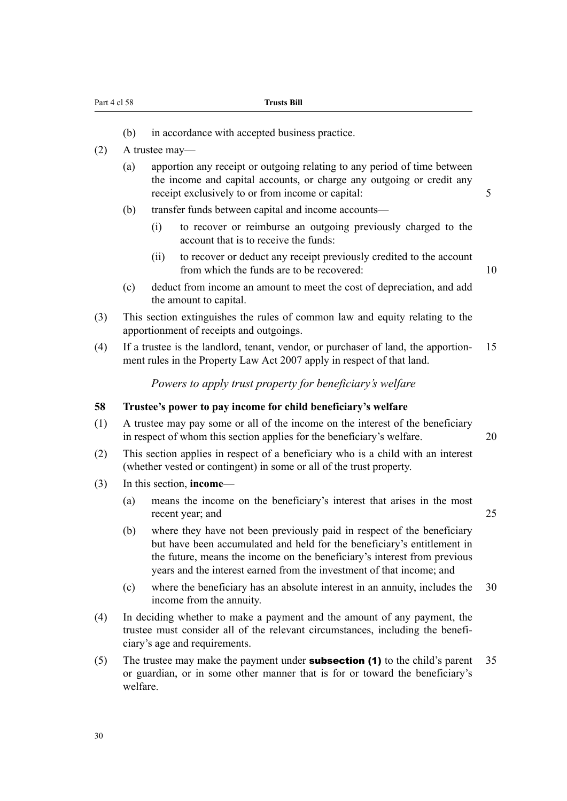- (b) in accordance with accepted business practice.
- (2) A trustee may—
	- (a) apportion any receipt or outgoing relating to any period of time between the income and capital accounts, or charge any outgoing or credit any receipt exclusively to or from income or capital: 5
	- (b) transfer funds between capital and income accounts—
		- (i) to recover or reimburse an outgoing previously charged to the account that is to receive the funds:
		- (ii) to recover or deduct any receipt previously credited to the account from which the funds are to be recovered: 10
	- (c) deduct from income an amount to meet the cost of depreciation, and add the amount to capital.
- (3) This section extinguishes the rules of common law and equity relating to the apportionment of receipts and outgoings.
- (4) If a trustee is the landlord, tenant, vendor, or purchaser of land, the apportion- 15 ment rules in the Property Law Act 2007 apply in respect of that land.

*Powers to apply trust property for beneficiary's welfare*

#### **58 Trustee's power to pay income for child beneficiary's welfare**

- (1) A trustee may pay some or all of the income on the interest of the beneficiary in respect of whom this section applies for the beneficiary's welfare. 20
- (2) This section applies in respect of a beneficiary who is a child with an interest (whether vested or contingent) in some or all of the trust property.
- (3) In this section, **income**
	- (a) means the income on the beneficiary's interest that arises in the most recent year; and 25
		-
	- (b) where they have not been previously paid in respect of the beneficiary but have been accumulated and held for the beneficiary's entitlement in the future, means the income on the beneficiary's interest from previous years and the interest earned from the investment of that income; and
	- (c) where the beneficiary has an absolute interest in an annuity, includes the 30 income from the annuity.
- (4) In deciding whether to make a payment and the amount of any payment, the trustee must consider all of the relevant circumstances, including the beneficiary's age and requirements.
- (5) The trustee may make the payment under **subsection (1)** to the child's parent  $35$ or guardian, or in some other manner that is for or toward the beneficiary's welfare.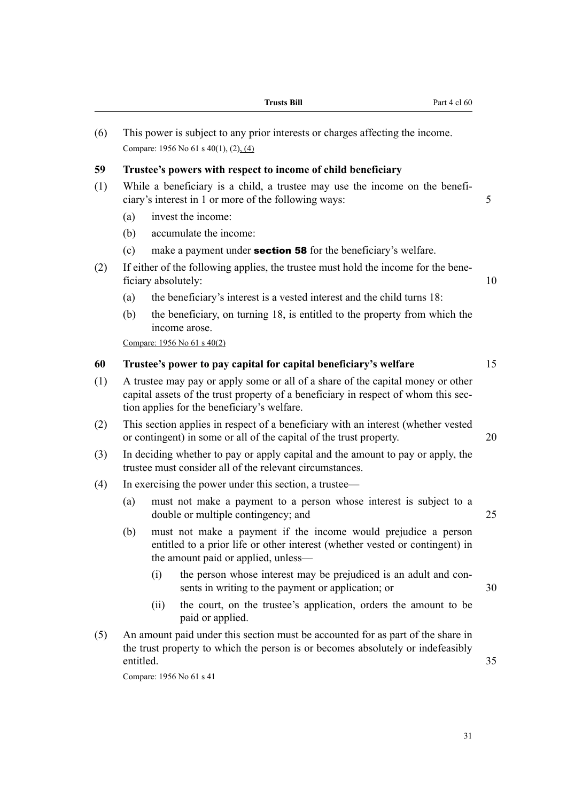|     |                                                                                                                                                                                                                      |      | <b>Trusts Bill</b><br>Part 4 cl 60                                                                                                                                                             |    |  |  |  |  |  |  |  |
|-----|----------------------------------------------------------------------------------------------------------------------------------------------------------------------------------------------------------------------|------|------------------------------------------------------------------------------------------------------------------------------------------------------------------------------------------------|----|--|--|--|--|--|--|--|
| (6) | This power is subject to any prior interests or charges affecting the income.<br>Compare: 1956 No 61 s 40(1), (2), (4)                                                                                               |      |                                                                                                                                                                                                |    |  |  |  |  |  |  |  |
| 59  | Trustee's powers with respect to income of child beneficiary                                                                                                                                                         |      |                                                                                                                                                                                                |    |  |  |  |  |  |  |  |
| (1) | While a beneficiary is a child, a trustee may use the income on the benefi-<br>5<br>ciary's interest in 1 or more of the following ways:                                                                             |      |                                                                                                                                                                                                |    |  |  |  |  |  |  |  |
|     | (a)                                                                                                                                                                                                                  |      | invest the income:                                                                                                                                                                             |    |  |  |  |  |  |  |  |
|     | (b)                                                                                                                                                                                                                  |      | accumulate the income:                                                                                                                                                                         |    |  |  |  |  |  |  |  |
|     | (c)                                                                                                                                                                                                                  |      | make a payment under <b>section 58</b> for the beneficiary's welfare.                                                                                                                          |    |  |  |  |  |  |  |  |
| (2) |                                                                                                                                                                                                                      |      | If either of the following applies, the trustee must hold the income for the bene-<br>ficiary absolutely:                                                                                      | 10 |  |  |  |  |  |  |  |
|     | (a)                                                                                                                                                                                                                  |      | the beneficiary's interest is a vested interest and the child turns 18:                                                                                                                        |    |  |  |  |  |  |  |  |
|     | (b)                                                                                                                                                                                                                  |      | the beneficiary, on turning 18, is entitled to the property from which the<br>income arose.                                                                                                    |    |  |  |  |  |  |  |  |
|     |                                                                                                                                                                                                                      |      | Compare: 1956 No 61 s 40(2)                                                                                                                                                                    |    |  |  |  |  |  |  |  |
| 60  |                                                                                                                                                                                                                      |      | Trustee's power to pay capital for capital beneficiary's welfare                                                                                                                               | 15 |  |  |  |  |  |  |  |
| (1) | A trustee may pay or apply some or all of a share of the capital money or other<br>capital assets of the trust property of a beneficiary in respect of whom this sec-<br>tion applies for the beneficiary's welfare. |      |                                                                                                                                                                                                |    |  |  |  |  |  |  |  |
| (2) |                                                                                                                                                                                                                      |      | This section applies in respect of a beneficiary with an interest (whether vested<br>or contingent) in some or all of the capital of the trust property.                                       | 20 |  |  |  |  |  |  |  |
| (3) |                                                                                                                                                                                                                      |      | In deciding whether to pay or apply capital and the amount to pay or apply, the<br>trustee must consider all of the relevant circumstances.                                                    |    |  |  |  |  |  |  |  |
| (4) |                                                                                                                                                                                                                      |      | In exercising the power under this section, a trustee—                                                                                                                                         |    |  |  |  |  |  |  |  |
|     | (a)                                                                                                                                                                                                                  |      | must not make a payment to a person whose interest is subject to a<br>double or multiple contingency; and                                                                                      | 25 |  |  |  |  |  |  |  |
|     | (b)                                                                                                                                                                                                                  |      | must not make a payment if the income would prejudice a person<br>entitled to a prior life or other interest (whether vested or contingent) in<br>the amount paid or applied, unless—          |    |  |  |  |  |  |  |  |
|     |                                                                                                                                                                                                                      | (i)  | the person whose interest may be prejudiced is an adult and con-<br>sents in writing to the payment or application; or                                                                         | 30 |  |  |  |  |  |  |  |
|     |                                                                                                                                                                                                                      | (ii) | the court, on the trustee's application, orders the amount to be<br>paid or applied.                                                                                                           |    |  |  |  |  |  |  |  |
| (5) | entitled.                                                                                                                                                                                                            |      | An amount paid under this section must be accounted for as part of the share in<br>the trust property to which the person is or becomes absolutely or indefeasibly<br>Compare: 1956 No 61 s 41 | 35 |  |  |  |  |  |  |  |
|     |                                                                                                                                                                                                                      |      |                                                                                                                                                                                                |    |  |  |  |  |  |  |  |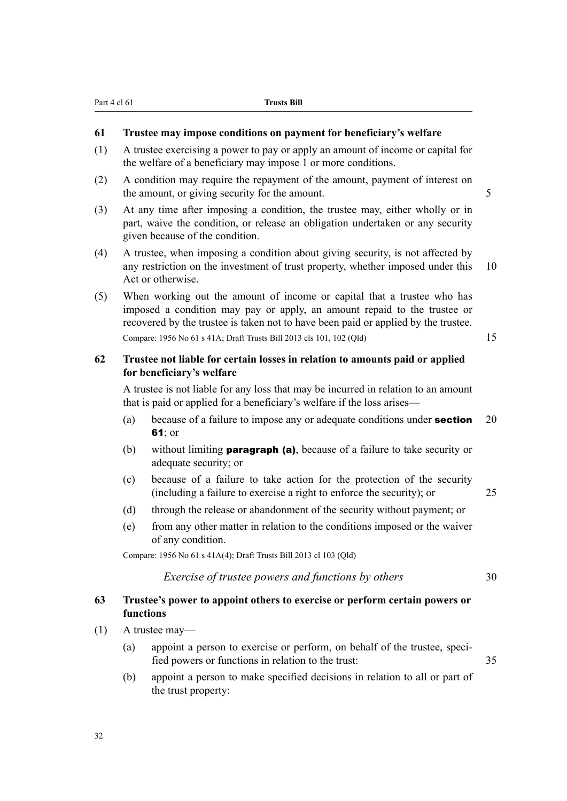# **61 Trustee may impose conditions on payment for beneficiary's welfare**

- (1) A trustee exercising a power to pay or apply an amount of income or capital for the welfare of a beneficiary may impose 1 or more conditions.
- (2) A condition may require the repayment of the amount, payment of interest on the amount, or giving security for the amount.
- (3) At any time after imposing a condition, the trustee may, either wholly or in part, waive the condition, or release an obligation undertaken or any security given because of the condition.
- (4) A trustee, when imposing a condition about giving security, is not affected by any restriction on the investment of trust property, whether imposed under this 10 Act or otherwise.
- (5) When working out the amount of income or capital that a trustee who has imposed a condition may pay or apply, an amount repaid to the trustee or recovered by the trustee is taken not to have been paid or applied by the trustee. Compare: 1956 No 61 s 41A; Draft Trusts Bill 2013 cls 101, 102 (Qld) 15

# **62 Trustee not liable for certain losses in relation to amounts paid or applied for beneficiary's welfare**

A trustee is not liable for any loss that may be incurred in relation to an amount that is paid or applied for a beneficiary's welfare if the loss arises—

- (a) because of a failure to impose any or adequate conditions under **section** 20 61; or
- (b) without limiting **paragraph (a)**, because of a failure to take security or adequate security; or
- (c) because of a failure to take action for the protection of the security (including a failure to exercise a right to enforce the security); or 25
- (d) through the release or abandonment of the security without payment; or
- (e) from any other matter in relation to the conditions imposed or the waiver of any condition.

Compare: 1956 No 61 s 41A(4); Draft Trusts Bill 2013 cl 103 (Qld)

# *Exercise of trustee powers and functions by others* 30

# **63 Trustee's power to appoint others to exercise or perform certain powers or functions**

- (1) A trustee may—
	- (a) appoint a person to exercise or perform, on behalf of the trustee, specified powers or functions in relation to the trust: 35
	- (b) appoint a person to make specified decisions in relation to all or part of the trust property: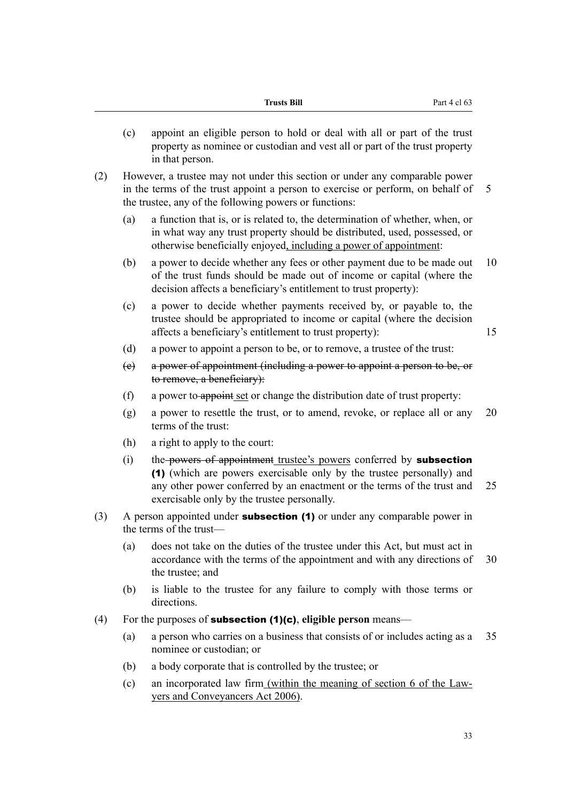|     | (c) | appoint an eligible person to hold or deal with all or part of the trust<br>property as nominee or custodian and vest all or part of the trust property<br>in that person.                                                                                            |    |  |  |  |  |  |
|-----|-----|-----------------------------------------------------------------------------------------------------------------------------------------------------------------------------------------------------------------------------------------------------------------------|----|--|--|--|--|--|
| (2) |     | However, a trustee may not under this section or under any comparable power<br>in the terms of the trust appoint a person to exercise or perform, on behalf of<br>the trustee, any of the following powers or functions:                                              | 5  |  |  |  |  |  |
|     | (a) | a function that is, or is related to, the determination of whether, when, or<br>in what way any trust property should be distributed, used, possessed, or<br>otherwise beneficially enjoyed, including a power of appointment:                                        |    |  |  |  |  |  |
|     | (b) | a power to decide whether any fees or other payment due to be made out<br>of the trust funds should be made out of income or capital (where the<br>decision affects a beneficiary's entitlement to trust property):                                                   | 10 |  |  |  |  |  |
|     | (c) | a power to decide whether payments received by, or payable to, the<br>trustee should be appropriated to income or capital (where the decision<br>affects a beneficiary's entitlement to trust property):                                                              | 15 |  |  |  |  |  |
|     | (d) | a power to appoint a person to be, or to remove, a trustee of the trust:                                                                                                                                                                                              |    |  |  |  |  |  |
|     | (e) | a power of appointment (including a power to appoint a person to be, or<br>to remove, a beneficiary):                                                                                                                                                                 |    |  |  |  |  |  |
|     | (f) | a power to appoint set or change the distribution date of trust property:                                                                                                                                                                                             |    |  |  |  |  |  |
|     | (g) | a power to resettle the trust, or to amend, revoke, or replace all or any<br>terms of the trust:                                                                                                                                                                      | 20 |  |  |  |  |  |
|     | (h) | a right to apply to the court:                                                                                                                                                                                                                                        |    |  |  |  |  |  |
|     | (i) | the powers of appointment trustee's powers conferred by subsection<br>(1) (which are powers exercisable only by the trustee personally) and<br>any other power conferred by an enactment or the terms of the trust and<br>exercisable only by the trustee personally. | 25 |  |  |  |  |  |
| (3) |     | A person appointed under <b>subsection (1)</b> or under any comparable power in<br>the terms of the trust-                                                                                                                                                            |    |  |  |  |  |  |
|     | (a) | does not take on the duties of the trustee under this Act, but must act in<br>accordance with the terms of the appointment and with any directions of<br>the trustee; and                                                                                             | 30 |  |  |  |  |  |
|     | (b) | is liable to the trustee for any failure to comply with those terms or<br>directions.                                                                                                                                                                                 |    |  |  |  |  |  |
| (4) |     | For the purposes of <b>subsection (1)(c)</b> , eligible person means—                                                                                                                                                                                                 |    |  |  |  |  |  |
|     | (a) | a person who carries on a business that consists of or includes acting as a<br>nominee or custodian; or                                                                                                                                                               |    |  |  |  |  |  |
|     | (b) | a body corporate that is controlled by the trustee; or                                                                                                                                                                                                                |    |  |  |  |  |  |
|     | (c) | an incorporated law firm (within the meaning of section 6 of the Law-<br>yers and Conveyancers Act 2006).                                                                                                                                                             |    |  |  |  |  |  |

**Trusts Bill** Part 4 cl 63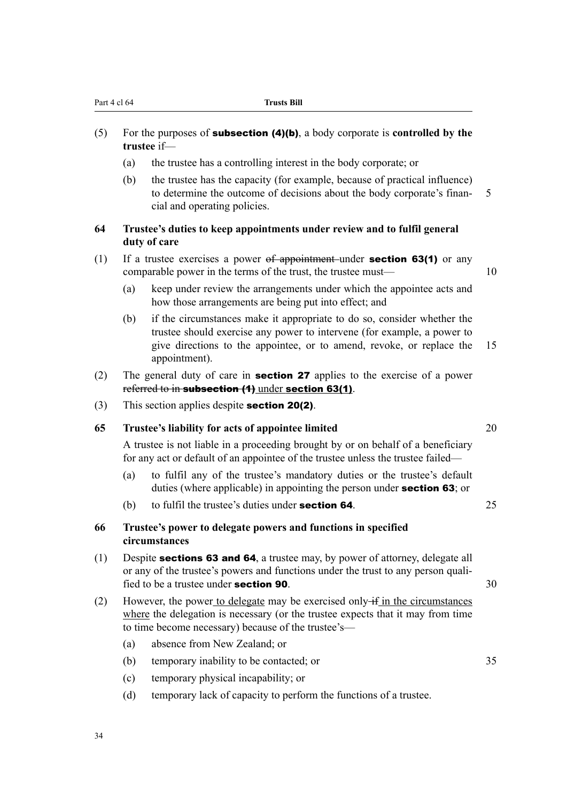- (5) For the purposes of subsection (4)(b), a body corporate is **controlled by the trustee** if—
	- (a) the trustee has a controlling interest in the body corporate; or
	- (b) the trustee has the capacity (for example, because of practical influence) to determine the outcome of decisions about the body corporate's finan- 5 cial and operating policies.

# **64 Trustee's duties to keep appointments under review and to fulfil general duty of care**

- (1) If a trustee exercises a power  $of$  appointment under **section 63(1)** or any comparable power in the terms of the trust, the trustee must— 10
	- (a) keep under review the arrangements under which the appointee acts and how those arrangements are being put into effect; and
	- (b) if the circumstances make it appropriate to do so, consider whether the trustee should exercise any power to intervene (for example, a power to give directions to the appointee, or to amend, revoke, or replace the 15 appointment).
- (2) The general duty of care in **section 27** applies to the exercise of a power referred to in subsection (1) under section 63(1).
- (3) This section applies despite section 20(2).

#### **65 Trustee's liability for acts of appointee limited** 20

A trustee is not liable in a proceeding brought by or on behalf of a beneficiary for any act or default of an appointee of the trustee unless the trustee failed—

- (a) to fulfil any of the trustee's mandatory duties or the trustee's default duties (where applicable) in appointing the person under **section 63**; or
- (b) to fulfil the trustee's duties under **section 64**.  $25$

# **66 Trustee's power to delegate powers and functions in specified circumstances**

- (1) Despite sections 63 and 64, a trustee may, by power of attorney, delegate all or any of the trustee's powers and functions under the trust to any person qualified to be a trustee under **section 90**.  $30$
- (2) However, the power to delegate may be exercised only  $\pm$  in the circumstances where the delegation is necessary (or the trustee expects that it may from time to time become necessary) because of the trustee's—
	- (a) absence from New Zealand; or
	- (b) temporary inability to be contacted; or 35
	- (c) temporary physical incapability; or
	- (d) temporary lack of capacity to perform the functions of a trustee.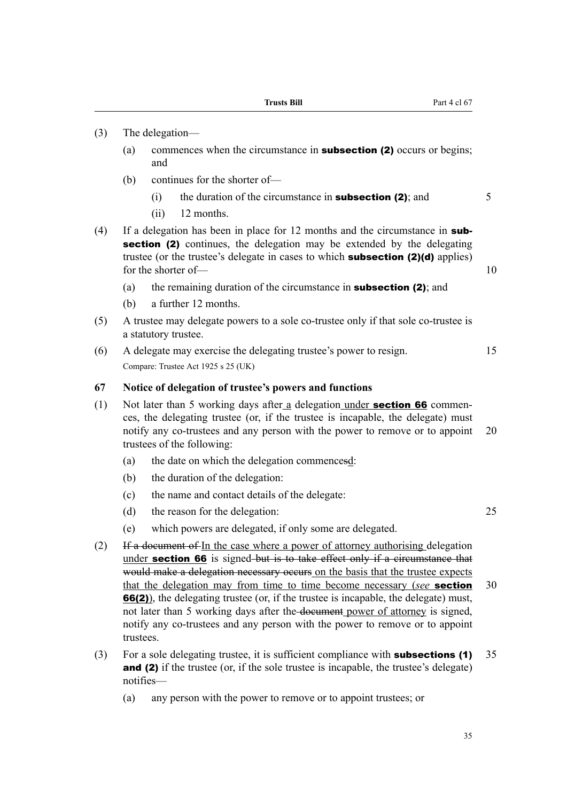- (3) The delegation—
	- (a) commences when the circumstance in subsection (2) occurs or begins; and
	- (b) continues for the shorter of—
		- (i) the duration of the circumstance in **subsection (2)**; and  $\overline{5}$
		- (ii) 12 months.
- (4) If a delegation has been in place for 12 months and the circumstance in subsection (2) continues, the delegation may be extended by the delegating trustee (or the trustee's delegate in cases to which subsection (2)(d) applies) for the shorter of — 10
	- (a) the remaining duration of the circumstance in **subsection (2)**; and
	- (b) a further 12 months.
- (5) A trustee may delegate powers to a sole co-trustee only if that sole co-trustee is a statutory trustee.
- (6) A delegate may exercise the delegating trustee's power to resign. 15 Compare: Trustee Act 1925 s 25 (UK)

#### **67 Notice of delegation of trustee's powers and functions**

- (1) Not later than 5 working days after a delegation under **section 66** commences, the delegating trustee (or, if the trustee is incapable, the delegate) must notify any co-trustees and any person with the power to remove or to appoint 20 trustees of the following:
	- (a) the date on which the delegation commencesd:
	- (b) the duration of the delegation:
	- (c) the name and contact details of the delegate:
	- (d) the reason for the delegation: 25
	- (e) which powers are delegated, if only some are delegated.
- (2) If a document of In the case where a power of attorney authorising delegation under section 66 is signed but is to take effect only if a circumstance that would make a delegation necessary occurs on the basis that the trustee expects that the delegation may from time to time become necessary (*see* section 30 66(2)), the delegating trustee (or, if the trustee is incapable, the delegate) must, not later than 5 working days after the document power of attorney is signed, notify any co-trustees and any person with the power to remove or to appoint trustees.
- (3) For a sole delegating trustee, it is sufficient compliance with **subsections (1)** 35 and (2) if the trustee (or, if the sole trustee is incapable, the trustee's delegate) notifies—
	- (a) any person with the power to remove or to appoint trustees; or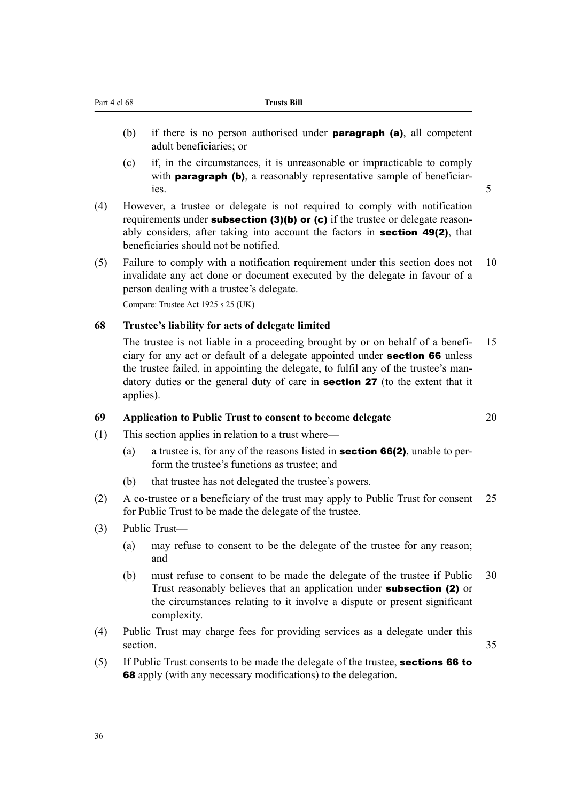- (b) if there is no person authorised under **paragraph (a)**, all competent adult beneficiaries; or
- (c) if, in the circumstances, it is unreasonable or impracticable to comply with **paragraph (b)**, a reasonably representative sample of beneficiaries. 5
- (4) However, a trustee or delegate is not required to comply with notification requirements under **subsection** (3)(b) or (c) if the trustee or delegate reasonably considers, after taking into account the factors in **section 49(2)**, that beneficiaries should not be notified.
- (5) Failure to comply with a notification requirement under this section does not 10 invalidate any act done or document executed by the delegate in favour of a person dealing with a trustee's delegate.

Compare: Trustee Act 1925 s 25 (UK)

#### **68 Trustee's liability for acts of delegate limited**

The trustee is not liable in a proceeding brought by or on behalf of a benefi- 15 ciary for any act or default of a delegate appointed under section 66 unless the trustee failed, in appointing the delegate, to fulfil any of the trustee's mandatory duties or the general duty of care in section 27 (to the extent that it applies).

#### **69 Application to Public Trust to consent to become delegate** 20

- (1) This section applies in relation to a trust where—
	- (a) a trustee is, for any of the reasons listed in **section 66(2)**, unable to perform the trustee's functions as trustee; and
	- (b) that trustee has not delegated the trustee's powers.
- (2) A co-trustee or a beneficiary of the trust may apply to Public Trust for consent 25 for Public Trust to be made the delegate of the trustee.
- (3) Public Trust—
	- (a) may refuse to consent to be the delegate of the trustee for any reason; and
	- (b) must refuse to consent to be made the delegate of the trustee if Public 30 Trust reasonably believes that an application under subsection (2) or the circumstances relating to it involve a dispute or present significant complexity.
- (4) Public Trust may charge fees for providing services as a delegate under this section. 35
- (5) If Public Trust consents to be made the delegate of the trustee, sections 66 to 68 apply (with any necessary modifications) to the delegation.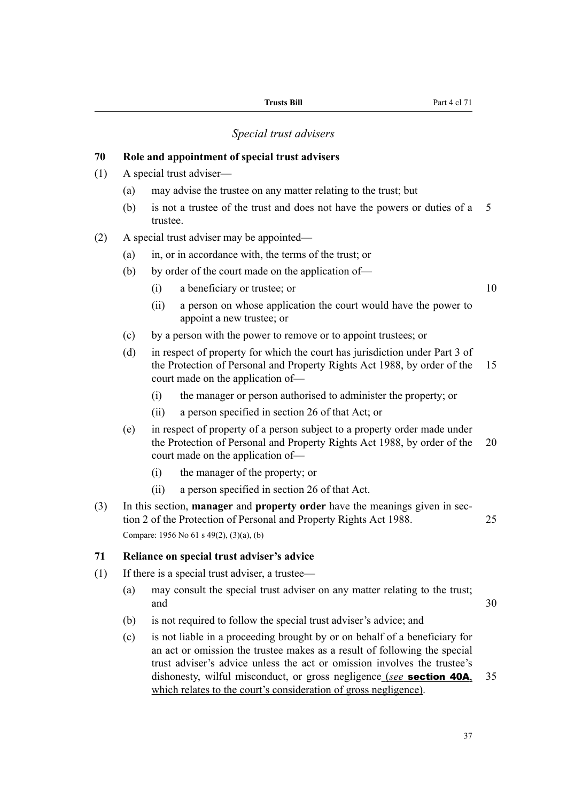# *Special trust advisers*

# **70 Role and appointment of special trust advisers** (1) A special trust adviser— (a) may advise the trustee on any matter relating to the trust; but (b) is not a trustee of the trust and does not have the powers or duties of a 5 trustee. (2) A special trust adviser may be appointed— (a) in, or in accordance with, the terms of the trust; or (b) by order of the court made on the application of— (i) a beneficiary or trustee; or 10 (ii) a person on whose application the court would have the power to appoint a new trustee; or (c) by a person with the power to remove or to appoint trustees; or (d) in respect of property for which the court has jurisdiction under Part 3 of the Protection of Personal and Property Rights Act 1988, by order of the 15 court made on the application of— (i) the manager or person authorised to administer the property; or (ii) a person specified in section 26 of that Act; or (e) in respect of property of a person subject to a property order made under the Protection of Personal and Property Rights Act 1988, by order of the 20 court made on the application of— (i) the manager of the property; or (ii) a person specified in section 26 of that Act. (3) In this section, **manager** and **property order** have the meanings given in section 2 of the Protection of Personal and Property Rights Act 1988. 25 Compare: 1956 No 61 s 49(2), (3)(a), (b) **71 Reliance on special trust adviser's advice** (1) If there is a special trust adviser, a trustee— (a) may consult the special trust adviser on any matter relating to the trust; and 30 (b) is not required to follow the special trust adviser's advice; and (c) is not liable in a proceeding brought by or on behalf of a beneficiary for an act or omission the trustee makes as a result of following the special

trust adviser's advice unless the act or omission involves the trustee's dishonesty, wilful misconduct, or gross negligence (*see* section 40A, 35 which relates to the court's consideration of gross negligence).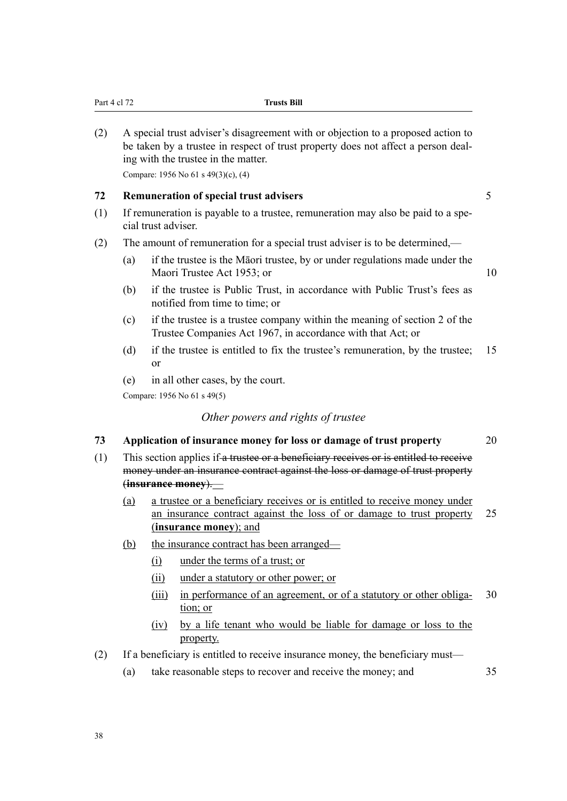(2) A special trust adviser's disagreement with or objection to a proposed action to be taken by a trustee in respect of trust property does not affect a person dealing with the trustee in the matter.

Compare: 1956 No 61 s 49(3)(c), (4)

#### **72 Remuneration of special trust advisers** 5

- (1) If remuneration is payable to a trustee, remuneration may also be paid to a special trust adviser.
- (2) The amount of remuneration for a special trust adviser is to be determined,—
	- (a) if the trustee is the Māori trustee, by or under regulations made under the Maori Trustee Act 1953; or 10
	- (b) if the trustee is Public Trust, in accordance with Public Trust's fees as notified from time to time; or
	- (c) if the trustee is a trustee company within the meaning of section 2 of the Trustee Companies Act 1967, in accordance with that Act; or
	- (d) if the trustee is entitled to fix the trustee's remuneration, by the trustee; 15 or
	- (e) in all other cases, by the court.

Compare: 1956 No 61 s 49(5)

#### *Other powers and rights of trustee*

#### **73 Application of insurance money for loss or damage of trust property** 20

- (1) This section applies if a trustee or a beneficiary receives or is entitled to receive money under an insurance contract against the loss or damage of trust property (**insurance money**).—
	- (a) a trustee or a beneficiary receives or is entitled to receive money under an insurance contract against the loss of or damage to trust property 25 (**insurance money**); and
	- (b) the insurance contract has been arranged—
		- (i) under the terms of a trust; or
		- (ii) under a statutory or other power; or
		- (iii) in performance of an agreement, or of a statutory or other obliga- 30 tion; or
		- (iv) by a life tenant who would be liable for damage or loss to the property.
- (2) If a beneficiary is entitled to receive insurance money, the beneficiary must—
	- (a) take reasonable steps to recover and receive the money; and 35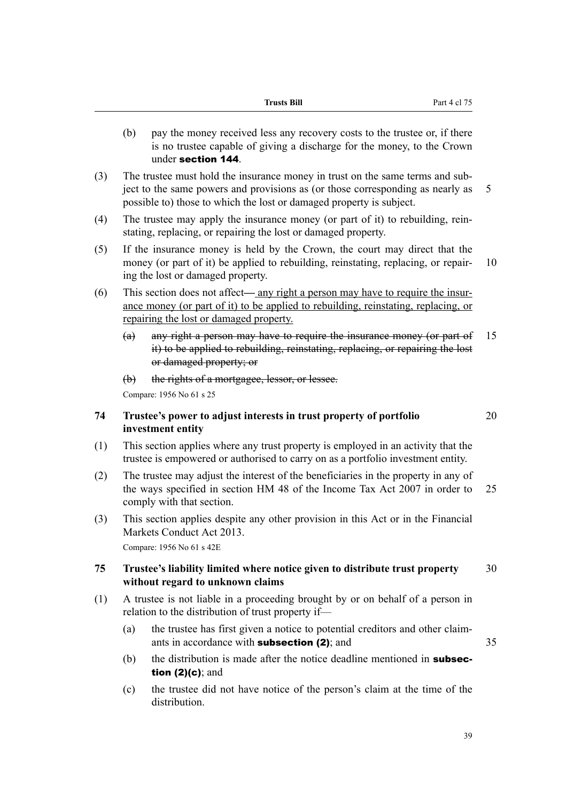- (b) pay the money received less any recovery costs to the trustee or, if there is no trustee capable of giving a discharge for the money, to the Crown under section 144.
- (3) The trustee must hold the insurance money in trust on the same terms and subject to the same powers and provisions as (or those corresponding as nearly as 5 possible to) those to which the lost or damaged property is subject.
- (4) The trustee may apply the insurance money (or part of it) to rebuilding, reinstating, replacing, or repairing the lost or damaged property.
- (5) If the insurance money is held by the Crown, the court may direct that the money (or part of it) be applied to rebuilding, reinstating, replacing, or repair- 10 ing the lost or damaged property.
- (6) This section does not affect— any right a person may have to require the insurance money (or part of it) to be applied to rebuilding, reinstating, replacing, or repairing the lost or damaged property.
	- (a) any right a person may have to require the insurance money (or part of 15 it) to be applied to rebuilding, reinstating, replacing, or repairing the lost or damaged property; or
	- (b) the rights of a mortgagee, lessor, or lessee.

Compare: 1956 No 61 s 25

# **74 Trustee's power to adjust interests in trust property of portfolio** 20 **investment entity**

- (1) This section applies where any trust property is employed in an activity that the trustee is empowered or authorised to carry on as a portfolio investment entity.
- (2) The trustee may adjust the interest of the beneficiaries in the property in any of the ways specified in section HM 48 of the Income Tax Act 2007 in order to 25 comply with that section.
- (3) This section applies despite any other provision in this Act or in the Financial Markets Conduct Act 2013.

Compare: 1956 No 61 s 42E

# **75 Trustee's liability limited where notice given to distribute trust property** 30 **without regard to unknown claims**

- (1) A trustee is not liable in a proceeding brought by or on behalf of a person in relation to the distribution of trust property if—
	- (a) the trustee has first given a notice to potential creditors and other claimants in accordance with **subsection (2)**; and 35
	- (b) the distribution is made after the notice deadline mentioned in **subsec**tion (2)(c); and
	- (c) the trustee did not have notice of the person's claim at the time of the distribution.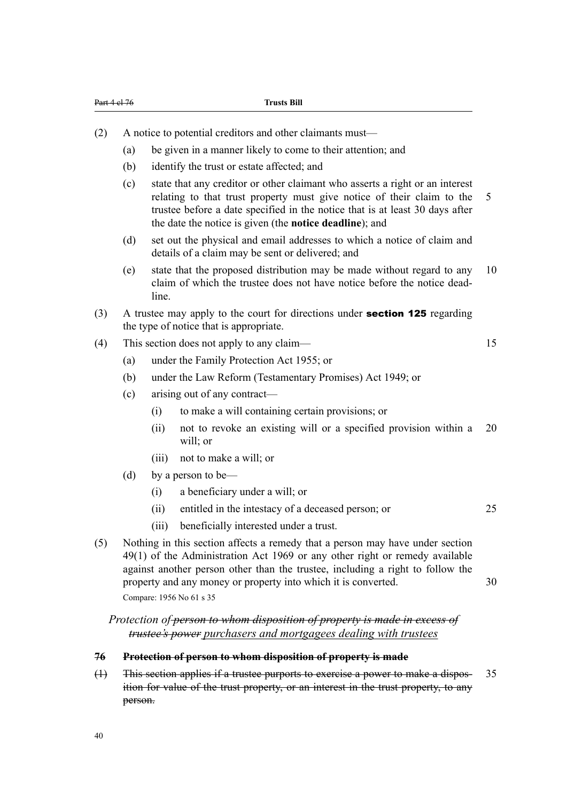- (2) A notice to potential creditors and other claimants must—
	- (a) be given in a manner likely to come to their attention; and
	- (b) identify the trust or estate affected; and
	- (c) state that any creditor or other claimant who asserts a right or an interest relating to that trust property must give notice of their claim to the 5 trustee before a date specified in the notice that is at least 30 days after the date the notice is given (the **notice deadline**); and
	- (d) set out the physical and email addresses to which a notice of claim and details of a claim may be sent or delivered; and
	- (e) state that the proposed distribution may be made without regard to any 10 claim of which the trustee does not have notice before the notice deadline
- (3) A trustee may apply to the court for directions under section 125 regarding the type of notice that is appropriate.
- (4) This section does not apply to any claim— 15
	-

- (a) under the Family Protection Act 1955; or
- (b) under the Law Reform (Testamentary Promises) Act 1949; or
- (c) arising out of any contract—
	- (i) to make a will containing certain provisions; or
	- (ii) not to revoke an existing will or a specified provision within a 20 will:  $or$
	- (iii) not to make a will; or
- (d) by a person to be—
	- (i) a beneficiary under a will; or
	- (ii) entitled in the intestacy of a deceased person; or 25
	- (iii) beneficially interested under a trust.
- (5) Nothing in this section affects a remedy that a person may have under section 49(1) of the Administration Act 1969 or any other right or remedy available against another person other than the trustee, including a right to follow the property and any money or property into which it is converted. 30 Compare: 1956 No 61 s 35

*Protection of person to whom disposition of property is made in excess of trustee's power purchasers and mortgagees dealing with trustees*

#### **76 Protection of person to whom disposition of property is made**

(1) This section applies if a trustee purports to exercise a power to make a dispos- 35 ition for value of the trust property, or an interest in the trust property, to any person.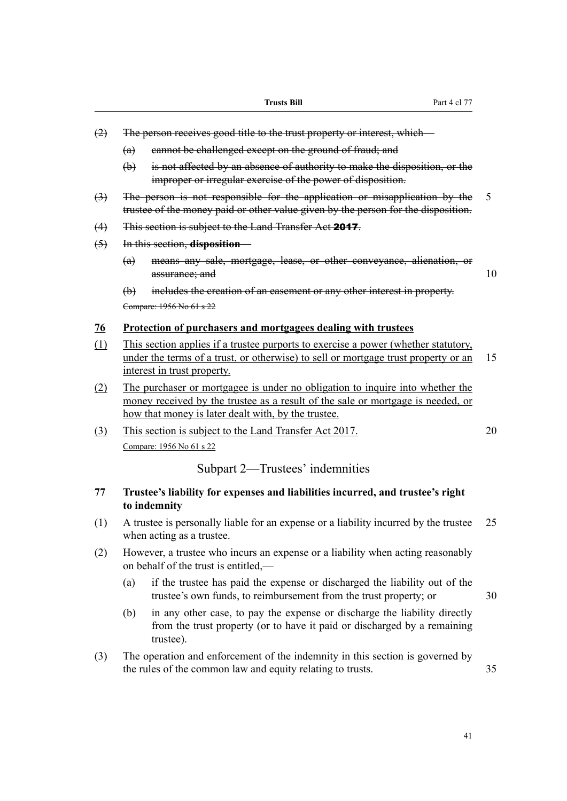- (2) The person receives good title to the trust property or interest, which—
	- (a) cannot be challenged except on the ground of fraud; and
	- (b) is not affected by an absence of authority to make the disposition, or the improper or irregular exercise of the power of disposition.
- (3) The person is not responsible for the application or misapplication by the 5 trustee of the money paid or other value given by the person for the disposition.
- (4) This section is subject to the Land Transfer Act 2017.
- (5) In this section, **disposition**
	- (a) means any sale, mortgage, lease, or other conveyance, alienation, or assurance; and 10

(b) includes the creation of an easement or any other interest in property. Compare: 1956 No 61 s 22

#### **76 Protection of purchasers and mortgagees dealing with trustees**

- (1) This section applies if a trustee purports to exercise a power (whether statutory, under the terms of a trust, or otherwise) to sell or mortgage trust property or an 15 interest in trust property.
- (2) The purchaser or mortgagee is under no obligation to inquire into whether the money received by the trustee as a result of the sale or mortgage is needed, or how that money is later dealt with, by the trustee.
- (3) This section is subject to the Land Transfer Act 2017. 20 Compare: 1956 No 61 s 22

# Subpart 2—Trustees' indemnities

# **77 Trustee's liability for expenses and liabilities incurred, and trustee's right to indemnity**

- (1) A trustee is personally liable for an expense or a liability incurred by the trustee 25 when acting as a trustee.
- (2) However, a trustee who incurs an expense or a liability when acting reasonably on behalf of the trust is entitled,—
	- (a) if the trustee has paid the expense or discharged the liability out of the trustee's own funds, to reimbursement from the trust property; or 30
		-
	- (b) in any other case, to pay the expense or discharge the liability directly from the trust property (or to have it paid or discharged by a remaining trustee).
- (3) The operation and enforcement of the indemnity in this section is governed by the rules of the common law and equity relating to trusts. 35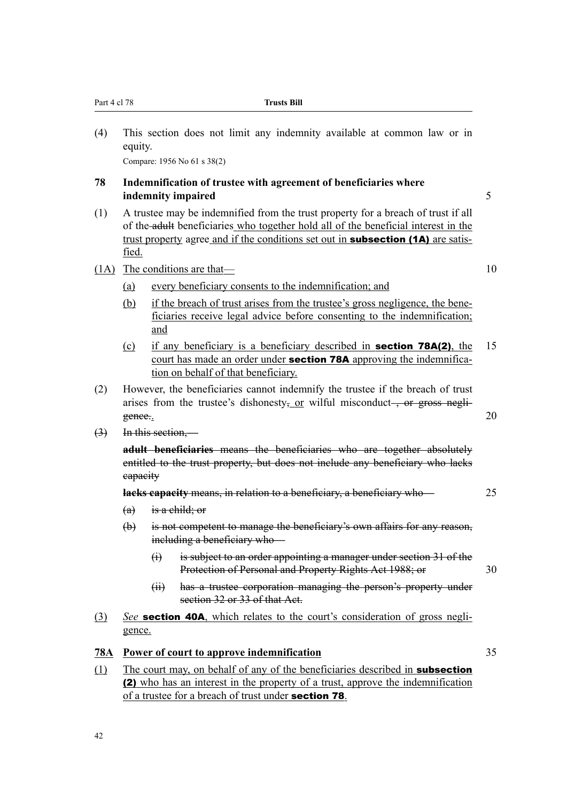| Part 4 cl 78                                                                                                             |                                                                                                                                                                                      | <b>Trusts Bill</b>                                                                                                                                                                                                                                                 |    |  |  |  |  |  |  |  |  |
|--------------------------------------------------------------------------------------------------------------------------|--------------------------------------------------------------------------------------------------------------------------------------------------------------------------------------|--------------------------------------------------------------------------------------------------------------------------------------------------------------------------------------------------------------------------------------------------------------------|----|--|--|--|--|--|--|--|--|
| (4)<br>This section does not limit any indemnity available at common law or in<br>equity.<br>Compare: 1956 No 61 s 38(2) |                                                                                                                                                                                      |                                                                                                                                                                                                                                                                    |    |  |  |  |  |  |  |  |  |
| 78                                                                                                                       | Indemnification of trustee with agreement of beneficiaries where<br>5<br>indemnity impaired                                                                                          |                                                                                                                                                                                                                                                                    |    |  |  |  |  |  |  |  |  |
| (1)                                                                                                                      | fied.                                                                                                                                                                                | A trustee may be indemnified from the trust property for a breach of trust if all<br>of the adult beneficiaries who together hold all of the beneficial interest in the<br>trust property agree and if the conditions set out in <b>subsection (1A)</b> are satis- |    |  |  |  |  |  |  |  |  |
|                                                                                                                          |                                                                                                                                                                                      | $(1A)$ The conditions are that—                                                                                                                                                                                                                                    | 10 |  |  |  |  |  |  |  |  |
|                                                                                                                          | (a)                                                                                                                                                                                  | every beneficiary consents to the indemnification; and                                                                                                                                                                                                             |    |  |  |  |  |  |  |  |  |
|                                                                                                                          | (b)                                                                                                                                                                                  | if the breach of trust arises from the trustee's gross negligence, the bene-<br>ficiaries receive legal advice before consenting to the indemnification;<br>and                                                                                                    |    |  |  |  |  |  |  |  |  |
|                                                                                                                          | $\Omega$                                                                                                                                                                             | if any beneficiary is a beneficiary described in <b>section 78A(2)</b> , the<br>court has made an order under <b>section 78A</b> approving the indemnifica-<br>tion on behalf of that beneficiary.                                                                 | 15 |  |  |  |  |  |  |  |  |
| (2)                                                                                                                      | However, the beneficiaries cannot indemnify the trustee if the breach of trust<br>arises from the trustee's dishonesty <sub>5</sub> or wilful misconduct—, or gross negli-<br>gence. |                                                                                                                                                                                                                                                                    |    |  |  |  |  |  |  |  |  |
| $\leftrightarrow$                                                                                                        |                                                                                                                                                                                      | In this section,-                                                                                                                                                                                                                                                  |    |  |  |  |  |  |  |  |  |
|                                                                                                                          | eapacity                                                                                                                                                                             | adult beneficiaries means the beneficiaries who are together absolutely<br>entitled to the trust property, but does not include any beneficiary who lacks                                                                                                          |    |  |  |  |  |  |  |  |  |
|                                                                                                                          |                                                                                                                                                                                      | lacks capacity means, in relation to a beneficiary, a beneficiary who-                                                                                                                                                                                             |    |  |  |  |  |  |  |  |  |
|                                                                                                                          | (a)                                                                                                                                                                                  | is a child; or                                                                                                                                                                                                                                                     |    |  |  |  |  |  |  |  |  |
|                                                                                                                          | $\bigoplus$                                                                                                                                                                          | is not competent to manage the beneficiary's own affairs for any reason,<br>including a beneficiary who-                                                                                                                                                           |    |  |  |  |  |  |  |  |  |
|                                                                                                                          |                                                                                                                                                                                      | is subject to an order appointing a manager under section 31 of the<br>$\Theta$<br>Protection of Personal and Property Rights Act 1988; or                                                                                                                         | 30 |  |  |  |  |  |  |  |  |
|                                                                                                                          |                                                                                                                                                                                      | has a trustee corporation managing the person's property under<br>(H)<br>section 32 or 33 of that Act.                                                                                                                                                             |    |  |  |  |  |  |  |  |  |
| (3)                                                                                                                      | gence.                                                                                                                                                                               | See <b>section 40A</b> , which relates to the court's consideration of gross negli-                                                                                                                                                                                |    |  |  |  |  |  |  |  |  |
| <u>78A</u>                                                                                                               |                                                                                                                                                                                      | Power of court to approve indemnification                                                                                                                                                                                                                          | 35 |  |  |  |  |  |  |  |  |
| (1)                                                                                                                      |                                                                                                                                                                                      | The court may, on behalf of any of the beneficiaries described in <b>subsection</b><br>(2) who has an interest in the property of a trust, approve the indemnification<br>of a trustee for a breach of trust under <b>section 78</b> .                             |    |  |  |  |  |  |  |  |  |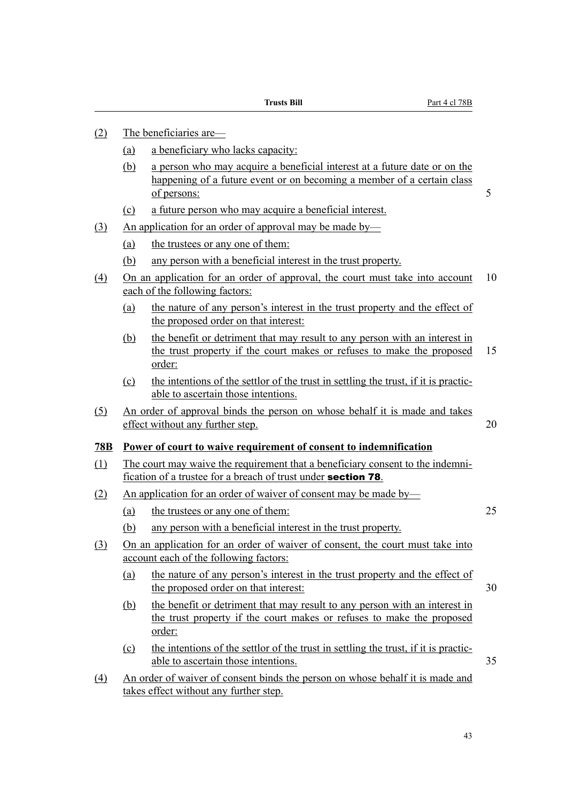- (2) The beneficiaries are—
	- (a) a beneficiary who lacks capacity:
	- (b) a person who may acquire a beneficial interest at a future date or on the happening of a future event or on becoming a member of a certain class of persons: 5
	- (c) a future person who may acquire a beneficial interest.
- (3) An application for an order of approval may be made by—
	- (a) the trustees or any one of them:
	- (b) any person with a beneficial interest in the trust property.
- (4) On an application for an order of approval, the court must take into account 10 each of the following factors:
	- (a) the nature of any person's interest in the trust property and the effect of the proposed order on that interest:
	- (b) the benefit or detriment that may result to any person with an interest in the trust property if the court makes or refuses to make the proposed 15 order:
	- (c) the intentions of the settlor of the trust in settling the trust, if it is practicable to ascertain those intentions.
- (5) An order of approval binds the person on whose behalf it is made and takes effect without any further step. 20

# **78B Power of court to waive requirement of consent to indemnification**

- (1) The court may waive the requirement that a beneficiary consent to the indemnification of a trustee for a breach of trust under section 78.
- (2) An application for an order of waiver of consent may be made by—
	- (a) the trustees or any one of them: 25
	- (b) any person with a beneficial interest in the trust property.
- (3) On an application for an order of waiver of consent, the court must take into account each of the following factors:
	- (a) the nature of any person's interest in the trust property and the effect of the proposed order on that interest: 30
	- (b) the benefit or detriment that may result to any person with an interest in the trust property if the court makes or refuses to make the proposed order:
	- (c) the intentions of the settlor of the trust in settling the trust, if it is practicable to ascertain those intentions. 35
- (4) An order of waiver of consent binds the person on whose behalf it is made and takes effect without any further step.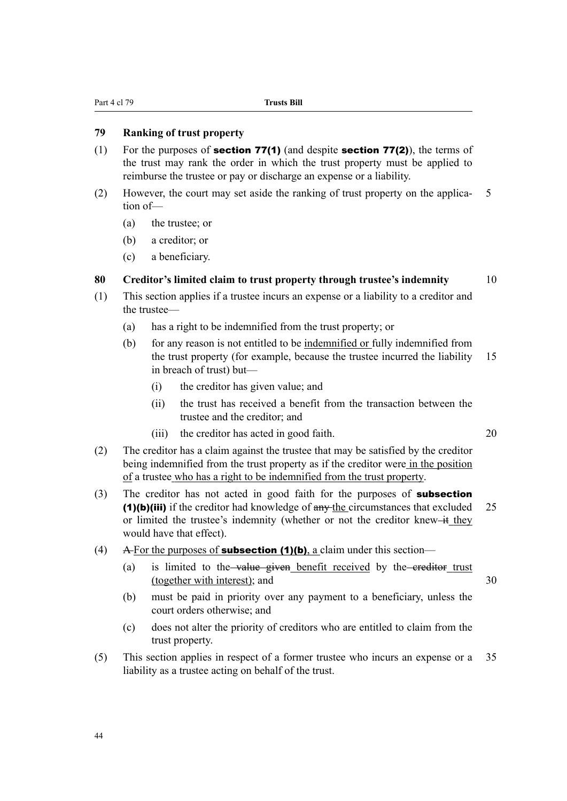# **79 Ranking of trust property**

- (1) For the purposes of **section 77(1)** (and despite **section 77(2)**), the terms of the trust may rank the order in which the trust property must be applied to reimburse the trustee or pay or discharge an expense or a liability.
- (2) However, the court may set aside the ranking of trust property on the applica- 5 tion of—
	- (a) the trustee; or
	- (b) a creditor; or
	- (c) a beneficiary.

# **80 Creditor's limited claim to trust property through trustee's indemnity** 10

- (1) This section applies if a trustee incurs an expense or a liability to a creditor and the trustee—
	- (a) has a right to be indemnified from the trust property; or
	- (b) for any reason is not entitled to be indemnified or fully indemnified from the trust property (for example, because the trustee incurred the liability 15 in breach of trust) but—
		- (i) the creditor has given value; and
		- (ii) the trust has received a benefit from the transaction between the trustee and the creditor; and
		- (iii) the creditor has acted in good faith. 20
- (2) The creditor has a claim against the trustee that may be satisfied by the creditor being indemnified from the trust property as if the creditor were in the position of a trustee who has a right to be indemnified from the trust property.
- (3) The creditor has not acted in good faith for the purposes of **subsection** (1)(b)(iii) if the creditor had knowledge of  $\frac{any}{1}$  the circumstances that excluded 25 or limited the trustee's indemnity (whether or not the creditor knew-it they would have that effect).
- (4) A For the purposes of **subsection (1)(b)**, a claim under this section—
	- (a) is limited to the value given benefit received by the creditor trust (together with interest); and 30
		-
	- (b) must be paid in priority over any payment to a beneficiary, unless the court orders otherwise; and
	- (c) does not alter the priority of creditors who are entitled to claim from the trust property.
- (5) This section applies in respect of a former trustee who incurs an expense or a 35 liability as a trustee acting on behalf of the trust.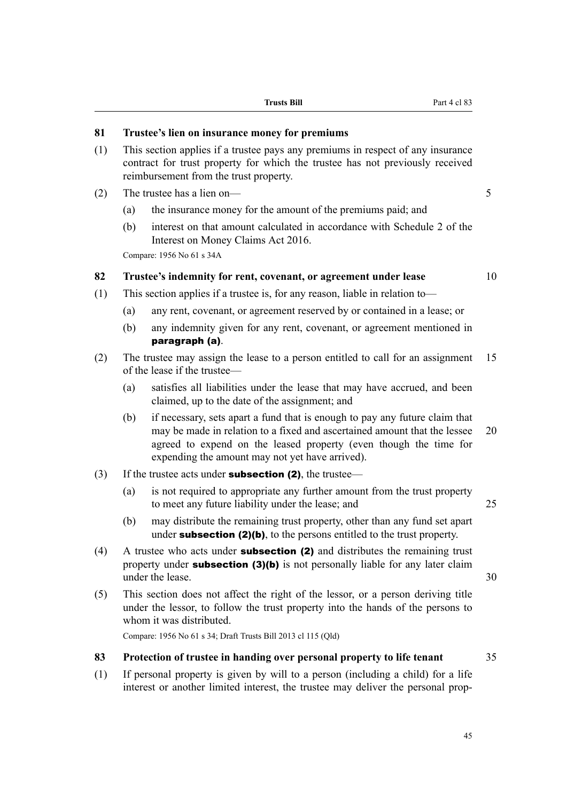# **81 Trustee's lien on insurance money for premiums**

- (1) This section applies if a trustee pays any premiums in respect of any insurance contract for trust property for which the trustee has not previously received reimbursement from the trust property.
- (2) The trustee has a lien on— 5
	- (a) the insurance money for the amount of the premiums paid; and
	- (b) interest on that amount calculated in accordance with Schedule 2 of the Interest on Money Claims Act 2016.

Compare: 1956 No 61 s 34A

# **82 Trustee's indemnity for rent, covenant, or agreement under lease** 10

- (1) This section applies if a trustee is, for any reason, liable in relation to—
	- (a) any rent, covenant, or agreement reserved by or contained in a lease; or
	- (b) any indemnity given for any rent, covenant, or agreement mentioned in paragraph (a).
- (2) The trustee may assign the lease to a person entitled to call for an assignment 15 of the lease if the trustee—
	- (a) satisfies all liabilities under the lease that may have accrued, and been claimed, up to the date of the assignment; and
	- (b) if necessary, sets apart a fund that is enough to pay any future claim that may be made in relation to a fixed and ascertained amount that the lessee 20 agreed to expend on the leased property (even though the time for expending the amount may not yet have arrived).
- (3) If the trustee acts under **subsection (2)**, the trustee—
	- (a) is not required to appropriate any further amount from the trust property to meet any future liability under the lease; and 25
	- (b) may distribute the remaining trust property, other than any fund set apart under **subsection (2)(b)**, to the persons entitled to the trust property.
- (4) A trustee who acts under subsection (2) and distributes the remaining trust property under **subsection (3)(b)** is not personally liable for any later claim under the lease 30
- (5) This section does not affect the right of the lessor, or a person deriving title under the lessor, to follow the trust property into the hands of the persons to whom it was distributed.

Compare: 1956 No 61 s 34; Draft Trusts Bill 2013 cl 115 (Qld)

#### **83 Protection of trustee in handing over personal property to life tenant** 35

(1) If personal property is given by will to a person (including a child) for a life interest or another limited interest, the trustee may deliver the personal prop-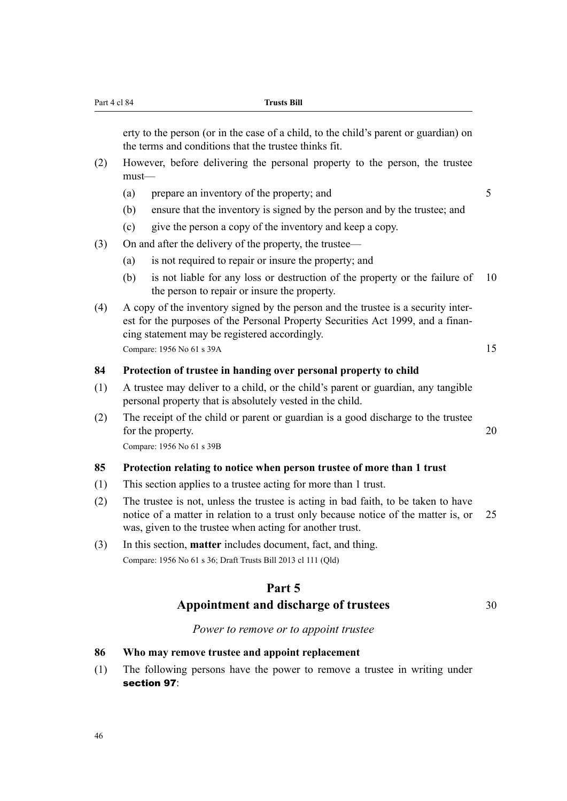erty to the person (or in the case of a child, to the child's parent or guardian) on the terms and conditions that the trustee thinks fit.

- (2) However, before delivering the personal property to the person, the trustee must—
	- (a) prepare an inventory of the property; and  $5$
	- (b) ensure that the inventory is signed by the person and by the trustee; and
	- (c) give the person a copy of the inventory and keep a copy.
- (3) On and after the delivery of the property, the trustee—
	- (a) is not required to repair or insure the property; and
	- (b) is not liable for any loss or destruction of the property or the failure of 10 the person to repair or insure the property.
- (4) A copy of the inventory signed by the person and the trustee is a security interest for the purposes of the Personal Property Securities Act 1999, and a financing statement may be registered accordingly. Compare: 1956 No 61 s 39A 15

#### **84 Protection of trustee in handing over personal property to child**

- (1) A trustee may deliver to a child, or the child's parent or guardian, any tangible personal property that is absolutely vested in the child.
- (2) The receipt of the child or parent or guardian is a good discharge to the trustee for the property. 20

Compare: 1956 No 61 s 39B

#### **85 Protection relating to notice when person trustee of more than 1 trust**

- (1) This section applies to a trustee acting for more than 1 trust.
- (2) The trustee is not, unless the trustee is acting in bad faith, to be taken to have notice of a matter in relation to a trust only because notice of the matter is, or 25 was, given to the trustee when acting for another trust.
- (3) In this section, **matter** includes document, fact, and thing. Compare: 1956 No 61 s 36; Draft Trusts Bill 2013 cl 111 (Qld)

# **Part 5**

# Appointment and discharge of trustees 30

#### *Power to remove or to appoint trustee*

#### **86 Who may remove trustee and appoint replacement**

(1) The following persons have the power to remove a trustee in writing under section 97: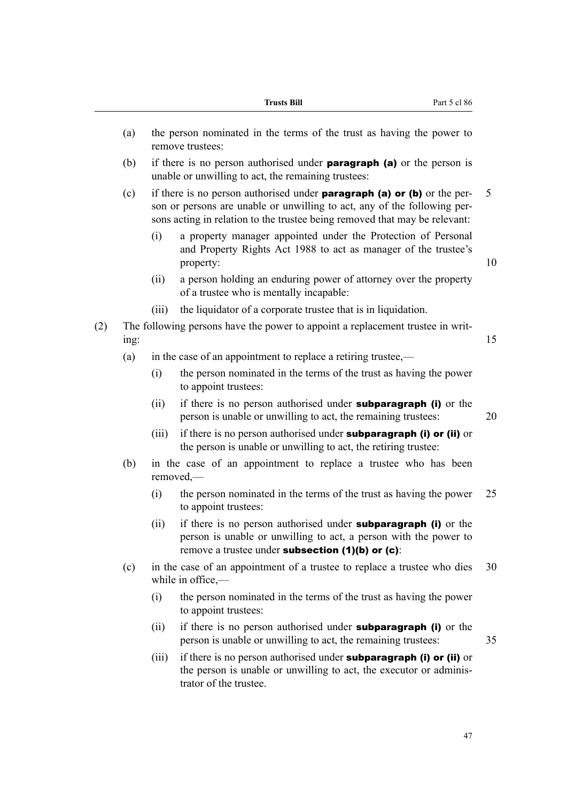|     |                                                                                        |       | <b>Trusts Bill</b><br>Part 5 cl 86                                                                                                                                                                                                       |    |  |  |  |  |
|-----|----------------------------------------------------------------------------------------|-------|------------------------------------------------------------------------------------------------------------------------------------------------------------------------------------------------------------------------------------------|----|--|--|--|--|
|     | (a)                                                                                    |       | the person nominated in the terms of the trust as having the power to<br>remove trustees:                                                                                                                                                |    |  |  |  |  |
|     | (b)                                                                                    |       | if there is no person authorised under <b>paragraph</b> (a) or the person is<br>unable or unwilling to act, the remaining trustees:                                                                                                      |    |  |  |  |  |
|     | (c)                                                                                    |       | if there is no person authorised under <b>paragraph</b> (a) or (b) or the per-<br>son or persons are unable or unwilling to act, any of the following per-<br>sons acting in relation to the trustee being removed that may be relevant: | 5  |  |  |  |  |
|     |                                                                                        | (i)   | a property manager appointed under the Protection of Personal<br>and Property Rights Act 1988 to act as manager of the trustee's<br>property:                                                                                            | 10 |  |  |  |  |
|     |                                                                                        | (ii)  | a person holding an enduring power of attorney over the property<br>of a trustee who is mentally incapable:                                                                                                                              |    |  |  |  |  |
|     |                                                                                        | (iii) | the liquidator of a corporate trustee that is in liquidation.                                                                                                                                                                            |    |  |  |  |  |
| (2) | The following persons have the power to appoint a replacement trustee in writ-<br>ing: |       |                                                                                                                                                                                                                                          |    |  |  |  |  |
|     | in the case of an appointment to replace a retiring trustee,—<br>(a)                   |       |                                                                                                                                                                                                                                          |    |  |  |  |  |
|     |                                                                                        | (i)   | the person nominated in the terms of the trust as having the power<br>to appoint trustees:                                                                                                                                               |    |  |  |  |  |
|     |                                                                                        | (ii)  | if there is no person authorised under <b>subparagraph</b> (i) or the<br>person is unable or unwilling to act, the remaining trustees:                                                                                                   | 20 |  |  |  |  |
|     |                                                                                        | (iii) | if there is no person authorised under <b>subparagraph (i) or (ii)</b> or<br>the person is unable or unwilling to act, the retiring trustee:                                                                                             |    |  |  |  |  |
|     | (b)                                                                                    |       | in the case of an appointment to replace a trustee who has been<br>$removed, -$                                                                                                                                                          |    |  |  |  |  |
|     |                                                                                        | (i)   | the person nominated in the terms of the trust as having the power<br>to appoint trustees:                                                                                                                                               | 25 |  |  |  |  |
|     |                                                                                        | (ii)  | if there is no person authorised under <b>subparagraph</b> (i) or the<br>person is unable or unwilling to act, a person with the power to<br>remove a trustee under subsection $(1)(b)$ or $(c)$ :                                       |    |  |  |  |  |
|     | (c)                                                                                    |       | in the case of an appointment of a trustee to replace a trustee who dies<br>while in office,—                                                                                                                                            | 30 |  |  |  |  |
|     |                                                                                        | (i)   | the person nominated in the terms of the trust as having the power<br>to appoint trustees:                                                                                                                                               |    |  |  |  |  |
|     |                                                                                        | (ii)  | if there is no person authorised under <b>subparagraph</b> (i) or the<br>person is unable or unwilling to act, the remaining trustees:                                                                                                   | 35 |  |  |  |  |
|     |                                                                                        | (iii) | if there is no person authorised under subparagraph (i) or (ii) or<br>the person is unable or unwilling to act, the executor or adminis-<br>trator of the trustee.                                                                       |    |  |  |  |  |

47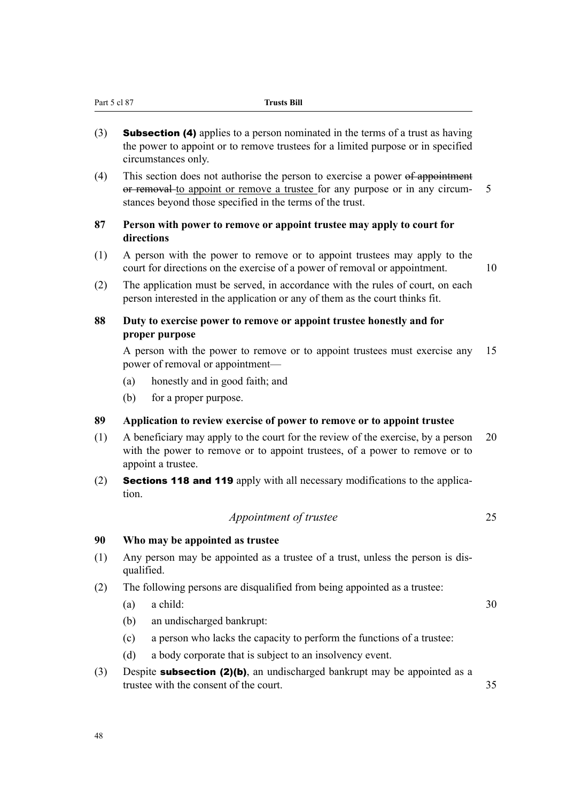- (3) **Subsection (4)** applies to a person nominated in the terms of a trust as having the power to appoint or to remove trustees for a limited purpose or in specified circumstances only.
- (4) This section does not authorise the person to exercise a power of appointment or removal to appoint or remove a trustee for any purpose or in any circum- 5 stances beyond those specified in the terms of the trust.

# **87 Person with power to remove or appoint trustee may apply to court for directions**

- (1) A person with the power to remove or to appoint trustees may apply to the court for directions on the exercise of a power of removal or appointment. 10
- (2) The application must be served, in accordance with the rules of court, on each person interested in the application or any of them as the court thinks fit.

# **88 Duty to exercise power to remove or appoint trustee honestly and for proper purpose**

A person with the power to remove or to appoint trustees must exercise any 15 power of removal or appointment—

- (a) honestly and in good faith; and
- (b) for a proper purpose.

# **89 Application to review exercise of power to remove or to appoint trustee**

- (1) A beneficiary may apply to the court for the review of the exercise, by a person 20 with the power to remove or to appoint trustees, of a power to remove or to appoint a trustee.
- (2) Sections 118 and 119 apply with all necessary modifications to the application.

# *Appointment of trustee* 25

# **90 Who may be appointed as trustee**

- (1) Any person may be appointed as a trustee of a trust, unless the person is disqualified.
- (2) The following persons are disqualified from being appointed as a trustee:
	- (a) a child:  $30$

- (b) an undischarged bankrupt:
- (c) a person who lacks the capacity to perform the functions of a trustee:
- (d) a body corporate that is subject to an insolvency event.
- (3) Despite **subsection (2)(b)**, an undischarged bankrupt may be appointed as a trustee with the consent of the court.  $\frac{35}{25}$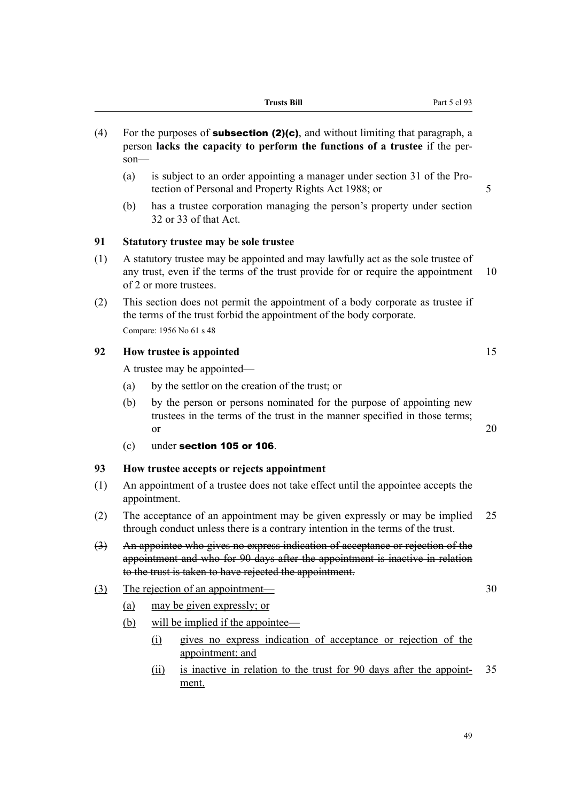- (4) For the purposes of **subsection (2)(c)**, and without limiting that paragraph, a person **lacks the capacity to perform the functions of a trustee** if the person—
	- (a) is subject to an order appointing a manager under section 31 of the Protection of Personal and Property Rights Act 1988; or 5
	- (b) has a trustee corporation managing the person's property under section 32 or 33 of that Act.

#### **91 Statutory trustee may be sole trustee**

- (1) A statutory trustee may be appointed and may lawfully act as the sole trustee of any trust, even if the terms of the trust provide for or require the appointment 10 of 2 or more trustees.
- (2) This section does not permit the appointment of a body corporate as trustee if the terms of the trust forbid the appointment of the body corporate. Compare: 1956 No 61 s 48

# **92 How trustee is appointed** 15

A trustee may be appointed—

- (a) by the settlor on the creation of the trust; or
- (b) by the person or persons nominated for the purpose of appointing new trustees in the terms of the trust in the manner specified in those terms; or  $20$
- (c) under section 105 or 106.

#### **93 How trustee accepts or rejects appointment**

- (1) An appointment of a trustee does not take effect until the appointee accepts the appointment.
- (2) The acceptance of an appointment may be given expressly or may be implied 25 through conduct unless there is a contrary intention in the terms of the trust.
- (3) An appointee who gives no express indication of acceptance or rejection of the appointment and who for 90 days after the appointment is inactive in relation to the trust is taken to have rejected the appointment.
- (3) The rejection of an appointment— 30
	- (a) may be given expressly; or
	- (b) will be implied if the appointee—
		- (i) gives no express indication of acceptance or rejection of the appointment; and
		- (ii) is inactive in relation to the trust for 90 days after the appoint- 35 ment.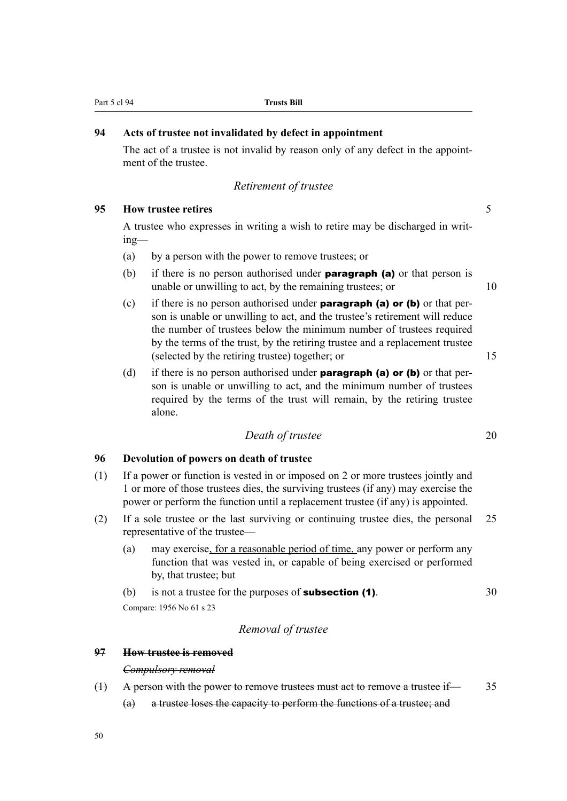# **94 Acts of trustee not invalidated by defect in appointment**

The act of a trustee is not invalid by reason only of any defect in the appointment of the trustee.

# *Retirement of trustee*

#### **95 How trustee retires** 5

A trustee who expresses in writing a wish to retire may be discharged in writing—

- (a) by a person with the power to remove trustees; or
- (b) if there is no person authorised under **paragraph (a)** or that person is unable or unwilling to act, by the remaining trustees; or 10
- (c) if there is no person authorised under **paragraph (a) or (b)** or that person is unable or unwilling to act, and the trustee's retirement will reduce the number of trustees below the minimum number of trustees required by the terms of the trust, by the retiring trustee and a replacement trustee (selected by the retiring trustee) together; or 15
- (d) if there is no person authorised under **paragraph (a) or (b)** or that person is unable or unwilling to act, and the minimum number of trustees required by the terms of the trust will remain, by the retiring trustee alone.

# *Death of trustee* 20

#### **96 Devolution of powers on death of trustee**

- (1) If a power or function is vested in or imposed on 2 or more trustees jointly and 1 or more of those trustees dies, the surviving trustees (if any) may exercise the power or perform the function until a replacement trustee (if any) is appointed.
- (2) If a sole trustee or the last surviving or continuing trustee dies, the personal 25 representative of the trustee—
	- (a) may exercise, for a reasonable period of time, any power or perform any function that was vested in, or capable of being exercised or performed by, that trustee; but
	- (b) is not a trustee for the purposes of **subsection (1)**.  $30$

Compare: 1956 No 61 s 23

# *Removal of trustee*

### **97 How trustee is removed**

#### *Compulsory removal*

- (1) A person with the power to remove trustees must act to remove a trustee if— 35
	- (a) a trustee loses the capacity to perform the functions of a trustee; and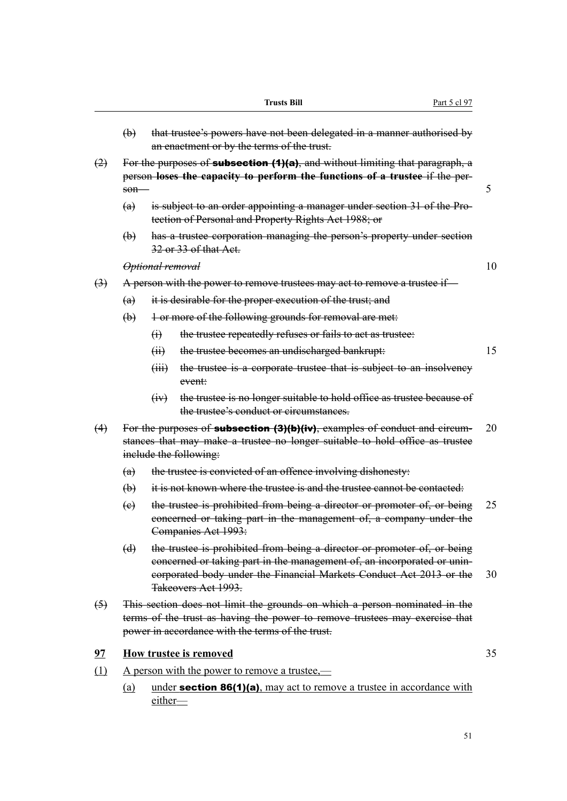|                                                 |                                                                                                                                                                                             |                             | <b>Trusts Bill</b><br>Part 5 cl 97                                                                                                                                                                                                                |    |  |  |  |  |
|-------------------------------------------------|---------------------------------------------------------------------------------------------------------------------------------------------------------------------------------------------|-----------------------------|---------------------------------------------------------------------------------------------------------------------------------------------------------------------------------------------------------------------------------------------------|----|--|--|--|--|
|                                                 | $\biguplus$                                                                                                                                                                                 |                             | that trustee's powers have not been delegated in a manner authorised by<br>an enactment or by the terms of the trust.                                                                                                                             |    |  |  |  |  |
| (2)                                             | For the purposes of <b>subsection <math>(1)(a)</math></b> , and without limiting that paragraph, a<br>person loses the capacity to perform the functions of a trustee if the per-<br>$son-$ |                             |                                                                                                                                                                                                                                                   |    |  |  |  |  |
|                                                 | (a)                                                                                                                                                                                         |                             | is subject to an order appointing a manager under section 31 of the Pro-<br>tection of Personal and Property Rights Act 1988; or                                                                                                                  |    |  |  |  |  |
|                                                 | $\Theta$                                                                                                                                                                                    |                             | has a trustee corporation managing the person's property under section<br>32 or 33 of that Act.                                                                                                                                                   |    |  |  |  |  |
|                                                 |                                                                                                                                                                                             | <del>Optional removal</del> |                                                                                                                                                                                                                                                   | 10 |  |  |  |  |
| $\leftrightarrow$                               |                                                                                                                                                                                             |                             | A person with the power to remove trustees may act to remove a trustee if—                                                                                                                                                                        |    |  |  |  |  |
|                                                 | (a)                                                                                                                                                                                         |                             | it is desirable for the proper execution of the trust; and                                                                                                                                                                                        |    |  |  |  |  |
|                                                 | $\bigoplus$                                                                                                                                                                                 |                             | 1 or more of the following grounds for removal are met:                                                                                                                                                                                           |    |  |  |  |  |
|                                                 |                                                                                                                                                                                             | $\Theta$                    | the trustee repeatedly refuses or fails to act as trustee:                                                                                                                                                                                        |    |  |  |  |  |
|                                                 |                                                                                                                                                                                             | $\overline{(\overline{H})}$ | the trustee becomes an undischarged bankrupt:                                                                                                                                                                                                     | 15 |  |  |  |  |
|                                                 |                                                                                                                                                                                             | (HH)                        | the trustee is a corporate trustee that is subject to an insolvency<br>event:                                                                                                                                                                     |    |  |  |  |  |
|                                                 |                                                                                                                                                                                             | (y)                         | the trustee is no longer suitable to hold office as trustee because of<br>the trustee's conduct or circumstances.                                                                                                                                 |    |  |  |  |  |
| (4)                                             |                                                                                                                                                                                             |                             | For the purposes of <b>subsection (3)(b)(iv)</b> , examples of conduct and circum-<br>stances that may make a trustee no longer suitable to hold office as trustee<br>include the following:                                                      | 20 |  |  |  |  |
|                                                 | (a)                                                                                                                                                                                         |                             | the trustee is convicted of an offence involving dishonesty:                                                                                                                                                                                      |    |  |  |  |  |
|                                                 | $\biguplus$                                                                                                                                                                                 |                             | it is not known where the trustee is and the trustee cannot be contacted.                                                                                                                                                                         |    |  |  |  |  |
|                                                 | $\left(\mathrm{e}\right)$                                                                                                                                                                   |                             | the trustee is prohibited from being a director or promoter of, or being<br>concerned or taking part in the management of, a company under the<br>Companies Act 1993:                                                                             | 25 |  |  |  |  |
|                                                 | $\Theta$                                                                                                                                                                                    |                             | the trustee is prohibited from being a director or promoter of, or being<br>eoncerned or taking part in the management of, an incorporated or unin-<br>corporated body under the Financial Markets Conduct Act 2013 or the<br>Takeovers Act 1993. | 30 |  |  |  |  |
| $\left( \stackrel{\frown}{\rightarrow} \right)$ |                                                                                                                                                                                             |                             | This section does not limit the grounds on which a person nominated in the<br>terms of the trust as having the power to remove trustees may exercise that<br>power in accordance with the terms of the trust.                                     |    |  |  |  |  |
| 97                                              |                                                                                                                                                                                             |                             | How trustee is removed                                                                                                                                                                                                                            | 35 |  |  |  |  |
| (1)                                             |                                                                                                                                                                                             |                             | <u>A person with the power to remove a trustee,—</u>                                                                                                                                                                                              |    |  |  |  |  |
|                                                 | (a)                                                                                                                                                                                         | either                      | under <b>section 86(1)(a)</b> , may act to remove a trustee in accordance with                                                                                                                                                                    |    |  |  |  |  |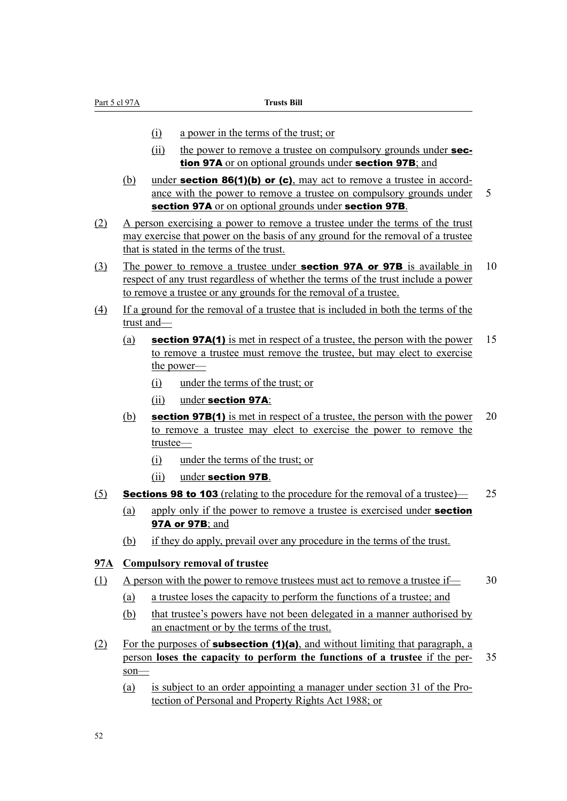- (i) a power in the terms of the trust; or
- (ii) the power to remove a trustee on compulsory grounds under **sec**tion 97A or on optional grounds under section 97B; and
- (b) under **section 86(1)(b) or (c)**, may act to remove a trustee in accordance with the power to remove a trustee on compulsory grounds under 5 section 97A or on optional grounds under section 97B.
- (2) A person exercising a power to remove a trustee under the terms of the trust may exercise that power on the basis of any ground for the removal of a trustee that is stated in the terms of the trust.
- (3) The power to remove a trustee under **section 97A or 97B** is available in 10 respect of any trust regardless of whether the terms of the trust include a power to remove a trustee or any grounds for the removal of a trustee.
- (4) If a ground for the removal of a trustee that is included in both the terms of the trust and—
	- (a) section 97A(1) is met in respect of a trustee, the person with the power 15 to remove a trustee must remove the trustee, but may elect to exercise the power—
		- (i) under the terms of the trust; or
		- (ii) under section 97A:
	- (b) section 97B(1) is met in respect of a trustee, the person with the power  $20$ to remove a trustee may elect to exercise the power to remove the trustee—
		- (i) under the terms of the trust; or
		- (ii) under section 97B.

#### (5) **Sections 98 to 103** (relating to the procedure for the removal of a trustee)  $-25$

- (a) apply only if the power to remove a trustee is exercised under **section** 97A or 97B; and
- (b) if they do apply, prevail over any procedure in the terms of the trust.

#### **97A Compulsory removal of trustee**

- (1) A person with the power to remove trustees must act to remove a trustee if— 30
	- (a) a trustee loses the capacity to perform the functions of a trustee; and
	- (b) that trustee's powers have not been delegated in a manner authorised by an enactment or by the terms of the trust.
- (2) For the purposes of **subsection (1)(a)**, and without limiting that paragraph, a person **loses the capacity to perform the functions of a trustee** if the per- 35 son—
	- (a) is subject to an order appointing a manager under section 31 of the Protection of Personal and Property Rights Act 1988; or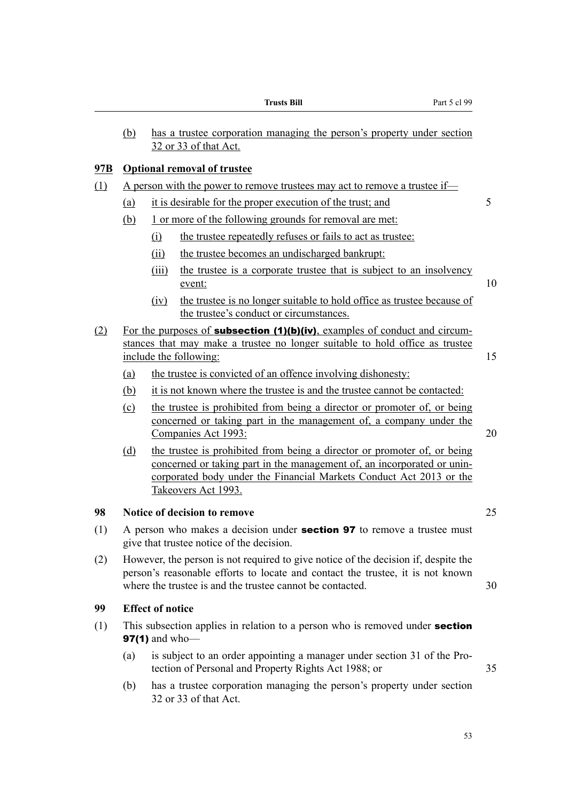|            |                                                                                                                                                                                                                                         |                                                                                                                                                                                                                                                   | <b>Trusts Bill</b><br>Part 5 cl 99                                                                                                                                    |    |  |  |  |  |  |  |  |
|------------|-----------------------------------------------------------------------------------------------------------------------------------------------------------------------------------------------------------------------------------------|---------------------------------------------------------------------------------------------------------------------------------------------------------------------------------------------------------------------------------------------------|-----------------------------------------------------------------------------------------------------------------------------------------------------------------------|----|--|--|--|--|--|--|--|
|            | (b)                                                                                                                                                                                                                                     |                                                                                                                                                                                                                                                   | has a trustee corporation managing the person's property under section<br>32 or 33 of that Act.                                                                       |    |  |  |  |  |  |  |  |
| <u>97B</u> |                                                                                                                                                                                                                                         | <b>Optional removal of trustee</b>                                                                                                                                                                                                                |                                                                                                                                                                       |    |  |  |  |  |  |  |  |
| (1)        | A person with the power to remove trustees may act to remove a trustee if—                                                                                                                                                              |                                                                                                                                                                                                                                                   |                                                                                                                                                                       |    |  |  |  |  |  |  |  |
|            | (a)                                                                                                                                                                                                                                     |                                                                                                                                                                                                                                                   | it is desirable for the proper execution of the trust; and                                                                                                            | 5  |  |  |  |  |  |  |  |
|            | (b)                                                                                                                                                                                                                                     | 1 or more of the following grounds for removal are met:                                                                                                                                                                                           |                                                                                                                                                                       |    |  |  |  |  |  |  |  |
|            |                                                                                                                                                                                                                                         | (i)                                                                                                                                                                                                                                               | the trustee repeatedly refuses or fails to act as trustee:                                                                                                            |    |  |  |  |  |  |  |  |
|            |                                                                                                                                                                                                                                         | (ii)                                                                                                                                                                                                                                              | the trustee becomes an undischarged bankrupt:                                                                                                                         |    |  |  |  |  |  |  |  |
|            |                                                                                                                                                                                                                                         | (iii)                                                                                                                                                                                                                                             | the trustee is a corporate trustee that is subject to an insolvency<br>event:                                                                                         | 10 |  |  |  |  |  |  |  |
|            |                                                                                                                                                                                                                                         | (iv)                                                                                                                                                                                                                                              | the trustee is no longer suitable to hold office as trustee because of<br>the trustee's conduct or circumstances.                                                     |    |  |  |  |  |  |  |  |
| (2)        | For the purposes of <b>subsection (1)(b)(iv)</b> , examples of conduct and circum-<br>stances that may make a trustee no longer suitable to hold office as trustee<br>include the following:                                            |                                                                                                                                                                                                                                                   |                                                                                                                                                                       |    |  |  |  |  |  |  |  |
|            | (a)                                                                                                                                                                                                                                     |                                                                                                                                                                                                                                                   | the trustee is convicted of an offence involving dishonesty:                                                                                                          |    |  |  |  |  |  |  |  |
|            | (b)                                                                                                                                                                                                                                     |                                                                                                                                                                                                                                                   | it is not known where the trustee is and the trustee cannot be contacted:                                                                                             |    |  |  |  |  |  |  |  |
|            | $\Omega$                                                                                                                                                                                                                                |                                                                                                                                                                                                                                                   | the trustee is prohibited from being a director or promoter of, or being<br>concerned or taking part in the management of, a company under the<br>Companies Act 1993: | 20 |  |  |  |  |  |  |  |
|            | (d)                                                                                                                                                                                                                                     | the trustee is prohibited from being a director or promoter of, or being<br>concerned or taking part in the management of, an incorporated or unin-<br>corporated body under the Financial Markets Conduct Act 2013 or the<br>Takeovers Act 1993. |                                                                                                                                                                       |    |  |  |  |  |  |  |  |
| 98         |                                                                                                                                                                                                                                         |                                                                                                                                                                                                                                                   | Notice of decision to remove                                                                                                                                          | 25 |  |  |  |  |  |  |  |
| (1)        |                                                                                                                                                                                                                                         | A person who makes a decision under <b>section 97</b> to remove a trustee must<br>give that trustee notice of the decision.                                                                                                                       |                                                                                                                                                                       |    |  |  |  |  |  |  |  |
| (2)        | However, the person is not required to give notice of the decision if, despite the<br>person's reasonable efforts to locate and contact the trustee, it is not known<br>where the trustee is and the trustee cannot be contacted.<br>30 |                                                                                                                                                                                                                                                   |                                                                                                                                                                       |    |  |  |  |  |  |  |  |
| 99         |                                                                                                                                                                                                                                         | <b>Effect of notice</b>                                                                                                                                                                                                                           |                                                                                                                                                                       |    |  |  |  |  |  |  |  |
| (1)        |                                                                                                                                                                                                                                         | <b>97(1)</b> and who-                                                                                                                                                                                                                             | This subsection applies in relation to a person who is removed under <b>section</b>                                                                                   |    |  |  |  |  |  |  |  |
|            | (a)                                                                                                                                                                                                                                     |                                                                                                                                                                                                                                                   | is subject to an order appointing a manager under section 31 of the Pro-<br>tection of Personal and Property Rights Act 1988; or                                      | 35 |  |  |  |  |  |  |  |

(b) has a trustee corporation managing the person's property under section 32 or 33 of that Act.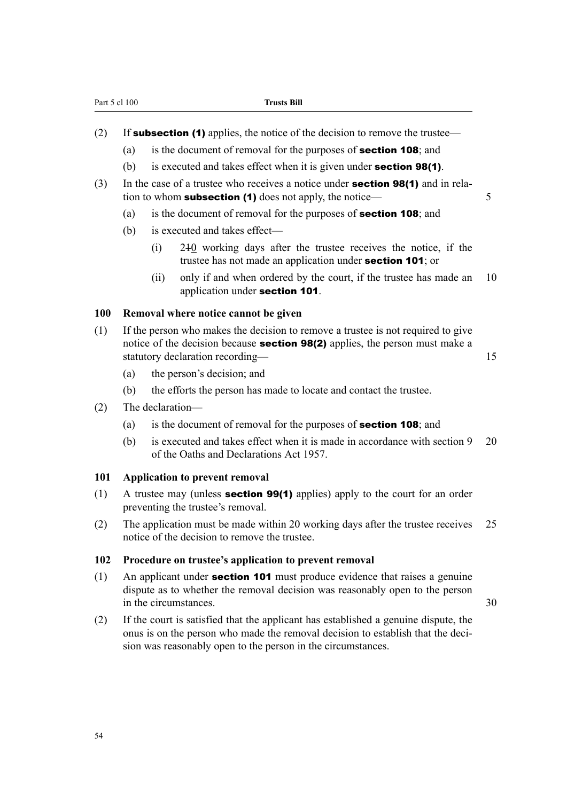|  |  |  |  |  |  | (2) If <b>subsection (1)</b> applies, the notice of the decision to remove the trustee— |
|--|--|--|--|--|--|-----------------------------------------------------------------------------------------|

- (a) is the document of removal for the purposes of **section 108**; and
- (b) is executed and takes effect when it is given under **section 98(1)**.
- (3) In the case of a trustee who receives a notice under section 98(1) and in relation to whom **subsection (1)** does not apply, the notice— $\overline{5}$ 
	- (a) is the document of removal for the purposes of section 108; and
	- (b) is executed and takes effect—
		- (i) 210 working days after the trustee receives the notice, if the trustee has not made an application under section 101; or
		- (ii) only if and when ordered by the court, if the trustee has made an 10 application under section 101.

#### **100 Removal where notice cannot be given**

- (1) If the person who makes the decision to remove a trustee is not required to give notice of the decision because **section 98(2)** applies, the person must make a statutory declaration recording— 15
	- (a) the person's decision; and
	- (b) the efforts the person has made to locate and contact the trustee.
- (2) The declaration—
	- (a) is the document of removal for the purposes of section 108; and
	- (b) is executed and takes effect when it is made in accordance with section 9 20 of the Oaths and Declarations Act 1957.

#### **101 Application to prevent removal**

- (1) A trustee may (unless **section 99(1)** applies) apply to the court for an order preventing the trustee's removal.
- (2) The application must be made within 20 working days after the trustee receives 25 notice of the decision to remove the trustee.

#### **102 Procedure on trustee's application to prevent removal**

- (1) An applicant under **section 101** must produce evidence that raises a genuine dispute as to whether the removal decision was reasonably open to the person in the circumstances 30
- (2) If the court is satisfied that the applicant has established a genuine dispute, the onus is on the person who made the removal decision to establish that the decision was reasonably open to the person in the circumstances.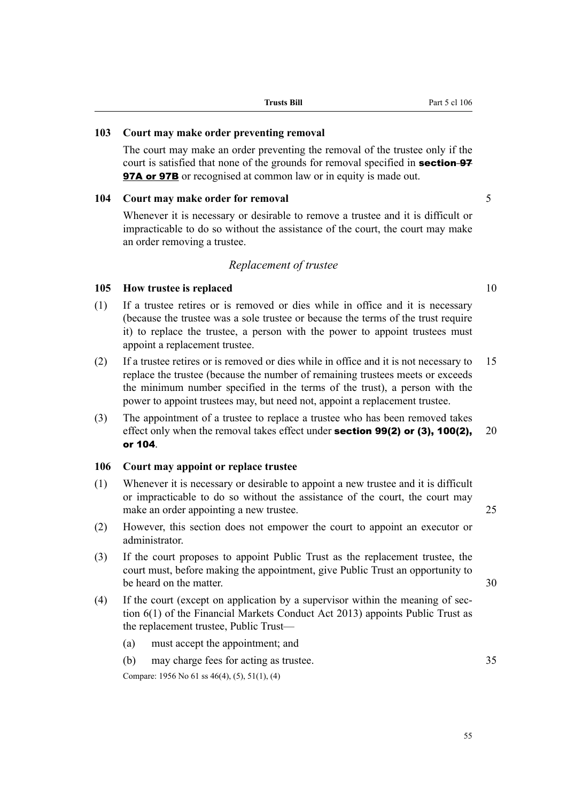#### **103 Court may make order preventing removal**

The court may make an order preventing the removal of the trustee only if the court is satisfied that none of the grounds for removal specified in **section-97 97A or 97B** or recognised at common law or in equity is made out.

#### **104 Court may make order for removal** 5

Whenever it is necessary or desirable to remove a trustee and it is difficult or impracticable to do so without the assistance of the court, the court may make an order removing a trustee.

#### *Replacement of trustee*

#### **105 How trustee is replaced** 10

- (1) If a trustee retires or is removed or dies while in office and it is necessary (because the trustee was a sole trustee or because the terms of the trust require it) to replace the trustee, a person with the power to appoint trustees must appoint a replacement trustee.
- (2) If a trustee retires or is removed or dies while in office and it is not necessary to 15 replace the trustee (because the number of remaining trustees meets or exceeds the minimum number specified in the terms of the trust), a person with the power to appoint trustees may, but need not, appoint a replacement trustee.
- (3) The appointment of a trustee to replace a trustee who has been removed takes effect only when the removal takes effect under **section 99(2) or (3), 100(2),** 20 or 104.

#### **106 Court may appoint or replace trustee**

- (1) Whenever it is necessary or desirable to appoint a new trustee and it is difficult or impracticable to do so without the assistance of the court, the court may make an order appointing a new trustee. 25
- (2) However, this section does not empower the court to appoint an executor or administrator.
- (3) If the court proposes to appoint Public Trust as the replacement trustee, the court must, before making the appointment, give Public Trust an opportunity to be heard on the matter. 30
- (4) If the court (except on application by a supervisor within the meaning of section 6(1) of the Financial Markets Conduct Act 2013) appoints Public Trust as the replacement trustee, Public Trust—
	- (a) must accept the appointment; and
	- (b) may charge fees for acting as trustee. 35

Compare: 1956 No 61 ss 46(4), (5), 51(1), (4)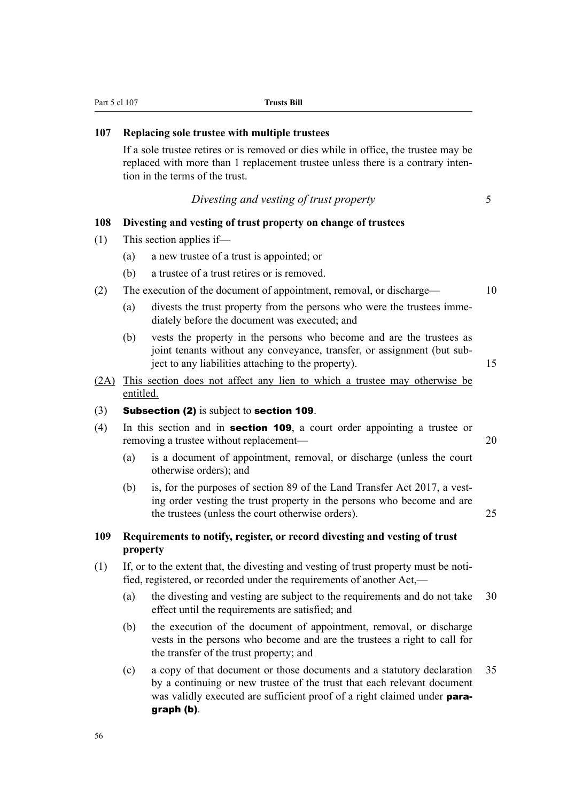| 107  | Replacing sole trustee with multiple trustees                                                                                                                                                                 |    |  |  |  |
|------|---------------------------------------------------------------------------------------------------------------------------------------------------------------------------------------------------------------|----|--|--|--|
|      | If a sole trustee retires or is removed or dies while in office, the trustee may be<br>replaced with more than 1 replacement trustee unless there is a contrary inten-<br>tion in the terms of the trust.     |    |  |  |  |
|      | Divesting and vesting of trust property                                                                                                                                                                       | 5  |  |  |  |
| 108  | Divesting and vesting of trust property on change of trustees                                                                                                                                                 |    |  |  |  |
| (1)  | This section applies if-                                                                                                                                                                                      |    |  |  |  |
|      | a new trustee of a trust is appointed; or<br>(a)                                                                                                                                                              |    |  |  |  |
|      | a trustee of a trust retires or is removed.<br>(b)                                                                                                                                                            |    |  |  |  |
| (2)  | The execution of the document of appointment, removal, or discharge-                                                                                                                                          | 10 |  |  |  |
|      | divests the trust property from the persons who were the trustees imme-<br>(a)<br>diately before the document was executed; and                                                                               |    |  |  |  |
|      | vests the property in the persons who become and are the trustees as<br>(b)<br>joint tenants without any conveyance, transfer, or assignment (but sub-<br>ject to any liabilities attaching to the property). | 15 |  |  |  |
| (2A) | This section does not affect any lien to which a trustee may otherwise be<br>entitled.                                                                                                                        |    |  |  |  |
| (3)  | <b>Subsection (2)</b> is subject to section 109.                                                                                                                                                              |    |  |  |  |
| (4)  | In this section and in <b>section 109</b> , a court order appointing a trustee or<br>removing a trustee without replacement—                                                                                  | 20 |  |  |  |
|      | is a document of appointment, removal, or discharge (unless the court<br>(a)<br>otherwise orders); and                                                                                                        |    |  |  |  |

Part 5 cl 107 **Trusts Bill** 

(b) is, for the purposes of section 89 of the Land Transfer Act 2017, a vesting order vesting the trust property in the persons who become and are the trustees (unless the court otherwise orders). 25

#### **109 Requirements to notify, register, or record divesting and vesting of trust property**

- (1) If, or to the extent that, the divesting and vesting of trust property must be notified, registered, or recorded under the requirements of another Act,—
	- (a) the divesting and vesting are subject to the requirements and do not take 30 effect until the requirements are satisfied; and
	- (b) the execution of the document of appointment, removal, or discharge vests in the persons who become and are the trustees a right to call for the transfer of the trust property; and
	- (c) a copy of that document or those documents and a statutory declaration 35 by a continuing or new trustee of the trust that each relevant document was validly executed are sufficient proof of a right claimed under **para**graph (b).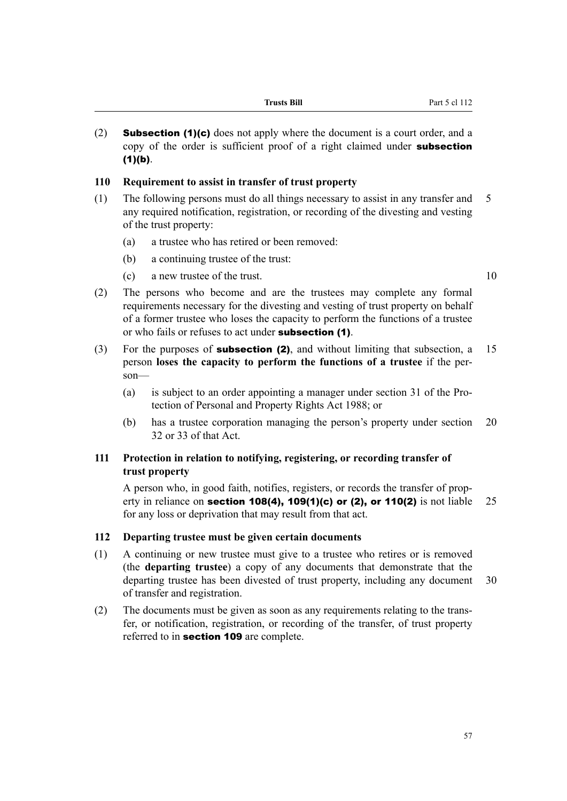| Frusts Bill |  |
|-------------|--|
|-------------|--|

(2) **Subsection (1)(c)** does not apply where the document is a court order, and a copy of the order is sufficient proof of a right claimed under **subsection**  $(1)(b)$ .

#### **110 Requirement to assist in transfer of trust property**

- (1) The following persons must do all things necessary to assist in any transfer and 5 any required notification, registration, or recording of the divesting and vesting of the trust property:
	- (a) a trustee who has retired or been removed:
	- (b) a continuing trustee of the trust:
	- (c) a new trustee of the trust. 10
		-
- (2) The persons who become and are the trustees may complete any formal requirements necessary for the divesting and vesting of trust property on behalf of a former trustee who loses the capacity to perform the functions of a trustee or who fails or refuses to act under subsection (1).
- (3) For the purposes of **subsection (2)**, and without limiting that subsection, a 15 person **loses the capacity to perform the functions of a trustee** if the person—
	- (a) is subject to an order appointing a manager under section 31 of the Protection of Personal and Property Rights Act 1988; or
	- (b) has a trustee corporation managing the person's property under section 20 32 or 33 of that Act.

#### **111 Protection in relation to notifying, registering, or recording transfer of trust property**

A person who, in good faith, notifies, registers, or records the transfer of property in reliance on **section 108(4), 109(1)(c) or (2), or 110(2)** is not liable 25 for any loss or deprivation that may result from that act.

#### **112 Departing trustee must be given certain documents**

- (1) A continuing or new trustee must give to a trustee who retires or is removed (the **departing trustee**) a copy of any documents that demonstrate that the departing trustee has been divested of trust property, including any document 30 of transfer and registration.
- (2) The documents must be given as soon as any requirements relating to the transfer, or notification, registration, or recording of the transfer, of trust property referred to in section 109 are complete.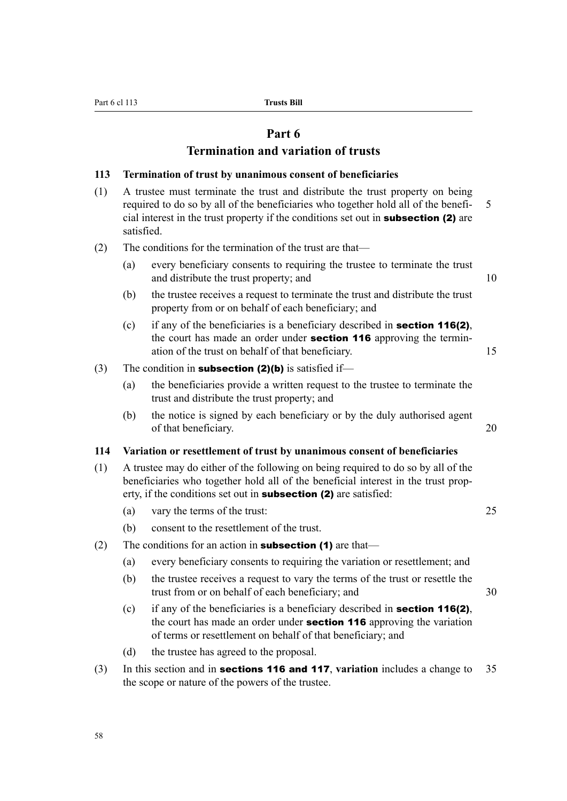#### **Part 6**

#### **Termination and variation of trusts**

#### **113 Termination of trust by unanimous consent of beneficiaries**

- (1) A trustee must terminate the trust and distribute the trust property on being required to do so by all of the beneficiaries who together hold all of the benefi- 5 cial interest in the trust property if the conditions set out in subsection (2) are satisfied.
- (2) The conditions for the termination of the trust are that—
	- (a) every beneficiary consents to requiring the trustee to terminate the trust and distribute the trust property; and 10
	- (b) the trustee receives a request to terminate the trust and distribute the trust property from or on behalf of each beneficiary; and
	- (c) if any of the beneficiaries is a beneficiary described in **section 116(2)**, the court has made an order under **section 116** approving the termination of the trust on behalf of that beneficiary. 15
- (3) The condition in **subsection (2)(b)** is satisfied if—
	- (a) the beneficiaries provide a written request to the trustee to terminate the trust and distribute the trust property; and
	- (b) the notice is signed by each beneficiary or by the duly authorised agent of that beneficiary. 20

#### **114 Variation or resettlement of trust by unanimous consent of beneficiaries**

- (1) A trustee may do either of the following on being required to do so by all of the beneficiaries who together hold all of the beneficial interest in the trust property, if the conditions set out in **subsection (2)** are satisfied:
	- (a) vary the terms of the trust: 25
	- (b) consent to the resettlement of the trust.
- (2) The conditions for an action in **subsection (1)** are that—
	- (a) every beneficiary consents to requiring the variation or resettlement; and
	- (b) the trustee receives a request to vary the terms of the trust or resettle the trust from or on behalf of each beneficiary; and 30
	- (c) if any of the beneficiaries is a beneficiary described in **section 116(2)**, the court has made an order under **section 116** approving the variation of terms or resettlement on behalf of that beneficiary; and
	- (d) the trustee has agreed to the proposal.
- (3) In this section and in sections 116 and 117, **variation** includes a change to 35 the scope or nature of the powers of the trustee.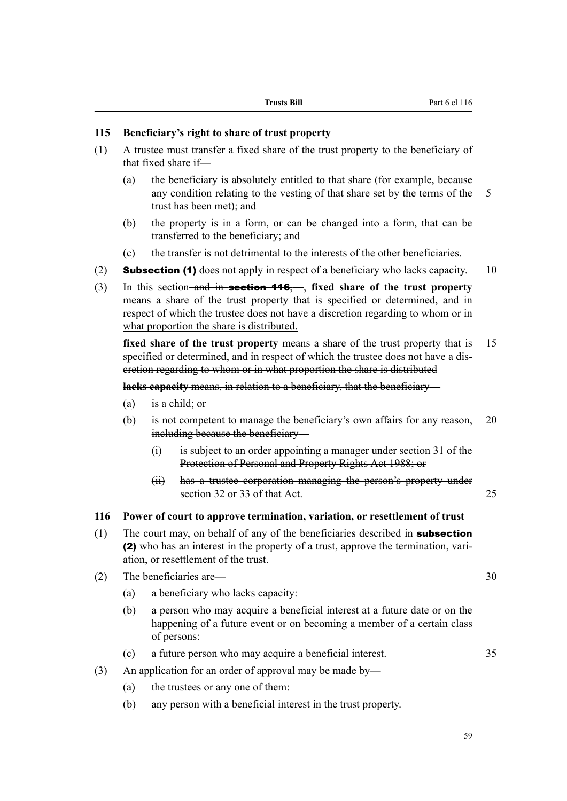#### **115 Beneficiary's right to share of trust property**

- (1) A trustee must transfer a fixed share of the trust property to the beneficiary of that fixed share if—
	- (a) the beneficiary is absolutely entitled to that share (for example, because any condition relating to the vesting of that share set by the terms of the 5 trust has been met); and
	- (b) the property is in a form, or can be changed into a form, that can be transferred to the beneficiary; and
	- (c) the transfer is not detrimental to the interests of the other beneficiaries.
- (2) **Subsection (1)** does not apply in respect of a beneficiary who lacks capacity. 10
- (3) In this section and in section 116,—, **fixed share of the trust property** means a share of the trust property that is specified or determined, and in respect of which the trustee does not have a discretion regarding to whom or in what proportion the share is distributed.

**fixed share of the trust property means a share of the trust property that is** 15 specified or determined, and in respect of which the trustee does not have a discretion regarding to whom or in what proportion the share is distributed

**lacks capacity** means, in relation to a beneficiary, that the beneficiary—

- $(a)$  is a child; or
- (b) is not competent to manage the beneficiary's own affairs for any reason, 20 including because the beneficiary—
	- (i) is subject to an order appointing a manager under section 31 of the Protection of Personal and Property Rights Act 1988; or
	- (ii) has a trustee corporation managing the person's property under section 32 or 33 of that Act. 25

#### **116 Power of court to approve termination, variation, or resettlement of trust**

- (1) The court may, on behalf of any of the beneficiaries described in **subsection** (2) who has an interest in the property of a trust, approve the termination, variation, or resettlement of the trust.
- (2) The beneficiaries are— 30
	- (a) a beneficiary who lacks capacity:
	- (b) a person who may acquire a beneficial interest at a future date or on the happening of a future event or on becoming a member of a certain class of persons:
	- (c) a future person who may acquire a beneficial interest. 35
- (3) An application for an order of approval may be made by—
	- (a) the trustees or any one of them:
	- (b) any person with a beneficial interest in the trust property.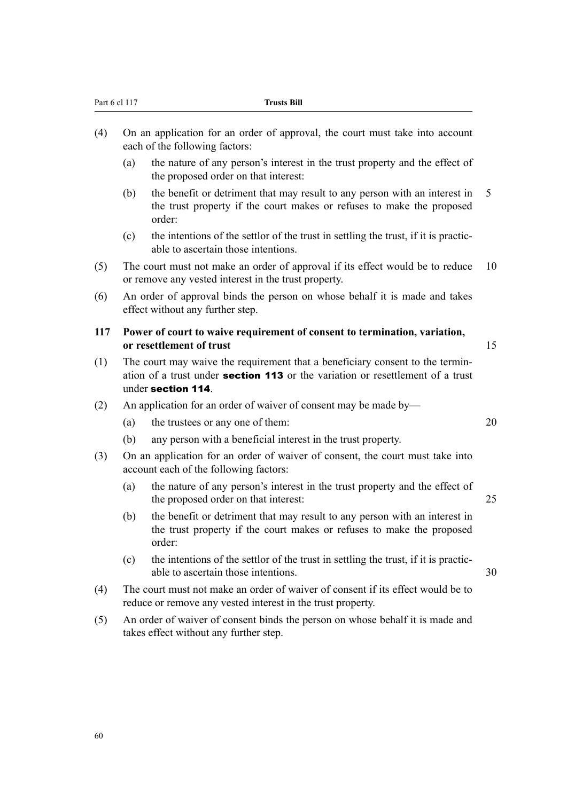| (a)<br>(b)<br>(c)<br>(a)                                                                                                                       | the nature of any person's interest in the trust property and the effect of<br>the proposed order on that interest:<br>the benefit or detriment that may result to any person with an interest in<br>the trust property if the court makes or refuses to make the proposed<br>order:<br>the intentions of the settlor of the trust in settling the trust, if it is practic-<br>able to ascertain those intentions.<br>The court must not make an order of approval if its effect would be to reduce<br>or remove any vested interest in the trust property.<br>An order of approval binds the person on whose behalf it is made and takes<br>effect without any further step.<br>Power of court to waive requirement of consent to termination, variation,<br>or resettlement of trust<br>The court may waive the requirement that a beneficiary consent to the termin-<br>ation of a trust under <b>section 113</b> or the variation or resettlement of a trust<br>under section 114.<br>An application for an order of waiver of consent may be made by-<br>the trustees or any one of them: | 5<br>10<br>15<br>20                                                                                                                                               |  |
|------------------------------------------------------------------------------------------------------------------------------------------------|------------------------------------------------------------------------------------------------------------------------------------------------------------------------------------------------------------------------------------------------------------------------------------------------------------------------------------------------------------------------------------------------------------------------------------------------------------------------------------------------------------------------------------------------------------------------------------------------------------------------------------------------------------------------------------------------------------------------------------------------------------------------------------------------------------------------------------------------------------------------------------------------------------------------------------------------------------------------------------------------------------------------------------------------------------------------------------------------|-------------------------------------------------------------------------------------------------------------------------------------------------------------------|--|
|                                                                                                                                                |                                                                                                                                                                                                                                                                                                                                                                                                                                                                                                                                                                                                                                                                                                                                                                                                                                                                                                                                                                                                                                                                                                |                                                                                                                                                                   |  |
|                                                                                                                                                |                                                                                                                                                                                                                                                                                                                                                                                                                                                                                                                                                                                                                                                                                                                                                                                                                                                                                                                                                                                                                                                                                                |                                                                                                                                                                   |  |
|                                                                                                                                                |                                                                                                                                                                                                                                                                                                                                                                                                                                                                                                                                                                                                                                                                                                                                                                                                                                                                                                                                                                                                                                                                                                |                                                                                                                                                                   |  |
|                                                                                                                                                |                                                                                                                                                                                                                                                                                                                                                                                                                                                                                                                                                                                                                                                                                                                                                                                                                                                                                                                                                                                                                                                                                                |                                                                                                                                                                   |  |
|                                                                                                                                                |                                                                                                                                                                                                                                                                                                                                                                                                                                                                                                                                                                                                                                                                                                                                                                                                                                                                                                                                                                                                                                                                                                |                                                                                                                                                                   |  |
|                                                                                                                                                |                                                                                                                                                                                                                                                                                                                                                                                                                                                                                                                                                                                                                                                                                                                                                                                                                                                                                                                                                                                                                                                                                                |                                                                                                                                                                   |  |
|                                                                                                                                                |                                                                                                                                                                                                                                                                                                                                                                                                                                                                                                                                                                                                                                                                                                                                                                                                                                                                                                                                                                                                                                                                                                |                                                                                                                                                                   |  |
|                                                                                                                                                |                                                                                                                                                                                                                                                                                                                                                                                                                                                                                                                                                                                                                                                                                                                                                                                                                                                                                                                                                                                                                                                                                                |                                                                                                                                                                   |  |
|                                                                                                                                                |                                                                                                                                                                                                                                                                                                                                                                                                                                                                                                                                                                                                                                                                                                                                                                                                                                                                                                                                                                                                                                                                                                |                                                                                                                                                                   |  |
| (b)                                                                                                                                            | any person with a beneficial interest in the trust property.                                                                                                                                                                                                                                                                                                                                                                                                                                                                                                                                                                                                                                                                                                                                                                                                                                                                                                                                                                                                                                   |                                                                                                                                                                   |  |
|                                                                                                                                                | On an application for an order of waiver of consent, the court must take into                                                                                                                                                                                                                                                                                                                                                                                                                                                                                                                                                                                                                                                                                                                                                                                                                                                                                                                                                                                                                  |                                                                                                                                                                   |  |
| (a)                                                                                                                                            | the nature of any person's interest in the trust property and the effect of<br>the proposed order on that interest:                                                                                                                                                                                                                                                                                                                                                                                                                                                                                                                                                                                                                                                                                                                                                                                                                                                                                                                                                                            | 25                                                                                                                                                                |  |
| (b)                                                                                                                                            | the benefit or detriment that may result to any person with an interest in<br>the trust property if the court makes or refuses to make the proposed<br>order:                                                                                                                                                                                                                                                                                                                                                                                                                                                                                                                                                                                                                                                                                                                                                                                                                                                                                                                                  |                                                                                                                                                                   |  |
| (c)                                                                                                                                            | the intentions of the settlor of the trust in settling the trust, if it is practic-<br>able to ascertain those intentions.                                                                                                                                                                                                                                                                                                                                                                                                                                                                                                                                                                                                                                                                                                                                                                                                                                                                                                                                                                     | 30                                                                                                                                                                |  |
| The court must not make an order of waiver of consent if its effect would be to<br>reduce or remove any vested interest in the trust property. |                                                                                                                                                                                                                                                                                                                                                                                                                                                                                                                                                                                                                                                                                                                                                                                                                                                                                                                                                                                                                                                                                                |                                                                                                                                                                   |  |
|                                                                                                                                                |                                                                                                                                                                                                                                                                                                                                                                                                                                                                                                                                                                                                                                                                                                                                                                                                                                                                                                                                                                                                                                                                                                |                                                                                                                                                                   |  |
|                                                                                                                                                |                                                                                                                                                                                                                                                                                                                                                                                                                                                                                                                                                                                                                                                                                                                                                                                                                                                                                                                                                                                                                                                                                                | account each of the following factors:<br>An order of waiver of consent binds the person on whose behalf it is made and<br>takes effect without any further step. |  |

(4) On an application for an order of approval, the court must take into account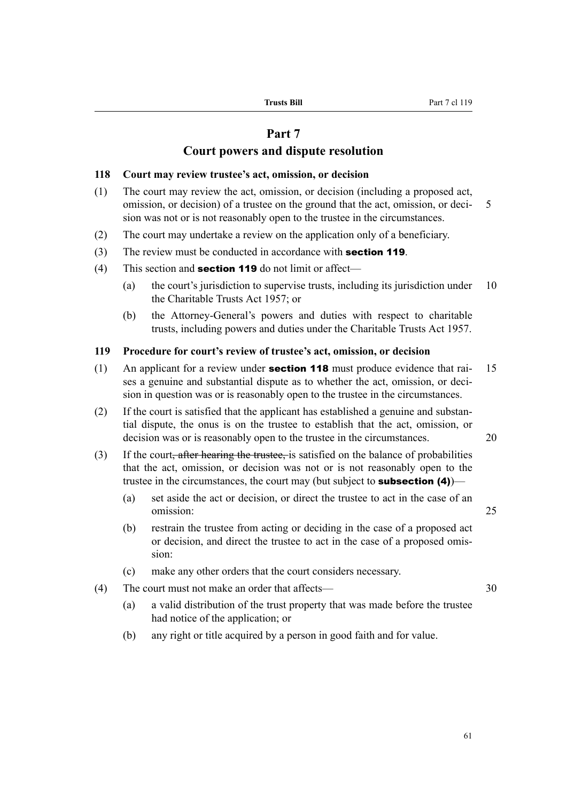#### **Part 7**

#### **Court powers and dispute resolution**

#### **118 Court may review trustee's act, omission, or decision**

- (1) The court may review the act, omission, or decision (including a proposed act, omission, or decision) of a trustee on the ground that the act, omission, or deci- 5 sion was not or is not reasonably open to the trustee in the circumstances.
- (2) The court may undertake a review on the application only of a beneficiary.
- (3) The review must be conducted in accordance with **section 119**.
- (4) This section and **section 119** do not limit or affect—
	- (a) the court's jurisdiction to supervise trusts, including its jurisdiction under 10 the Charitable Trusts Act 1957; or
	- (b) the Attorney-General's powers and duties with respect to charitable trusts, including powers and duties under the Charitable Trusts Act 1957.

#### **119 Procedure for court's review of trustee's act, omission, or decision**

- (1) An applicant for a review under **section 118** must produce evidence that rai-  $15$ ses a genuine and substantial dispute as to whether the act, omission, or decision in question was or is reasonably open to the trustee in the circumstances.
- (2) If the court is satisfied that the applicant has established a genuine and substantial dispute, the onus is on the trustee to establish that the act, omission, or decision was or is reasonably open to the trustee in the circumstances. 20
- (3) If the court, after hearing the trustee, is satisfied on the balance of probabilities that the act, omission, or decision was not or is not reasonably open to the trustee in the circumstances, the court may (but subject to **subsection (4)**)–
	- (a) set aside the act or decision, or direct the trustee to act in the case of an omission: 25
	- (b) restrain the trustee from acting or deciding in the case of a proposed act or decision, and direct the trustee to act in the case of a proposed omission:
	- (c) make any other orders that the court considers necessary.
- (4) The court must not make an order that affects— 30
	- (a) a valid distribution of the trust property that was made before the trustee had notice of the application; or
	- (b) any right or title acquired by a person in good faith and for value.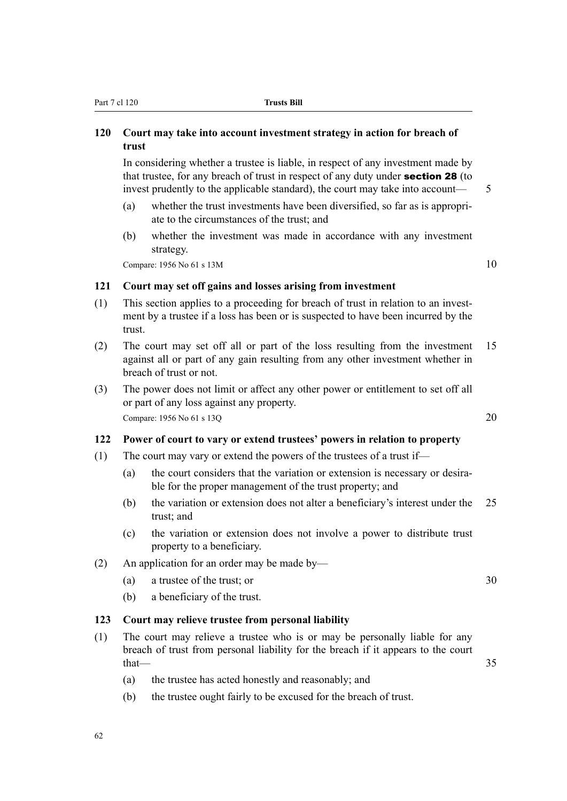#### **120 Court may take into account investment strategy in action for breach of trust**

In considering whether a trustee is liable, in respect of any investment made by that trustee, for any breach of trust in respect of any duty under section 28 (to invest prudently to the applicable standard), the court may take into account— 5

- (a) whether the trust investments have been diversified, so far as is appropriate to the circumstances of the trust; and
- (b) whether the investment was made in accordance with any investment strategy.

Compare:  $1956$  No 61 s  $13M$  10

#### **121 Court may set off gains and losses arising from investment**

- (1) This section applies to a proceeding for breach of trust in relation to an investment by a trustee if a loss has been or is suspected to have been incurred by the trust.
- (2) The court may set off all or part of the loss resulting from the investment 15 against all or part of any gain resulting from any other investment whether in breach of trust or not.
- (3) The power does not limit or affect any other power or entitlement to set off all or part of any loss against any property. Compare: 1956 No 61 s 13O 20

#### **122 Power of court to vary or extend trustees' powers in relation to property**

- (1) The court may vary or extend the powers of the trustees of a trust if—
	- (a) the court considers that the variation or extension is necessary or desirable for the proper management of the trust property; and
	- (b) the variation or extension does not alter a beneficiary's interest under the 25 trust; and
	- (c) the variation or extension does not involve a power to distribute trust property to a beneficiary.
- (2) An application for an order may be made by—
	- (a) a trustee of the trust; or 30
	- (b) a beneficiary of the trust.

#### **123 Court may relieve trustee from personal liability**

- (1) The court may relieve a trustee who is or may be personally liable for any breach of trust from personal liability for the breach if it appears to the court  $that$   $-$  35
	- (a) the trustee has acted honestly and reasonably; and
	- (b) the trustee ought fairly to be excused for the breach of trust.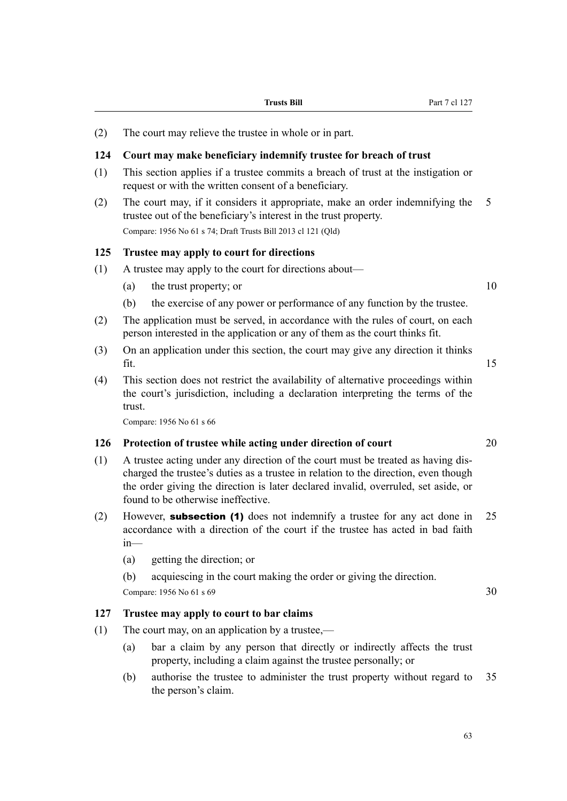(2) The court may relieve the trustee in whole or in part.

#### **124 Court may make beneficiary indemnify trustee for breach of trust**

- (1) This section applies if a trustee commits a breach of trust at the instigation or request or with the written consent of a beneficiary.
- (2) The court may, if it considers it appropriate, make an order indemnifying the 5 trustee out of the beneficiary's interest in the trust property. Compare: 1956 No 61 s 74; Draft Trusts Bill 2013 cl 121 (Qld)

#### **125 Trustee may apply to court for directions**

- (1) A trustee may apply to the court for directions about—
	- (a) the trust property; or  $10$
	- (b) the exercise of any power or performance of any function by the trustee.
- (2) The application must be served, in accordance with the rules of court, on each person interested in the application or any of them as the court thinks fit.
- (3) On an application under this section, the court may give any direction it thinks  $\int$  fit. 15
- (4) This section does not restrict the availability of alternative proceedings within the court's jurisdiction, including a declaration interpreting the terms of the trust.

Compare: 1956 No 61 s 66

#### **126 Protection of trustee while acting under direction of court** 20

- (1) A trustee acting under any direction of the court must be treated as having discharged the trustee's duties as a trustee in relation to the direction, even though the order giving the direction is later declared invalid, overruled, set aside, or found to be otherwise ineffective.
- (2) However, **subsection (1)** does not indemnify a trustee for any act done in 25 accordance with a direction of the court if the trustee has acted in bad faith in—
	- (a) getting the direction; or
	- (b) acquiescing in the court making the order or giving the direction.

Compare:  $1956$  No  $61$  s  $69$  30

#### **127 Trustee may apply to court to bar claims**

- (1) The court may, on an application by a trustee,—
	- (a) bar a claim by any person that directly or indirectly affects the trust property, including a claim against the trustee personally; or
	- (b) authorise the trustee to administer the trust property without regard to 35 the person's claim.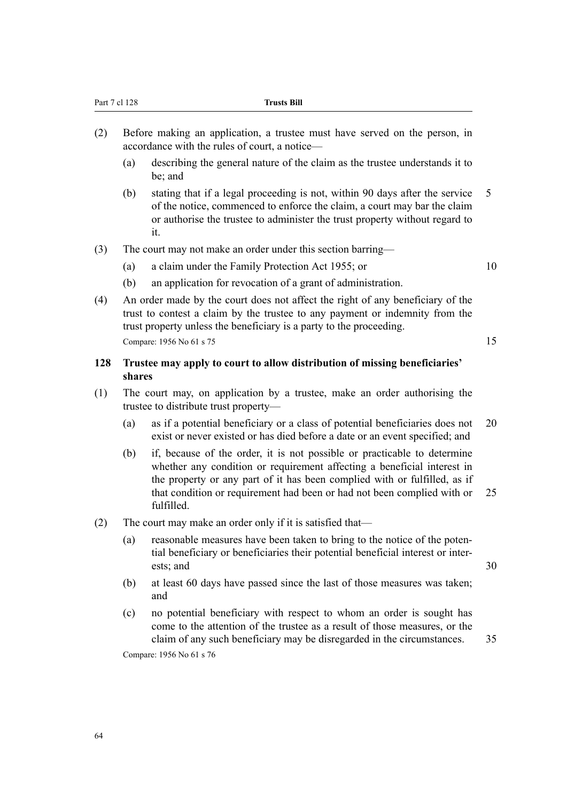- (2) Before making an application, a trustee must have served on the person, in accordance with the rules of court, a notice—
	- (a) describing the general nature of the claim as the trustee understands it to be; and
	- (b) stating that if a legal proceeding is not, within 90 days after the service 5 of the notice, commenced to enforce the claim, a court may bar the claim or authorise the trustee to administer the trust property without regard to it.
- (3) The court may not make an order under this section barring—
	- (a) a claim under the Family Protection Act 1955; or 10

- (b) an application for revocation of a grant of administration.
- (4) An order made by the court does not affect the right of any beneficiary of the trust to contest a claim by the trustee to any payment or indemnity from the trust property unless the beneficiary is a party to the proceeding. Compare: 1956 No 61 s 75 15

#### **128 Trustee may apply to court to allow distribution of missing beneficiaries' shares**

- (1) The court may, on application by a trustee, make an order authorising the trustee to distribute trust property—
	- (a) as if a potential beneficiary or a class of potential beneficiaries does not 20 exist or never existed or has died before a date or an event specified; and
	- (b) if, because of the order, it is not possible or practicable to determine whether any condition or requirement affecting a beneficial interest in the property or any part of it has been complied with or fulfilled, as if that condition or requirement had been or had not been complied with or 25 fulfilled.
- (2) The court may make an order only if it is satisfied that—
	- (a) reasonable measures have been taken to bring to the notice of the potential beneficiary or beneficiaries their potential beneficial interest or interests; and 30
	- (b) at least 60 days have passed since the last of those measures was taken; and
	- (c) no potential beneficiary with respect to whom an order is sought has come to the attention of the trustee as a result of those measures, or the claim of any such beneficiary may be disregarded in the circumstances. 35

Compare: 1956 No 61 s 76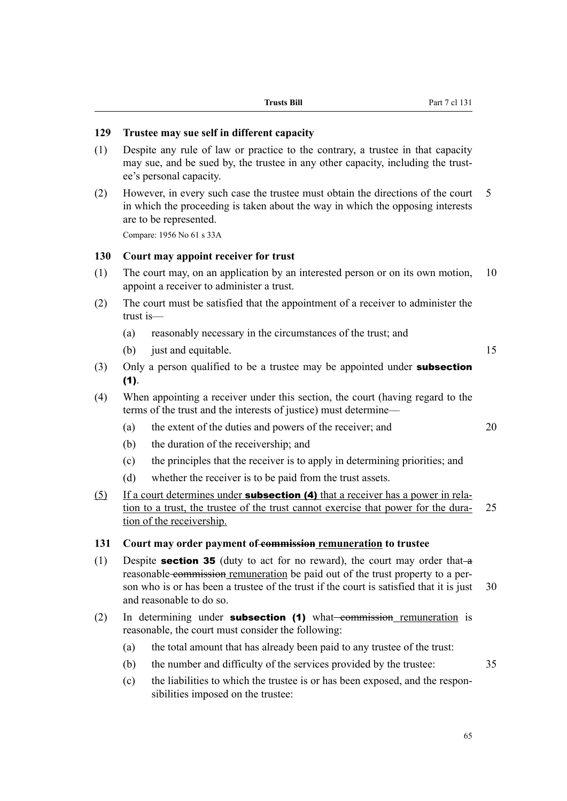#### **129 Trustee may sue self in different capacity**

- (1) Despite any rule of law or practice to the contrary, a trustee in that capacity may sue, and be sued by, the trustee in any other capacity, including the trustee's personal capacity.
- (2) However, in every such case the trustee must obtain the directions of the court 5 in which the proceeding is taken about the way in which the opposing interests are to be represented.

Compare: 1956 No 61 s 33A

#### **130 Court may appoint receiver for trust**

- (1) The court may, on an application by an interested person or on its own motion, 10 appoint a receiver to administer a trust.
- (2) The court must be satisfied that the appointment of a receiver to administer the trust is—
	- (a) reasonably necessary in the circumstances of the trust; and
	- (b) just and equitable. 15
- (3) Only a person qualified to be a trustee may be appointed under **subsection**  $(1).$
- (4) When appointing a receiver under this section, the court (having regard to the terms of the trust and the interests of justice) must determine—
	- (a) the extent of the duties and powers of the receiver; and 20
	- (b) the duration of the receivership; and
	- (c) the principles that the receiver is to apply in determining priorities; and
	- (d) whether the receiver is to be paid from the trust assets.
- (5) If a court determines under **subsection (4)** that a receiver has a power in relation to a trust, the trustee of the trust cannot exercise that power for the dura- 25 tion of the receivership.

#### **131 Court may order payment of commission remuneration to trustee**

- (1) Despite **section 35** (duty to act for no reward), the court may order that  $-\mathbf{a}$ reasonable commission remuneration be paid out of the trust property to a person who is or has been a trustee of the trust if the court is satisfied that it is just 30 and reasonable to do so.
- (2) In determining under **subsection (1)** what commission remuneration is reasonable, the court must consider the following:
	- (a) the total amount that has already been paid to any trustee of the trust:
	- (b) the number and difficulty of the services provided by the trustee: 35
	- (c) the liabilities to which the trustee is or has been exposed, and the responsibilities imposed on the trustee: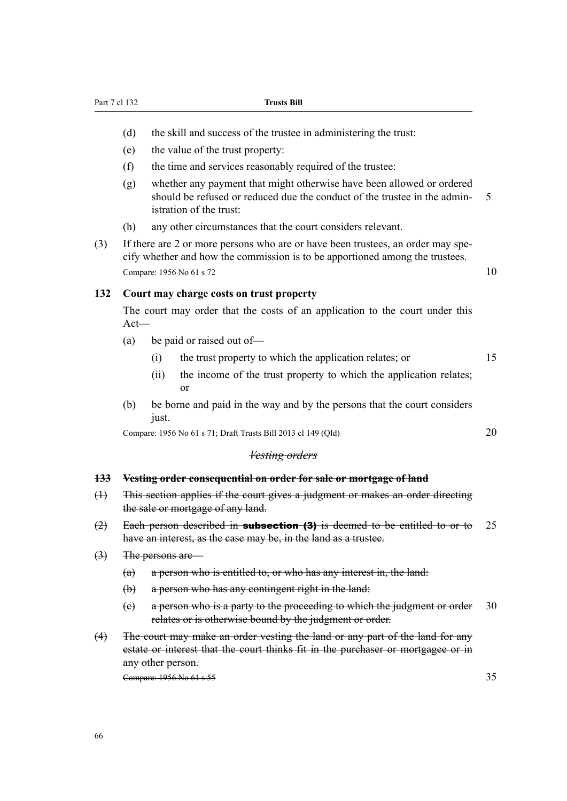- (d) the skill and success of the trustee in administering the trust:
- (e) the value of the trust property:
- (f) the time and services reasonably required of the trustee:
- (g) whether any payment that might otherwise have been allowed or ordered should be refused or reduced due the conduct of the trustee in the admin- 5 istration of the trust:
- (h) any other circumstances that the court considers relevant.
- (3) If there are 2 or more persons who are or have been trustees, an order may specify whether and how the commission is to be apportioned among the trustees. Compare: 1956 No 61 s 72 10

#### **132 Court may charge costs on trust property**

The court may order that the costs of an application to the court under this Act—

- (a) be paid or raised out of—
	- (i) the trust property to which the application relates; or 15
	- (ii) the income of the trust property to which the application relates; or
- (b) be borne and paid in the way and by the persons that the court considers just.

Compare: 1956 No 61 s 71; Draft Trusts Bill 2013 cl 149 (Qld) 20

#### *Vesting orders*

#### **133 Vesting order consequential on order for sale or mortgage of land**

- (1) This section applies if the court gives a judgment or makes an order directing the sale or mortgage of any land.
- $(2)$  Each person described in **subsection (3)** is deemed to be entitled to or to 25 have an interest, as the case may be, in the land as a trustee.
- (3) The persons are—
	- (a) a person who is entitled to, or who has any interest in, the land:
	- (b) a person who has any contingent right in the land:
	- (c) a person who is a party to the proceeding to which the judgment or order 30 relates or is otherwise bound by the judgment or order.
- (4) The court may make an order vesting the land or any part of the land for any estate or interest that the court thinks fit in the purchaser or mortgagee or in any other person.

Compare: 1956 No 61 s 55 35 35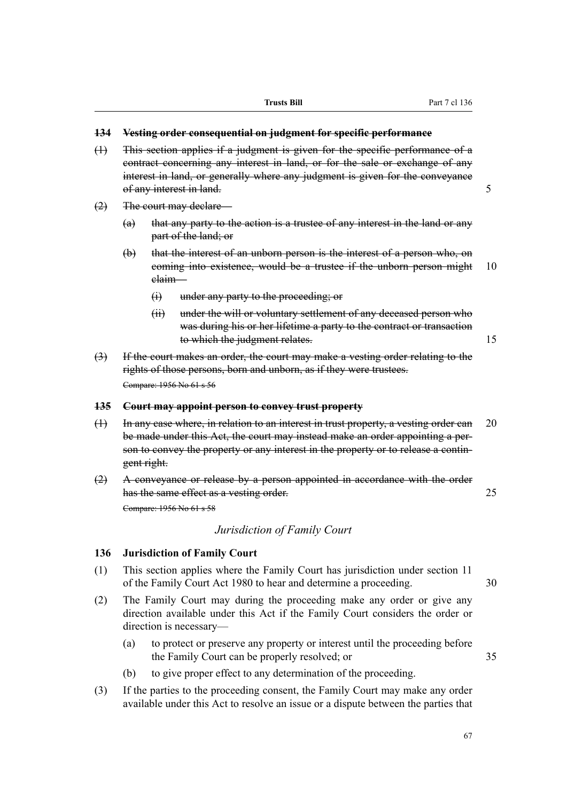#### **134 Vesting order consequential on judgment for specific performance**

- (1) This section applies if a judgment is given for the specific performance of a contract concerning any interest in land, or for the sale or exchange of any interest in land, or generally where any judgment is given for the conveyance of any interest in land. 5
- (2) The court may declare—
	- (a) that any party to the action is a trustee of any interest in the land or any part of the land; or
	- (b) that the interest of an unborn person is the interest of a person who, on coming into existence, would be a trustee if the unborn person might 10 claim—
		- (i) under any party to the proceeding; or
		- (ii) under the will or voluntary settlement of any deceased person who was during his or her lifetime a party to the contract or transaction to which the judgment relates. 15
- (3) If the court makes an order, the court may make a vesting order relating to the rights of those persons, born and unborn, as if they were trustees. Compare: 1956 No 61 s 56

#### **135 Court may appoint person to convey trust property**

- (1) In any case where, in relation to an interest in trust property, a vesting order can 20 be made under this Act, the court may instead make an order appointing a person to convey the property or any interest in the property or to release a contingent right.
- (2) A conveyance or release by a person appointed in accordance with the order has the same effect as a vesting order. 25 Compare: 1956 No 61 s 58

#### *Jurisdiction of Family Court*

#### **136 Jurisdiction of Family Court**

- (1) This section applies where the Family Court has jurisdiction under section 11 of the Family Court Act 1980 to hear and determine a proceeding. 30
- (2) The Family Court may during the proceeding make any order or give any direction available under this Act if the Family Court considers the order or direction is necessary—
	- (a) to protect or preserve any property or interest until the proceeding before the Family Court can be properly resolved; or 35
	- (b) to give proper effect to any determination of the proceeding.
- (3) If the parties to the proceeding consent, the Family Court may make any order available under this Act to resolve an issue or a dispute between the parties that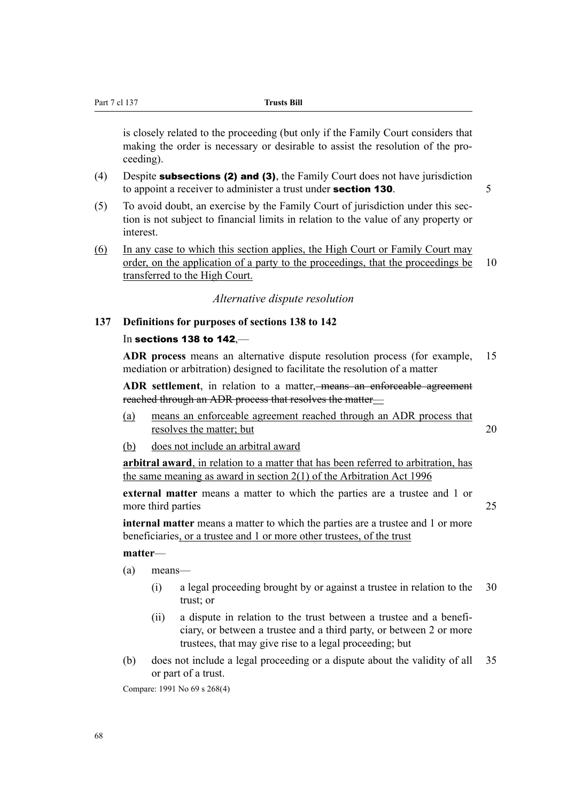is closely related to the proceeding (but only if the Family Court considers that making the order is necessary or desirable to assist the resolution of the proceeding).

- (4) Despite subsections (2) and (3), the Family Court does not have jurisdiction to appoint a receiver to administer a trust under **section 130**.  $\frac{5}{5}$
- (5) To avoid doubt, an exercise by the Family Court of jurisdiction under this section is not subject to financial limits in relation to the value of any property or interest.
- (6) In any case to which this section applies, the High Court or Family Court may order, on the application of a party to the proceedings, that the proceedings be 10 transferred to the High Court.

*Alternative dispute resolution*

#### **137 Definitions for purposes of sections 138 to 142**

#### In sections 138 to 142,—

**ADR process** means an alternative dispute resolution process (for example, 15 mediation or arbitration) designed to facilitate the resolution of a matter

**ADR settlement**, in relation to a matter, means an enforceable agreement reached through an ADR process that resolves the matter—

- (a) means an enforceable agreement reached through an ADR process that resolves the matter; but 20
- (b) does not include an arbitral award

**arbitral award**, in relation to a matter that has been referred to arbitration, has the same meaning as award in section 2(1) of the Arbitration Act 1996

**external matter** means a matter to which the parties are a trustee and 1 or more third parties 25

**internal matter** means a matter to which the parties are a trustee and 1 or more beneficiaries, or a trustee and 1 or more other trustees, of the trust

#### **matter**—

- (a) means—
	- (i) a legal proceeding brought by or against a trustee in relation to the 30 trust; or
	- (ii) a dispute in relation to the trust between a trustee and a beneficiary, or between a trustee and a third party, or between 2 or more trustees, that may give rise to a legal proceeding; but
- (b) does not include a legal proceeding or a dispute about the validity of all 35 or part of a trust.

Compare: 1991 No 69 s 268(4)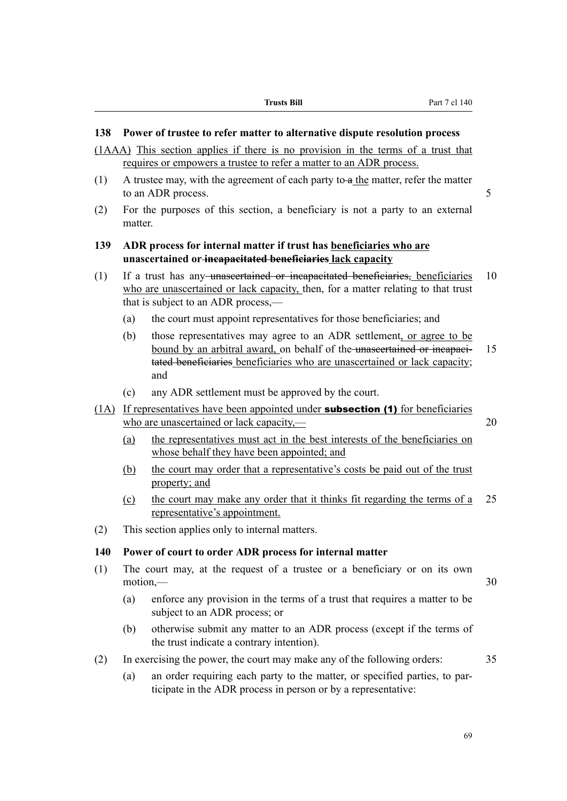#### **138 Power of trustee to refer matter to alternative dispute resolution process**

(1AAA) This section applies if there is no provision in the terms of a trust that requires or empowers a trustee to refer a matter to an ADR process.

- (1) A trustee may, with the agreement of each party to  $a$  the matter, refer the matter to an ADR process. 5
- (2) For the purposes of this section, a beneficiary is not a party to an external matter.

#### **139 ADR process for internal matter if trust has beneficiaries who are unascertained or incapacitated beneficiaries lack capacity**

- (1) If a trust has any unascertained or incapacitated beneficiaries, beneficiaries 10 who are unascertained or lack capacity, then, for a matter relating to that trust that is subject to an ADR process,—
	- (a) the court must appoint representatives for those beneficiaries; and
	- (b) those representatives may agree to an ADR settlement, or agree to be bound by an arbitral award, on behalf of the unascertained or incapaci- 15 tated beneficiaries beneficiaries who are unascertained or lack capacity; and
	- (c) any ADR settlement must be approved by the court.
- (1A) If representatives have been appointed under subsection (1) for beneficiaries who are unascertained or lack capacity,— 20
	- (a) the representatives must act in the best interests of the beneficiaries on whose behalf they have been appointed; and
	- (b) the court may order that a representative's costs be paid out of the trust property; and
	- (c) the court may make any order that it thinks fit regarding the terms of a 25 representative's appointment.
- (2) This section applies only to internal matters.

#### **140 Power of court to order ADR process for internal matter**

- (1) The court may, at the request of a trustee or a beneficiary or on its own  $motion$ ,  $-30$ 
	- (a) enforce any provision in the terms of a trust that requires a matter to be subject to an ADR process; or
	- (b) otherwise submit any matter to an ADR process (except if the terms of the trust indicate a contrary intention).
- (2) In exercising the power, the court may make any of the following orders: 35
	- (a) an order requiring each party to the matter, or specified parties, to participate in the ADR process in person or by a representative: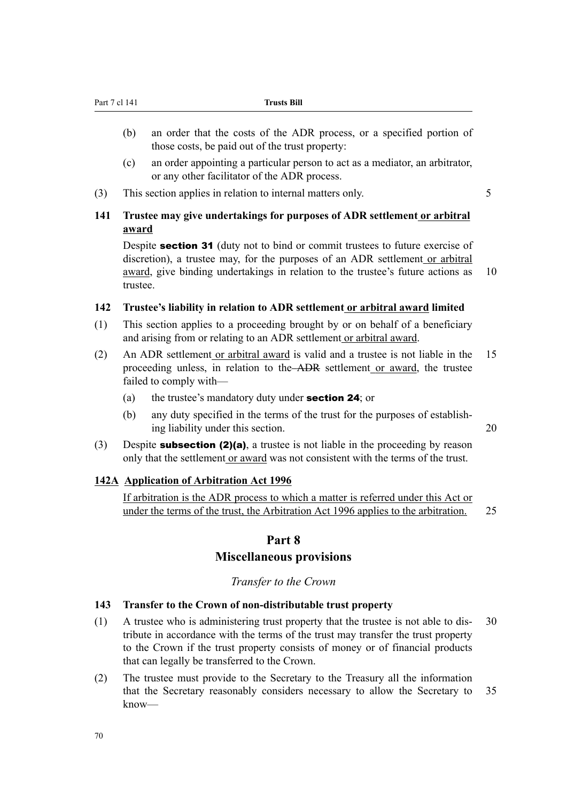- (b) an order that the costs of the ADR process, or a specified portion of those costs, be paid out of the trust property:
- (c) an order appointing a particular person to act as a mediator, an arbitrator, or any other facilitator of the ADR process.
- (3) This section applies in relation to internal matters only.

#### **141 Trustee may give undertakings for purposes of ADR settlement or arbitral award**

Despite **section 31** (duty not to bind or commit trustees to future exercise of discretion), a trustee may, for the purposes of an ADR settlement or arbitral award, give binding undertakings in relation to the trustee's future actions as 10 trustee.

#### **142 Trustee's liability in relation to ADR settlement or arbitral award limited**

- (1) This section applies to a proceeding brought by or on behalf of a beneficiary and arising from or relating to an ADR settlement or arbitral award.
- (2) An ADR settlement or arbitral award is valid and a trustee is not liable in the 15 proceeding unless, in relation to the ADR settlement or award, the trustee failed to comply with—
	- (a) the trustee's mandatory duty under section 24; or
	- (b) any duty specified in the terms of the trust for the purposes of establishing liability under this section. 20
- (3) Despite **subsection (2)(a)**, a trustee is not liable in the proceeding by reason only that the settlement or award was not consistent with the terms of the trust.

#### **142A Application of Arbitration Act 1996**

If arbitration is the ADR process to which a matter is referred under this Act or under the terms of the trust, the Arbitration Act 1996 applies to the arbitration. 25

#### **Part 8**

#### **Miscellaneous provisions**

#### *Transfer to the Crown*

#### **143 Transfer to the Crown of non-distributable trust property**

- (1) A trustee who is administering trust property that the trustee is not able to dis- 30 tribute in accordance with the terms of the trust may transfer the trust property to the Crown if the trust property consists of money or of financial products that can legally be transferred to the Crown.
- (2) The trustee must provide to the Secretary to the Treasury all the information that the Secretary reasonably considers necessary to allow the Secretary to 35 know—

70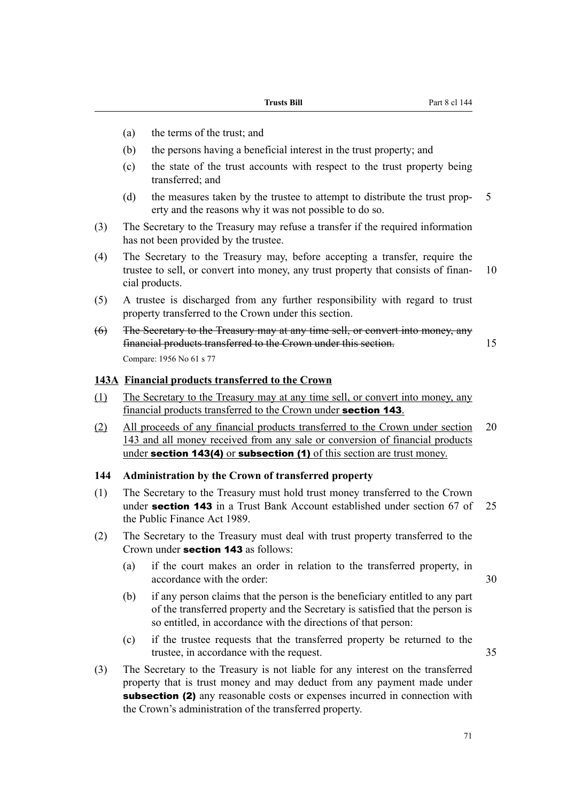- (a) the terms of the trust; and
- (b) the persons having a beneficial interest in the trust property; and
- (c) the state of the trust accounts with respect to the trust property being transferred; and
- (d) the measures taken by the trustee to attempt to distribute the trust prop- 5 erty and the reasons why it was not possible to do so.
- (3) The Secretary to the Treasury may refuse a transfer if the required information has not been provided by the trustee.
- (4) The Secretary to the Treasury may, before accepting a transfer, require the trustee to sell, or convert into money, any trust property that consists of finan- 10 cial products.
- (5) A trustee is discharged from any further responsibility with regard to trust property transferred to the Crown under this section.
- (6) The Secretary to the Treasury may at any time sell, or convert into money, any financial products transferred to the Crown under this section. 15 Compare: 1956 No 61 s 77

#### **143A Financial products transferred to the Crown**

- (1) The Secretary to the Treasury may at any time sell, or convert into money, any financial products transferred to the Crown under section 143.
- (2) All proceeds of any financial products transferred to the Crown under section 20 143 and all money received from any sale or conversion of financial products under **section 143(4)** or **subsection (1)** of this section are trust money.

#### **144 Administration by the Crown of transferred property**

- (1) The Secretary to the Treasury must hold trust money transferred to the Crown under **section 143** in a Trust Bank Account established under section  $67$  of 25 the Public Finance Act 1989.
- (2) The Secretary to the Treasury must deal with trust property transferred to the Crown under section 143 as follows:
	- (a) if the court makes an order in relation to the transferred property, in accordance with the order: 30

- (b) if any person claims that the person is the beneficiary entitled to any part of the transferred property and the Secretary is satisfied that the person is so entitled, in accordance with the directions of that person:
- (c) if the trustee requests that the transferred property be returned to the trustee, in accordance with the request. 35
- (3) The Secretary to the Treasury is not liable for any interest on the transferred property that is trust money and may deduct from any payment made under subsection (2) any reasonable costs or expenses incurred in connection with the Crown's administration of the transferred property.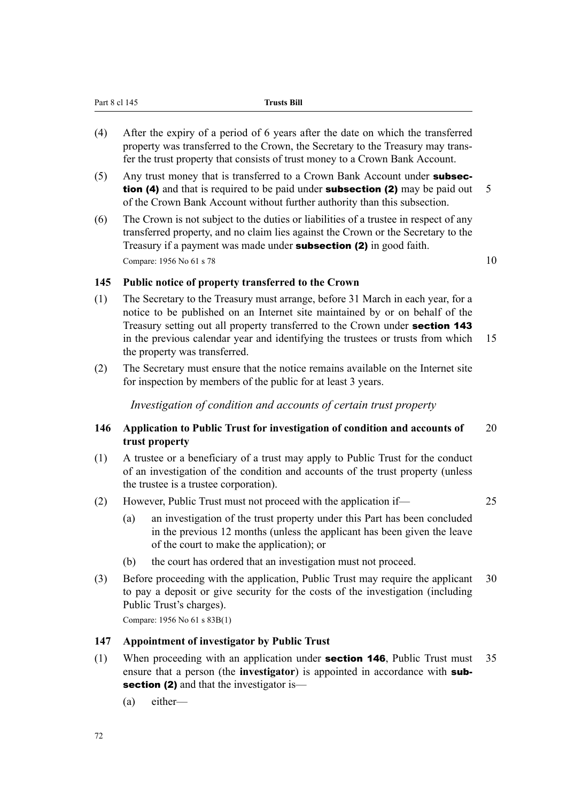| (4) | After the expiry of a period of 6 years after the date on which the transferred<br>property was transferred to the Crown, the Secretary to the Treasury may trans-<br>fer the trust property that consists of trust money to a Crown Bank Account. |     |
|-----|----------------------------------------------------------------------------------------------------------------------------------------------------------------------------------------------------------------------------------------------------|-----|
| (5) | Any trust money that is transferred to a Crown Bank Account under subsec-<br><b>tion (4)</b> and that is required to be paid under <b>subsection (2)</b> may be paid out                                                                           | - 5 |
| (6) | of the Crown Bank Account without further authority than this subsection.<br>The Crown is not subject to the duties or lightlifies of a trustee in respect of any                                                                                  |     |

(6) The Crown is not subject to the duties or liabilities of a trustee in respect of any transferred property, and no claim lies against the Crown or the Secretary to the Treasury if a payment was made under subsection (2) in good faith. Compare: 1956 No 61 s 78  $10$ 

#### **145 Public notice of property transferred to the Crown**

Part 8 cl 145 **Trusts Bill**

- (1) The Secretary to the Treasury must arrange, before 31 March in each year, for a notice to be published on an Internet site maintained by or on behalf of the Treasury setting out all property transferred to the Crown under section 143 in the previous calendar year and identifying the trustees or trusts from which 15 the property was transferred.
- (2) The Secretary must ensure that the notice remains available on the Internet site for inspection by members of the public for at least 3 years.

*Investigation of condition and accounts of certain trust property*

#### **146 Application to Public Trust for investigation of condition and accounts of** 20 **trust property**

- (1) A trustee or a beneficiary of a trust may apply to Public Trust for the conduct of an investigation of the condition and accounts of the trust property (unless the trustee is a trustee corporation).
- (2) However, Public Trust must not proceed with the application if— 25
	- (a) an investigation of the trust property under this Part has been concluded in the previous 12 months (unless the applicant has been given the leave of the court to make the application); or
	- (b) the court has ordered that an investigation must not proceed.
- (3) Before proceeding with the application, Public Trust may require the applicant 30 to pay a deposit or give security for the costs of the investigation (including Public Trust's charges).

Compare: 1956 No 61 s 83B(1)

#### **147 Appointment of investigator by Public Trust**

- (1) When proceeding with an application under section 146, Public Trust must 35 ensure that a person (the **investigator**) is appointed in accordance with subsection (2) and that the investigator is—
	- (a) either—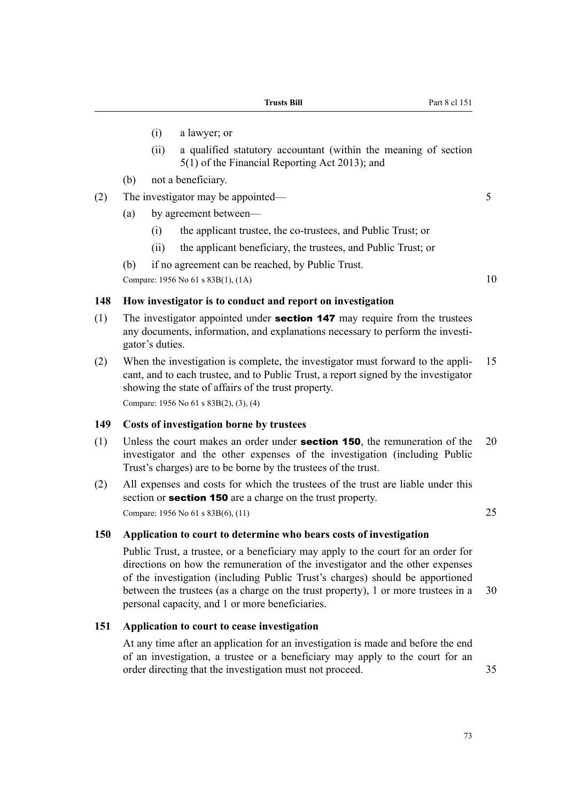- (i) a lawyer; or
- (ii) a qualified statutory accountant (within the meaning of section 5(1) of the Financial Reporting Act 2013); and
- (b) not a beneficiary.
- (2) The investigator may be appointed— 5
	- (a) by agreement between—
		- (i) the applicant trustee, the co-trustees, and Public Trust; or
		- (ii) the applicant beneficiary, the trustees, and Public Trust; or
	- (b) if no agreement can be reached, by Public Trust.

Compare:  $1956 \text{ No } 61 \text{ s } 83B(1)$ ,  $(1A)$  10

#### **148 How investigator is to conduct and report on investigation**

- (1) The investigator appointed under **section 147** may require from the trustees any documents, information, and explanations necessary to perform the investigator's duties.
- (2) When the investigation is complete, the investigator must forward to the appli- 15 cant, and to each trustee, and to Public Trust, a report signed by the investigator showing the state of affairs of the trust property. Compare: 1956 No 61 s 83B(2), (3), (4)

**149 Costs of investigation borne by trustees**

- (1) Unless the court makes an order under **section 150**, the remuneration of the  $20$ investigator and the other expenses of the investigation (including Public Trust's charges) are to be borne by the trustees of the trust.
- (2) All expenses and costs for which the trustees of the trust are liable under this section or **section 150** are a charge on the trust property. Compare: 1956 No 61 s 83B(6), (11) 25

#### **150 Application to court to determine who bears costs of investigation**

Public Trust, a trustee, or a beneficiary may apply to the court for an order for directions on how the remuneration of the investigator and the other expenses of the investigation (including Public Trust's charges) should be apportioned between the trustees (as a charge on the trust property), 1 or more trustees in a 30 personal capacity, and 1 or more beneficiaries.

#### **151 Application to court to cease investigation**

At any time after an application for an investigation is made and before the end of an investigation, a trustee or a beneficiary may apply to the court for an order directing that the investigation must not proceed. 35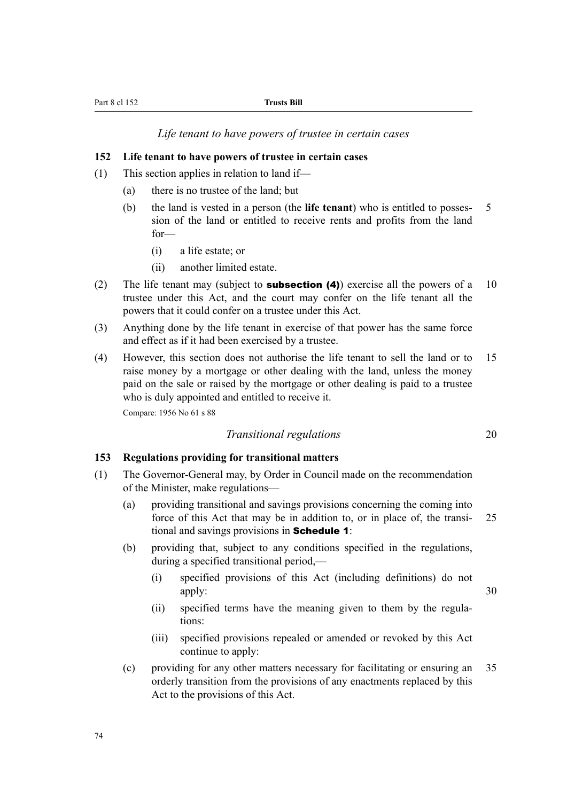*Life tenant to have powers of trustee in certain cases*

#### **152 Life tenant to have powers of trustee in certain cases**

- (1) This section applies in relation to land if—
	- (a) there is no trustee of the land; but
	- (b) the land is vested in a person (the **life tenant**) who is entitled to posses- 5 sion of the land or entitled to receive rents and profits from the land for—
		- (i) a life estate; or
		- (ii) another limited estate.
- (2) The life tenant may (subject to **subsection (4)**) exercise all the powers of a 10 trustee under this Act, and the court may confer on the life tenant all the powers that it could confer on a trustee under this Act.
- (3) Anything done by the life tenant in exercise of that power has the same force and effect as if it had been exercised by a trustee.
- (4) However, this section does not authorise the life tenant to sell the land or to 15 raise money by a mortgage or other dealing with the land, unless the money paid on the sale or raised by the mortgage or other dealing is paid to a trustee who is duly appointed and entitled to receive it.

Compare: 1956 No 61 s 88

#### *Transitional regulations* 20

#### **153 Regulations providing for transitional matters**

- (1) The Governor-General may, by Order in Council made on the recommendation of the Minister, make regulations—
	- (a) providing transitional and savings provisions concerning the coming into force of this Act that may be in addition to, or in place of, the transi- 25 tional and savings provisions in Schedule 1:
	- (b) providing that, subject to any conditions specified in the regulations, during a specified transitional period,—
		- (i) specified provisions of this Act (including definitions) do not apply: 30
		- (ii) specified terms have the meaning given to them by the regulations:
		- (iii) specified provisions repealed or amended or revoked by this Act continue to apply:
	- (c) providing for any other matters necessary for facilitating or ensuring an 35 orderly transition from the provisions of any enactments replaced by this Act to the provisions of this Act.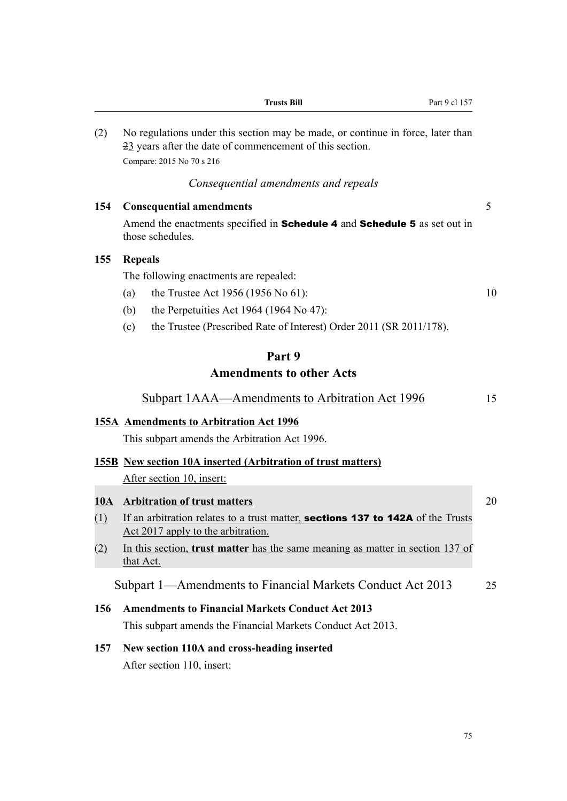|             | <b>Trusts Bill</b>                                                                                                                          | Part 9 cl 157 |    |
|-------------|---------------------------------------------------------------------------------------------------------------------------------------------|---------------|----|
| (2)         | No regulations under this section may be made, or continue in force, later than<br>23 years after the date of commencement of this section. |               |    |
|             | Compare: 2015 No 70 s 216                                                                                                                   |               |    |
|             | Consequential amendments and repeals                                                                                                        |               |    |
| 154         | <b>Consequential amendments</b>                                                                                                             |               | 5  |
|             | Amend the enactments specified in Schedule 4 and Schedule 5 as set out in<br>those schedules.                                               |               |    |
| 155         | <b>Repeals</b>                                                                                                                              |               |    |
|             | The following enactments are repealed:                                                                                                      |               |    |
|             | the Trustee Act 1956 (1956 No 61):<br>(a)                                                                                                   |               | 10 |
|             | the Perpetuities Act 1964 (1964 No 47):<br>(b)                                                                                              |               |    |
|             | the Trustee (Prescribed Rate of Interest) Order 2011 (SR 2011/178).<br>(c)                                                                  |               |    |
|             | Part 9                                                                                                                                      |               |    |
|             | <b>Amendments to other Acts</b>                                                                                                             |               |    |
|             | <b>Subpart 1AAA—Amendments to Arbitration Act 1996</b>                                                                                      |               | 15 |
|             | 155A Amendments to Arbitration Act 1996                                                                                                     |               |    |
|             | This subpart amends the Arbitration Act 1996.                                                                                               |               |    |
|             | <b>155B</b> New section 10A inserted (Arbitration of trust matters)                                                                         |               |    |
|             | After section 10, insert:                                                                                                                   |               |    |
| <u> 10A</u> | <b>Arbitration of trust matters</b>                                                                                                         |               | 20 |
| (1)         | If an arbitration relates to a trust matter, sections 137 to 142A of the Trusts<br>Act 2017 apply to the arbitration.                       |               |    |
| (2)         | In this section, <b>trust matter</b> has the same meaning as matter in section 137 of<br>that Act.                                          |               |    |
|             | Subpart 1—Amendments to Financial Markets Conduct Act 2013                                                                                  |               | 25 |
| 156         | <b>Amendments to Financial Markets Conduct Act 2013</b>                                                                                     |               |    |
|             | This subpart amends the Financial Markets Conduct Act 2013.                                                                                 |               |    |
| 157         | New section 110A and cross-heading inserted                                                                                                 |               |    |
|             | After section 110, insert:                                                                                                                  |               |    |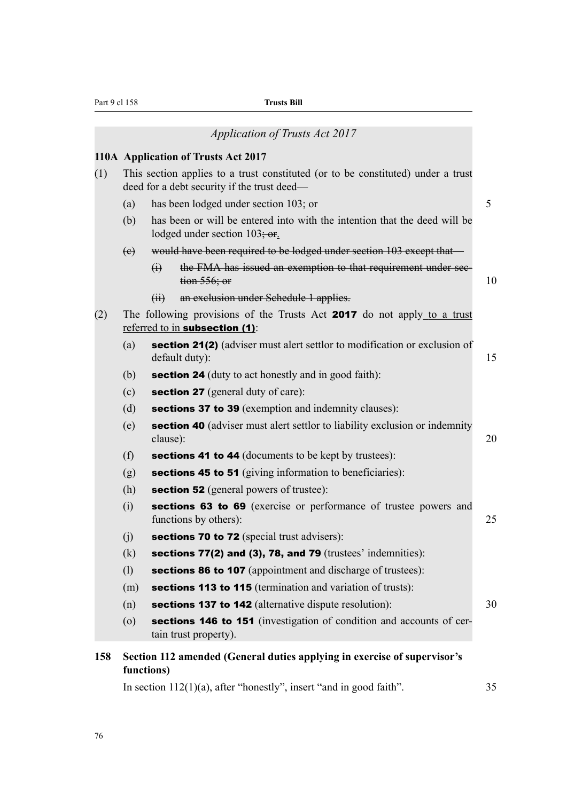| Part 9 cl 158                                                          |                                                                                                                                 | <b>Trusts Bill</b>                                                                                               |    |  |  |  |
|------------------------------------------------------------------------|---------------------------------------------------------------------------------------------------------------------------------|------------------------------------------------------------------------------------------------------------------|----|--|--|--|
|                                                                        |                                                                                                                                 | <b>Application of Trusts Act 2017</b>                                                                            |    |  |  |  |
|                                                                        |                                                                                                                                 | 110A Application of Trusts Act 2017                                                                              |    |  |  |  |
| (1)                                                                    | This section applies to a trust constituted (or to be constituted) under a trust<br>deed for a debt security if the trust deed— |                                                                                                                  |    |  |  |  |
|                                                                        | (a)                                                                                                                             | has been lodged under section 103; or                                                                            | 5  |  |  |  |
|                                                                        | (b)                                                                                                                             | has been or will be entered into with the intention that the deed will be<br>lodged under section $103\div$ or.  |    |  |  |  |
|                                                                        | (e)                                                                                                                             | would have been required to be lodged under section 103 except that—                                             |    |  |  |  |
|                                                                        |                                                                                                                                 | $\bigoplus$<br>the FMA has issued an exemption to that requirement under sec-<br>tion 556; or                    | 10 |  |  |  |
|                                                                        |                                                                                                                                 | an exclusion under Schedule 1 applies.<br>(H)                                                                    |    |  |  |  |
| (2)                                                                    |                                                                                                                                 | The following provisions of the Trusts Act 2017 do not apply to a trust<br>referred to in <b>subsection</b> (1): |    |  |  |  |
|                                                                        | (a)                                                                                                                             | section 21(2) (adviser must alert settlor to modification or exclusion of<br>default duty):                      | 15 |  |  |  |
|                                                                        | (b)                                                                                                                             | <b>section 24</b> (duty to act honestly and in good faith):                                                      |    |  |  |  |
|                                                                        | (c)                                                                                                                             | <b>section 27</b> (general duty of care):                                                                        |    |  |  |  |
|                                                                        | (d)                                                                                                                             | sections 37 to 39 (exemption and indemnity clauses):                                                             |    |  |  |  |
|                                                                        | (e)                                                                                                                             | <b>section 40</b> (adviser must alert settlor to liability exclusion or indemnity<br>clause):                    | 20 |  |  |  |
|                                                                        | (f)                                                                                                                             | <b>sections 41 to 44</b> (documents to be kept by trustees):                                                     |    |  |  |  |
|                                                                        | (g)                                                                                                                             | sections 45 to 51 (giving information to beneficiaries):                                                         |    |  |  |  |
|                                                                        | (h)                                                                                                                             | <b>section 52</b> (general powers of trustee):                                                                   |    |  |  |  |
|                                                                        | (i)                                                                                                                             | sections 63 to 69 (exercise or performance of trustee powers and<br>functions by others):                        | 25 |  |  |  |
|                                                                        | (j)                                                                                                                             | <b>sections 70 to 72</b> (special trust advisers):                                                               |    |  |  |  |
|                                                                        | (k)                                                                                                                             | sections 77(2) and (3), 78, and 79 (trustees' indemnities):                                                      |    |  |  |  |
|                                                                        | (1)                                                                                                                             | <b>sections 86 to 107</b> (appointment and discharge of trustees):                                               |    |  |  |  |
|                                                                        | (m)                                                                                                                             | sections 113 to 115 (termination and variation of trusts):                                                       |    |  |  |  |
|                                                                        | (n)                                                                                                                             | sections 137 to 142 (alternative dispute resolution):                                                            | 30 |  |  |  |
|                                                                        | $\left( 0\right)$                                                                                                               | sections 146 to 151 (investigation of condition and accounts of cer-<br>tain trust property).                    |    |  |  |  |
| 158                                                                    |                                                                                                                                 | Section 112 amended (General duties applying in exercise of supervisor's<br>functions)                           |    |  |  |  |
| In section $112(1)(a)$ , after "honestly", insert "and in good faith". |                                                                                                                                 |                                                                                                                  |    |  |  |  |

76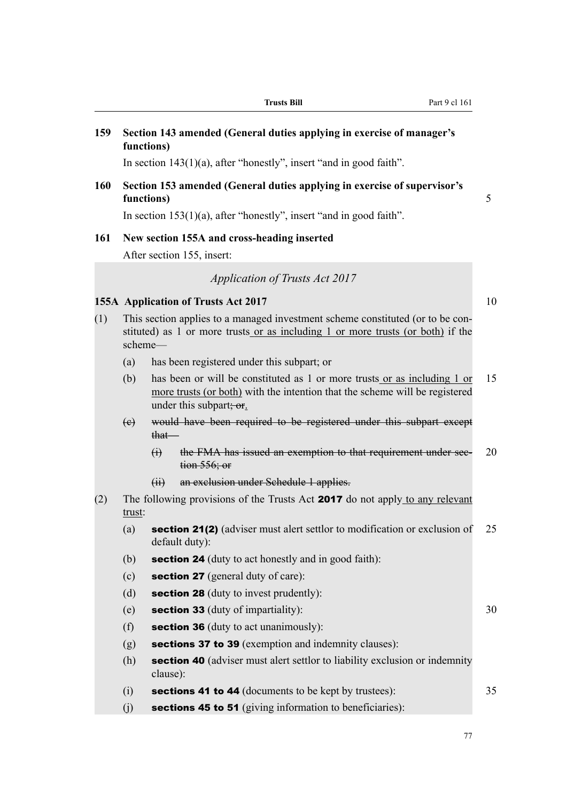**159 Section 143 amended (General duties applying in exercise of manager's functions)**

In section 143(1)(a), after "honestly", insert "and in good faith".

#### **160 Section 153 amended (General duties applying in exercise of supervisor's functions)** 5

In section 153(1)(a), after "honestly", insert "and in good faith".

#### **161 New section 155A and cross-heading inserted**

After section 155, insert:

*Application of Trusts Act 2017*

#### **155A Application of Trusts Act 2017** 10

- (1) This section applies to a managed investment scheme constituted (or to be constituted) as 1 or more trusts or as including 1 or more trusts (or both) if the scheme—
	- (a) has been registered under this subpart; or
	- (b) has been or will be constituted as 1 or more trusts or as including 1 or 15 more trusts (or both) with the intention that the scheme will be registered under this subpart; or.
	- (c) would have been required to be registered under this subpart except that—
		- (i) the FMA has issued an exemption to that requirement under sec- 20 tion 556; or
		- (ii) an exclusion under Schedule 1 applies.
- (2) The following provisions of the Trusts Act 2017 do not apply to any relevant trust:
	- (a) section 21(2) (adviser must alert settlor to modification or exclusion of  $25$ default duty):
	- (b) **section 24** (duty to act honestly and in good faith):
	- (c) section 27 (general duty of care):
	- (d) section 28 (duty to invest prudently):
	- (e) section 33 (duty of impartiality):  $30$
	- (f) section 36 (duty to act unanimously):
	- (g) sections 37 to 39 (exemption and indemnity clauses):
	- (h) section 40 (adviser must alert settlor to liability exclusion or indemnity clause):
	- (i) sections 41 to 44 (documents to be kept by trustees):  $35$
	- $(i)$  sections 45 to 51 (giving information to beneficiaries):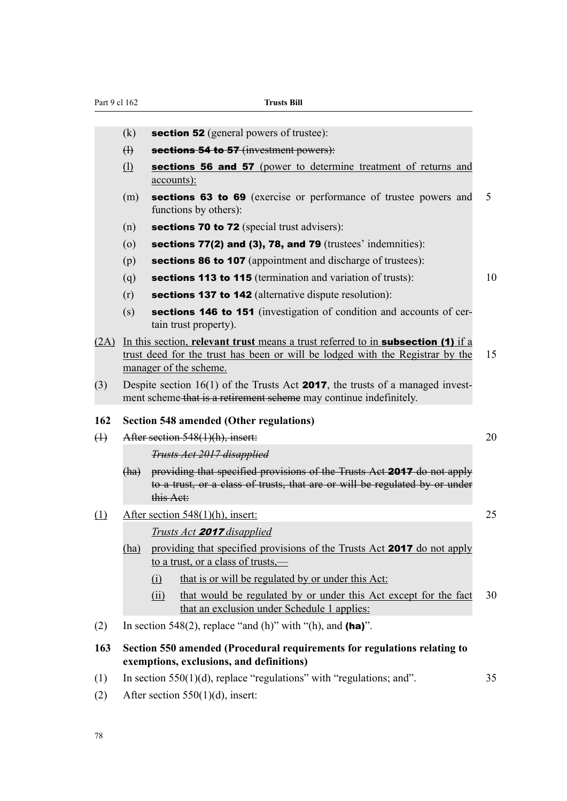| Part 9 cl 162 |                                  |                                                                                                                                                                                                         | <b>Trusts Bill</b>                                                                                                                                     |    |
|---------------|----------------------------------|---------------------------------------------------------------------------------------------------------------------------------------------------------------------------------------------------------|--------------------------------------------------------------------------------------------------------------------------------------------------------|----|
|               |                                  |                                                                                                                                                                                                         |                                                                                                                                                        |    |
|               | (k)                              |                                                                                                                                                                                                         | <b>section 52</b> (general powers of trustee):                                                                                                         |    |
|               | $\bigoplus$                      |                                                                                                                                                                                                         | sections 54 to 57 (investment powers):                                                                                                                 |    |
|               | $\Omega$                         | <u>accounts):</u>                                                                                                                                                                                       | sections 56 and 57 (power to determine treatment of returns and                                                                                        |    |
|               | (m)                              |                                                                                                                                                                                                         | sections 63 to 69 (exercise or performance of trustee powers and<br>functions by others):                                                              | 5  |
|               | (n)                              |                                                                                                                                                                                                         | <b>sections 70 to 72</b> (special trust advisers):                                                                                                     |    |
|               | $\left( 0\right)$                |                                                                                                                                                                                                         | sections $77(2)$ and $(3)$ , 78, and 79 (trustees' indemnities):                                                                                       |    |
|               | (p)                              |                                                                                                                                                                                                         | <b>sections 86 to 107</b> (appointment and discharge of trustees):                                                                                     |    |
|               | (q)                              |                                                                                                                                                                                                         | sections 113 to 115 (termination and variation of trusts):                                                                                             | 10 |
|               | (r)                              |                                                                                                                                                                                                         | <b>sections 137 to 142</b> (alternative dispute resolution):                                                                                           |    |
|               | (s)                              |                                                                                                                                                                                                         | sections 146 to 151 (investigation of condition and accounts of cer-<br>tain trust property).                                                          |    |
|               |                                  | (2A) In this section, relevant trust means a trust referred to in <b>subsection (1)</b> if a<br>trust deed for the trust has been or will be lodged with the Registrar by the<br>manager of the scheme. |                                                                                                                                                        | 15 |
| (3)           |                                  | Despite section $16(1)$ of the Trusts Act <b>2017</b> , the trusts of a managed invest-<br>ment scheme that is a retirement scheme may continue indefinitely.                                           |                                                                                                                                                        |    |
| 162           |                                  |                                                                                                                                                                                                         | <b>Section 548 amended (Other regulations)</b>                                                                                                         |    |
| $\bigoplus$   | After section 548(1)(h), insert: |                                                                                                                                                                                                         |                                                                                                                                                        |    |
|               |                                  |                                                                                                                                                                                                         | <b>Trusts Act 2017 disapplied</b>                                                                                                                      |    |
|               | (ha)                             | this Act:                                                                                                                                                                                               | providing that specified provisions of the Trusts Act 2017 do not apply<br>to a trust, or a class of trusts, that are or will be regulated by or under |    |
| (1)           |                                  |                                                                                                                                                                                                         | After section 548(1)(h), insert:                                                                                                                       | 25 |
|               |                                  |                                                                                                                                                                                                         | Trusts Act <b>2017</b> disapplied                                                                                                                      |    |
|               | (ha)                             |                                                                                                                                                                                                         | providing that specified provisions of the Trusts Act 2017 do not apply<br>to a trust, or a class of trusts,—                                          |    |
|               |                                  | (i)                                                                                                                                                                                                     | that is or will be regulated by or under this Act:                                                                                                     |    |
|               |                                  | (ii)                                                                                                                                                                                                    | that would be regulated by or under this Act except for the fact<br>that an exclusion under Schedule 1 applies:                                        | 30 |
| (2)           |                                  |                                                                                                                                                                                                         | In section 548(2), replace "and (h)" with "(h), and (ha)".                                                                                             |    |
| 163           |                                  |                                                                                                                                                                                                         | Section 550 amended (Procedural requirements for regulations relating to<br>exemptions, exclusions, and definitions)                                   |    |
| (1)           |                                  |                                                                                                                                                                                                         | In section $550(1)(d)$ , replace "regulations" with "regulations; and".                                                                                | 35 |

(2) After section 550(1)(d), insert: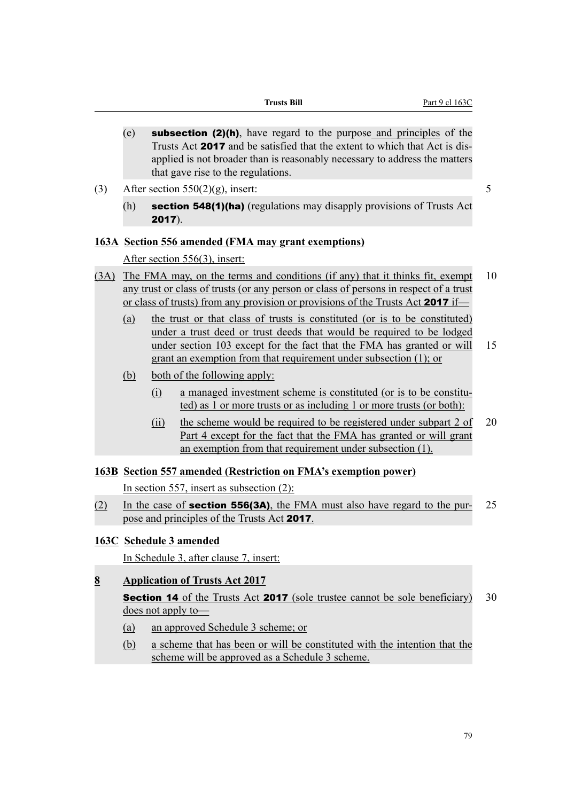- $(e)$  subsection (2)(h), have regard to the purpose and principles of the Trusts Act 2017 and be satisfied that the extent to which that Act is disapplied is not broader than is reasonably necessary to address the matters that gave rise to the regulations.
- (3) After section 550(2)(g), insert:  $\frac{50}{2}$ 
	- (h) section 548(1)(ha) (regulations may disapply provisions of Trusts Act 2017).

#### **163A Section 556 amended (FMA may grant exemptions)**

After section 556(3), insert:

- (3A) The FMA may, on the terms and conditions (if any) that it thinks fit, exempt 10 any trust or class of trusts (or any person or class of persons in respect of a trust or class of trusts) from any provision or provisions of the Trusts Act 2017 if—
	- (a) the trust or that class of trusts is constituted (or is to be constituted) under a trust deed or trust deeds that would be required to be lodged under section 103 except for the fact that the FMA has granted or will 15 grant an exemption from that requirement under subsection (1); or
	- (b) both of the following apply:
		- (i) a managed investment scheme is constituted (or is to be constituted) as 1 or more trusts or as including 1 or more trusts (or both):
		- (ii) the scheme would be required to be registered under subpart 2 of 20 Part 4 except for the fact that the FMA has granted or will grant an exemption from that requirement under subsection (1).
- **163B Section 557 amended (Restriction on FMA's exemption power)**

In section 557, insert as subsection (2):

- (2) In the case of **section 556(3A)**, the FMA must also have regard to the pur- 25 pose and principles of the Trusts Act 2017.
- **163C Schedule 3 amended**

In Schedule 3, after clause 7, insert:

- **8 Application of Trusts Act 2017 Section 14** of the Trusts Act **2017** (sole trustee cannot be sole beneficiary) 30 does not apply to—
	- (a) an approved Schedule 3 scheme; or
	- (b) a scheme that has been or will be constituted with the intention that the scheme will be approved as a Schedule 3 scheme.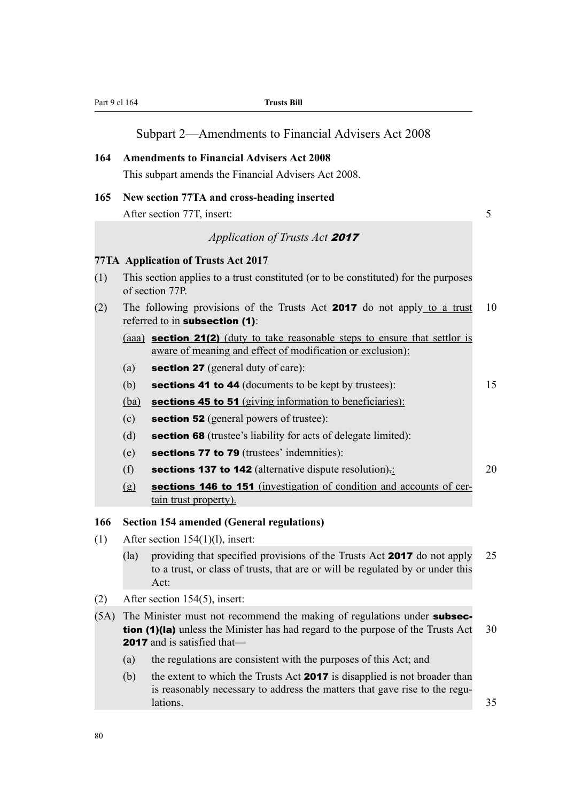| Part 9 cl 164 |                 | <b>Trusts Bill</b>                                                                                                                                                                                              |    |
|---------------|-----------------|-----------------------------------------------------------------------------------------------------------------------------------------------------------------------------------------------------------------|----|
|               |                 | Subpart 2—Amendments to Financial Advisers Act 2008                                                                                                                                                             |    |
| 164           |                 | <b>Amendments to Financial Advisers Act 2008</b>                                                                                                                                                                |    |
|               |                 | This subpart amends the Financial Advisers Act 2008.                                                                                                                                                            |    |
| 165           |                 | New section 77TA and cross-heading inserted                                                                                                                                                                     |    |
|               |                 | After section 77T, insert:                                                                                                                                                                                      | 5  |
|               |                 | Application of Trusts Act 2017                                                                                                                                                                                  |    |
|               |                 | <b>77TA</b> Application of Trusts Act 2017                                                                                                                                                                      |    |
| (1)           | of section 77P. | This section applies to a trust constituted (or to be constituted) for the purposes                                                                                                                             |    |
| (2)           |                 | The following provisions of the Trusts Act 2017 do not apply to a trust<br>referred to in subsection (1):                                                                                                       | 10 |
|               |                 | (aaa) section 21(2) (duty to take reasonable steps to ensure that settlor is<br>aware of meaning and effect of modification or exclusion):                                                                      |    |
|               | (a)             | <b>section 27</b> (general duty of care):                                                                                                                                                                       |    |
|               | (b)             | <b>sections 41 to 44</b> (documents to be kept by trustees):                                                                                                                                                    | 15 |
|               | (ba)            | sections 45 to 51 (giving information to beneficiaries):                                                                                                                                                        |    |
|               | (c)             | <b>section 52</b> (general powers of trustee):                                                                                                                                                                  |    |
|               | (d)             | <b>section 68</b> (trustee's liability for acts of delegate limited):                                                                                                                                           |    |
|               | (e)             | sections 77 to 79 (trustees' indemnities):                                                                                                                                                                      |    |
|               | (f)             | sections 137 to 142 (alternative dispute resolution).                                                                                                                                                           | 20 |
|               | (g)             | sections 146 to 151 (investigation of condition and accounts of cer-<br>tain trust property).                                                                                                                   |    |
| 166           |                 | <b>Section 154 amended (General regulations)</b>                                                                                                                                                                |    |
| (1)           |                 | After section $154(1)(l)$ , insert:                                                                                                                                                                             |    |
|               | (la)<br>Act:    | providing that specified provisions of the Trusts Act 2017 do not apply<br>to a trust, or class of trusts, that are or will be regulated by or under this                                                       | 25 |
| (2)           |                 | After section 154(5), insert:                                                                                                                                                                                   |    |
| (5A)          |                 | The Minister must not recommend the making of regulations under <b>subsec-</b><br><b>tion (1)(la)</b> unless the Minister has had regard to the purpose of the Trusts Act<br><b>2017</b> and is satisfied that- | 30 |
|               | (a)             | the regulations are consistent with the purposes of this Act; and                                                                                                                                               |    |
|               | (b)<br>lations. | the extent to which the Trusts Act 2017 is disapplied is not broader than<br>is reasonably necessary to address the matters that gave rise to the regu-                                                         | 35 |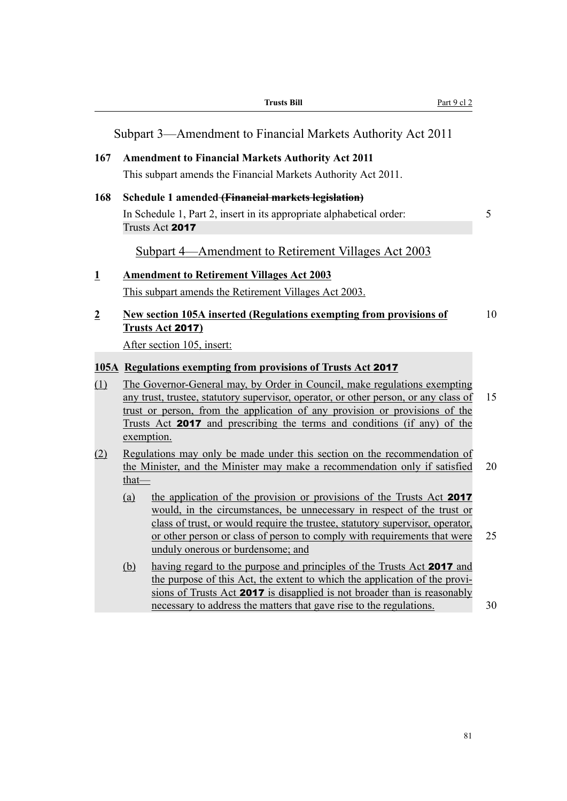|                |        | <b>Trusts Bill</b>                                                                                                                                                                                                                                                                                                                                | Part 9 cl 2 |    |
|----------------|--------|---------------------------------------------------------------------------------------------------------------------------------------------------------------------------------------------------------------------------------------------------------------------------------------------------------------------------------------------------|-------------|----|
|                |        | Subpart 3—Amendment to Financial Markets Authority Act 2011                                                                                                                                                                                                                                                                                       |             |    |
| 167            |        | <b>Amendment to Financial Markets Authority Act 2011</b>                                                                                                                                                                                                                                                                                          |             |    |
|                |        | This subpart amends the Financial Markets Authority Act 2011.                                                                                                                                                                                                                                                                                     |             |    |
| 168            |        | Schedule 1 amended (Financial markets legislation)                                                                                                                                                                                                                                                                                                |             |    |
|                |        | In Schedule 1, Part 2, insert in its appropriate alphabetical order:<br>Trusts Act 2017                                                                                                                                                                                                                                                           | 5           |    |
|                |        | Subpart 4—Amendment to Retirement Villages Act 2003                                                                                                                                                                                                                                                                                               |             |    |
| $\mathbf 1$    |        | <b>Amendment to Retirement Villages Act 2003</b>                                                                                                                                                                                                                                                                                                  |             |    |
|                |        | This subpart amends the Retirement Villages Act 2003.                                                                                                                                                                                                                                                                                             |             |    |
| $\overline{2}$ |        | <b>New section 105A inserted (Regulations exempting from provisions of</b><br>Trusts Act 2017)                                                                                                                                                                                                                                                    |             | 10 |
|                |        | After section 105, insert:                                                                                                                                                                                                                                                                                                                        |             |    |
|                |        | 105A Regulations exempting from provisions of Trusts Act 2017                                                                                                                                                                                                                                                                                     |             |    |
| (1)            |        | The Governor-General may, by Order in Council, make regulations exempting                                                                                                                                                                                                                                                                         |             |    |
|                |        | any trust, trustee, statutory supervisor, operator, or other person, or any class of<br>trust or person, from the application of any provision or provisions of the<br>Trusts Act <b>2017</b> and prescribing the terms and conditions (if any) of the<br>exemption.                                                                              | 15          |    |
| (2)            | $that$ | Regulations may only be made under this section on the recommendation of<br>the Minister, and the Minister may make a recommendation only if satisfied                                                                                                                                                                                            | 20          |    |
|                | (a)    | the application of the provision or provisions of the Trusts Act 2017<br>would, in the circumstances, be unnecessary in respect of the trust or<br>class of trust, or would require the trustee, statutory supervisor, operator,<br>or other person or class of person to comply with requirements that were<br>unduly onerous or burdensome; and | 25          |    |
|                | (b)    | having regard to the purpose and principles of the Trusts Act 2017 and<br>the purpose of this Act, the extent to which the application of the provi-<br>sions of Trusts Act 2017 is disapplied is not broader than is reasonably<br>necessary to address the matters that gave rise to the regulations.                                           | 30          |    |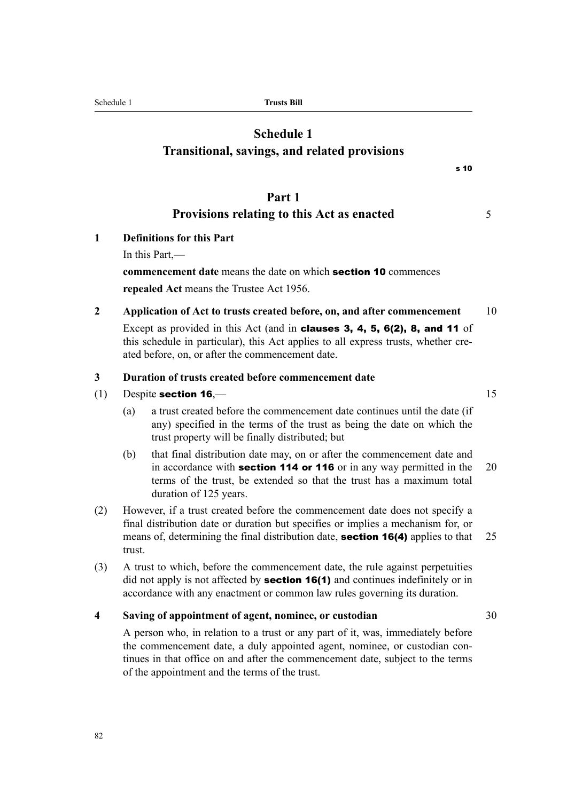A person who, in relation to a trust or any part of it, was, immediately before the commencement date, a duly appointed agent, nominee, or custodian continues in that office on and after the commencement date, subject to the terms of the appointment and the terms of the trust.

**4 Saving of appointment of agent, nominee, or custodian** 30

(3) A trust to which, before the commencement date, the rule against perpetuities did not apply is not affected by **section 16(1)** and continues indefinitely or in accordance with any enactment or common law rules governing its duration.

## means of, determining the final distribution date, **section 16(4)** applies to that 25 trust.

- terms of the trust, be extended so that the trust has a maximum total duration of 125 years. (2) However, if a trust created before the commencement date does not specify a final distribution date or duration but specifies or implies a mechanism for, or
- any) specified in the terms of the trust as being the date on which the trust property will be finally distributed; but (b) that final distribution date may, on or after the commencement date and in accordance with **section 114 or 116** or in any way permitted in the  $20$
- **3 Duration of trusts created before commencement date** (1) Despite section  $16 \rightarrow 15$ (a) a trust created before the commencement date continues until the date (if

**2 Application of Act to trusts created before, on, and after commencement** 10 Except as provided in this Act (and in clauses 3, 4, 5, 6(2), 8, and 11 of this schedule in particular), this Act applies to all express trusts, whether cre-

**commencement date** means the date on which section 10 commences **repealed Act** means the Trustee Act 1956.

ated before, on, or after the commencement date.

**1 Definitions for this Part** In this Part,—

# **Part 1**

## **Provisions relating to this Act as enacted** 5

**Transitional, savings, and related provisions**

s 10

Schedule 1 **Trusts Bill**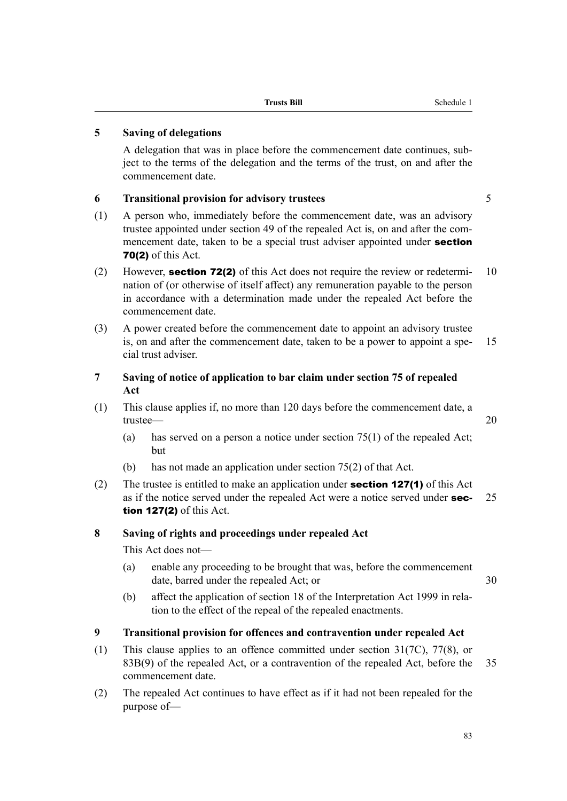#### **5 Saving of delegations**

A delegation that was in place before the commencement date continues, subject to the terms of the delegation and the terms of the trust, on and after the commencement date.

#### **6 Transitional provision for advisory trustees** 5

- (1) A person who, immediately before the commencement date, was an advisory trustee appointed under section 49 of the repealed Act is, on and after the commencement date, taken to be a special trust adviser appointed under **section** 70(2) of this Act.
- (2) However, **section 72(2)** of this Act does not require the review or redetermi- 10 nation of (or otherwise of itself affect) any remuneration payable to the person in accordance with a determination made under the repealed Act before the commencement date.
- (3) A power created before the commencement date to appoint an advisory trustee is, on and after the commencement date, taken to be a power to appoint a spe- 15 cial trust adviser.

#### **7 Saving of notice of application to bar claim under section 75 of repealed Act**

- (1) This clause applies if, no more than 120 days before the commencement date, a trustee— 20
	- (a) has served on a person a notice under section 75(1) of the repealed Act; but
	- (b) has not made an application under section 75(2) of that Act.
- (2) The trustee is entitled to make an application under **section 127(1)** of this Act as if the notice served under the repealed Act were a notice served under  $\sec - 25$ tion 127(2) of this Act.

#### **8 Saving of rights and proceedings under repealed Act**

This Act does not—

(a) enable any proceeding to be brought that was, before the commencement date, barred under the repealed Act; or 30

(b) affect the application of section 18 of the Interpretation Act 1999 in relation to the effect of the repeal of the repealed enactments.

#### **9 Transitional provision for offences and contravention under repealed Act**

- (1) This clause applies to an offence committed under section 31(7C), 77(8), or 83B(9) of the repealed Act, or a contravention of the repealed Act, before the 35 commencement date.
- (2) The repealed Act continues to have effect as if it had not been repealed for the purpose of—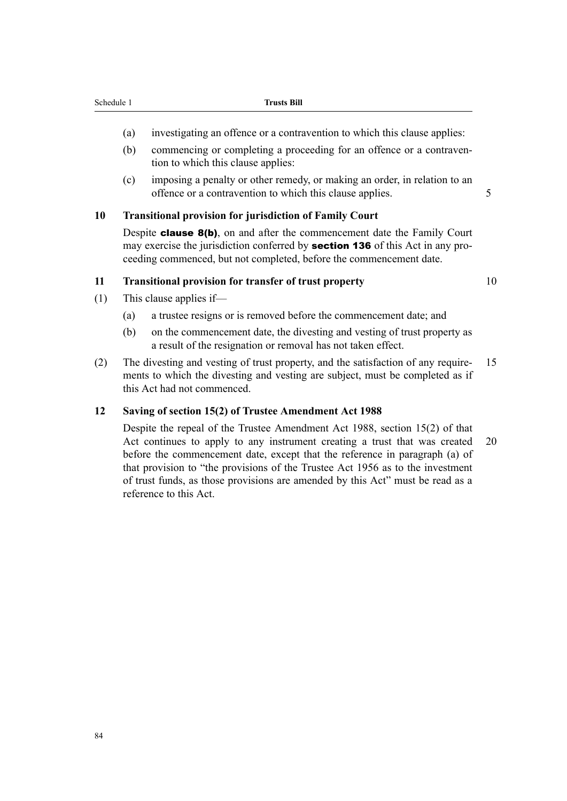- (a) investigating an offence or a contravention to which this clause applies:
- (b) commencing or completing a proceeding for an offence or a contravention to which this clause applies:
- (c) imposing a penalty or other remedy, or making an order, in relation to an offence or a contravention to which this clause applies. 5

#### **10 Transitional provision for jurisdiction of Family Court**

Despite **clause 8(b)**, on and after the commencement date the Family Court may exercise the jurisdiction conferred by **section 136** of this Act in any proceeding commenced, but not completed, before the commencement date.

#### **11 Transitional provision for transfer of trust property** 10

- (1) This clause applies if—
	- (a) a trustee resigns or is removed before the commencement date; and
	- (b) on the commencement date, the divesting and vesting of trust property as a result of the resignation or removal has not taken effect.
- (2) The divesting and vesting of trust property, and the satisfaction of any require- 15 ments to which the divesting and vesting are subject, must be completed as if this Act had not commenced.

#### **12 Saving of section 15(2) of Trustee Amendment Act 1988**

Despite the repeal of the Trustee Amendment Act 1988, section 15(2) of that Act continues to apply to any instrument creating a trust that was created 20 before the commencement date, except that the reference in paragraph (a) of that provision to "the provisions of the Trustee Act 1956 as to the investment of trust funds, as those provisions are amended by this Act" must be read as a reference to this Act.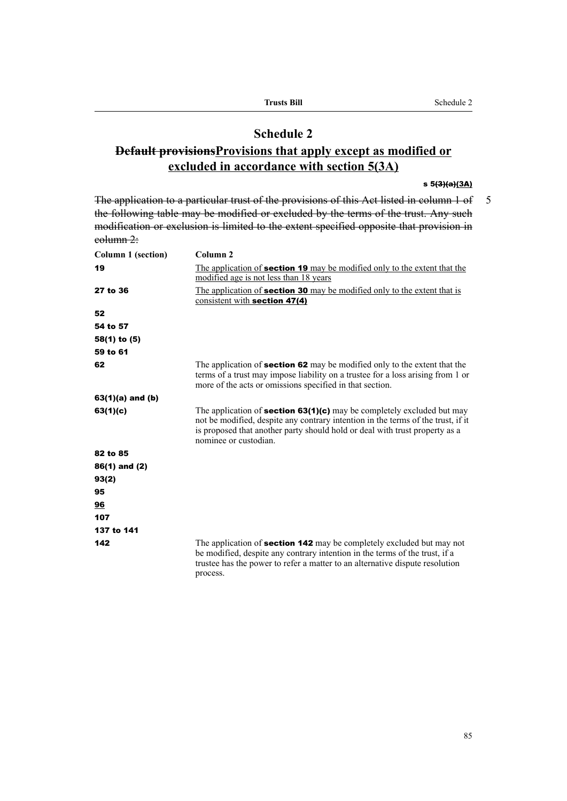#### **Schedule 2**

### **Default provisionsProvisions that apply except as modified or excluded in accordance with section 5(3A)**

#### s 5(3)(a)(3A)

The application to a particular trust of the provisions of this Act listed in column 1 of 5 the following table may be modified or excluded by the terms of the trust. Any such modification or exclusion is limited to the extent specified opposite that provision in column 2:

| Column 1 (section)   | Column <sub>2</sub>                                                                                                                                                                                                                                                       |
|----------------------|---------------------------------------------------------------------------------------------------------------------------------------------------------------------------------------------------------------------------------------------------------------------------|
| 19                   | The application of <b>section 19</b> may be modified only to the extent that the<br>modified age is not less than 18 years                                                                                                                                                |
| 27 to 36             | The application of <b>section 30</b> may be modified only to the extent that is<br>consistent with section 47(4)                                                                                                                                                          |
| 52                   |                                                                                                                                                                                                                                                                           |
| 54 to 57             |                                                                                                                                                                                                                                                                           |
| 58(1) to (5)         |                                                                                                                                                                                                                                                                           |
| 59 to 61             |                                                                                                                                                                                                                                                                           |
| 62                   | The application of <b>section 62</b> may be modified only to the extent that the<br>terms of a trust may impose liability on a trustee for a loss arising from 1 or<br>more of the acts or omissions specified in that section.                                           |
| $63(1)(a)$ and $(b)$ |                                                                                                                                                                                                                                                                           |
| 63(1)(c)             | The application of <b>section 63(1)(c)</b> may be completely excluded but may<br>not be modified, despite any contrary intention in the terms of the trust, if it<br>is proposed that another party should hold or deal with trust property as a<br>nominee or custodian. |
| 82 to 85             |                                                                                                                                                                                                                                                                           |
| $86(1)$ and $(2)$    |                                                                                                                                                                                                                                                                           |
| 93(2)                |                                                                                                                                                                                                                                                                           |
| 95                   |                                                                                                                                                                                                                                                                           |
| 96                   |                                                                                                                                                                                                                                                                           |
| 107                  |                                                                                                                                                                                                                                                                           |
| 137 to 141           |                                                                                                                                                                                                                                                                           |
| 142                  | The application of <b>section 142</b> may be completely excluded but may not<br>be modified, despite any contrary intention in the terms of the trust, if a<br>trustee has the power to refer a matter to an alternative dispute resolution<br>process.                   |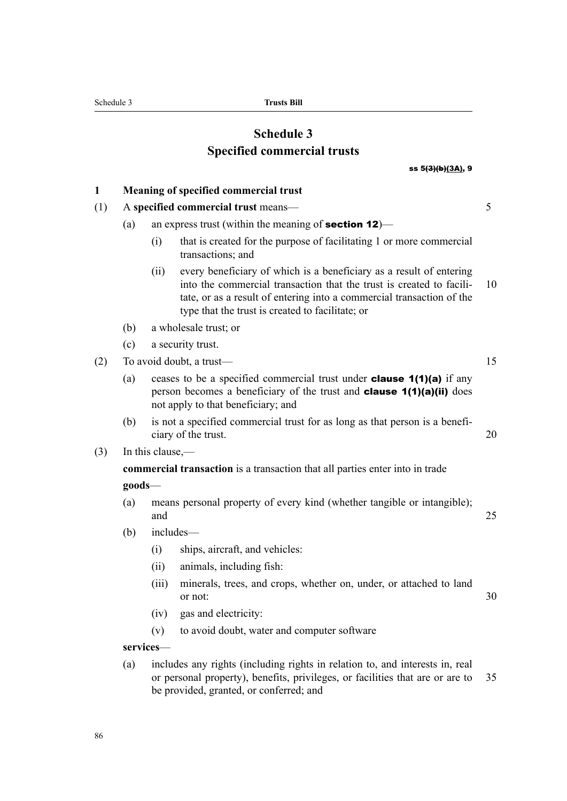## **Schedule 3 Specified commercial trusts**

#### ss 5(3)(b)(3A), 9

| 1   |                                     | Meaning of specified commercial trust                                                                                                                                                                                        |                                                                                                                                                                                                                                                                          |    |  |  |  |
|-----|-------------------------------------|------------------------------------------------------------------------------------------------------------------------------------------------------------------------------------------------------------------------------|--------------------------------------------------------------------------------------------------------------------------------------------------------------------------------------------------------------------------------------------------------------------------|----|--|--|--|
| (1) | A specified commercial trust means- |                                                                                                                                                                                                                              |                                                                                                                                                                                                                                                                          |    |  |  |  |
|     | (a)                                 |                                                                                                                                                                                                                              | an express trust (within the meaning of <b>section 12</b> )—                                                                                                                                                                                                             |    |  |  |  |
|     |                                     | (i)                                                                                                                                                                                                                          | that is created for the purpose of facilitating 1 or more commercial<br>transactions; and                                                                                                                                                                                |    |  |  |  |
|     |                                     | (ii)                                                                                                                                                                                                                         | every beneficiary of which is a beneficiary as a result of entering<br>into the commercial transaction that the trust is created to facili-<br>tate, or as a result of entering into a commercial transaction of the<br>type that the trust is created to facilitate; or | 10 |  |  |  |
|     | (b)                                 |                                                                                                                                                                                                                              | a wholesale trust; or                                                                                                                                                                                                                                                    |    |  |  |  |
|     | (c)                                 |                                                                                                                                                                                                                              | a security trust.                                                                                                                                                                                                                                                        |    |  |  |  |
| (2) |                                     |                                                                                                                                                                                                                              | To avoid doubt, a trust-                                                                                                                                                                                                                                                 | 15 |  |  |  |
|     | (a)                                 | ceases to be a specified commercial trust under <b>clause <math>1(1)(a)</math></b> if any<br>person becomes a beneficiary of the trust and <b>clause <math>1(1)(a)(ii)</math></b> does<br>not apply to that beneficiary; and |                                                                                                                                                                                                                                                                          |    |  |  |  |
|     | (b)                                 |                                                                                                                                                                                                                              | is not a specified commercial trust for as long as that person is a benefi-<br>ciary of the trust.                                                                                                                                                                       | 20 |  |  |  |
| (3) |                                     | In this clause,—                                                                                                                                                                                                             |                                                                                                                                                                                                                                                                          |    |  |  |  |
|     |                                     |                                                                                                                                                                                                                              | commercial transaction is a transaction that all parties enter into in trade                                                                                                                                                                                             |    |  |  |  |
|     | $goods$ —                           |                                                                                                                                                                                                                              |                                                                                                                                                                                                                                                                          |    |  |  |  |
|     | (a)                                 | and                                                                                                                                                                                                                          | means personal property of every kind (whether tangible or intangible);                                                                                                                                                                                                  | 25 |  |  |  |
|     | (b)                                 |                                                                                                                                                                                                                              | includes-                                                                                                                                                                                                                                                                |    |  |  |  |
|     |                                     | (i)                                                                                                                                                                                                                          | ships, aircraft, and vehicles:                                                                                                                                                                                                                                           |    |  |  |  |
|     |                                     | (ii)                                                                                                                                                                                                                         | animals, including fish:                                                                                                                                                                                                                                                 |    |  |  |  |
|     |                                     | (iii)                                                                                                                                                                                                                        | minerals, trees, and crops, whether on, under, or attached to land<br>or not:                                                                                                                                                                                            | 30 |  |  |  |
|     |                                     | (iv)                                                                                                                                                                                                                         | gas and electricity:                                                                                                                                                                                                                                                     |    |  |  |  |
|     |                                     | (v)                                                                                                                                                                                                                          | to avoid doubt, water and computer software                                                                                                                                                                                                                              |    |  |  |  |
|     |                                     | services-                                                                                                                                                                                                                    |                                                                                                                                                                                                                                                                          |    |  |  |  |
|     | (a)                                 |                                                                                                                                                                                                                              | includes any rights (including rights in relation to, and interests in, real<br>or personal property), benefits, privileges, or facilities that are or are to<br>be provided, granted, or conferred; and                                                                 | 35 |  |  |  |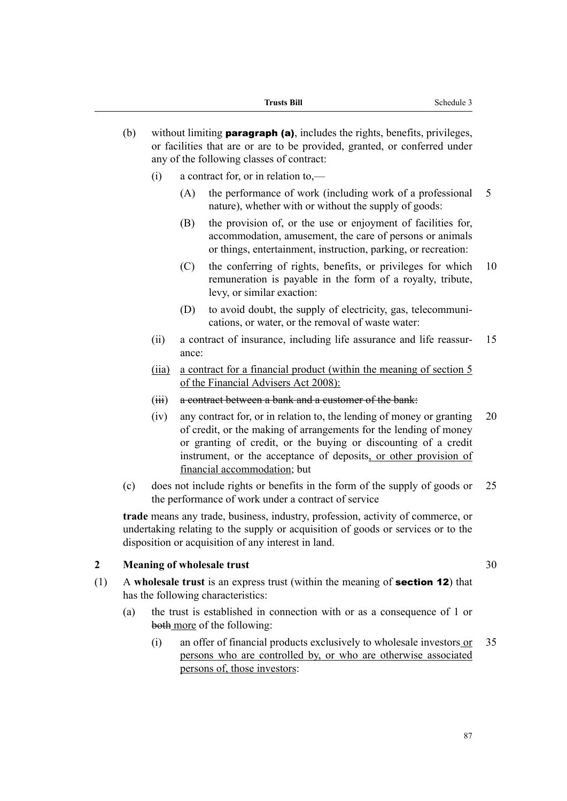- (b) without limiting **paragraph (a)**, includes the rights, benefits, privileges, or facilities that are or are to be provided, granted, or conferred under any of the following classes of contract:
	- (i) a contract for, or in relation to,—
		- (A) the performance of work (including work of a professional 5 nature), whether with or without the supply of goods:
		- (B) the provision of, or the use or enjoyment of facilities for, accommodation, amusement, the care of persons or animals or things, entertainment, instruction, parking, or recreation:
		- (C) the conferring of rights, benefits, or privileges for which 10 remuneration is payable in the form of a royalty, tribute, levy, or similar exaction:
		- (D) to avoid doubt, the supply of electricity, gas, telecommunications, or water, or the removal of waste water:
	- (ii) a contract of insurance, including life assurance and life reassur- 15 ance:
	- (iia) a contract for a financial product (within the meaning of section 5 of the Financial Advisers Act 2008):
	- (iii) a contract between a bank and a customer of the bank:
	- (iv) any contract for, or in relation to, the lending of money or granting 20 of credit, or the making of arrangements for the lending of money or granting of credit, or the buying or discounting of a credit instrument, or the acceptance of deposits, or other provision of financial accommodation; but
- (c) does not include rights or benefits in the form of the supply of goods or 25 the performance of work under a contract of service

**trade** means any trade, business, industry, profession, activity of commerce, or undertaking relating to the supply or acquisition of goods or services or to the disposition or acquisition of any interest in land.

#### **2 Meaning of wholesale trust** 30

- (1) A **wholesale trust** is an express trust (within the meaning of section 12) that has the following characteristics:
	- (a) the trust is established in connection with or as a consequence of 1 or both more of the following:
		- (i) an offer of financial products exclusively to wholesale investors or 35 persons who are controlled by, or who are otherwise associated persons of, those investors: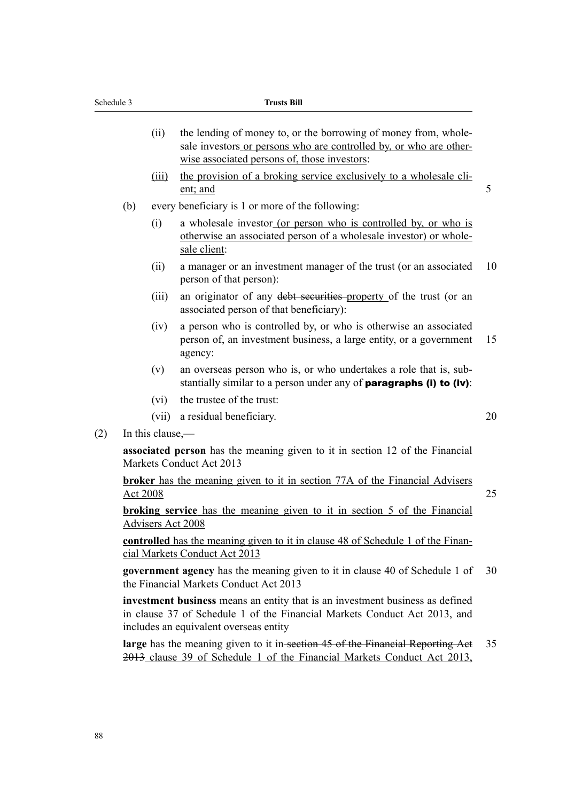- (ii) the lending of money to, or the borrowing of money from, wholesale investors or persons who are controlled by, or who are otherwise associated persons of, those investors:
- (iii) the provision of a broking service exclusively to a wholesale client; and 5
- (b) every beneficiary is 1 or more of the following:
	- (i) a wholesale investor (or person who is controlled by, or who is otherwise an associated person of a wholesale investor) or wholesale client:
	- (ii) a manager or an investment manager of the trust (or an associated 10 person of that person):
	- (iii) an originator of any debt securities property of the trust (or an associated person of that beneficiary):
	- (iv) a person who is controlled by, or who is otherwise an associated person of, an investment business, a large entity, or a government 15 agency:
	- (v) an overseas person who is, or who undertakes a role that is, substantially similar to a person under any of **paragraphs (i) to (iv)**:
	- (vi) the trustee of the trust:
	- (vii) a residual beneficiary. 20
- (2) In this clause,—

**associated person** has the meaning given to it in section 12 of the Financial Markets Conduct Act 2013

**broker** has the meaning given to it in section 77A of the Financial Advisers  $\Delta$ ct 2008

**broking service** has the meaning given to it in section 5 of the Financial Advisers Act 2008

**controlled** has the meaning given to it in clause 48 of Schedule 1 of the Financial Markets Conduct Act 2013

**government agency** has the meaning given to it in clause 40 of Schedule 1 of 30 the Financial Markets Conduct Act 2013

**investment business** means an entity that is an investment business as defined in clause 37 of Schedule 1 of the Financial Markets Conduct Act 2013, and includes an equivalent overseas entity

**large** has the meaning given to it in-section 45 of the Financial Reporting Act 35 2013 clause 39 of Schedule 1 of the Financial Markets Conduct Act 2013,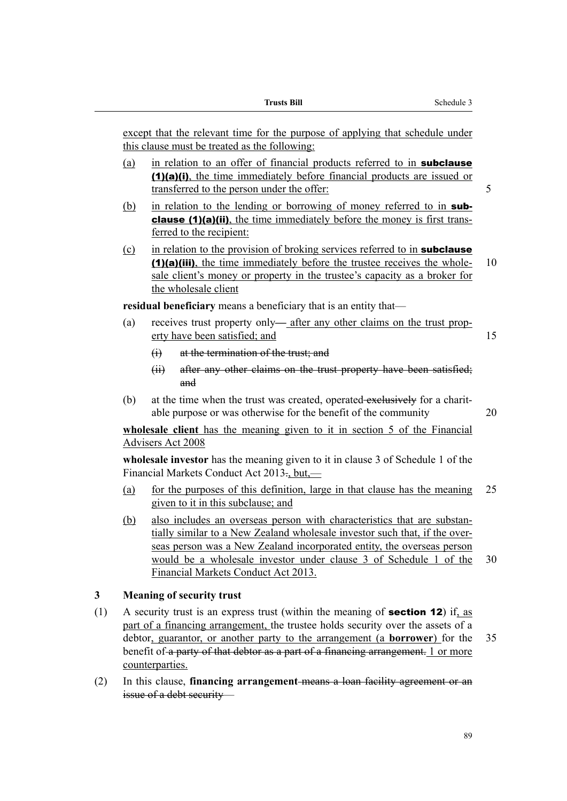except that the relevant time for the purpose of applying that schedule under this clause must be treated as the following:

- (a) in relation to an offer of financial products referred to in **subclause** (1)(a)(i), the time immediately before financial products are issued or transferred to the person under the offer: 5
- (b) in relation to the lending or borrowing of money referred to in **sub**clause (1)(a)(ii), the time immediately before the money is first transferred to the recipient:
- $(c)$  in relation to the provision of broking services referred to in **subclause** (1)(a)(iii), the time immediately before the trustee receives the whole- 10 sale client's money or property in the trustee's capacity as a broker for the wholesale client

residual beneficiary means a beneficiary that is an entity that—

- (a) receives trust property only— after any other claims on the trust property have been satisfied; and 15
	- (i) at the termination of the trust; and
	- (ii) after any other claims on the trust property have been satisfied; and
- (b) at the time when the trust was created, operated exclusively for a charitable purpose or was otherwise for the benefit of the community 20

**wholesale client** has the meaning given to it in section 5 of the Financial Advisers Act 2008

**wholesale investor** has the meaning given to it in clause 3 of Schedule 1 of the Financial Markets Conduct Act 2013., but,—

- (a) for the purposes of this definition, large in that clause has the meaning 25 given to it in this subclause; and
- (b) also includes an overseas person with characteristics that are substantially similar to a New Zealand wholesale investor such that, if the overseas person was a New Zealand incorporated entity, the overseas person would be a wholesale investor under clause 3 of Schedule 1 of the 30 Financial Markets Conduct Act 2013.

#### **3 Meaning of security trust**

- (1) A security trust is an express trust (within the meaning of section 12) if, as part of a financing arrangement, the trustee holds security over the assets of a debtor, guarantor, or another party to the arrangement (a **borrower**) for the 35 benefit of a party of that debtor as a part of a financing arrangement. 1 or more counterparties.
- (2) In this clause, **financing arrangement** means a loan facility agreement or an issue of a debt security—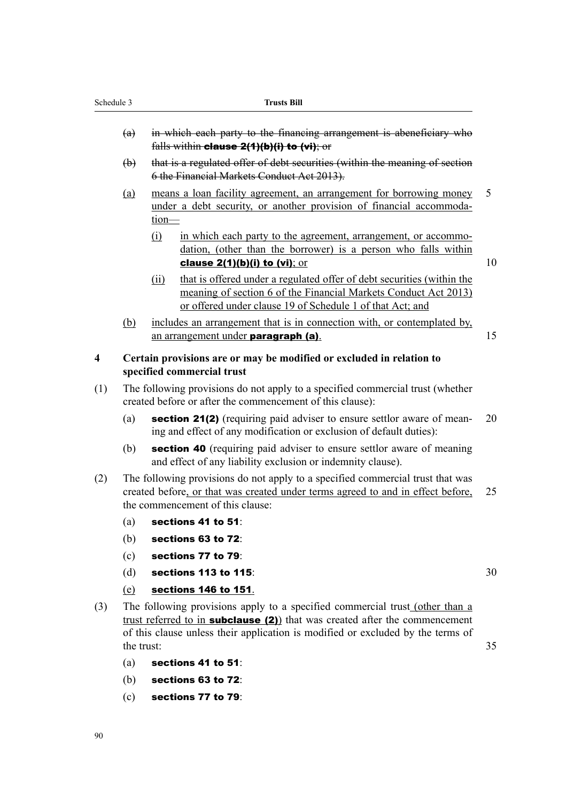- (a) in which each party to the financing arrangement is abeneficiary who falls within clause 2(1)(b)(i) to (vi); or
- (b) that is a regulated offer of debt securities (within the meaning of section 6 the Financial Markets Conduct Act 2013).
- (a) means a loan facility agreement, an arrangement for borrowing money 5 under a debt security, or another provision of financial accommodation—
	- (i) in which each party to the agreement, arrangement, or accommodation, (other than the borrower) is a person who falls within **clause 2(1)(b)(i) to (vi)**; or  $10$

- (ii) that is offered under a regulated offer of debt securities (within the meaning of section 6 of the Financial Markets Conduct Act 2013) or offered under clause 19 of Schedule 1 of that Act; and
- (b) includes an arrangement that is in connection with, or contemplated by, an arrangement under **paragraph (a)**. 15
- **4 Certain provisions are or may be modified or excluded in relation to specified commercial trust**
- (1) The following provisions do not apply to a specified commercial trust (whether created before or after the commencement of this clause):
	- (a) section 21(2) (requiring paid adviser to ensure settlor aware of mean- 20 ing and effect of any modification or exclusion of default duties):
	- (b) section 40 (requiring paid adviser to ensure settlor aware of meaning and effect of any liability exclusion or indemnity clause).
- (2) The following provisions do not apply to a specified commercial trust that was created before, or that was created under terms agreed to and in effect before, 25 the commencement of this clause:
	- (a) sections 41 to 51:
	- (b) sections 63 to 72:
	- (c) sections 77 to 79:
	- (d) sections 113 to 115:  $30$
	- (e) sections 146 to 151.
- (3) The following provisions apply to a specified commercial trust (other than a trust referred to in **subclause** (2)) that was created after the commencement of this clause unless their application is modified or excluded by the terms of the trust: 35
	- (a) sections 41 to  $51$
	- (b) sections 63 to 72:
	- (c) sections 77 to 79: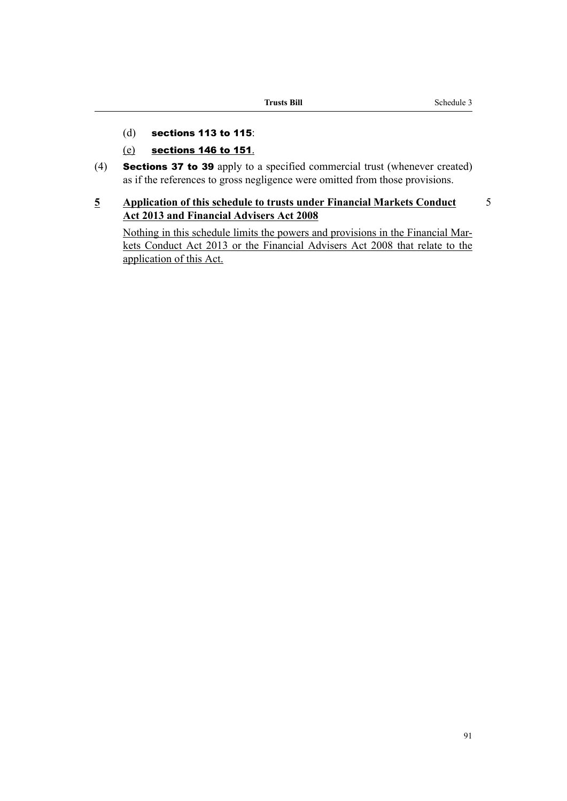- (d) sections 113 to 115:
- (e) sections 146 to 151.
- (4) Sections 37 to 39 apply to a specified commercial trust (whenever created) as if the references to gross negligence were omitted from those provisions.

### **5 Application of this schedule to trusts under Financial Markets Conduct** 5 **Act 2013 and Financial Advisers Act 2008**

Nothing in this schedule limits the powers and provisions in the Financial Markets Conduct Act 2013 or the Financial Advisers Act 2008 that relate to the application of this Act.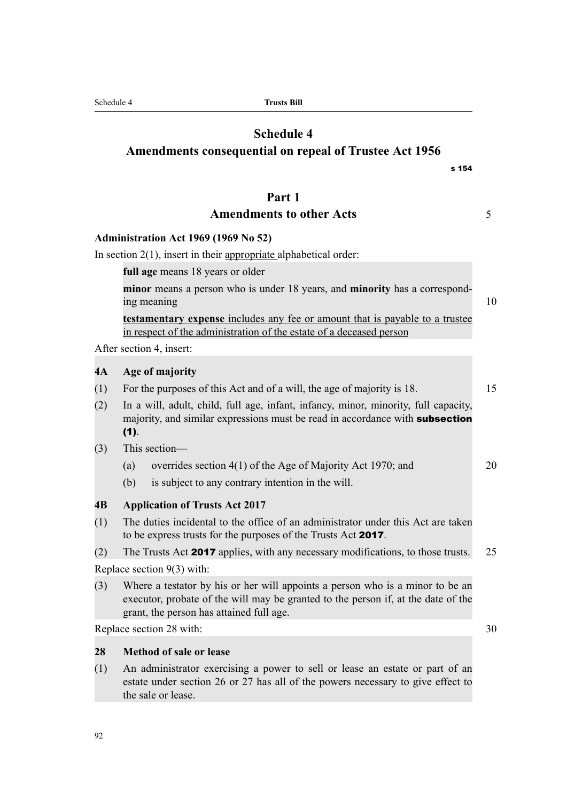| Schedule 4 |  |  |
|------------|--|--|
|            |  |  |

Schedule 4 **Trusts Bill**

# **Schedule 4**

**Amendments consequential on repeal of Trustee Act 1956**

### **Part 1**

## Amendments to other Acts **5**

### **Administration Act 1969 (1969 No 52)**

In section  $2(1)$ , insert in their appropriate alphabetical order:

**full age** means 18 years or older

**minor** means a person who is under 18 years, and **minority** has a corresponding meaning 10

**testamentary expense** includes any fee or amount that is payable to a trustee in respect of the administration of the estate of a deceased person

After section 4, insert:

### **4A Age of majority**

- (1) For the purposes of this Act and of a will, the age of majority is 18. 15
- (2) In a will, adult, child, full age, infant, infancy, minor, minority, full capacity, majority, and similar expressions must be read in accordance with **subsection** (1).
- (3) This section—
	- (a) overrides section 4(1) of the Age of Majority Act 1970; and 20
	- (b) is subject to any contrary intention in the will.

### **4B Application of Trusts Act 2017**

- (1) The duties incidental to the office of an administrator under this Act are taken to be express trusts for the purposes of the Trusts Act 2017.
- (2) The Trusts Act 2017 applies, with any necessary modifications, to those trusts. 25

Replace section 9(3) with:

(3) Where a testator by his or her will appoints a person who is a minor to be an executor, probate of the will may be granted to the person if, at the date of the grant, the person has attained full age.

Replace section 28 with: 30

### **28 Method of sale or lease**

(1) An administrator exercising a power to sell or lease an estate or part of an estate under section 26 or 27 has all of the powers necessary to give effect to the sale or lease.

s 154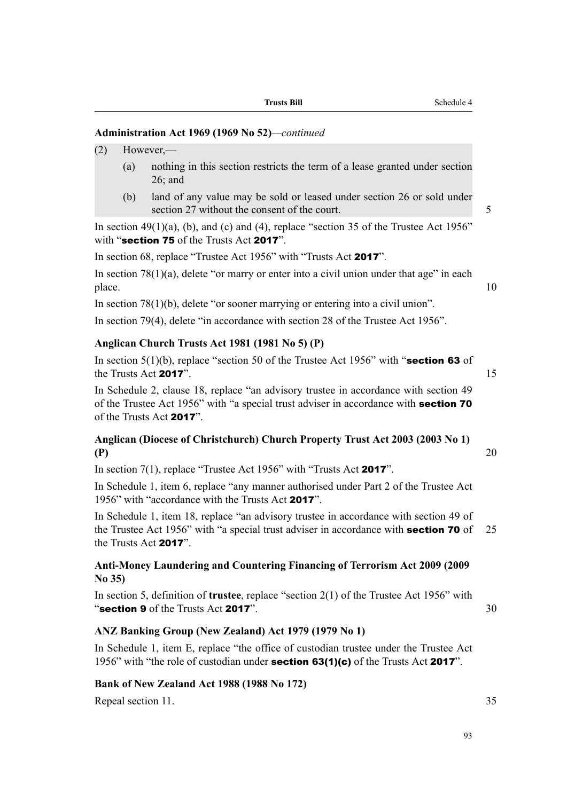| Trusts Bill |  |
|-------------|--|
|-------------|--|

### **Administration Act 1969 (1969 No 52)***—continued*

- (2) However,—
	- (a) nothing in this section restricts the term of a lease granted under section 26; and
	- (b) land of any value may be sold or leased under section 26 or sold under section 27 without the consent of the court.

In section  $49(1)(a)$ , (b), and (c) and (4), replace "section 35 of the Trustee Act 1956" with "section 75 of the Trusts Act 2017".

In section 68, replace "Trustee Act 1956" with "Trusts Act 2017".

In section  $78(1)(a)$ , delete "or marry or enter into a civil union under that age" in each place. 10

In section 78(1)(b), delete "or sooner marrying or entering into a civil union".

In section 79(4), delete "in accordance with section 28 of the Trustee Act 1956".

### **Anglican Church Trusts Act 1981 (1981 No 5) (P)**

In section  $5(1)(b)$ , replace "section 50 of the Trustee Act 1956" with "section 63 of the Trusts Act 2017". 15

In Schedule 2, clause 18, replace "an advisory trustee in accordance with section 49 of the Trustee Act 1956" with "a special trust adviser in accordance with section 70 of the Trusts Act 2017".

### **Anglican (Diocese of Christchurch) Church Property Trust Act 2003 (2003 No 1) (P)** 20

In section 7(1), replace "Trustee Act 1956" with "Trusts Act 2017".

In Schedule 1, item 6, replace "any manner authorised under Part 2 of the Trustee Act 1956" with "accordance with the Trusts Act 2017".

In Schedule 1, item 18, replace "an advisory trustee in accordance with section 49 of the Trustee Act 1956" with "a special trust adviser in accordance with **section 70** of 25 the Trusts Act 2017".

### **Anti-Money Laundering and Countering Financing of Terrorism Act 2009 (2009 No 35)**

In section 5, definition of **trustee**, replace "section 2(1) of the Trustee Act 1956" with " $\textbf{section 9}$  of the Trusts Act 2017".  $30$ 

### **ANZ Banking Group (New Zealand) Act 1979 (1979 No 1)**

In Schedule 1, item E, replace "the office of custodian trustee under the Trustee Act 1956" with "the role of custodian under **section 63(1)(c)** of the Trusts Act **2017**".

### **Bank of New Zealand Act 1988 (1988 No 172)**

Repeal section 11. 35

93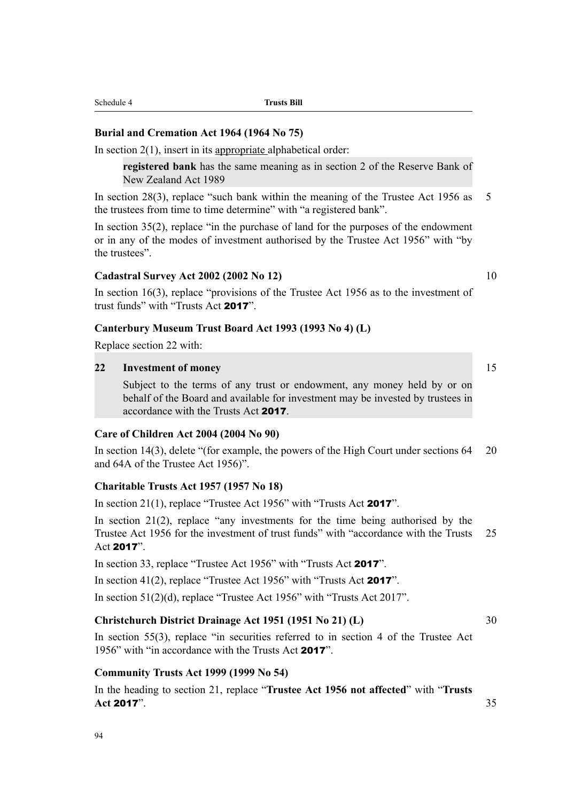### **Burial and Cremation Act 1964 (1964 No 75)**

In section  $2(1)$ , insert in its appropriate alphabetical order:

**registered bank** has the same meaning as in section 2 of the Reserve Bank of New Zealand Act 1989

In section 28(3), replace "such bank within the meaning of the Trustee Act 1956 as 5 the trustees from time to time determine" with "a registered bank".

In section 35(2), replace "in the purchase of land for the purposes of the endowment or in any of the modes of investment authorised by the Trustee Act 1956" with "by the trustees".

### **Cadastral Survey Act 2002 (2002 No 12)** 10

In section 16(3), replace "provisions of the Trustee Act 1956 as to the investment of trust funds" with "Trusts Act 2017".

### **Canterbury Museum Trust Board Act 1993 (1993 No 4) (L)**

Replace section 22 with:

### **22 Investment of money** 15

Subject to the terms of any trust or endowment, any money held by or on behalf of the Board and available for investment may be invested by trustees in accordance with the Trusts Act 2017.

### **Care of Children Act 2004 (2004 No 90)**

In section 14(3), delete "(for example, the powers of the High Court under sections 64 20 and 64A of the Trustee Act 1956)".

### **Charitable Trusts Act 1957 (1957 No 18)**

In section 21(1), replace "Trustee Act 1956" with "Trusts Act 2017".

In section 21(2), replace "any investments for the time being authorised by the Trustee Act 1956 for the investment of trust funds" with "accordance with the Trusts 25 Act 2017".

In section 33, replace "Trustee Act 1956" with "Trusts Act 2017".

In section 41(2), replace "Trustee Act 1956" with "Trusts Act 2017".

In section 51(2)(d), replace "Trustee Act 1956" with "Trusts Act 2017".

### **Christchurch District Drainage Act 1951 (1951 No 21) (L)** 30

In section 55(3), replace "in securities referred to in section 4 of the Trustee Act 1956" with "in accordance with the Trusts Act 2017".

### **Community Trusts Act 1999 (1999 No 54)**

94

In the heading to section 21, replace "**Trustee Act 1956 not affected**" with "**Trusts Act** 2017". 35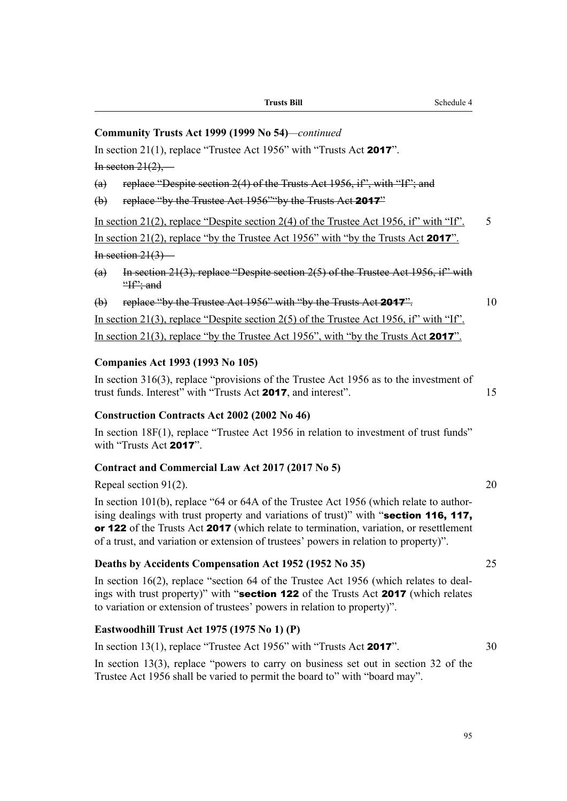|             | Community Trusts Act 1999 (1999 No 54)—continued                                                                                                                                                                                                                                                                                                                  |    |
|-------------|-------------------------------------------------------------------------------------------------------------------------------------------------------------------------------------------------------------------------------------------------------------------------------------------------------------------------------------------------------------------|----|
|             | In section 21(1), replace "Trustee Act 1956" with "Trusts Act 2017".                                                                                                                                                                                                                                                                                              |    |
|             | In secton $21(2)$ ,—                                                                                                                                                                                                                                                                                                                                              |    |
| (a)         | replace "Despite section 2(4) of the Trusts Act 1956, if", with "If"; and                                                                                                                                                                                                                                                                                         |    |
| $\bigoplus$ | replace "by the Trustee Act 1956" by the Trusts Act 2017"                                                                                                                                                                                                                                                                                                         |    |
|             | In section 21(2), replace "Despite section 2(4) of the Trustee Act 1956, if" with "If".                                                                                                                                                                                                                                                                           | 5  |
|             | In section 21(2), replace "by the Trustee Act 1956" with "by the Trusts Act 2017".                                                                                                                                                                                                                                                                                |    |
|             | In section $21(3)$ —                                                                                                                                                                                                                                                                                                                                              |    |
| (a)         | In section 21(3), replace "Despite section $2(5)$ of the Trustee Act 1956, if" with<br>$H^{\prime\prime}$ ; and                                                                                                                                                                                                                                                   |    |
| $\bigoplus$ | replace "by the Trustee Act 1956" with "by the Trusts Act 2017".                                                                                                                                                                                                                                                                                                  | 10 |
|             | In section 21(3), replace "Despite section 2(5) of the Trustee Act 1956, if" with "If".                                                                                                                                                                                                                                                                           |    |
|             | In section 21(3), replace "by the Trustee Act 1956", with "by the Trusts Act 2017".                                                                                                                                                                                                                                                                               |    |
|             | <b>Companies Act 1993 (1993 No 105)</b><br>In section $316(3)$ , replace "provisions of the Trustee Act 1956 as to the investment of<br>trust funds. Interest" with "Trusts Act 2017, and interest".                                                                                                                                                              | 15 |
|             | <b>Construction Contracts Act 2002 (2002 No 46)</b>                                                                                                                                                                                                                                                                                                               |    |
|             | In section 18F(1), replace "Trustee Act 1956 in relation to investment of trust funds"<br>with "Trusts Act 2017".                                                                                                                                                                                                                                                 |    |
|             | Contract and Commercial Law Act 2017 (2017 No 5)                                                                                                                                                                                                                                                                                                                  |    |
|             | Repeal section $91(2)$ .                                                                                                                                                                                                                                                                                                                                          | 20 |
|             | In section 101(b), replace "64 or 64A of the Trustee Act 1956 (which relate to author-<br>ising dealings with trust property and variations of trust)" with "section 116, 117,<br>or 122 of the Trusts Act 2017 (which relate to termination, variation, or resettlement<br>of a trust, and variation or extension of trustees' powers in relation to property)". |    |
|             | Deaths by Accidents Compensation Act 1952 (1952 No 35)                                                                                                                                                                                                                                                                                                            | 25 |
|             | In section 16(2), replace "section 64 of the Trustee Act 1956 (which relates to deal-<br>ings with trust property)" with "section 122 of the Trusts Act 2017 (which relates<br>to variation or extension of trustees' powers in relation to property)".                                                                                                           |    |
|             |                                                                                                                                                                                                                                                                                                                                                                   |    |

**Trusts Bill** Schedule 4

# **Eastwoodhill Trust Act 1975 (1975 No 1) (P)**

| In section 13(1), replace "Trustee Act 1956" with "Trusts Act 2017".                | 30 |
|-------------------------------------------------------------------------------------|----|
| In section 13(3), replace "powers to carry on business set out in section 32 of the |    |
| Trustee Act 1956 shall be varied to permit the board to" with "board may".          |    |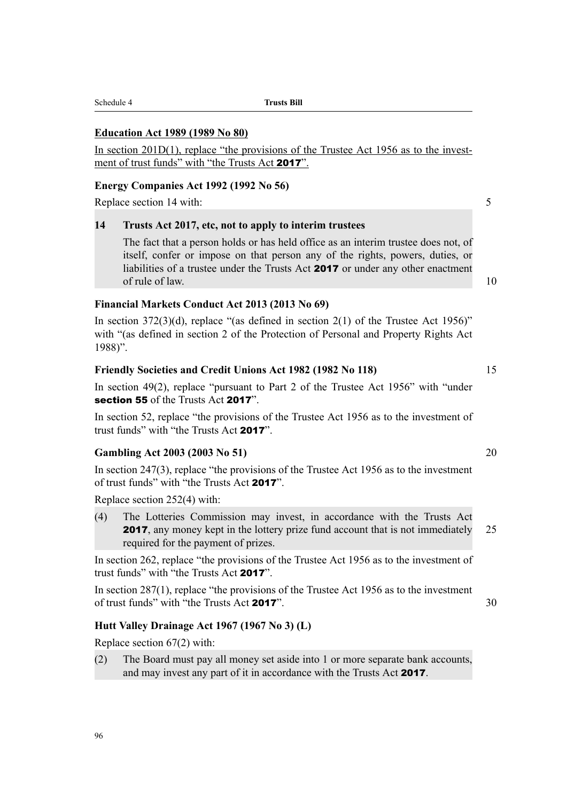|         | <b>Education Act 1989 (1989 No 80)</b>                                                                                                                                                                                                                                    |                 |
|---------|---------------------------------------------------------------------------------------------------------------------------------------------------------------------------------------------------------------------------------------------------------------------------|-----------------|
|         | In section $201D(1)$ , replace "the provisions of the Trustee Act 1956 as to the invest-<br>ment of trust funds" with "the Trusts Act 2017".                                                                                                                              |                 |
|         | Energy Companies Act 1992 (1992 No 56)                                                                                                                                                                                                                                    |                 |
|         | Replace section 14 with:                                                                                                                                                                                                                                                  | $5\overline{)}$ |
| 14      | Trusts Act 2017, etc, not to apply to interim trustees                                                                                                                                                                                                                    |                 |
|         | The fact that a person holds or has held office as an interim trustee does not, of<br>itself, confer or impose on that person any of the rights, powers, duties, or<br>liabilities of a trustee under the Trusts Act 2017 or under any other enactment<br>of rule of law. | 10              |
|         | Financial Markets Conduct Act 2013 (2013 No 69)                                                                                                                                                                                                                           |                 |
| 1988)". | In section 372(3)(d), replace "(as defined in section 2(1) of the Trustee Act 1956)"<br>with "(as defined in section 2 of the Protection of Personal and Property Rights Act                                                                                              |                 |
|         | Friendly Societies and Credit Unions Act 1982 (1982 No 118)                                                                                                                                                                                                               | 15              |
|         | In section 49(2), replace "pursuant to Part 2 of the Trustee Act 1956" with "under<br>section 55 of the Trusts Act 2017".                                                                                                                                                 |                 |
|         | In section 52, replace "the provisions of the Trustee Act 1956 as to the investment of<br>trust funds" with "the Trusts Act 2017".                                                                                                                                        |                 |
|         | <b>Gambling Act 2003 (2003 No 51)</b>                                                                                                                                                                                                                                     | 20              |
|         | In section 247(3), replace "the provisions of the Trustee Act 1956 as to the investment<br>of trust funds" with "the Trusts Act 2017".                                                                                                                                    |                 |
|         | Replace section 252(4) with:                                                                                                                                                                                                                                              |                 |
| (4)     | The Lotteries Commission may invest, in accordance with the Trusts Act<br><b>2017</b> , any money kept in the lottery prize fund account that is not immediately<br>required for the payment of prizes.                                                                   | 25              |
|         | In section 262, replace "the provisions of the Trustee Act 1956 as to the investment of<br>trust funds" with "the Trusts Act 2017".                                                                                                                                       |                 |

In section 287(1), replace "the provisions of the Trustee Act 1956 as to the investment of trust funds" with "the Trusts Act 2017". 30

# **Hutt Valley Drainage Act 1967 (1967 No 3) (L)**

Schedule 4 **Trusts Bill**

Replace section 67(2) with:

(2) The Board must pay all money set aside into 1 or more separate bank accounts, and may invest any part of it in accordance with the Trusts Act 2017.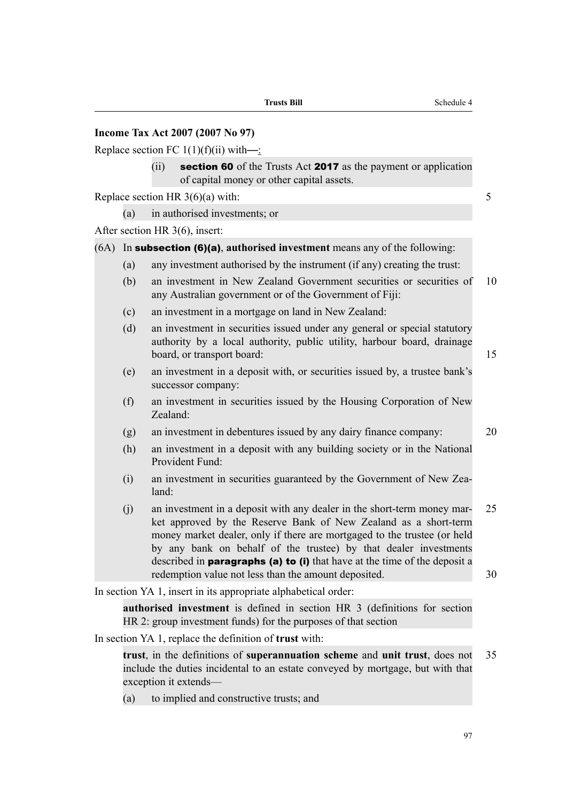| Tax Act 2007 (2007 No 97) |  |
|---------------------------|--|
| .                         |  |

Replace section FC  $1(1)(f)(ii)$  with— $\frac{1}{2}$ 

 $(ii)$  section 60 of the Trusts Act 2017 as the payment or application of capital money or other capital assets.

Replace section HR  $3(6)(a)$  with: 5

(a) in authorised investments; or

After section HR 3(6), insert:

**Income** 

### (6A) In subsection (6)(a), **authorised investment** means any of the following:

- (a) any investment authorised by the instrument (if any) creating the trust:
- (b) an investment in New Zealand Government securities or securities of 10 any Australian government or of the Government of Fiji:
- (c) an investment in a mortgage on land in New Zealand:
- (d) an investment in securities issued under any general or special statutory authority by a local authority, public utility, harbour board, drainage board, or transport board: 15
- (e) an investment in a deposit with, or securities issued by, a trustee bank's successor company:
- (f) an investment in securities issued by the Housing Corporation of New Zealand:
- (g) an investment in debentures issued by any dairy finance company: 20
- (h) an investment in a deposit with any building society or in the National Provident Fund:
- (i) an investment in securities guaranteed by the Government of New Zealand:
- (j) an investment in a deposit with any dealer in the short-term money mar- 25 ket approved by the Reserve Bank of New Zealand as a short-term money market dealer, only if there are mortgaged to the trustee (or held by any bank on behalf of the trustee) by that dealer investments described in **paragraphs** (a) to (i) that have at the time of the deposit a redemption value not less than the amount deposited. 30

In section YA 1, insert in its appropriate alphabetical order:

**authorised investment** is defined in section HR 3 (definitions for section HR 2: group investment funds) for the purposes of that section

In section YA 1, replace the definition of **trust** with:

**trust**, in the definitions of **superannuation scheme** and **unit trust**, does not 35 include the duties incidental to an estate conveyed by mortgage, but with that exception it extends—

(a) to implied and constructive trusts; and

**Trusts Bill** Schedule 4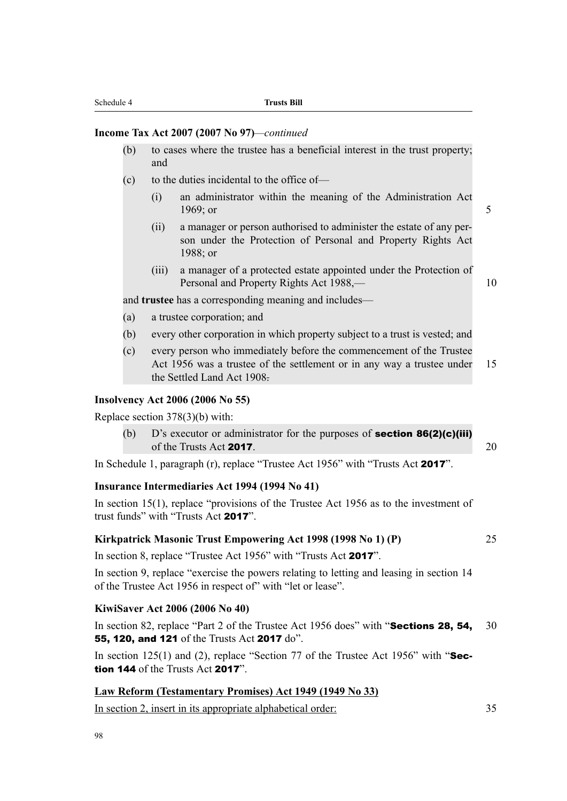### **Income Tax Act 2007 (2007 No 97)***—continued*

- (b) to cases where the trustee has a beneficial interest in the trust property; and
- (c) to the duties incidental to the office of—
	- (i) an administrator within the meaning of the Administration Act 1969; or 5
	- (ii) a manager or person authorised to administer the estate of any person under the Protection of Personal and Property Rights Act 1988; or
	- (iii) a manager of a protected estate appointed under the Protection of Personal and Property Rights Act 1988,— 10

and **trustee** has a corresponding meaning and includes—

- (a) a trustee corporation; and
- (b) every other corporation in which property subject to a trust is vested; and
- (c) every person who immediately before the commencement of the Trustee Act 1956 was a trustee of the settlement or in any way a trustee under 15 the Settled Land Act 1908.

### **Insolvency Act 2006 (2006 No 55)**

Replace section 378(3)(b) with:

(b)  $D$ 's executor or administrator for the purposes of **section 86(2)(c)(iii)** of the Trusts Act 2017. 20

In Schedule 1, paragraph (r), replace "Trustee Act 1956" with "Trusts Act 2017".

### **Insurance Intermediaries Act 1994 (1994 No 41)**

In section 15(1), replace "provisions of the Trustee Act 1956 as to the investment of trust funds" with "Trusts Act 2017".

### **Kirkpatrick Masonic Trust Empowering Act 1998 (1998 No 1) (P)** 25

In section 8, replace "Trustee Act 1956" with "Trusts Act 2017".

In section 9, replace "exercise the powers relating to letting and leasing in section 14 of the Trustee Act 1956 in respect of" with "let or lease".

### **KiwiSaver Act 2006 (2006 No 40)**

In section 82, replace "Part 2 of the Trustee Act 1956 does" with "**Sections 28, 54,** 30 55, 120, and 121 of the Trusts Act 2017 do".

In section 125(1) and (2), replace "Section 77 of the Trustee Act 1956" with " $\text{Sec-}$ tion 144 of the Trusts Act 2017".

### **Law Reform (Testamentary Promises) Act 1949 (1949 No 33)**

In section 2, insert in its appropriate alphabetical order: 35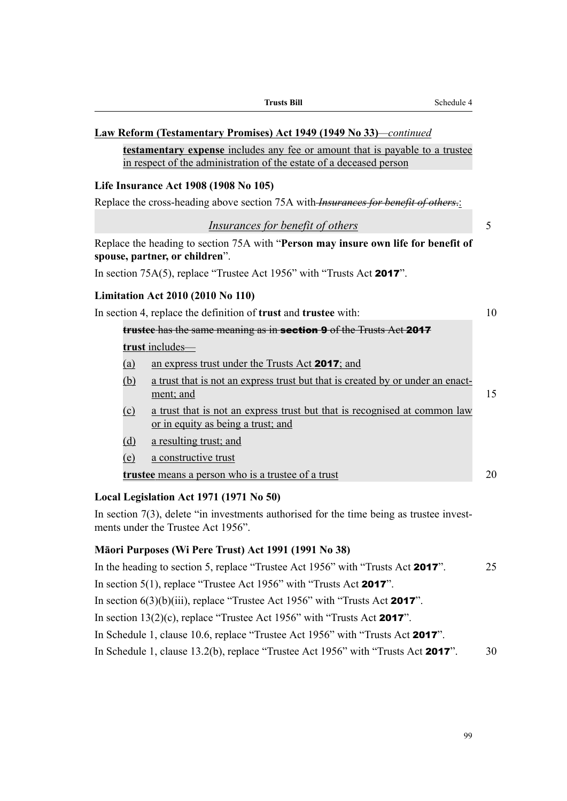| Law Reform (Testamentary Promises) Act 1949 (1949 No 33)—continued                                                                                         |    |
|------------------------------------------------------------------------------------------------------------------------------------------------------------|----|
| <b>testamentary expense</b> includes any fee or amount that is payable to a trustee<br>in respect of the administration of the estate of a deceased person |    |
| Life Insurance Act 1908 (1908 No 105)                                                                                                                      |    |
| Replace the cross-heading above section 75A with- <i>Insurances for benefit of others</i> .                                                                |    |
| Insurances for benefit of others                                                                                                                           | 5  |
| Replace the heading to section 75A with "Person may insure own life for benefit of<br>spouse, partner, or children".                                       |    |
| In section $75A(5)$ , replace "Trustee Act 1956" with "Trusts Act 2017".                                                                                   |    |
| <b>Limitation Act 2010 (2010 No 110)</b>                                                                                                                   |    |
| In section 4, replace the definition of <b>trust</b> and <b>trustee</b> with:                                                                              | 10 |
| trustee has the same meaning as in section 9 of the Trusts Act 2017                                                                                        |    |
| trust includes-                                                                                                                                            |    |
| (a)<br>an express trust under the Trusts Act 2017; and                                                                                                     |    |
| a trust that is not an express trust but that is created by or under an enact-<br>(b)<br>ment; and                                                         | 15 |
| a trust that is not an express trust but that is recognised at common law<br>$\Omega$<br>or in equity as being a trust; and                                |    |
| a resulting trust; and<br>(d)                                                                                                                              |    |
| (e)<br>a constructive trust                                                                                                                                |    |
| <b>trustee</b> means a person who is a trustee of a trust                                                                                                  | 20 |
| Local Legislation Act 1971 (1971 No 50)                                                                                                                    |    |

**Trusts Bill** Schedule 4

In section 7(3), delete "in investments authorised for the time being as trustee investments under the Trustee Act 1956".

## **Māori Purposes (Wi Pere Trust) Act 1991 (1991 No 38)**

In the heading to section 5, replace "Trustee Act 1956" with "Trusts Act **2017**". 25 In section 5(1), replace "Trustee Act 1956" with "Trusts Act 2017". In section  $6(3)(b)(iii)$ , replace "Trustee Act 1956" with "Trusts Act 2017". In section  $13(2)(c)$ , replace "Trustee Act 1956" with "Trusts Act **2017**". In Schedule 1, clause 10.6, replace "Trustee Act 1956" with "Trusts Act 2017". In Schedule 1, clause 13.2(b), replace "Trustee Act 1956" with "Trusts Act **2017**". 30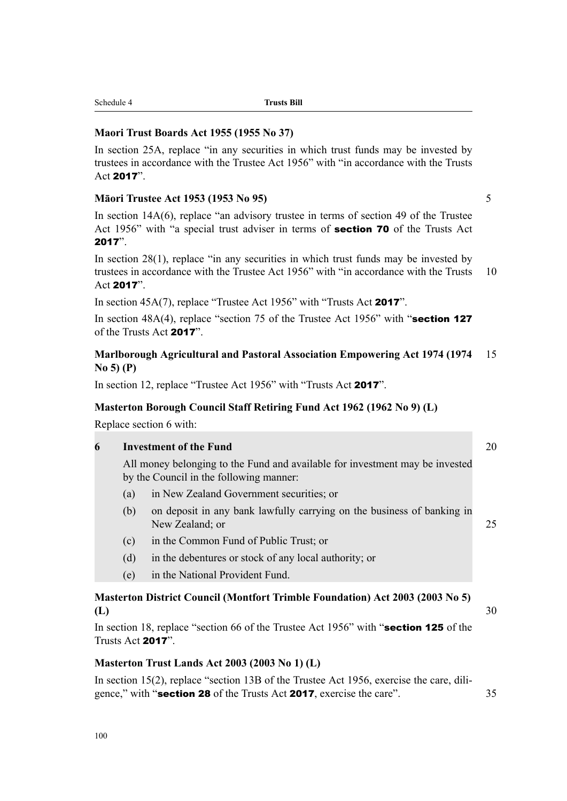# In section 18, replace "section 66 of the Trustee Act 1956" with "section 125 of the Trusts Act 2017".

**Masterton District Council (Montfort Trimble Foundation) Act 2003 (2003 No 5)**

# **Masterton Trust Lands Act 2003 (2003 No 1) (L)**

In section 15(2), replace "section 13B of the Trustee Act 1956, exercise the care, diligence," with "section 28 of the Trusts Act 2017, exercise the care". 35

(e) in the National Provident Fund.

All money belonging to the Fund and available for investment may be invested

Replace section 6 with:

In section 12, replace "Trustee Act 1956" with "Trusts Act 2017".

**Marlborough Agricultural and Pastoral Association Empowering Act 1974 (1974** 15

**No 5) (P)**

In section 45A(7), replace "Trustee Act 1956" with "Trusts Act 2017".

# **Masterton Borough Council Staff Retiring Fund Act 1962 (1962 No 9) (L)**

Act 2017".

of the Trusts Act 2017".

**6 Investment of the Fund** 20

by the Council in the following manner:

- (a) in New Zealand Government securities; or
- (b) on deposit in any bank lawfully carrying on the business of banking in New Zealand; or 25
- (c) in the Common Fund of Public Trust; or
- 
- 
- 
- 
- 
- 
- 
- (d) in the debentures or stock of any local authority; or
- 

# Act 2017".

**Maori Trust Boards Act 1955 (1955 No 37)**

Schedule 4 **Trusts Bill**

In section 14A(6), replace "an advisory trustee in terms of section 49 of the Trustee Act 1956" with "a special trust adviser in terms of **section 70** of the Trusts Act 2017".

In section 28(1), replace "in any securities in which trust funds may be invested by trustees in accordance with the Trustee Act 1956" with "in accordance with the Trusts 10

In section 48A(4), replace "section 75 of the Trustee Act 1956" with "section 127

In section 25A, replace "in any securities in which trust funds may be invested by trustees in accordance with the Trustee Act 1956" with "in accordance with the Trusts

**Māori Trustee Act 1953 (1953 No 95)** 5

**(L)** 30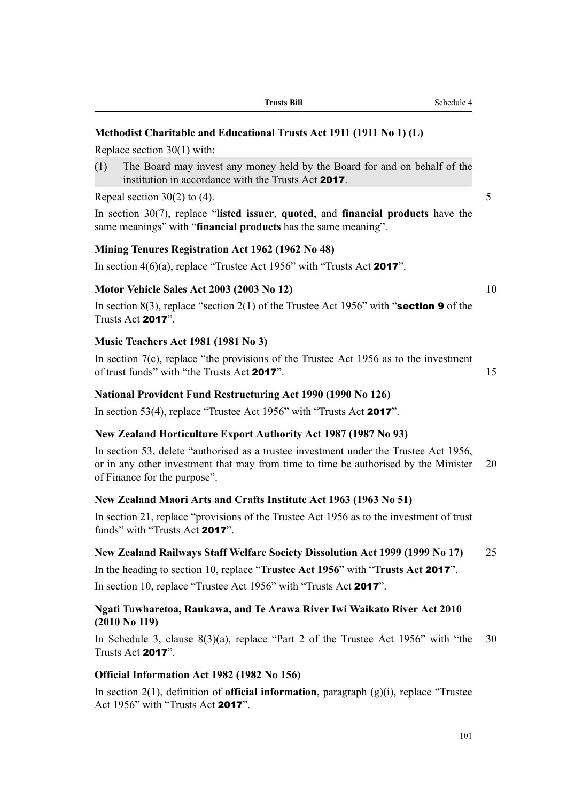### **Methodist Charitable and Educational Trusts Act 1911 (1911 No 1) (L)**

Replace section 30(1) with:

(1) The Board may invest any money held by the Board for and on behalf of the institution in accordance with the Trusts Act 2017.

Repeal section  $30(2)$  to (4). 5

In section 30(7), replace "**listed issuer**, **quoted**, and **financial products** have the same meanings" with "**financial products** has the same meaning".

### **Mining Tenures Registration Act 1962 (1962 No 48)**

In section  $4(6)(a)$ , replace "Trustee Act 1956" with "Trusts Act 2017".

### **Motor Vehicle Sales Act 2003 (2003 No 12)** 10

In section 8(3), replace "section 2(1) of the Trustee Act 1956" with "section 9 of the Trusts Act 2017".

### **Music Teachers Act 1981 (1981 No 3)**

In section  $7(c)$ , replace "the provisions of the Trustee Act 1956 as to the investment of trust funds" with "the Trusts Act 2017".

### **National Provident Fund Restructuring Act 1990 (1990 No 126)**

In section 53(4), replace "Trustee Act 1956" with "Trusts Act 2017".

### **New Zealand Horticulture Export Authority Act 1987 (1987 No 93)**

In section 53, delete "authorised as a trustee investment under the Trustee Act 1956, or in any other investment that may from time to time be authorised by the Minister 20 of Finance for the purpose".

### **New Zealand Maori Arts and Crafts Institute Act 1963 (1963 No 51)**

In section 21, replace "provisions of the Trustee Act 1956 as to the investment of trust funds" with "Trusts Act 2017".

### **New Zealand Railways Staff Welfare Society Dissolution Act 1999 (1999 No 17)** 25

In the heading to section 10, replace "**Trustee Act 1956**" with "**Trusts Act** 2017". In section 10, replace "Trustee Act 1956" with "Trusts Act 2017".

### **Ngati Tuwharetoa, Raukawa, and Te Arawa River Iwi Waikato River Act 2010 (2010 No 119)**

In Schedule 3, clause 8(3)(a), replace "Part 2 of the Trustee Act 1956" with "the 30 Trusts Act 2017".

### **Official Information Act 1982 (1982 No 156)**

In section 2(1), definition of **official information**, paragraph (g)(i), replace "Trustee Act 1956" with "Trusts Act 2017".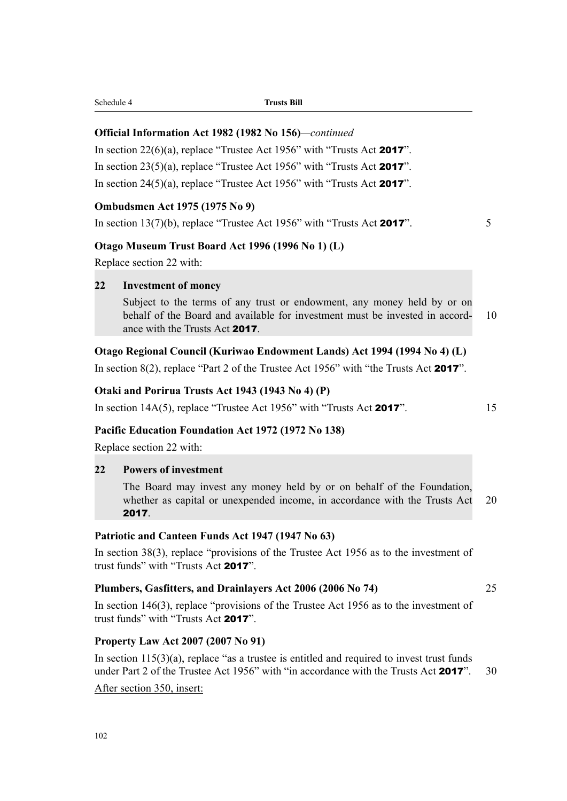102

# **Property Law Act 2007 (2007 No 91)**

In section  $115(3)(a)$ , replace "as a trustee is entitled and required to invest trust funds under Part 2 of the Trustee Act 1956" with "in accordance with the Trusts Act 2017". 30

In section 38(3), replace "provisions of the Trustee Act 1956 as to the investment of

In section 146(3), replace "provisions of the Trustee Act 1956 as to the investment of

After section 350, insert:

2017.

Replace section 22 with:

**22 Investment of money**

# **22 Powers of investment**

The Board may invest any money held by or on behalf of the Foundation, whether as capital or unexpended income, in accordance with the Trusts Act 20

**Patriotic and Canteen Funds Act 1947 (1947 No 63)**

ance with the Trusts Act 2017.

Subject to the terms of any trust or endowment, any money held by or on behalf of the Board and available for investment must be invested in accord- 10

# **Otago Regional Council (Kuriwao Endowment Lands) Act 1994 (1994 No 4) (L)**

In section 8(2), replace "Part 2 of the Trustee Act 1956" with "the Trusts Act 2017".

In section  $14A(5)$ , replace "Trustee Act 1956" with "Trusts Act **2017**". 15

# **Otaki and Porirua Trusts Act 1943 (1943 No 4) (P)**

# **Pacific Education Foundation Act 1972 (1972 No 138)**

Replace section 22 with:

trust funds" with "Trusts Act 2017".

trust funds" with "Trusts Act 2017".

**Plumbers, Gasfitters, and Drainlayers Act 2006 (2006 No 74)** 25

Schedule 4 **Trusts Bill**

# **Official Information Act 1982 (1982 No 156)***—continued*

**Otago Museum Trust Board Act 1996 (1996 No 1) (L)**

In section  $22(6)(a)$ , replace "Trustee Act 1956" with "Trusts Act **2017**".

In section  $23(5)(a)$ , replace "Trustee Act 1956" with "Trusts Act 2017".

In section  $24(5)(a)$ , replace "Trustee Act 1956" with "Trusts Act **2017**".

**Ombudsmen Act 1975 (1975 No 9)** In section  $13(7)(b)$ , replace "Trustee Act 1956" with "Trusts Act **2017**".  $5$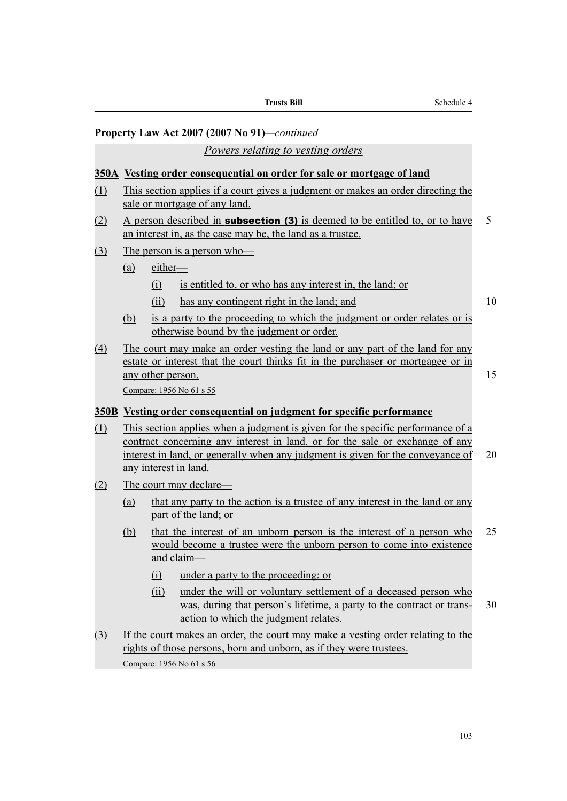|     |            |                   | <b>Trusts Bill</b>                                                                                                                                                                                                                                                          | Schedule 4 |  |
|-----|------------|-------------------|-----------------------------------------------------------------------------------------------------------------------------------------------------------------------------------------------------------------------------------------------------------------------------|------------|--|
|     |            |                   | Property Law Act 2007 (2007 No 91)—continued                                                                                                                                                                                                                                |            |  |
|     |            |                   | Powers relating to vesting orders                                                                                                                                                                                                                                           |            |  |
|     |            |                   | 350A Vesting order consequential on order for sale or mortgage of land                                                                                                                                                                                                      |            |  |
| (1) |            |                   | This section applies if a court gives a judgment or makes an order directing the<br>sale or mortgage of any land.                                                                                                                                                           |            |  |
| (2) |            |                   | A person described in <b>subsection (3)</b> is deemed to be entitled to, or to have<br>an interest in, as the case may be, the land as a trustee.                                                                                                                           | 5          |  |
| (3) |            |                   | The person is a person who-                                                                                                                                                                                                                                                 |            |  |
|     | (a)        | either-           |                                                                                                                                                                                                                                                                             |            |  |
|     |            | (i)               | is entitled to, or who has any interest in, the land; or                                                                                                                                                                                                                    |            |  |
|     |            | (ii)              | has any contingent right in the land; and                                                                                                                                                                                                                                   | 10         |  |
|     | (b)        |                   | is a party to the proceeding to which the judgment or order relates or is<br>otherwise bound by the judgment or order.                                                                                                                                                      |            |  |
| (4) |            | any other person. | The court may make an order vesting the land or any part of the land for any<br>estate or interest that the court thinks fit in the purchaser or mortgagee or in<br>Compare: 1956 No 61 s 55                                                                                | 15         |  |
|     |            |                   | 350B Vesting order consequential on judgment for specific performance                                                                                                                                                                                                       |            |  |
| (1) |            |                   | This section applies when a judgment is given for the specific performance of a<br>contract concerning any interest in land, or for the sale or exchange of any<br>interest in land, or generally when any judgment is given for the conveyance of<br>any interest in land. | 20         |  |
| (2) |            |                   | The court may declare—                                                                                                                                                                                                                                                      |            |  |
|     | <u>(a)</u> |                   | that any party to the action is a trustee of any interest in the land or any<br>part of the land; or                                                                                                                                                                        |            |  |
|     | (b)        |                   | that the interest of an unborn person is the interest of a person who<br>would become a trustee were the unborn person to come into existence<br>and claim-                                                                                                                 | 25         |  |
|     |            | $\Omega$          | under a party to the proceeding; or                                                                                                                                                                                                                                         |            |  |
|     |            | (ii)              | under the will or voluntary settlement of a deceased person who<br>was, during that person's lifetime, a party to the contract or trans-<br>action to which the judgment relates.                                                                                           | 30         |  |
| (3) |            |                   | If the court makes an order, the court may make a vesting order relating to the<br>rights of those persons, born and unborn, as if they were trustees.                                                                                                                      |            |  |
|     |            |                   | Compare: 1956 No 61 s 56                                                                                                                                                                                                                                                    |            |  |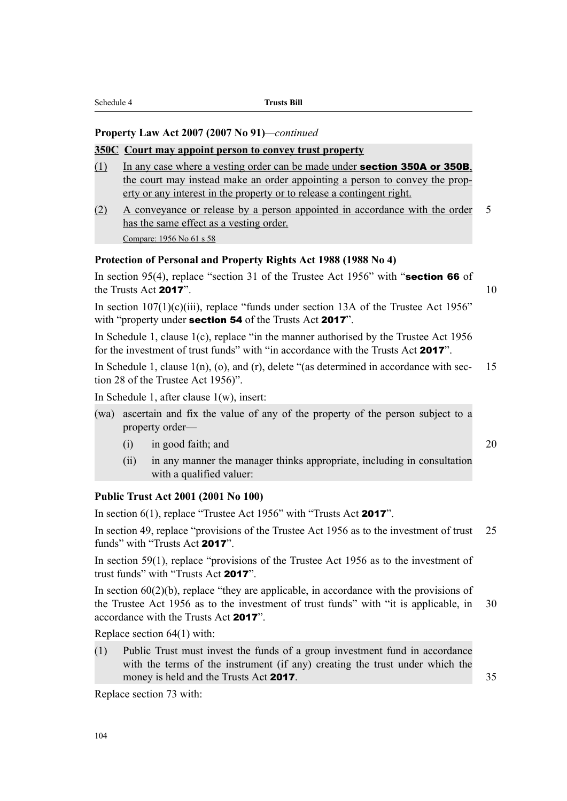### **Property Law Act 2007 (2007 No 91)***—continued*

### **350C Court may appoint person to convey trust property**

- (1) In any case where a vesting order can be made under **section 350A or 350B**. the court may instead make an order appointing a person to convey the property or any interest in the property or to release a contingent right.
- (2) A conveyance or release by a person appointed in accordance with the order 5 has the same effect as a vesting order. Compare: 1956 No 61 s 58

### **Protection of Personal and Property Rights Act 1988 (1988 No 4)**

In section 95(4), replace "section 31 of the Trustee Act 1956" with "section 66 of the Trusts Act  $2017$ ". 10

In section  $107(1)(c)(iii)$ , replace "funds under section 13A of the Trustee Act 1956" with "property under **section 54** of the Trusts Act **2017**".

In Schedule 1, clause 1(c), replace "in the manner authorised by the Trustee Act 1956 for the investment of trust funds" with "in accordance with the Trusts Act 2017".

In Schedule 1, clause  $1(n)$ , (o), and (r), delete "(as determined in accordance with sec- 15 tion 28 of the Trustee Act 1956)".

In Schedule 1, after clause 1(w), insert:

- (wa) ascertain and fix the value of any of the property of the person subject to a property order—
	- $(i)$  in good faith; and  $20$
	- (ii) in any manner the manager thinks appropriate, including in consultation with a qualified valuer:

### **Public Trust Act 2001 (2001 No 100)**

In section 6(1), replace "Trustee Act 1956" with "Trusts Act 2017".

In section 49, replace "provisions of the Trustee Act 1956 as to the investment of trust 25 funds" with "Trusts Act 2017".

In section 59(1), replace "provisions of the Trustee Act 1956 as to the investment of trust funds" with "Trusts Act 2017".

In section  $60(2)(b)$ , replace "they are applicable, in accordance with the provisions of the Trustee Act 1956 as to the investment of trust funds" with "it is applicable, in 30 accordance with the Trusts Act 2017".

Replace section 64(1) with:

(1) Public Trust must invest the funds of a group investment fund in accordance with the terms of the instrument (if any) creating the trust under which the money is held and the Trusts Act 2017. 35

Replace section 73 with: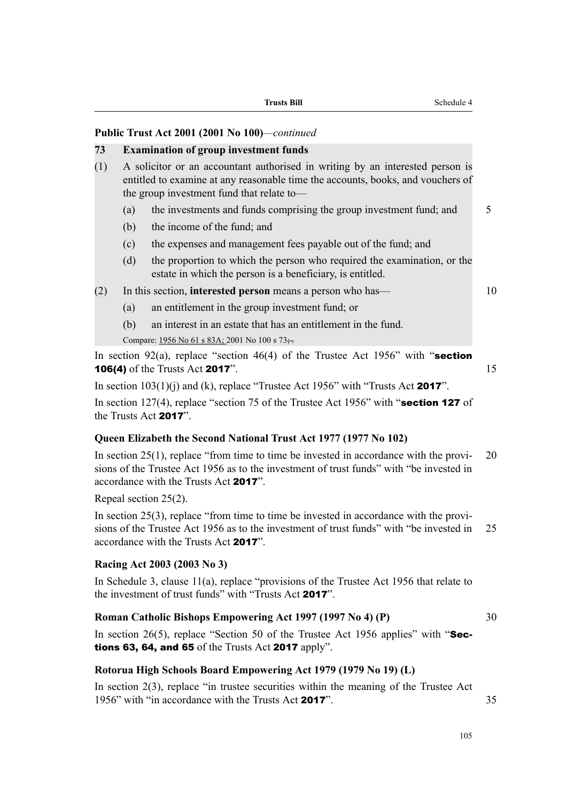**Trusts Bill** Schedule 4

### **Public Trust Act 2001 (2001 No 100)***—continued*

### **73 Examination of group investment funds**

- (1) A solicitor or an accountant authorised in writing by an interested person is entitled to examine at any reasonable time the accounts, books, and vouchers of the group investment fund that relate to—
	- (a) the investments and funds comprising the group investment fund; and  $5$
	- (b) the income of the fund; and
	- (c) the expenses and management fees payable out of the fund; and
	- (d) the proportion to which the person who required the examination, or the estate in which the person is a beneficiary, is entitled.
- (2) In this section, **interested person** means a person who has— 10
	- (a) an entitlement in the group investment fund; or
	- (b) an interest in an estate that has an entitlement in the fund.

Compare: 1956 No 61 s 83A; 2001 No 100 s  $73$ .

In section 92(a), replace "section 46(4) of the Trustee Act 1956" with "section **106(4)** of the Trusts Act **2017**". 15

In section  $103(1)(i)$  and (k), replace "Trustee Act 1956" with "Trusts Act 2017".

In section 127(4), replace "section 75 of the Trustee Act 1956" with "**section 127** of the Trusts Act 2017".

### **Queen Elizabeth the Second National Trust Act 1977 (1977 No 102)**

In section  $25(1)$ , replace "from time to time be invested in accordance with the provi- 20 sions of the Trustee Act 1956 as to the investment of trust funds" with "be invested in accordance with the Trusts Act 2017".

Repeal section 25(2).

In section 25(3), replace "from time to time be invested in accordance with the provisions of the Trustee Act 1956 as to the investment of trust funds" with "be invested in 25 accordance with the Trusts Act 2017".

### **Racing Act 2003 (2003 No 3)**

In Schedule 3, clause 11(a), replace "provisions of the Trustee Act 1956 that relate to the investment of trust funds" with "Trusts Act 2017".

### **Roman Catholic Bishops Empowering Act 1997 (1997 No 4) (P)** 30

In section 26(5), replace "Section 50 of the Trustee Act 1956 applies" with " $\text{Sec-}$ tions 63, 64, and 65 of the Trusts Act 2017 apply".

### **Rotorua High Schools Board Empowering Act 1979 (1979 No 19) (L)**

In section 2(3), replace "in trustee securities within the meaning of the Trustee Act 1956" with "in accordance with the Trusts Act 2017" 35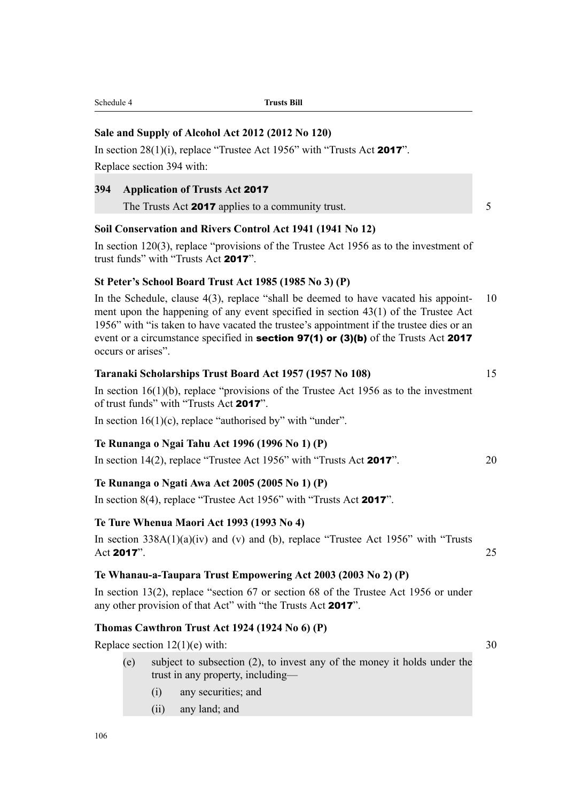### **Sale and Supply of Alcohol Act 2012 (2012 No 120)**

In section 28(1)(i), replace "Trustee Act 1956" with "Trusts Act 2017". Replace section 394 with:

### **394 Application of Trusts Act** 2017

The Trusts Act 2017 applies to a community trust.  $5 \frac{1}{2}$ 

### **Soil Conservation and Rivers Control Act 1941 (1941 No 12)**

In section 120(3), replace "provisions of the Trustee Act 1956 as to the investment of trust funds" with "Trusts Act 2017".

### **St Peter's School Board Trust Act 1985 (1985 No 3) (P)**

In the Schedule, clause 4(3), replace "shall be deemed to have vacated his appoint- 10 ment upon the happening of any event specified in section 43(1) of the Trustee Act 1956" with "is taken to have vacated the trustee's appointment if the trustee dies or an event or a circumstance specified in **section 97(1) or (3)(b)** of the Trusts Act 2017 occurs or arises".

### **Taranaki Scholarships Trust Board Act 1957 (1957 No 108)** 15

In section  $16(1)(b)$ , replace "provisions of the Trustee Act 1956 as to the investment of trust funds" with "Trusts Act 2017".

In section  $16(1)(c)$ , replace "authorised by" with "under".

### **Te Runanga o Ngai Tahu Act 1996 (1996 No 1) (P)**

In section 14(2), replace "Trustee Act 1956" with "Trusts Act 2017". 20

### **Te Runanga o Ngati Awa Act 2005 (2005 No 1) (P)**

In section 8(4), replace "Trustee Act 1956" with "Trusts Act 2017".

### **Te Ture Whenua Maori Act 1993 (1993 No 4)**

In section  $338A(1)(a)(iv)$  and (v) and (b), replace "Trustee Act 1956" with "Trusts" Act 2017".  $25$ 

### **Te Whanau-a-Taupara Trust Empowering Act 2003 (2003 No 2) (P)**

In section 13(2), replace "section 67 or section 68 of the Trustee Act 1956 or under any other provision of that Act" with "the Trusts Act 2017".

### **Thomas Cawthron Trust Act 1924 (1924 No 6) (P)**

Replace section  $12(1)(e)$  with:  $30$ 

- (e) subject to subsection (2), to invest any of the money it holds under the trust in any property, including—
	- (i) any securities; and
	- (ii) any land; and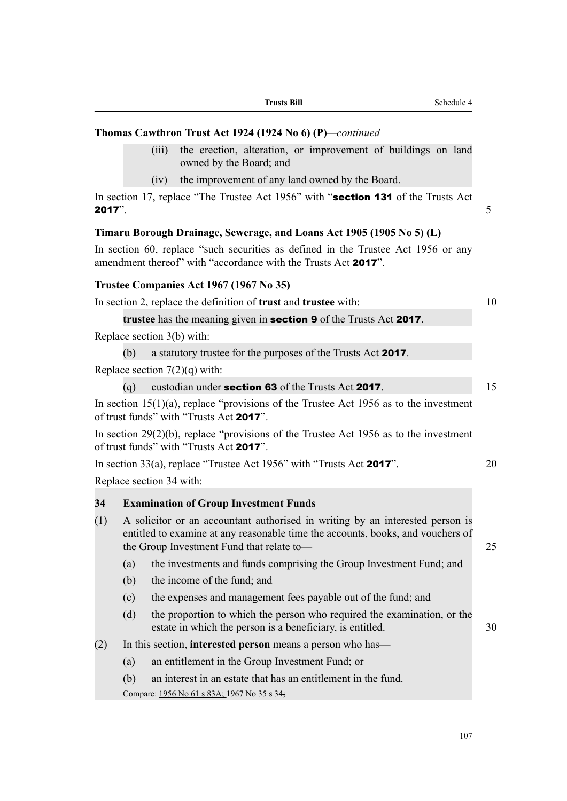|           |     | Thomas Cawthron Trust Act 1924 (1924 No 6) (P)—continued                                                                                                                                                      |    |
|-----------|-----|---------------------------------------------------------------------------------------------------------------------------------------------------------------------------------------------------------------|----|
|           |     | the erection, alteration, or improvement of buildings on land<br>(iii)<br>owned by the Board; and                                                                                                             |    |
|           |     | the improvement of any land owned by the Board.<br>(iv)                                                                                                                                                       |    |
| $2017$ ". |     | In section 17, replace "The Trustee Act 1956" with "section 131 of the Trusts Act                                                                                                                             | 5  |
|           |     | Timaru Borough Drainage, Sewerage, and Loans Act 1905 (1905 No 5) (L)                                                                                                                                         |    |
|           |     | In section 60, replace "such securities as defined in the Trustee Act 1956 or any<br>amendment thereof" with "accordance with the Trusts Act 2017".                                                           |    |
|           |     | Trustee Companies Act 1967 (1967 No 35)                                                                                                                                                                       |    |
|           |     | In section 2, replace the definition of <b>trust</b> and <b>trustee</b> with:                                                                                                                                 | 10 |
|           |     | trustee has the meaning given in <b>section 9</b> of the Trusts Act 2017.                                                                                                                                     |    |
|           |     | Replace section 3(b) with:                                                                                                                                                                                    |    |
|           | (b) | a statutory trustee for the purposes of the Trusts Act 2017.                                                                                                                                                  |    |
|           |     | Replace section $7(2)(q)$ with:                                                                                                                                                                               |    |
|           | (q) | custodian under section 63 of the Trusts Act 2017.                                                                                                                                                            | 15 |
|           |     | In section $15(1)(a)$ , replace "provisions of the Trustee Act 1956 as to the investment<br>of trust funds" with "Trusts Act 2017".                                                                           |    |
|           |     | In section $29(2)(b)$ , replace "provisions of the Trustee Act 1956 as to the investment<br>of trust funds" with "Trusts Act 2017".                                                                           |    |
|           |     | In section 33(a), replace "Trustee Act 1956" with "Trusts Act 2017".                                                                                                                                          | 20 |
|           |     | Replace section 34 with:                                                                                                                                                                                      |    |
| 34        |     | <b>Examination of Group Investment Funds</b>                                                                                                                                                                  |    |
| (1)       |     | A solicitor or an accountant authorised in writing by an interested person is<br>entitled to examine at any reasonable time the accounts, books, and vouchers of<br>the Group Investment Fund that relate to- | 25 |
|           | (a) | the investments and funds comprising the Group Investment Fund; and                                                                                                                                           |    |
|           | (b) | the income of the fund; and                                                                                                                                                                                   |    |
|           | (c) | the expenses and management fees payable out of the fund; and                                                                                                                                                 |    |
|           | (d) | the proportion to which the person who required the examination, or the<br>estate in which the person is a beneficiary, is entitled.                                                                          | 30 |
| (2)       |     | In this section, interested person means a person who has—                                                                                                                                                    |    |
|           | (a) | an entitlement in the Group Investment Fund; or                                                                                                                                                               |    |
|           | (b) | an interest in an estate that has an entitlement in the fund.                                                                                                                                                 |    |
|           |     | Compare: 1956 No 61 s 83A; 1967 No 35 s 34;                                                                                                                                                                   |    |

**Trusts Bill** Schedule 4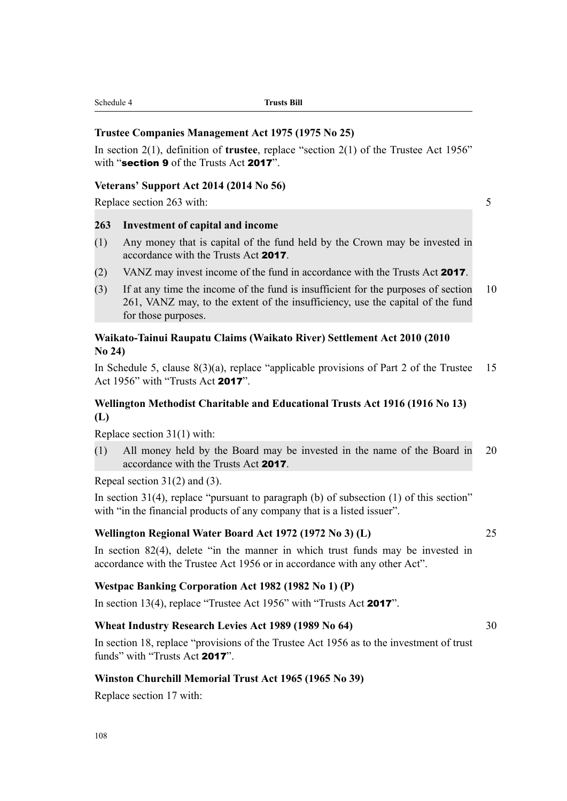| Schedule 4<br><b>Trusts Bill</b> |  |
|----------------------------------|--|
|----------------------------------|--|

### **Trustee Companies Management Act 1975 (1975 No 25)**

In section 2(1), definition of **trustee**, replace "section 2(1) of the Trustee Act 1956" with "section 9 of the Trusts Act 2017"

### **Veterans' Support Act 2014 (2014 No 56)**

Replace section 263 with: 5

### **263 Investment of capital and income**

- (1) Any money that is capital of the fund held by the Crown may be invested in accordance with the Trusts Act 2017.
- (2) VANZ may invest income of the fund in accordance with the Trusts Act 2017.
- (3) If at any time the income of the fund is insufficient for the purposes of section 10 261, VANZ may, to the extent of the insufficiency, use the capital of the fund for those purposes.

### **Waikato-Tainui Raupatu Claims (Waikato River) Settlement Act 2010 (2010 No 24)**

In Schedule 5, clause  $8(3)(a)$ , replace "applicable provisions of Part 2 of the Trustee 15 Act 1956" with "Trusts Act 2017".

## **Wellington Methodist Charitable and Educational Trusts Act 1916 (1916 No 13) (L)**

Replace section 31(1) with:

(1) All money held by the Board may be invested in the name of the Board in 20 accordance with the Trusts Act 2017.

Repeal section 31(2) and (3).

In section 31(4), replace "pursuant to paragraph (b) of subsection (1) of this section" with "in the financial products of any company that is a listed issuer".

### **Wellington Regional Water Board Act 1972 (1972 No 3) (L)** 25

In section 82(4), delete "in the manner in which trust funds may be invested in accordance with the Trustee Act 1956 or in accordance with any other Act".

### **Westpac Banking Corporation Act 1982 (1982 No 1) (P)**

In section 13(4), replace "Trustee Act 1956" with "Trusts Act 2017".

### **Wheat Industry Research Levies Act 1989 (1989 No 64)** 30

In section 18, replace "provisions of the Trustee Act 1956 as to the investment of trust funds" with "Trusts Act 2017".

### **Winston Churchill Memorial Trust Act 1965 (1965 No 39)**

Replace section 17 with: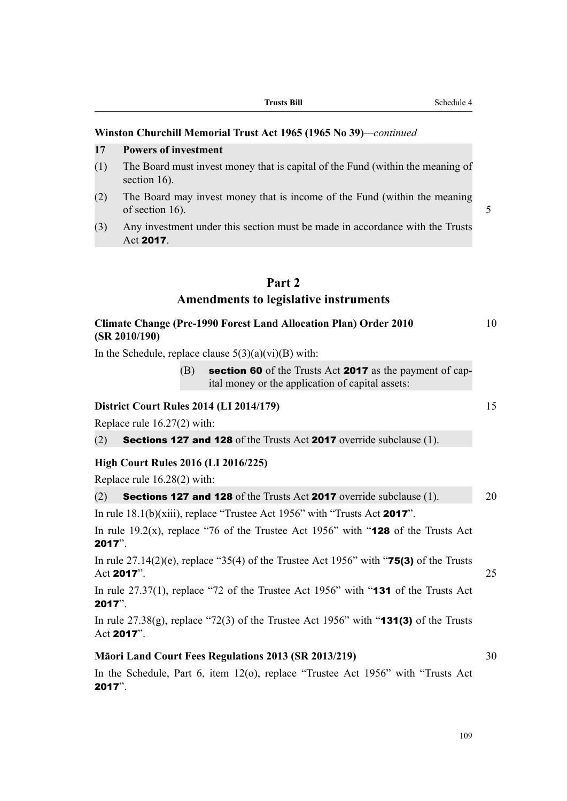### **Winston Churchill Memorial Trust Act 1965 (1965 No 39)***—continued*

### **17 Powers of investment**

- (1) The Board must invest money that is capital of the Fund (within the meaning of section 16).
- (2) The Board may invest money that is income of the Fund (within the meaning of section 16).  $\sim$  5
- (3) Any investment under this section must be made in accordance with the Trusts Act 2017.

# **Part 2**

### **Amendments to legislative instruments**

| <b>Climate Change (Pre-1990 Forest Land Allocation Plan) Order 2010</b> |  |
|-------------------------------------------------------------------------|--|
| (SR 2010/190)                                                           |  |

In the Schedule, replace clause  $5(3)(a)(vi)(B)$  with:

 $(B)$  section 60 of the Trusts Act 2017 as the payment of capital money or the application of capital assets:

### **District Court Rules 2014 (LI 2014/179)** 15

Replace rule 16.27(2) with:

(2) Sections 127 and 128 of the Trusts Act 2017 override subclause (1).

### **High Court Rules 2016 (LI 2016/225)**

Replace rule 16.28(2) with:

| (2) | <b>Sections 127 and 128</b> of the Trusts Act 2017 override subclause (1). | 20 |
|-----|----------------------------------------------------------------------------|----|
|     |                                                                            |    |

In rule 18.1(b)(xiii), replace "Trustee Act 1956" with "Trusts Act 2017".

In rule 19.2(x), replace "76 of the Trustee Act 1956" with " $128$  of the Trusts Act 2017".

In rule  $27.14(2)(e)$ , replace "35(4) of the Trustee Act 1956" with "**75(3)** of the Trusts Act 2017".  $25$ 

In rule 27.37(1), replace "72 of the Trustee Act 1956" with "**131** of the Trusts Act 2017".

In rule  $27.38(g)$ , replace "72(3) of the Trustee Act 1956" with "**131(3)** of the Trusts Act 2017".

### **Māori Land Court Fees Regulations 2013 (SR 2013/219)** 30

In the Schedule, Part 6, item 12(o), replace "Trustee Act 1956" with "Trusts Act 2017".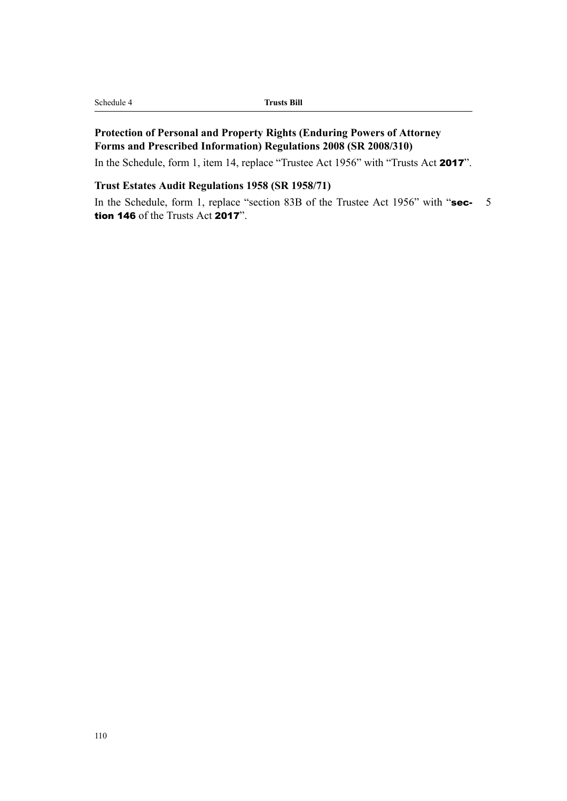| Schedule 4 |
|------------|
|------------|

# **Protection of Personal and Property Rights (Enduring Powers of Attorney Forms and Prescribed Information) Regulations 2008 (SR 2008/310)**

In the Schedule, form 1, item 14, replace "Trustee Act 1956" with "Trusts Act 2017".

### **Trust Estates Audit Regulations 1958 (SR 1958/71)**

In the Schedule, form 1, replace "section 83B of the Trustee Act 1956" with "sec- 5 tion 146 of the Trusts Act 2017".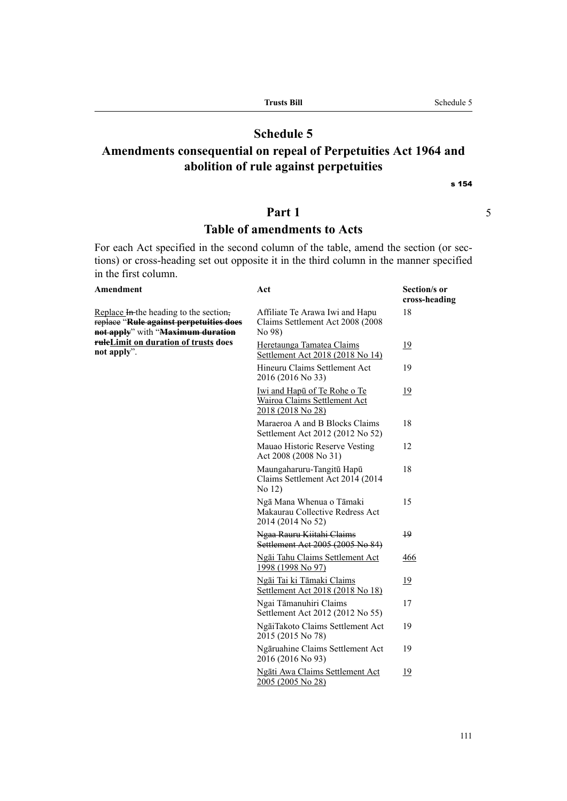| <b>Trusts Bill</b>                                              | Schedule 5 |
|-----------------------------------------------------------------|------------|
|                                                                 |            |
| <b>Schedule 5</b>                                               |            |
| Amondmonts consequential on repeal of Perpetuities Act 1064 and |            |

# **Amendments consequential on repeal of Perpetuities Act 1964 and abolition of rule against perpetuities**

s 154

# **Part 1** 5

# **Table of amendments to Acts**

For each Act specified in the second column of the table, amend the section (or sections) or cross-heading set out opposite it in the third column in the manner specified in the first column.

| <b>Amendment</b>                                                                                                       | Act                                                                                      | Section/s or<br>cross-heading |
|------------------------------------------------------------------------------------------------------------------------|------------------------------------------------------------------------------------------|-------------------------------|
| Replace In-the heading to the section,<br>replace "Rule against perpetuities does<br>not apply" with "Maximum duration | Affiliate Te Arawa Iwi and Hapu<br>Claims Settlement Act 2008 (2008)<br>No 98)           | 18                            |
| ruleLimit on duration of trusts does<br>not apply".                                                                    | Heretaunga Tamatea Claims<br>Settlement Act 2018 (2018 No 14)                            | <u>19</u>                     |
|                                                                                                                        | Hineuru Claims Settlement Act<br>2016 (2016 No 33)                                       | 19                            |
|                                                                                                                        | Iwi and Hapū of Te Rohe o Te<br><b>Wairoa Claims Settlement Act</b><br>2018 (2018 No 28) | <u>19</u>                     |
|                                                                                                                        | Maraeroa A and B Blocks Claims<br>Settlement Act 2012 (2012 No 52)                       | 18                            |
|                                                                                                                        | Mauao Historic Reserve Vesting<br>Act 2008 (2008 No 31)                                  | 12                            |
|                                                                                                                        | Maungaharuru-Tangitū Hapū<br>Claims Settlement Act 2014 (2014)<br>No 12)                 | 18                            |
|                                                                                                                        | Ngā Mana Whenua o Tāmaki<br>Makaurau Collective Redress Act<br>2014 (2014 No 52)         | 15                            |
|                                                                                                                        | Ngaa Rauru Kiitahi Claims<br>Settlement Act 2005 (2005 No 84)                            | $+9$                          |
|                                                                                                                        | Ngāi Tahu Claims Settlement Act<br>1998 (1998 No 97)                                     | 466                           |
|                                                                                                                        | Ngāi Tai ki Tāmaki Claims<br>Settlement Act 2018 (2018 No 18)                            | 19                            |
|                                                                                                                        | Ngai Tāmanuhiri Claims<br>Settlement Act 2012 (2012 No 55)                               | 17                            |
|                                                                                                                        | NgāiTakoto Claims Settlement Act<br>2015 (2015 No 78)                                    | 19                            |
|                                                                                                                        | Ngāruahine Claims Settlement Act<br>2016 (2016 No 93)                                    | 19                            |
|                                                                                                                        | Ngāti Awa Claims Settlement Act<br>2005 (2005 No 28)                                     | <u>19</u>                     |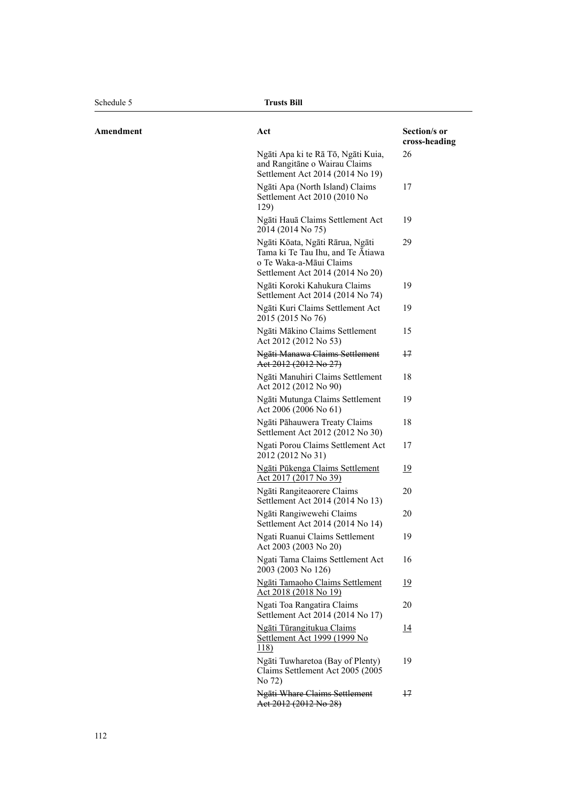$A$  **Mendment** 

| Act                                                                                                                                 | Section/s or<br>cross-heading |
|-------------------------------------------------------------------------------------------------------------------------------------|-------------------------------|
| Ngāti Apa ki te Rā Tō, Ngāti Kuia,<br>and Rangitane o Wairau Claims<br>Settlement Act 2014 (2014 No 19)                             | 26                            |
| Ngāti Apa (North Island) Claims<br>Settlement Act 2010 (2010 No<br>129)                                                             | 17                            |
| Ngāti Hauā Claims Settlement Act<br>2014 (2014 No 75)                                                                               | 19                            |
| Ngāti Kōata, Ngāti Rārua, Ngāti<br>Tama ki Te Tau Ihu, and Te Atiawa<br>o Te Waka-a-Māui Claims<br>Settlement Act 2014 (2014 No 20) | 29                            |
| Ngāti Koroki Kahukura Claims<br>Settlement Act 2014 (2014 No 74)                                                                    | 19                            |
| Ngāti Kuri Claims Settlement Act<br>2015 (2015 No 76)                                                                               | 19                            |
| Ngāti Mākino Claims Settlement<br>Act 2012 (2012 No 53)                                                                             | 15                            |
| Ngāti Manawa Claims Settlement<br>Act 2012 (2012 No 27)                                                                             | $+7$                          |
| Ngāti Manuhiri Claims Settlement<br>Act 2012 (2012 No 90)                                                                           | 18                            |
| Ngāti Mutunga Claims Settlement<br>Act 2006 (2006 No 61)                                                                            | 19                            |
| Ngāti Pāhauwera Treaty Claims<br>Settlement Act 2012 (2012 No 30)                                                                   | 18                            |
| Ngati Porou Claims Settlement Act<br>2012 (2012 No 31)                                                                              | 17                            |
| Ngāti Pūkenga Claims Settlement<br>Act 2017 (2017 No 39)                                                                            | <u> 19</u>                    |
| Ngāti Rangiteaorere Claims<br>Settlement Act 2014 (2014 No 13)                                                                      | 20                            |
| Ngāti Rangiwewehi Claims<br>Settlement Act 2014 (2014 No 14)                                                                        | 20                            |
| Ngati Ruanui Claims Settlement<br>Act 2003 (2003 No 20)                                                                             | 19                            |
| Ngati Tama Claims Settlement Act<br>2003 (2003 No 126)                                                                              | 16                            |
| <b>Ngāti Tamaoho Claims Settlement</b><br>Act 2018 (2018 No 19)                                                                     | <u> 19</u>                    |
| Ngati Toa Rangatira Claims<br>Settlement Act 2014 (2014 No 17)                                                                      | 20                            |
| Ngāti Tūrangitukua Claims<br><u>Settlement Act 1999 (1999 No</u><br><u>118)</u>                                                     | <u>14</u>                     |
| Ngāti Tuwharetoa (Bay of Plenty)<br>Claims Settlement Act 2005 (2005)<br>No 72)                                                     | 19                            |
| Ngāti Whare Claims Settlement<br>Act 2012 (2012 No 28)                                                                              | 47                            |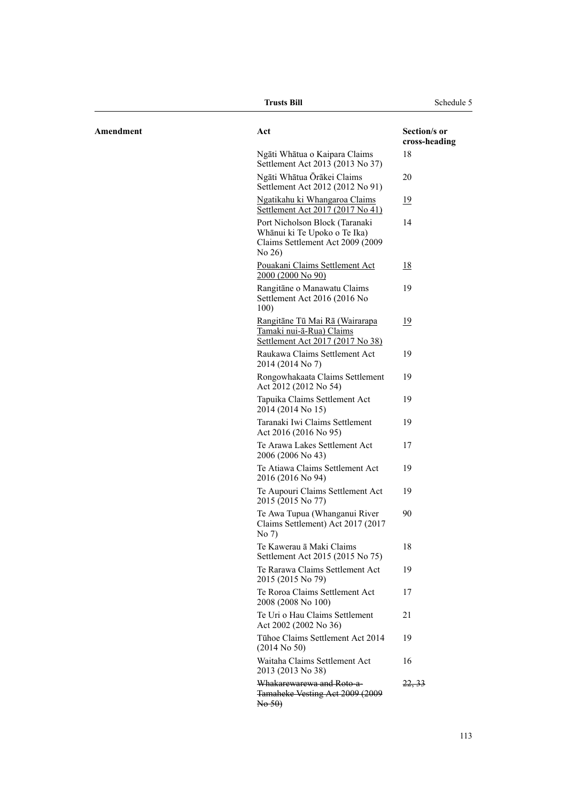|           | Trusts Bill                                                                                                     | Schedule 5                    |
|-----------|-----------------------------------------------------------------------------------------------------------------|-------------------------------|
| Amendment | Act                                                                                                             | Section/s or<br>cross-heading |
|           | Ngāti Whātua o Kaipara Claims<br>Settlement Act 2013 (2013 No 37)                                               | 18                            |
|           | Ngāti Whātua Ōrākei Claims<br>Settlement Act 2012 (2012 No 91)                                                  | 20                            |
|           | Ngatikahu ki Whangaroa Claims<br>Settlement Act 2017 (2017 No 41)                                               | 19                            |
|           | Port Nicholson Block (Taranaki<br>Whānui ki Te Upoko o Te Ika)<br>Claims Settlement Act 2009 (2009<br>No $26$ ) | 14                            |
|           | Pouakani Claims Settlement Act<br>2000 (2000 No 90)                                                             | <u>18</u>                     |
|           | Rangitāne o Manawatu Claims<br>Settlement Act 2016 (2016 No<br>100)                                             | 19                            |
|           | Rangitāne Tū Mai Rā (Wairarapa<br>Tamaki nui-ā-Rua) Claims<br>Settlement Act 2017 (2017 No 38)                  | 19                            |
|           | Raukawa Claims Settlement Act<br>2014 (2014 No 7)                                                               | 19                            |
|           | Rongowhakaata Claims Settlement<br>Act 2012 (2012 No 54)                                                        | 19                            |
|           | Tapuika Claims Settlement Act<br>2014 (2014 No 15)                                                              | 19                            |
|           | Taranaki Iwi Claims Settlement<br>Act 2016 (2016 No 95)                                                         | 19                            |
|           | Te Arawa Lakes Settlement Act<br>2006 (2006 No 43)                                                              | 17                            |
|           | Te Atiawa Claims Settlement Act<br>2016 (2016 No 94)                                                            | 19                            |
|           | Te Aupouri Claims Settlement Act<br>2015 (2015 No 77)                                                           | 19                            |
|           | Te Awa Tupua (Whanganui River<br>Claims Settlement) Act 2017 (2017<br>No 7)                                     | 90                            |
|           | Te Kawerau ā Maki Claims<br>Settlement Act 2015 (2015 No 75)                                                    | 18                            |
|           | Te Rarawa Claims Settlement Act<br>2015 (2015 No 79)                                                            | 19                            |
|           | Te Roroa Claims Settlement Act<br>2008 (2008 No 100)                                                            | 17                            |
|           | Te Uri o Hau Claims Settlement<br>Act 2002 (2002 No 36)                                                         | 21                            |
|           | Tühoe Claims Settlement Act 2014<br>$(2014$ No 50)                                                              | 19                            |
|           | Waitaha Claims Settlement Act<br>2013 (2013 No 38)                                                              | 16                            |
|           | Whakarewarewa and Roto-a-<br>Tamaheke Vesting Act 2009 (2009<br>$\text{No}$ 50)                                 | 22, 33                        |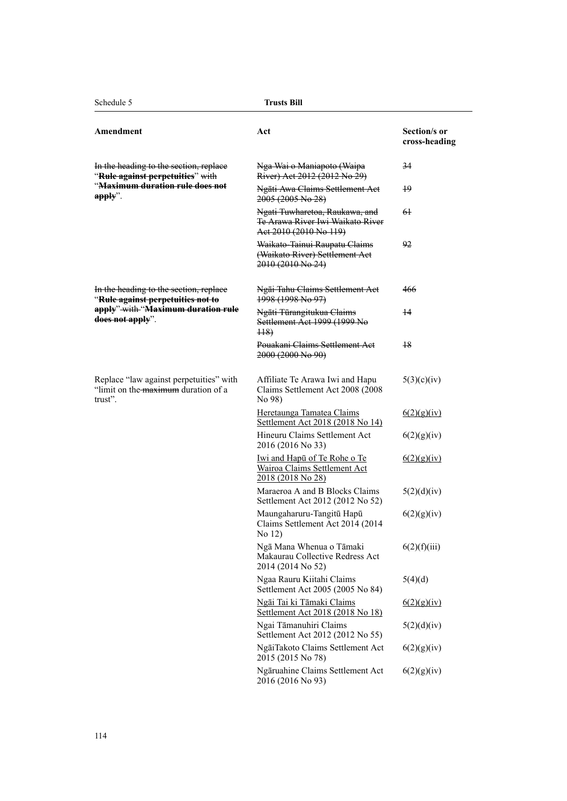| Amendment                                                                                 | Act                                                                                             | Section/s or<br>cross-heading |
|-------------------------------------------------------------------------------------------|-------------------------------------------------------------------------------------------------|-------------------------------|
| In the heading to the section, replace<br>"Rule against perpetuities" with                | Nga Wai o Maniapoto (Waipa<br>River) Act 2012 (2012 No 29)                                      | 34                            |
| " <del>Maximum duration rule does not</del><br>$apply"$ .                                 | Ngāti Awa Claims Settlement Act<br>2005 (2005 No 28)                                            | 19                            |
|                                                                                           | Ngati Tuwharetoa, Raukawa, and<br>Te Arawa River Iwi Waikato River<br>Act 2010 (2010 No 119)    | 61                            |
|                                                                                           | Waikato-Tainui Raupatu Claims<br>(Waikato River) Settlement Act<br>2010 (2010 No 24)            | 92                            |
| In the heading to the section, replace<br>"Rule against perpetuities not to               | Ngāi Tahu Claims Settlement Act<br>1998 (1998 No 97)                                            | 466                           |
| apply"-with "Maximum duration rule<br>does not apply".                                    | Ngāti Tūrangitukua Claims<br>Settlement Act 1999 (1999 No<br><del>118)</del>                    | 14                            |
|                                                                                           | Pouakani Claims Settlement Act<br>2000 (2000 No 90)                                             | <del>18</del>                 |
| Replace "law against perpetuities" with<br>"limit on the maximum duration of a<br>trust". | Affiliate Te Arawa Iwi and Hapu<br>Claims Settlement Act 2008 (2008<br>No 98)                   | 5(3)(c)(iv)                   |
|                                                                                           | Heretaunga Tamatea Claims<br>Settlement Act 2018 (2018 No 14)                                   | 6(2)(g)(iv)                   |
|                                                                                           | Hineuru Claims Settlement Act<br>2016 (2016 No 33)                                              | 6(2)(g)(iv)                   |
|                                                                                           | <u>Iwi and Hapū of Te Rohe o Te</u><br><b>Wairoa Claims Settlement Act</b><br>2018 (2018 No 28) | 6(2)(g)(iv)                   |
|                                                                                           | Maraeroa A and B Blocks Claims<br>Settlement Act 2012 (2012 No 52)                              | 5(2)(d)(iv)                   |
|                                                                                           | Maungaharuru-Tangitū Hapū<br>Claims Settlement Act 2014 (2014)<br>No 12)                        | 6(2)(g)(iv)                   |
|                                                                                           | Ngā Mana Whenua o Tāmaki<br>Makaurau Collective Redress Act<br>2014 (2014 No 52)                | 6(2)(f)(iii)                  |
|                                                                                           | Ngaa Rauru Kiitahi Claims<br>Settlement Act 2005 (2005 No 84)                                   | 5(4)(d)                       |
|                                                                                           | Ngāi Tai ki Tāmaki Claims<br>Settlement Act 2018 (2018 No 18)                                   | 6(2)(g)(iv)                   |
|                                                                                           | Ngai Tāmanuhiri Claims<br>Settlement Act 2012 (2012 No 55)                                      | 5(2)(d)(iv)                   |
|                                                                                           | NgāiTakoto Claims Settlement Act<br>2015 (2015 No 78)                                           | 6(2)(g)(iv)                   |
|                                                                                           | Ngāruahine Claims Settlement Act<br>2016 (2016 No 93)                                           | 6(2)(g)(iv)                   |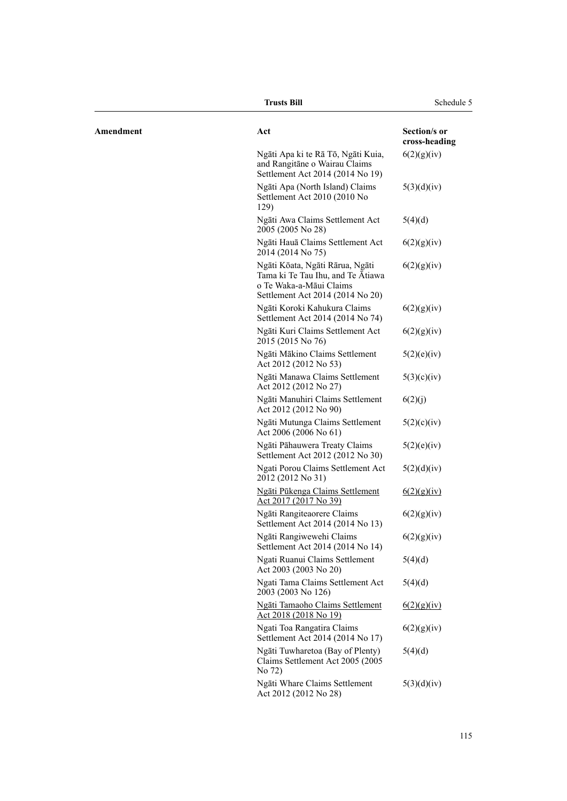|           | <b>Trusts Bill</b>                                                                                                                  | Schedule 5                    |
|-----------|-------------------------------------------------------------------------------------------------------------------------------------|-------------------------------|
| Amendment | Act                                                                                                                                 | Section/s or<br>cross-heading |
|           | Ngāti Apa ki te Rā Tō, Ngāti Kuia,<br>and Rangitāne o Wairau Claims<br>Settlement Act 2014 (2014 No 19)                             | 6(2)(g)(iv)                   |
|           | Ngāti Apa (North Island) Claims<br>Settlement Act 2010 (2010 No<br>129)                                                             | 5(3)(d)(iv)                   |
|           | Ngāti Awa Claims Settlement Act<br>2005 (2005 No 28)                                                                                | 5(4)(d)                       |
|           | Ngāti Hauā Claims Settlement Act<br>2014 (2014 No 75)                                                                               | 6(2)(g)(iv)                   |
|           | Ngāti Kōata, Ngāti Rārua, Ngāti<br>Tama ki Te Tau Ihu, and Te Ātiawa<br>o Te Waka-a-Māui Claims<br>Settlement Act 2014 (2014 No 20) | 6(2)(g)(iv)                   |
|           | Ngāti Koroki Kahukura Claims<br>Settlement Act 2014 (2014 No 74)                                                                    | 6(2)(g)(iv)                   |
|           | Ngāti Kuri Claims Settlement Act<br>2015 (2015 No 76)                                                                               | 6(2)(g)(iv)                   |
|           | Ngāti Mākino Claims Settlement<br>Act 2012 (2012 No 53)                                                                             | 5(2)(e)(iv)                   |
|           | Ngāti Manawa Claims Settlement<br>Act 2012 (2012 No 27)                                                                             | 5(3)(c)(iv)                   |
|           | Ngāti Manuhiri Claims Settlement<br>Act 2012 (2012 No 90)                                                                           | 6(2)(j)                       |
|           | Ngāti Mutunga Claims Settlement<br>Act 2006 (2006 No 61)                                                                            | 5(2)(c)(iv)                   |
|           | Ngāti Pāhauwera Treaty Claims<br>Settlement Act 2012 (2012 No 30)                                                                   | 5(2)(e)(iv)                   |
|           | Ngati Porou Claims Settlement Act<br>2012 (2012 No 31)                                                                              | 5(2)(d)(iv)                   |
|           | Ngāti Pūkenga Claims Settlement<br>Act 2017 (2017 No 39)                                                                            | 6(2)(g)(iv)                   |
|           | Ngāti Rangiteaorere Claims<br>Settlement Act 2014 (2014 No 13)                                                                      | 6(2)(g)(iv)                   |
|           | Ngāti Rangiwewehi Claims<br>Settlement Act 2014 (2014 No 14)                                                                        | 6(2)(g)(iv)                   |
|           | Ngati Ruanui Claims Settlement<br>Act 2003 (2003 No 20)                                                                             | 5(4)(d)                       |
|           | Ngati Tama Claims Settlement Act<br>2003 (2003 No 126)                                                                              | 5(4)(d)                       |
|           | Ngāti Tamaoho Claims Settlement<br><u>Act 2018 (2018 No 19)</u>                                                                     | 6(2)(g)(iv)                   |
|           | Ngati Toa Rangatira Claims<br>Settlement Act 2014 (2014 No 17)                                                                      | 6(2)(g)(iv)                   |
|           | Ngāti Tuwharetoa (Bay of Plenty)<br>Claims Settlement Act 2005 (2005)<br>No 72)                                                     | 5(4)(d)                       |
|           | Ngāti Whare Claims Settlement<br>Act 2012 (2012 No 28)                                                                              | 5(3)(d)(iv)                   |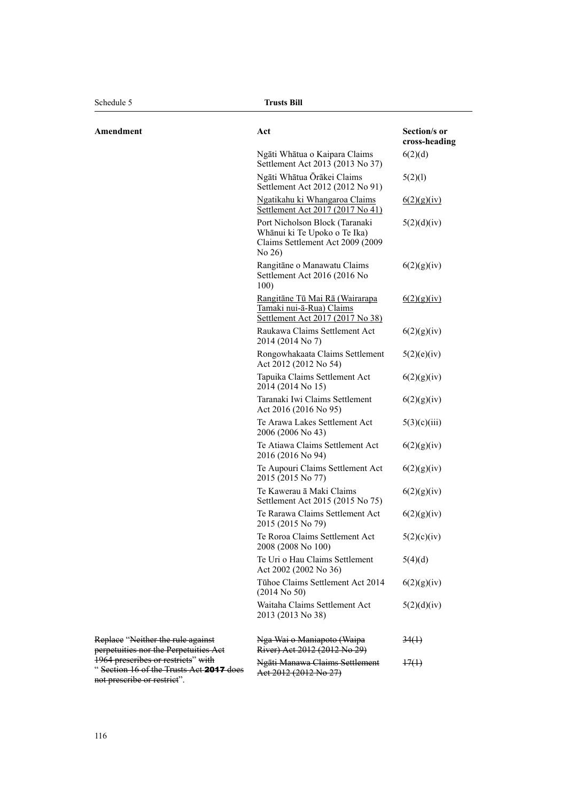| Amendment                                                                                                           | Act                                                                                                            | Section/s or<br>cross-heading |
|---------------------------------------------------------------------------------------------------------------------|----------------------------------------------------------------------------------------------------------------|-------------------------------|
|                                                                                                                     | Ngāti Whātua o Kaipara Claims<br>Settlement Act 2013 (2013 No 37)                                              | 6(2)(d)                       |
|                                                                                                                     | Ngāti Whātua Ōrākei Claims<br>Settlement Act 2012 (2012 No 91)                                                 | 5(2)(1)                       |
|                                                                                                                     | Ngatikahu ki Whangaroa Claims<br>Settlement Act 2017 (2017 No 41)                                              | 6(2)(g)(iv)                   |
|                                                                                                                     | Port Nicholson Block (Taranaki<br>Whānui ki Te Upoko o Te Ika)<br>Claims Settlement Act 2009 (2009<br>No $26)$ | 5(2)(d)(iv)                   |
|                                                                                                                     | Rangitāne o Manawatu Claims<br>Settlement Act 2016 (2016 No<br>100)                                            | 6(2)(g)(iv)                   |
|                                                                                                                     | Rangitāne Tū Mai Rā (Wairarapa<br>Tamaki nui-ā-Rua) Claims<br>Settlement Act 2017 (2017 No 38)                 | 6(2)(g)(iv)                   |
|                                                                                                                     | Raukawa Claims Settlement Act<br>2014 (2014 No 7)                                                              | 6(2)(g)(iv)                   |
|                                                                                                                     | Rongowhakaata Claims Settlement<br>Act 2012 (2012 No 54)                                                       | 5(2)(e)(iv)                   |
|                                                                                                                     | Tapuika Claims Settlement Act<br>2014 (2014 No 15)                                                             | 6(2)(g)(iv)                   |
|                                                                                                                     | Taranaki Iwi Claims Settlement<br>Act 2016 (2016 No 95)                                                        | 6(2)(g)(iv)                   |
|                                                                                                                     | Te Arawa Lakes Settlement Act<br>2006 (2006 No 43)                                                             | 5(3)(c)(iii)                  |
|                                                                                                                     | Te Atiawa Claims Settlement Act<br>2016 (2016 No 94)                                                           | 6(2)(g)(iv)                   |
|                                                                                                                     | Te Aupouri Claims Settlement Act<br>2015 (2015 No 77)                                                          | 6(2)(g)(iv)                   |
|                                                                                                                     | Te Kawerau ā Maki Claims<br>Settlement Act 2015 (2015 No 75)                                                   | 6(2)(g)(iv)                   |
|                                                                                                                     | Te Rarawa Claims Settlement Act<br>2015 (2015 No 79)                                                           | 6(2)(g)(iv)                   |
|                                                                                                                     | Te Roroa Claims Settlement Act<br>2008 (2008 No 100)                                                           | 5(2)(c)(iv)                   |
|                                                                                                                     | Te Uri o Hau Claims Settlement<br>Act 2002 (2002 No 36)                                                        | 5(4)(d)                       |
|                                                                                                                     | Tühoe Claims Settlement Act 2014<br>$(2014$ No 50)                                                             | 6(2)(g)(iv)                   |
|                                                                                                                     | Waitaha Claims Settlement Act<br>2013 (2013 No 38)                                                             | 5(2)(d)(iv)                   |
| Replace "Neither the rule against<br>perpetuities nor the Perpetuities Aet                                          | Nga Wai o Maniapoto (Waipa<br>River) Act 2012 (2012 No 29)                                                     | <del>34(1)</del>              |
| 1964 prescribes or restricts" with<br>"Section 16 of the Trusts Act <b>2017</b> does<br>not prescribe or restrict". | Ngāti Manawa Claims Settlement<br>Act 2012 (2012 No 27)                                                        | 47(1)                         |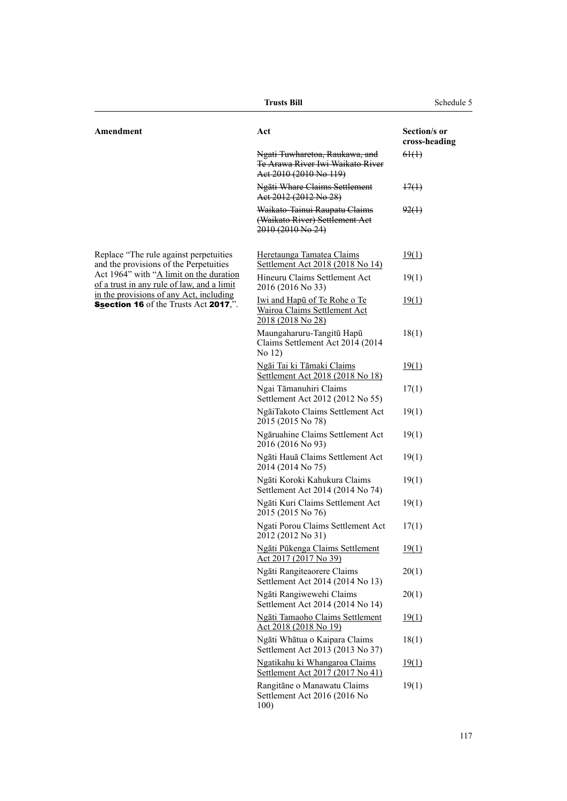|                                                                                       | <b>Trusts Bill</b>                                                                           | Schedule 5                    |
|---------------------------------------------------------------------------------------|----------------------------------------------------------------------------------------------|-------------------------------|
| Amendment                                                                             | Act                                                                                          | Section/s or<br>cross-heading |
|                                                                                       | Ngati Tuwharetoa, Raukawa, and<br>Te Arawa River Iwi Waikato River<br>Act 2010 (2010 No 119) | 64(1)                         |
|                                                                                       | Ngāti Whare Claims Settlement<br>Act 2012 (2012 No 28)                                       | 47(1)                         |
|                                                                                       | Waikato-Tainui Raupatu Claims<br>(Waikato River) Settlement Act<br>2010 (2010 No 24)         | 92()                          |
| Replace "The rule against perpetuities<br>and the provisions of the Perpetuities      | Heretaunga Tamatea Claims<br>Settlement Act 2018 (2018 No 14)                                | 19(1)                         |
| Act 1964" with "A limit on the duration<br>of a trust in any rule of law, and a limit | Hineuru Claims Settlement Act<br>2016 (2016 No 33)                                           | 19(1)                         |
| in the provisions of any Act, including<br>Ssection 16 of the Trusts Act 2017,".      | Iwi and Hapū of Te Rohe o Te<br>Wairoa Claims Settlement Act<br>2018 (2018 No 28)            | 19(1)                         |
|                                                                                       | Maungaharuru-Tangitū Hapū<br>Claims Settlement Act 2014 (2014<br>No 12)                      | 18(1)                         |
|                                                                                       | Ngāi Tai ki Tāmaki Claims<br>Settlement Act 2018 (2018 No 18)                                | 19(1)                         |
|                                                                                       | Ngai Tāmanuhiri Claims<br>Settlement Act 2012 (2012 No 55)                                   | 17(1)                         |
|                                                                                       | NgāiTakoto Claims Settlement Act<br>2015 (2015 No 78)                                        | 19(1)                         |
|                                                                                       | Ngāruahine Claims Settlement Act<br>2016 (2016 No 93)                                        | 19(1)                         |
|                                                                                       | Ngāti Hauā Claims Settlement Act<br>2014 (2014 No 75)                                        | 19(1)                         |
|                                                                                       | Ngāti Koroki Kahukura Claims<br>Settlement Act 2014 (2014 No 74)                             | 19(1)                         |
|                                                                                       | Ngāti Kuri Claims Settlement Act<br>2015 (2015 No 76)                                        | 19(1)                         |
|                                                                                       | Ngati Porou Claims Settlement Act<br>2012 (2012 No 31)                                       | 17(1)                         |
|                                                                                       | Ngāti Pūkenga Claims Settlement<br>Act 2017 (2017 No 39)                                     | 19(1)                         |
|                                                                                       | Ngāti Rangiteaorere Claims<br>Settlement Act 2014 (2014 No 13)                               | 20(1)                         |
|                                                                                       | Ngāti Rangiwewehi Claims<br>Settlement Act 2014 (2014 No 14)                                 | 20(1)                         |
|                                                                                       | Ngāti Tamaoho Claims Settlement<br>Act 2018 (2018 No 19)                                     | 19(1)                         |
|                                                                                       | Ngāti Whātua o Kaipara Claims<br>Settlement Act 2013 (2013 No 37)                            | 18(1)                         |
|                                                                                       | Ngatikahu ki Whangaroa Claims<br>Settlement Act 2017 (2017 No 41)                            | 19(1)                         |
|                                                                                       | Rangitāne o Manawatu Claims<br>Settlement Act 2016 (2016 No<br>100)                          | 19(1)                         |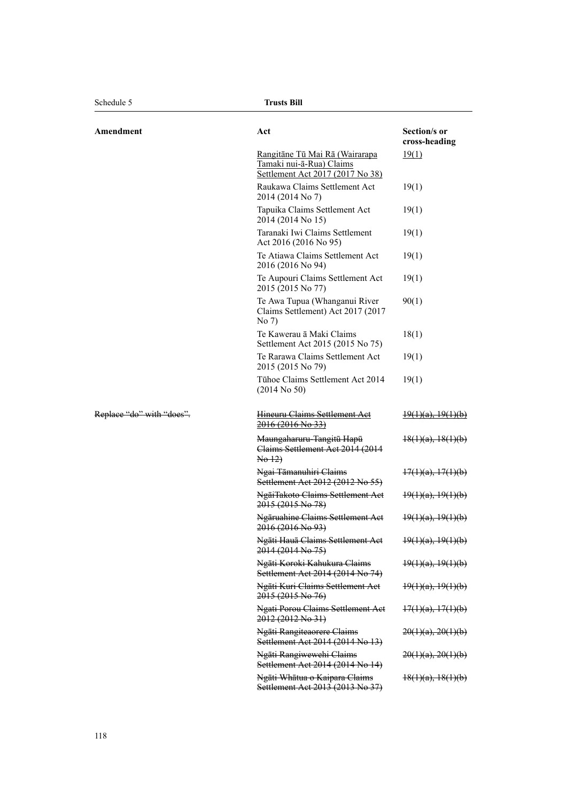Schedule 5 **Trusts Bill**

| Amendment                 | Act                                                                                                   | Section/s or<br>cross-heading |
|---------------------------|-------------------------------------------------------------------------------------------------------|-------------------------------|
|                           | <u>Rangitāne Tū Mai Rā (Wairarapa</u><br>Tamaki nui-ā-Rua) Claims<br>Settlement Act 2017 (2017 No 38) | 19(1)                         |
|                           | Raukawa Claims Settlement Act<br>2014 (2014 No 7)                                                     | 19(1)                         |
|                           | Tapuika Claims Settlement Act<br>2014 (2014 No 15)                                                    | 19(1)                         |
|                           | Taranaki Iwi Claims Settlement<br>Act 2016 (2016 No 95)                                               | 19(1)                         |
|                           | Te Atiawa Claims Settlement Act<br>2016 (2016 No 94)                                                  | 19(1)                         |
|                           | Te Aupouri Claims Settlement Act<br>2015 (2015 No 77)                                                 | 19(1)                         |
|                           | Te Awa Tupua (Whanganui River<br>Claims Settlement) Act 2017 (2017<br>No 7)                           | 90(1)                         |
|                           | Te Kawerau ā Maki Claims<br>Settlement Act 2015 (2015 No 75)                                          | 18(1)                         |
|                           | Te Rarawa Claims Settlement Act<br>2015 (2015 No 79)                                                  | 19(1)                         |
|                           | Tühoe Claims Settlement Act 2014<br>$(2014$ No 50)                                                    | 19(1)                         |
| Replace "do" with "does". | Hineuru Claims Settlement Act<br>2016 (2016 No 33)                                                    | $\frac{19(1)(a)}{19(1)(b)}$   |
|                           | Maungaharuru-Tangitū Hapū<br>Claims Settlement Act 2014 (2014<br>$\text{No }12$                       | $\frac{18(1)(a)}{18(1)(b)}$   |
|                           | Ngai Tāmanuhiri Claims<br>Settlement Act 2012 (2012 No 55)                                            | $\frac{17(1)(a)}{17(1)(b)}$   |
|                           | NgāiTakoto Claims Settlement Act<br>2015 (2015 No 78)                                                 | $\frac{19(1)(a)}{19(1)(b)}$   |
|                           | Ngāruahine Claims Settlement Act<br>2016 (2016 No 93)                                                 | $\frac{19(1)(a)}{19(1)(b)}$   |
|                           | Ngāti Hauā Claims Settlement Act<br>2014 (2014 No 75)                                                 | $\frac{19(1)(a)}{19(1)(b)}$   |
|                           | Ngāti Koroki Kahukura Claims<br>Settlement Act 2014 (2014 No 74)                                      | $\frac{19(1)(a)}{19(1)(b)}$   |
|                           | Ngāti Kuri Claims Settlement Act<br>2015 (2015 No 76)                                                 | $\frac{19(1)(a)}{19(1)(b)}$   |
|                           | Ngati Porou Claims Settlement Act<br>2012 (2012 No 31)                                                | $\frac{17(1)(a)}{17(1)(b)}$   |
|                           | Ngāti Rangiteaorere Claims<br>Settlement Act 2014 (2014 No 13)                                        | $20(1)(a)$ , $20(1)(b)$       |
|                           | Ngāti Rangiwewehi Claims<br>Settlement Act 2014 (2014 No 14)                                          | $20(1)(a)$ , $20(1)(b)$       |
|                           | Ngāti Whātua o Kaipara Claims<br>Settlement Act 2013 (2013 No 37)                                     | $\frac{18(1)(a)}{18(1)(b)}$   |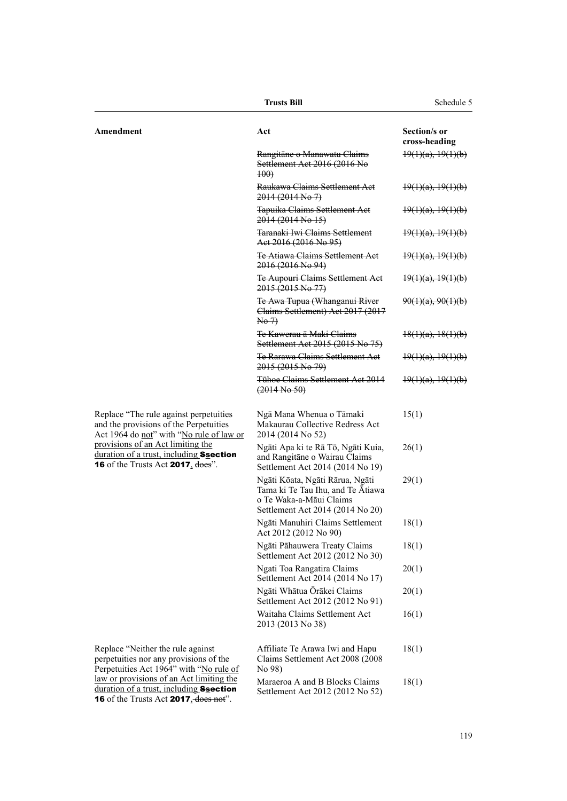|                                                                                                                                                   | <b>Trusts Bill</b>                                                                                                                  | Schedule 5                    |
|---------------------------------------------------------------------------------------------------------------------------------------------------|-------------------------------------------------------------------------------------------------------------------------------------|-------------------------------|
| Amendment                                                                                                                                         | Act                                                                                                                                 | Section/s or<br>cross-heading |
|                                                                                                                                                   | Rangitāne o Manawatu Claims<br>Settlement Act 2016 (2016 No<br>$+00$                                                                | $\frac{19(1)(a)}{19(1)(b)}$   |
|                                                                                                                                                   | Raukawa Claims Settlement Act<br>$2014(2014 \text{ No } 7)$                                                                         | $\frac{19(1)(a)}{19(1)(b)}$   |
|                                                                                                                                                   | <b>Tapuika Claims Settlement Act</b><br>$2014(2014 \text{ No } 15)$                                                                 | $\frac{19(1)(a)}{19(1)(b)}$   |
|                                                                                                                                                   | Taranaki Iwi Claims Settlement<br>Aet 2016 (2016 No 95)                                                                             | $\frac{19(1)(a)}{19(1)(b)}$   |
|                                                                                                                                                   | <b>Te Atiawa Claims Settlement Aet</b><br>2016 (2016 No 94)                                                                         | $\frac{19(1)(a)}{19(1)(b)}$   |
|                                                                                                                                                   | <b>Te Aupouri Claims Settlement Act</b><br>2015 (2015 No 77)                                                                        | $\frac{19(1)(a)}{19(1)(b)}$   |
|                                                                                                                                                   | Te Awa Tupua (Whanganui River<br>Claims Settlement) Act 2017 (2017<br>$\overline{No 7}$                                             | $90(1)(a)$ , $90(1)(b)$       |
|                                                                                                                                                   | <del>Te Kawerau ā Maki Claims</del><br>Settlement Act 2015 (2015 No 75)                                                             | $\frac{18(1)(a)}{18(1)(b)}$   |
|                                                                                                                                                   | <b>Te Rarawa Claims Settlement Act</b><br>2015 (2015 No. 79)                                                                        | $\frac{19(1)(a)}{19(1)(b)}$   |
|                                                                                                                                                   | Tühoe Claims Settlement Act 2014<br>(2014 N <sub>0</sub> 50)                                                                        | $\frac{19(1)(a)}{19(1)(b)}$   |
| Replace "The rule against perpetuities<br>and the provisions of the Perpetuities<br>Act 1964 do not" with "No rule of law or                      | Ngā Mana Whenua o Tāmaki<br>Makaurau Collective Redress Act<br>2014 (2014 No 52)                                                    | 15(1)                         |
| provisions of an Act limiting the<br>duration of a trust, including Ssection<br><b>16</b> of the Trusts Act <b>2017</b> , does".                  | Ngāti Apa ki te Rā Tō, Ngāti Kuia,<br>and Rangitane o Wairau Claims<br>Settlement Act 2014 (2014 No 19)                             | 26(1)                         |
|                                                                                                                                                   | Ngāti Kōata, Ngāti Rārua, Ngāti<br>Tama ki Te Tau Ihu, and Te Atiawa<br>o Te Waka-a-Māui Claims<br>Settlement Act 2014 (2014 No 20) | 29(1)                         |
|                                                                                                                                                   | Ngāti Manuhiri Claims Settlement<br>Act 2012 (2012 No 90)                                                                           | 18(1)                         |
|                                                                                                                                                   | Ngāti Pāhauwera Treaty Claims<br>Settlement Act 2012 (2012 No 30)                                                                   | 18(1)                         |
|                                                                                                                                                   | Ngati Toa Rangatira Claims<br>Settlement Act 2014 (2014 No 17)                                                                      | 20(1)                         |
|                                                                                                                                                   | Ngāti Whātua Ōrākei Claims<br>Settlement Act 2012 (2012 No 91)                                                                      | 20(1)                         |
|                                                                                                                                                   | Waitaha Claims Settlement Act<br>2013 (2013 No 38)                                                                                  | 16(1)                         |
| Replace "Neither the rule against<br>perpetuities nor any provisions of the<br>Perpetuities Act 1964" with "No rule of                            | Affiliate Te Arawa Iwi and Hapu<br>Claims Settlement Act 2008 (2008)<br>No 98)                                                      | 18(1)                         |
| law or provisions of an Act limiting the<br>duration of a trust, including Ssection<br><b>16</b> of the Trusts Act $2017 \cdot \text{does not}$ . | Maraeroa A and B Blocks Claims<br>Settlement Act 2012 (2012 No 52)                                                                  | 18(1)                         |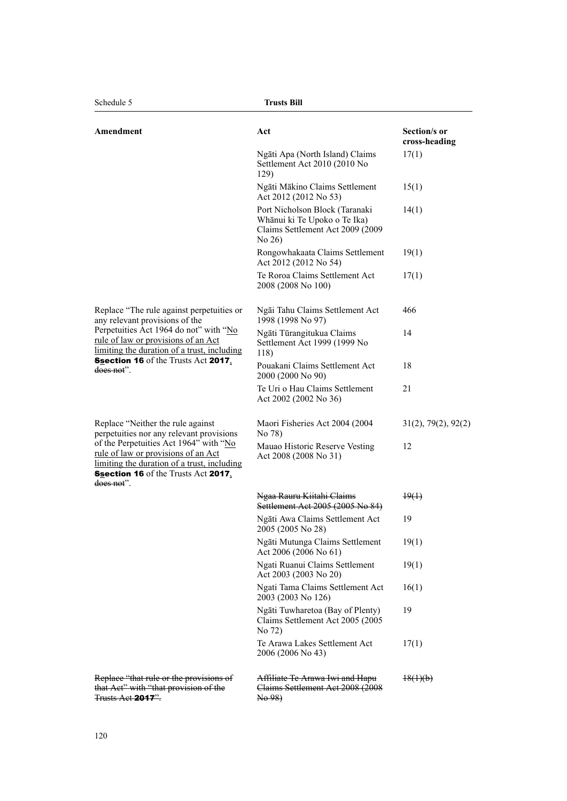| Amendment                                                                                                                                                                                | Act                                                                                                         | Section/s or<br>cross-heading |
|------------------------------------------------------------------------------------------------------------------------------------------------------------------------------------------|-------------------------------------------------------------------------------------------------------------|-------------------------------|
|                                                                                                                                                                                          | Ngāti Apa (North Island) Claims<br>Settlement Act 2010 (2010 No<br>129)                                     | 17(1)                         |
|                                                                                                                                                                                          | Ngāti Mākino Claims Settlement<br>Act 2012 (2012 No 53)                                                     | 15(1)                         |
|                                                                                                                                                                                          | Port Nicholson Block (Taranaki<br>Whānui ki Te Upoko o Te Ika)<br>Claims Settlement Act 2009 (2009<br>No 26 | 14(1)                         |
|                                                                                                                                                                                          | Rongowhakaata Claims Settlement<br>Act 2012 (2012 No 54)                                                    | 19(1)                         |
|                                                                                                                                                                                          | Te Roroa Claims Settlement Act<br>2008 (2008 No 100)                                                        | 17(1)                         |
| Replace "The rule against perpetuities or<br>any relevant provisions of the                                                                                                              | Ngāi Tahu Claims Settlement Act<br>1998 (1998 No 97)                                                        | 466                           |
| Perpetuities Act 1964 do not" with "No<br><u>rule of law or provisions of an Act</u><br>limiting the duration of a trust, including                                                      | Ngāti Tūrangitukua Claims<br>Settlement Act 1999 (1999 No<br>118)                                           | 14                            |
| <b>Ssection 16</b> of the Trusts Act 2017,<br>does not".                                                                                                                                 | Pouakani Claims Settlement Act<br>2000 (2000 No 90)                                                         | 18                            |
|                                                                                                                                                                                          | Te Uri o Hau Claims Settlement<br>Act 2002 (2002 No 36)                                                     | 21                            |
| Replace "Neither the rule against<br>perpetuities nor any relevant provisions                                                                                                            | Maori Fisheries Act 2004 (2004)<br>No 78)                                                                   | 31(2), 79(2), 92(2)           |
| of the Perpetuities Act 1964" with "No<br>rule of law or provisions of an Act<br>limiting the duration of a trust, including<br><b>Ssection 16</b> of the Trusts Act 2017,<br>does not". | Mauao Historic Reserve Vesting<br>Act 2008 (2008 No 31)                                                     | 12                            |
|                                                                                                                                                                                          | Ngaa Rauru Kiitahi Claims<br>Settlement Act 2005 (2005 No 84)                                               | $\downarrow 9(1)$             |
|                                                                                                                                                                                          | Ngāti Awa Claims Settlement Act<br>2005 (2005 No 28)                                                        | 19                            |
|                                                                                                                                                                                          | Ngāti Mutunga Claims Settlement<br>Act 2006 (2006 No 61)                                                    | 19(1)                         |
|                                                                                                                                                                                          | Ngati Ruanui Claims Settlement<br>Act 2003 (2003 No 20)                                                     | 19(1)                         |
|                                                                                                                                                                                          | Ngati Tama Claims Settlement Act<br>2003 (2003 No 126)                                                      | 16(1)                         |
|                                                                                                                                                                                          | Ngāti Tuwharetoa (Bay of Plenty)<br>Claims Settlement Act 2005 (2005<br>No 72)                              | 19                            |
|                                                                                                                                                                                          | Te Arawa Lakes Settlement Act<br>2006 (2006 No 43)                                                          | 17(1)                         |
| Replace "that rule or the provisions of<br>that Act" with "that provision of the<br>Trusts Act <b>2017</b> ".                                                                            | Affiliate Te Arawa Iwi and Hapu<br>Claims Settlement Act 2008 (2008)<br>No 98)                              | $\frac{18(1)(b)}{2}$          |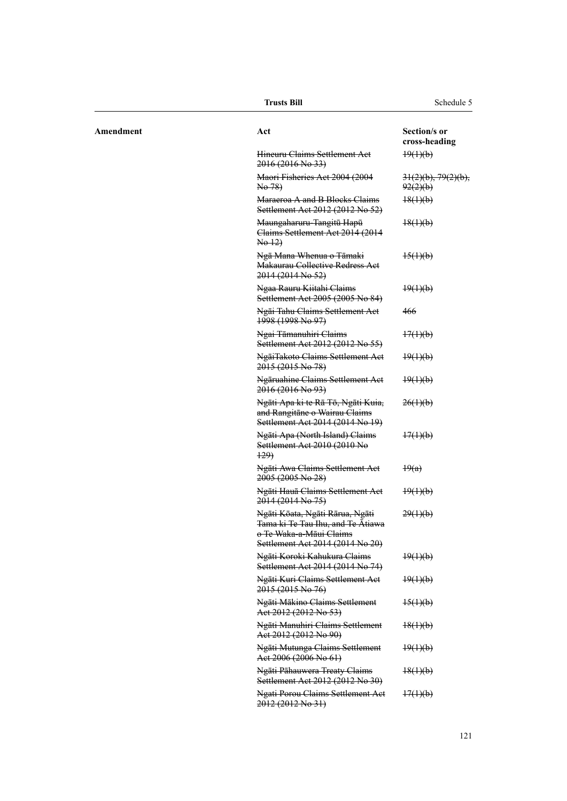|           | <b>Trusts Bill</b>                                                                                                                  | Schedule 5                            |
|-----------|-------------------------------------------------------------------------------------------------------------------------------------|---------------------------------------|
| Amendment | Act                                                                                                                                 | Section/s or<br>cross-heading         |
|           | Hineuru Claims Settlement Act<br>2016 (2016 No 33)                                                                                  | $\frac{19(1)(b)}{2}$                  |
|           | Maori Fisheries Act 2004 (2004<br>No 78)                                                                                            | $31(2)(b)$ , $79(2)(b)$ ,<br>92(2)(b) |
|           | Maraeroa A and B Blocks Claims<br>Settlement Act 2012 (2012 No 52)                                                                  | $\frac{18(1)(b)}{2}$                  |
|           | Maungaharuru-Tangitū Hapū<br>Claims Settlement Act 2014 (2014)<br>$\text{Ne}\left(\frac{12}{2}\right)$                              | $\frac{18(1)(b)}{2}$                  |
|           | Ngā Mana Whenua o Tāmaki<br><b>Makaurau Collective Redress Act</b><br>2014 (2014 No 52)                                             | $\frac{15(1)(b)}{2}$                  |
|           | Ngaa Rauru Kiitahi Claims<br>Settlement Act 2005 (2005 No 84)                                                                       | $\frac{19(1)(b)}{2}$                  |
|           | Ngāi Tahu Claims Settlement Act<br>1998 (1998 No 97)                                                                                | 466                                   |
|           | Ngai Tāmanuhiri Claims<br>Settlement Act 2012 (2012 No 55)                                                                          | $\frac{17(1)(b)}{2}$                  |
|           | NgāiTakoto Claims Settlement Act<br>2015 (2015 No 78)                                                                               | $\frac{19(1)(b)}{2}$                  |
|           | Ngāruahine Claims Settlement Act<br>2016 (2016 No. 93)                                                                              | $\frac{19(1)(b)}{2}$                  |
|           | Ngāti Apa ki te Rā Tō, Ngāti Kuia,<br>and Rangitane o Wairau Claims<br>Settlement Act 2014 (2014 No 19)                             | 26(1)(b)                              |
|           | Ngāti Apa (North Island) Claims<br>Settlement Act 2010 (2010 No<br>$+29$                                                            | 17(1)(b)                              |
|           | Ngāti Awa Claims Settlement Act<br>$2005(2005 \text{ No } 28)$                                                                      | $\frac{19(a)}{2}$                     |
|           | Ngāti Hauā Claims Settlement Act<br>$2014(2014 \text{ No } 75)$                                                                     | $\frac{19(1)(b)}{2}$                  |
|           | Ngāti Kōata, Ngāti Rārua, Ngāti<br>Tama ki Te Tau Ihu, and Te Ātiawa<br>o Te Waka-a-Māui Claims<br>Settlement Act 2014 (2014 No 20) | 29(1)(b)                              |
|           | Ngāti Koroki Kahukura Claims<br>Settlement Act 2014 (2014 No 74)                                                                    | $\frac{19(1)(b)}{2}$                  |
|           | Ngāti Kuri Claims Settlement Act<br>2015 (2015 No 76)                                                                               | $\frac{19(1)(b)}{2}$                  |
|           | Ngāti Mākino Claims Settlement<br>Act 2012 (2012 No 53)                                                                             | $\frac{15(1)(b)}{2}$                  |
|           | Ngāti Manuhiri Claims Settlement<br>Act 2012 (2012 No 90)                                                                           | $\frac{18(1)(b)}{2}$                  |
|           | Ngāti Mutunga Claims Settlement<br>Act 2006 (2006 No 61)                                                                            | $\frac{19(1)(b)}{2}$                  |
|           | Ngāti Pāhauwera Treaty Claims<br>Settlement Act 2012 (2012 No 30)                                                                   | $\frac{18(1)(b)}{2}$                  |
|           | <b>Ngati Porou Claims Settlement Act</b><br>2012 (2012 No 31)                                                                       | $\frac{17(1)(b)}{2}$                  |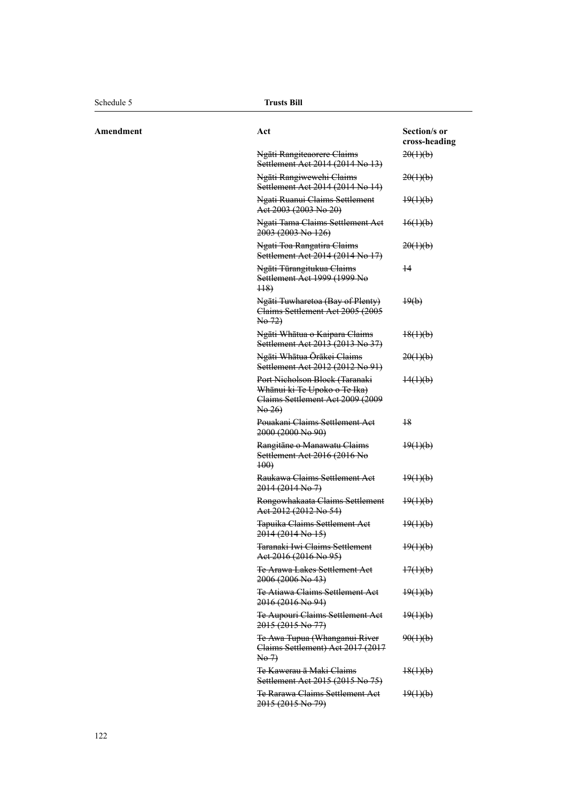$A$  **Mendment** 

| Act                                                                                                          | Section/s or<br>cross-heading |
|--------------------------------------------------------------------------------------------------------------|-------------------------------|
| Ngāti Rangiteaorere Claims<br>Settlement Act 2014 (2014 No 13)                                               | 20(1)(b)                      |
| Ngāti Rangiwewehi Claims<br>Settlement Act 2014 (2014 No 14)                                                 | 20(1)(b)                      |
| Ngati Ruanui Claims Settlement<br>Aet 2003 (2003 No 20)                                                      | $\frac{19(1)(b)}{2}$          |
| Ngati Tama Claims Settlement Aet<br>2003 (2003 No 126)                                                       | $\frac{16(1)(b)}{2}$          |
| Ngati Toa Rangatira Claims<br>Settlement Act 2014 (2014 No 17)                                               | 20(1)(b)                      |
| Ngāti Tūrangitukua Claims<br>Settlement Act 1999 (1999 No<br>$\overline{448}$                                | $^{+4}$                       |
| Ngāti Tuwharetoa (Bay of Plenty)<br>Claims Settlement Act 2005 (2005<br>No 72)                               | $\downarrow 9(b)$             |
| Ngāti Whātua o Kaipara Claims<br>Settlement Act 2013 (2013 No 37)                                            | $\frac{18(1)(b)}{2}$          |
| Ngāti Whātua Ōrākei Claims<br>Settlement Act 2012 (2012 No 91)                                               | 20(1)(b)                      |
| Port Nicholson Block (Taranaki<br>Whānui ki Te Upoko o Te Ika)<br>Claims Settlement Act 2009 (2009<br>No 26) | $\frac{14(1)(b)}{2}$          |
| Pouakani Claims Settlement Act<br>2000 (2000 No 90)                                                          | $^{18}$                       |
| Rangitāne o Manawatu Claims<br>Settlement Act 2016 (2016 No<br>$+00$                                         | $\frac{19(1)(b)}{2}$          |
| Raukawa Claims Settlement Act<br>2014 (2014 No 7)                                                            | $\frac{19(1)(b)}{2}$          |
| Rongowhakaata Claims Settlement<br>Act 2012 (2012 No 54)                                                     | $\frac{19(1)(b)}{2}$          |
| Tapuika Claims Settlement Act<br>2014 (2014 No 15)                                                           | $\frac{19(1)(b)}{2}$          |
| Taranaki Iwi Claims Settlement<br><del>Act 2016 (2016 No 95)</del>                                           | $\frac{19(1)(b)}{2}$          |
| <b>Te Arawa Lakes Settlement Act</b><br>2006 (2006 No 43)                                                    | 17(1)(b)                      |
| Te Atiawa Claims Settlement Act<br>2016 (2016 No 94)                                                         | $\frac{19(1)(b)}{2}$          |
| Te Aupouri Claims Settlement Act<br>2015 (2015 No 77)                                                        | $\frac{19(1)(b)}{2}$          |
| Te Awa Tupua (Whanganui River<br>Claims Settlement) Act 2017 (2017<br>$\overline{\text{No-7}}$               | 90(1)(b)                      |
| Te Kawerau ā Maki Claims<br>Settlement Act 2015 (2015 No 75)                                                 | $\frac{18(1)(b)}{2}$          |
| <b>Te Rarawa Claims Settlement Act</b><br>2015 (2015 No 79)                                                  | $\frac{19(1)(b)}{2}$          |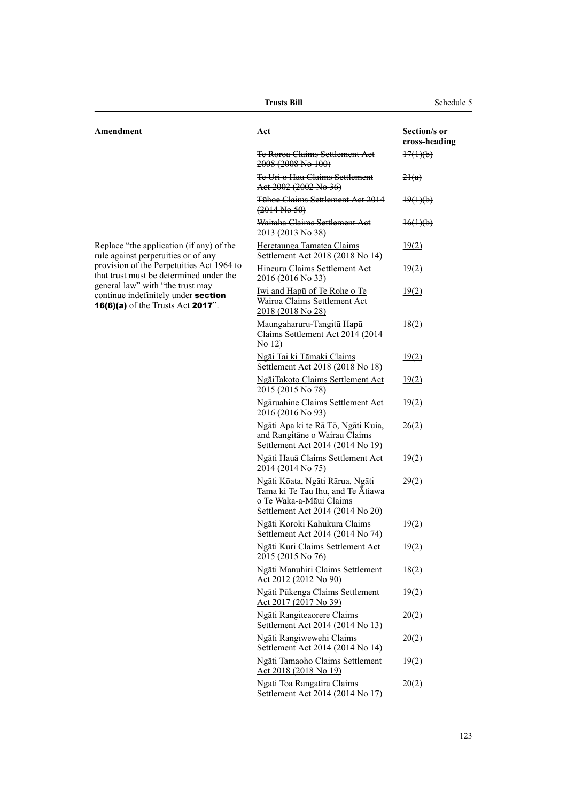| Amendment                                                                                                                | Act                                                                                                                                 | Section/s or<br>cross-heading |
|--------------------------------------------------------------------------------------------------------------------------|-------------------------------------------------------------------------------------------------------------------------------------|-------------------------------|
|                                                                                                                          | <b>Te Roroa Claims Settlement Act</b><br>2008 (2008 No 100)                                                                         | $\frac{17(1)(b)}{2}$          |
|                                                                                                                          | Te Uri o Hau Claims Settlement<br>Aet 2002 (2002 No 36)                                                                             | 24(a)                         |
|                                                                                                                          | Tühoe Claims Settlement Act 2014<br>$(2014$ No 50)                                                                                  | $\frac{19(1)(b)}{2}$          |
|                                                                                                                          | Waitaha Claims Settlement Act<br>2013 (2013 No 38)                                                                                  | $\frac{16(1)(b)}{2}$          |
| Replace "the application (if any) of the<br>rule against perpetuities or of any                                          | Heretaunga Tamatea Claims<br>Settlement Act 2018 (2018 No 14)                                                                       | 19(2)                         |
| provision of the Perpetuities Act 1964 to<br>that trust must be determined under the<br>general law" with "the trust may | Hineuru Claims Settlement Act<br>2016 (2016 No 33)                                                                                  | 19(2)                         |
| continue indefinitely under section<br><b>16(6)(a)</b> of the Trusts Act <b>2017</b> ".                                  | <u>Iwi and Hapu of Te Rohe o Te</u><br><b>Wairoa Claims Settlement Act</b><br>2018 (2018 No 28)                                     | 19(2)                         |
|                                                                                                                          | Maungaharuru-Tangitū Hapū<br>Claims Settlement Act 2014 (2014<br>No 12)                                                             | 18(2)                         |
|                                                                                                                          | Ngāi Tai ki Tāmaki Claims<br>Settlement Act 2018 (2018 No 18)                                                                       | 19(2)                         |
|                                                                                                                          | NgāiTakoto Claims Settlement Act<br>2015 (2015 No 78)                                                                               | 19(2)                         |
|                                                                                                                          | Ngāruahine Claims Settlement Act<br>2016 (2016 No 93)                                                                               | 19(2)                         |
|                                                                                                                          | Ngāti Apa ki te Rā Tō, Ngāti Kuia,<br>and Rangitāne o Wairau Claims<br>Settlement Act 2014 (2014 No 19)                             | 26(2)                         |
|                                                                                                                          | Ngāti Hauā Claims Settlement Act<br>2014 (2014 No 75)                                                                               | 19(2)                         |
|                                                                                                                          | Ngāti Kōata, Ngāti Rārua, Ngāti<br>Tama ki Te Tau Ihu, and Te Atiawa<br>o Te Waka-a-Māui Claims<br>Settlement Act 2014 (2014 No 20) | 29(2)                         |
|                                                                                                                          | Ngāti Koroki Kahukura Claims<br>Settlement Act 2014 (2014 No 74)                                                                    | 19(2)                         |
|                                                                                                                          | Ngāti Kuri Claims Settlement Act<br>2015 (2015 No 76)                                                                               | 19(2)                         |
|                                                                                                                          | Ngāti Manuhiri Claims Settlement<br>Act 2012 (2012 No 90)                                                                           | 18(2)                         |
|                                                                                                                          | Ngāti Pūkenga Claims Settlement<br>Act 2017 (2017 No 39)                                                                            | 19(2)                         |
|                                                                                                                          | Ngāti Rangiteaorere Claims<br>Settlement Act 2014 (2014 No 13)                                                                      | 20(2)                         |
|                                                                                                                          | Ngāti Rangiwewehi Claims<br>Settlement Act 2014 (2014 No 14)                                                                        | 20(2)                         |
|                                                                                                                          | Ngāti Tamaoho Claims Settlement<br>Act 2018 (2018 No 19)                                                                            | 19(2)                         |
|                                                                                                                          | Ngati Toa Rangatira Claims<br>Settlement Act 2014 (2014 No 17)                                                                      | 20(2)                         |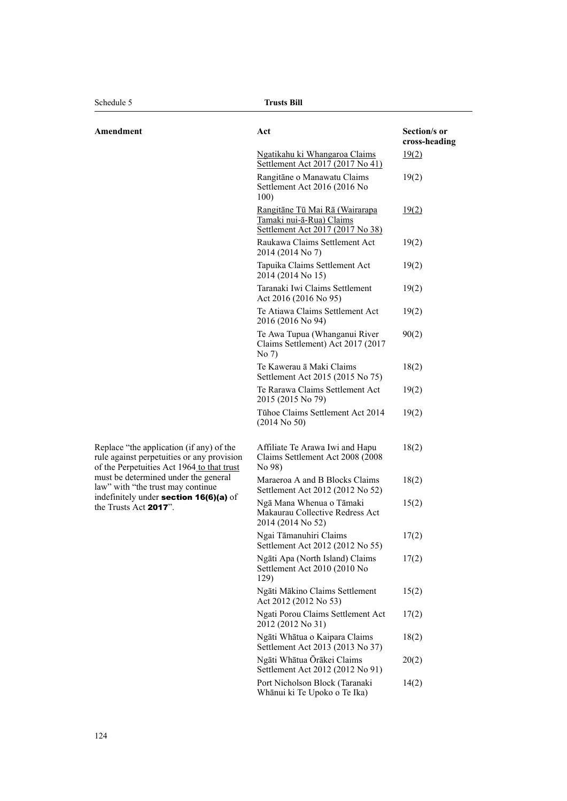| Amendment                                                                                                                                                                                                                                                                            | Act                                                                                            | Section/s or<br>cross-heading |
|--------------------------------------------------------------------------------------------------------------------------------------------------------------------------------------------------------------------------------------------------------------------------------------|------------------------------------------------------------------------------------------------|-------------------------------|
|                                                                                                                                                                                                                                                                                      | Ngatikahu ki Whangaroa Claims<br>Settlement Act 2017 (2017 No 41)                              | 19(2)                         |
|                                                                                                                                                                                                                                                                                      | Rangitāne o Manawatu Claims<br>Settlement Act 2016 (2016 No<br>100)                            | 19(2)                         |
|                                                                                                                                                                                                                                                                                      | Rangitāne Tū Mai Rā (Wairarapa<br>Tamaki nui-ā-Rua) Claims<br>Settlement Act 2017 (2017 No 38) | 19(2)                         |
|                                                                                                                                                                                                                                                                                      | Raukawa Claims Settlement Act<br>2014 (2014 No 7)                                              | 19(2)                         |
|                                                                                                                                                                                                                                                                                      | Tapuika Claims Settlement Act<br>2014 (2014 No 15)                                             | 19(2)                         |
|                                                                                                                                                                                                                                                                                      | Taranaki Iwi Claims Settlement<br>Act 2016 (2016 No 95)                                        | 19(2)                         |
|                                                                                                                                                                                                                                                                                      | Te Atiawa Claims Settlement Act<br>2016 (2016 No 94)                                           | 19(2)                         |
|                                                                                                                                                                                                                                                                                      | Te Awa Tupua (Whanganui River<br>Claims Settlement) Act 2017 (2017<br>No 7)                    | 90(2)                         |
|                                                                                                                                                                                                                                                                                      | Te Kawerau ā Maki Claims<br>Settlement Act 2015 (2015 No 75)                                   | 18(2)                         |
|                                                                                                                                                                                                                                                                                      | Te Rarawa Claims Settlement Act<br>2015 (2015 No 79)                                           | 19(2)                         |
|                                                                                                                                                                                                                                                                                      | Tühoe Claims Settlement Act 2014<br>$(2014$ No 50)                                             | 19(2)                         |
| Replace "the application (if any) of the<br>rule against perpetuities or any provision<br>of the Perpetuities Act 1964 to that trust<br>must be determined under the general<br>law" with "the trust may continue<br>indefinitely under section 16(6)(a) of<br>the Trusts Act 2017". | Affiliate Te Arawa Iwi and Hapu<br>Claims Settlement Act 2008 (2008)<br>No 98)                 | 18(2)                         |
|                                                                                                                                                                                                                                                                                      | Maraeroa A and B Blocks Claims<br>Settlement Act 2012 (2012 No 52)                             | 18(2)                         |
|                                                                                                                                                                                                                                                                                      | Ngā Mana Whenua o Tāmaki<br>Makaurau Collective Redress Act<br>2014 (2014 No 52)               | 15(2)                         |
|                                                                                                                                                                                                                                                                                      | Ngai Tāmanuhiri Claims<br>Settlement Act 2012 (2012 No 55)                                     | 17(2)                         |
|                                                                                                                                                                                                                                                                                      | Ngāti Apa (North Island) Claims<br>Settlement Act 2010 (2010 No<br>129)                        | 17(2)                         |
|                                                                                                                                                                                                                                                                                      | Ngāti Mākino Claims Settlement<br>Act 2012 (2012 No 53)                                        | 15(2)                         |
|                                                                                                                                                                                                                                                                                      | Ngati Porou Claims Settlement Act<br>2012 (2012 No 31)                                         | 17(2)                         |
|                                                                                                                                                                                                                                                                                      | Ngāti Whātua o Kaipara Claims<br>Settlement Act 2013 (2013 No 37)                              | 18(2)                         |
|                                                                                                                                                                                                                                                                                      | Ngāti Whātua Ōrākei Claims<br>Settlement Act 2012 (2012 No 91)                                 | 20(2)                         |
|                                                                                                                                                                                                                                                                                      | Port Nicholson Block (Taranaki<br>Whānui ki Te Upoko o Te Ika)                                 | 14(2)                         |
|                                                                                                                                                                                                                                                                                      |                                                                                                |                               |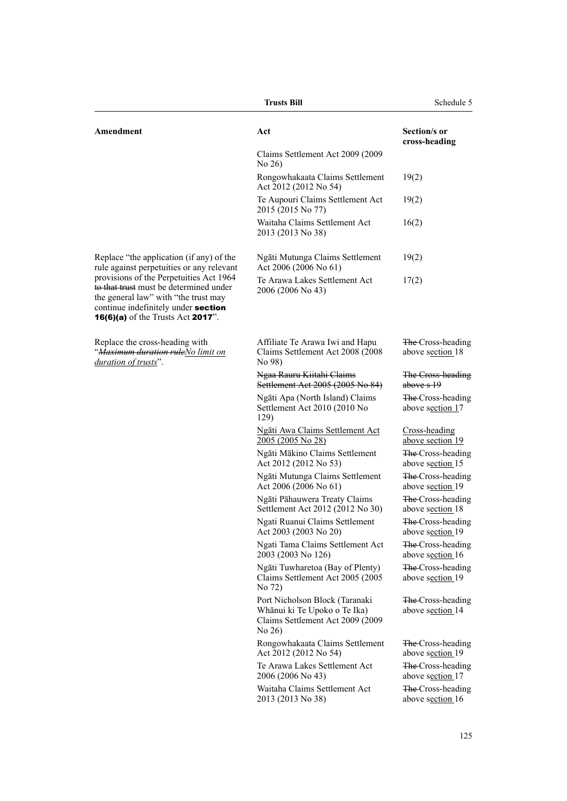| <b>Trusts Bill</b>                                                                                                                                                                                                                                                                                            |                                                                                                                | Schedule 5                                        |
|---------------------------------------------------------------------------------------------------------------------------------------------------------------------------------------------------------------------------------------------------------------------------------------------------------------|----------------------------------------------------------------------------------------------------------------|---------------------------------------------------|
| Amendment                                                                                                                                                                                                                                                                                                     | Act                                                                                                            | Section/s or<br>cross-heading                     |
|                                                                                                                                                                                                                                                                                                               | Claims Settlement Act 2009 (2009)<br>No 26)                                                                    |                                                   |
|                                                                                                                                                                                                                                                                                                               | Rongowhakaata Claims Settlement<br>Act 2012 (2012 No 54)                                                       | 19(2)                                             |
|                                                                                                                                                                                                                                                                                                               | Te Aupouri Claims Settlement Act<br>2015 (2015 No 77)                                                          | 19(2)                                             |
|                                                                                                                                                                                                                                                                                                               | Waitaha Claims Settlement Act<br>2013 (2013 No 38)                                                             | 16(2)                                             |
| Replace "the application (if any) of the<br>rule against perpetuities or any relevant<br>provisions of the Perpetuities Act 1964<br>to that trust must be determined under<br>the general law" with "the trust may<br>continue indefinitely under section<br><b>16(6)(a)</b> of the Trusts Act <b>2017</b> ". | Ngāti Mutunga Claims Settlement<br>Act 2006 (2006 No 61)                                                       | 19(2)                                             |
|                                                                                                                                                                                                                                                                                                               | Te Arawa Lakes Settlement Act<br>2006 (2006 No 43)                                                             | 17(2)                                             |
| Replace the cross-heading with<br>" <del>Maximum duration rule</del> No limit on<br>duration of trusts".                                                                                                                                                                                                      | Affiliate Te Arawa Iwi and Hapu<br>Claims Settlement Act 2008 (2008)<br>No 98)                                 | The-Cross-heading<br>above section 18             |
|                                                                                                                                                                                                                                                                                                               | Ngaa Rauru Kiitahi Claims<br>Settlement Act 2005 (2005 No 84)                                                  | The Cross-heading<br>above s 19                   |
|                                                                                                                                                                                                                                                                                                               | Ngāti Apa (North Island) Claims<br>Settlement Act 2010 (2010 No<br>129)                                        | The Cross-heading<br>above section 17             |
|                                                                                                                                                                                                                                                                                                               | Ngāti Awa Claims Settlement Act<br>2005 (2005 No 28)                                                           | Cross-heading<br>above section 19                 |
|                                                                                                                                                                                                                                                                                                               | Ngāti Mākino Claims Settlement<br>Act 2012 (2012 No 53)                                                        | <del>The</del> -Cross-heading<br>above section 15 |
|                                                                                                                                                                                                                                                                                                               | Ngāti Mutunga Claims Settlement<br>Act 2006 (2006 No 61)                                                       | <del>The</del> -Cross-heading<br>above section 19 |
|                                                                                                                                                                                                                                                                                                               | Ngāti Pāhauwera Treaty Claims<br>Settlement Act 2012 (2012 No 30)                                              | <del>The</del> -Cross-heading<br>above section 18 |
|                                                                                                                                                                                                                                                                                                               | Ngati Ruanui Claims Settlement<br>Act 2003 (2003 No 20)                                                        | The Cross-heading<br>above section 19             |
|                                                                                                                                                                                                                                                                                                               | Ngati Tama Claims Settlement Act<br>2003 (2003 No 126)                                                         | The Cross-heading<br>above section 16             |
|                                                                                                                                                                                                                                                                                                               | Ngāti Tuwharetoa (Bay of Plenty)<br>Claims Settlement Act 2005 (2005)<br>No 72)                                | The-Cross-heading<br>above section 19             |
|                                                                                                                                                                                                                                                                                                               | Port Nicholson Block (Taranaki<br>Whānui ki Te Upoko o Te Ika)<br>Claims Settlement Act 2009 (2009<br>No $26)$ | <del>The</del> -Cross-heading<br>above section 14 |
|                                                                                                                                                                                                                                                                                                               | Rongowhakaata Claims Settlement<br>Act 2012 (2012 No 54)                                                       | The Cross-heading<br>above section 19             |
|                                                                                                                                                                                                                                                                                                               | Te Arawa Lakes Settlement Act<br>2006 (2006 No 43)                                                             | <del>The</del> -Cross-heading<br>above section 17 |
|                                                                                                                                                                                                                                                                                                               | Waitaha Claims Settlement Act<br>2013 (2013 No 38)                                                             | The-Cross-heading<br>above section 16             |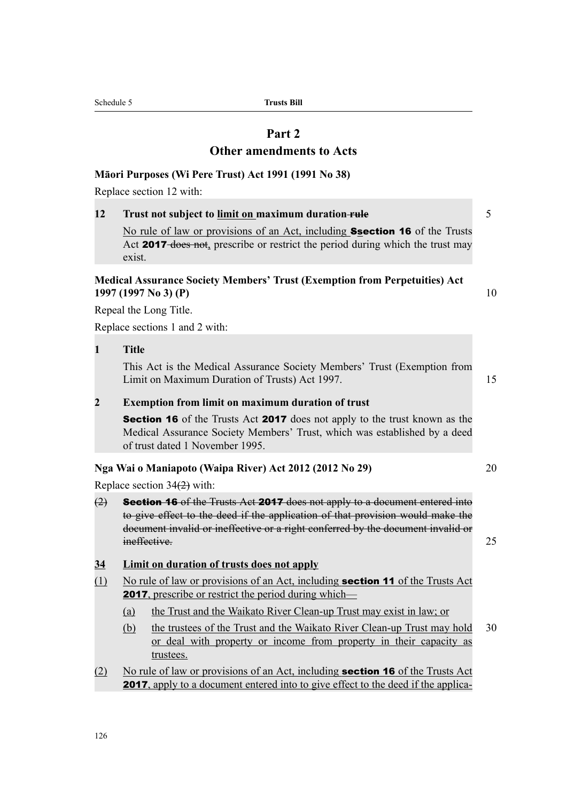Schedule 5 **Trusts Bill**

# **Part 2**

### **Other amendments to Acts**

### **Māori Purposes (Wi Pere Trust) Act 1991 (1991 No 38)**

Replace section 12 with:

### **12 Trust not subject to limit on maximum duration-rule** 5

No rule of law or provisions of an Act, including **Ssection 16** of the Trusts Act 2017-does not, prescribe or restrict the period during which the trust may exist.

### **Medical Assurance Society Members' Trust (Exemption from Perpetuities) Act 1997 (1997 No 3) (P)** 10

Repeal the Long Title.

Replace sections 1 and 2 with:

**1 Title**

This Act is the Medical Assurance Society Members' Trust (Exemption from Limit on Maximum Duration of Trusts) Act 1997.

# **2 Exemption from limit on maximum duration of trust**

**Section 16** of the Trusts Act **2017** does not apply to the trust known as the Medical Assurance Society Members' Trust, which was established by a deed of trust dated 1 November 1995.

### **Nga Wai o Maniapoto (Waipa River) Act 2012 (2012 No 29)** 20

Replace section 34(2) with:

- $(2)$  **Section 16** of the Trusts Act **2017** does not apply to a document entered into to give effect to the deed if the application of that provision would make the document invalid or ineffective or a right conferred by the document invalid or ineffective. 25
- **34 Limit on duration of trusts does not apply**
- (1) No rule of law or provisions of an Act, including section 11 of the Trusts Act **2017**, prescribe or restrict the period during which—
	- (a) the Trust and the Waikato River Clean-up Trust may exist in law; or
	- (b) the trustees of the Trust and the Waikato River Clean-up Trust may hold 30 or deal with property or income from property in their capacity as trustees.
- (2) No rule of law or provisions of an Act, including section 16 of the Trusts Act 2017, apply to a document entered into to give effect to the deed if the applica-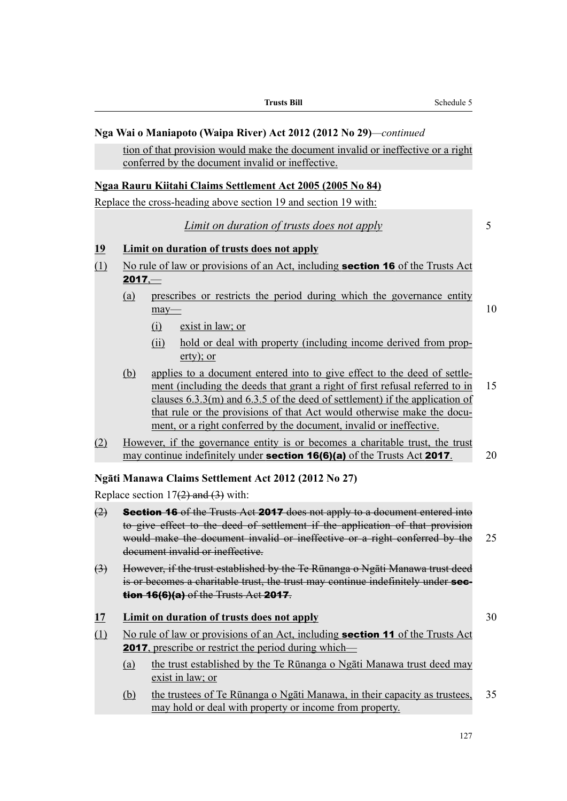|                                |                                                                                                                                                                                                                                                                                       | Schedule 5<br><b>Trusts Bill</b>                                                                                                                                                                                                                                                                                                                                                             |    |
|--------------------------------|---------------------------------------------------------------------------------------------------------------------------------------------------------------------------------------------------------------------------------------------------------------------------------------|----------------------------------------------------------------------------------------------------------------------------------------------------------------------------------------------------------------------------------------------------------------------------------------------------------------------------------------------------------------------------------------------|----|
|                                |                                                                                                                                                                                                                                                                                       | Nga Wai o Maniapoto (Waipa River) Act 2012 (2012 No 29)—continued                                                                                                                                                                                                                                                                                                                            |    |
|                                |                                                                                                                                                                                                                                                                                       | tion of that provision would make the document invalid or ineffective or a right<br>conferred by the document invalid or ineffective.                                                                                                                                                                                                                                                        |    |
|                                |                                                                                                                                                                                                                                                                                       | Ngaa Rauru Kiitahi Claims Settlement Act 2005 (2005 No 84)                                                                                                                                                                                                                                                                                                                                   |    |
|                                |                                                                                                                                                                                                                                                                                       | Replace the cross-heading above section 19 and section 19 with:                                                                                                                                                                                                                                                                                                                              |    |
|                                |                                                                                                                                                                                                                                                                                       | <i>Limit on duration of trusts does not apply</i>                                                                                                                                                                                                                                                                                                                                            | 5  |
| 19                             |                                                                                                                                                                                                                                                                                       | <b>Limit on duration of trusts does not apply</b>                                                                                                                                                                                                                                                                                                                                            |    |
| $\left( \underline{1} \right)$ | $2017 -$                                                                                                                                                                                                                                                                              | No rule of law or provisions of an Act, including <b>section 16</b> of the Trusts Act                                                                                                                                                                                                                                                                                                        |    |
|                                | (a)                                                                                                                                                                                                                                                                                   | prescribes or restricts the period during which the governance entity<br>may                                                                                                                                                                                                                                                                                                                 | 10 |
|                                |                                                                                                                                                                                                                                                                                       | exist in law; or<br>$\Omega$                                                                                                                                                                                                                                                                                                                                                                 |    |
|                                |                                                                                                                                                                                                                                                                                       | hold or deal with property (including income derived from prop-<br>(ii)<br>$erty$ ; or                                                                                                                                                                                                                                                                                                       |    |
|                                | (b)                                                                                                                                                                                                                                                                                   | applies to a document entered into to give effect to the deed of settle-<br>ment (including the deeds that grant a right of first refusal referred to in<br>clauses $6.3.3(m)$ and $6.3.5$ of the deed of settlement) if the application of<br>that rule or the provisions of that Act would otherwise make the docu-<br>ment, or a right conferred by the document, invalid or ineffective. | 15 |
| (2)                            |                                                                                                                                                                                                                                                                                       | However, if the governance entity is or becomes a charitable trust, the trust<br>may continue indefinitely under <b>section 16(6)(a)</b> of the Trusts Act 2017.                                                                                                                                                                                                                             | 20 |
|                                |                                                                                                                                                                                                                                                                                       | Ngāti Manawa Claims Settlement Act 2012 (2012 No 27)                                                                                                                                                                                                                                                                                                                                         |    |
|                                |                                                                                                                                                                                                                                                                                       | Replace section $17(2)$ and $(3)$ with:                                                                                                                                                                                                                                                                                                                                                      |    |
| (2)                            | <b>Section 16</b> of the Trusts Act 2017 does not apply to a document entered into<br>to give effect to the deed of settlement if the application of that provision<br>would make the document invalid or ineffective or a right conferred by the<br>document invalid or ineffective. |                                                                                                                                                                                                                                                                                                                                                                                              | 25 |
| $\leftrightarrow$              |                                                                                                                                                                                                                                                                                       | However, if the trust established by the Te Rūnanga o Ngāti Manawa trust deed<br>is or becomes a charitable trust, the trust may continue indefinitely under sec-<br><b>tion 16(6)(a)</b> of the Trusts Act 2017.                                                                                                                                                                            |    |
| <u> 17</u>                     |                                                                                                                                                                                                                                                                                       | <b>Limit on duration of trusts does not apply</b>                                                                                                                                                                                                                                                                                                                                            | 30 |
| (1)                            | No rule of law or provisions of an Act, including <b>section 11</b> of the Trusts Act<br><b>2017</b> , prescribe or restrict the period during which—                                                                                                                                 |                                                                                                                                                                                                                                                                                                                                                                                              |    |
|                                | (a)                                                                                                                                                                                                                                                                                   | the trust established by the Te Rūnanga o Ngāti Manawa trust deed may<br>exist in law; or                                                                                                                                                                                                                                                                                                    |    |
|                                | (b)                                                                                                                                                                                                                                                                                   | the trustees of Te Rūnanga o Ngāti Manawa, in their capacity as trustees,<br>may hold or deal with property or income from property.                                                                                                                                                                                                                                                         | 35 |

L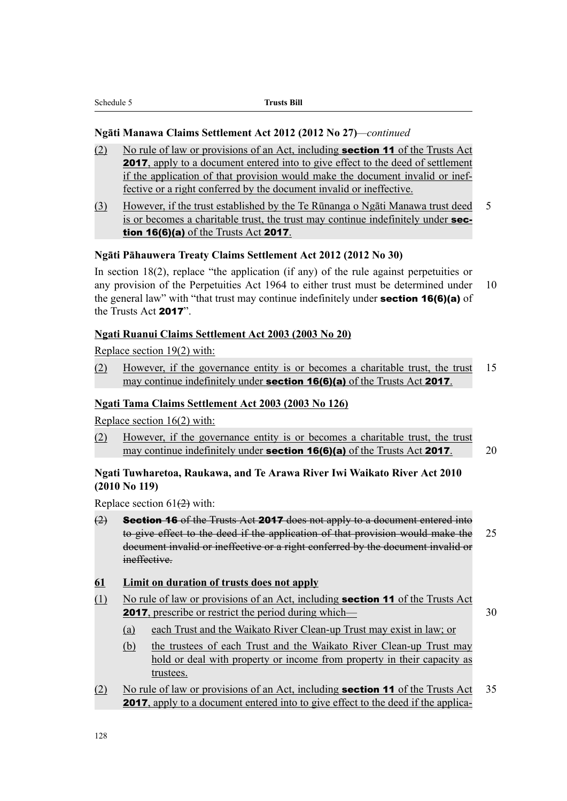### **Ngāti Manawa Claims Settlement Act 2012 (2012 No 27)***—continued*

- (2) No rule of law or provisions of an Act, including section 11 of the Trusts Act 2017, apply to a document entered into to give effect to the deed of settlement if the application of that provision would make the document invalid or ineffective or a right conferred by the document invalid or ineffective.
- (3) However, if the trust established by the Te Rūnanga o Ngāti Manawa trust deed 5 is or becomes a charitable trust, the trust may continue indefinitely under section 16(6)(a) of the Trusts Act 2017.

# **Ngāti Pāhauwera Treaty Claims Settlement Act 2012 (2012 No 30)**

In section 18(2), replace "the application (if any) of the rule against perpetuities or any provision of the Perpetuities Act 1964 to either trust must be determined under 10 the general law" with "that trust may continue indefinitely under **section 16(6)(a)** of the Trusts Act 2017".

# **Ngati Ruanui Claims Settlement Act 2003 (2003 No 20)**

Replace section 19(2) with:

(2) However, if the governance entity is or becomes a charitable trust, the trust 15 may continue indefinitely under **section 16(6)(a)** of the Trusts Act 2017.

### **Ngati Tama Claims Settlement Act 2003 (2003 No 126)**

Replace section 16(2) with:

(2) However, if the governance entity is or becomes a charitable trust, the trust may continue indefinitely under **section 16(6)(a)** of the Trusts Act **2017**. 20

# **Ngati Tuwharetoa, Raukawa, and Te Arawa River Iwi Waikato River Act 2010 (2010 No 119)**

Replace section  $61(2)$  with:

- $(2)$  **Section 16** of the Trusts Act **2017** does not apply to a document entered into to give effect to the deed if the application of that provision would make the 25 document invalid or ineffective or a right conferred by the document invalid or ineffective.
- **61 Limit on duration of trusts does not apply**
- (1) No rule of law or provisions of an Act, including **section 11** of the Trusts Act 2017, prescribe or restrict the period during which— 30

- (a) each Trust and the Waikato River Clean-up Trust may exist in law; or
- (b) the trustees of each Trust and the Waikato River Clean-up Trust may hold or deal with property or income from property in their capacity as trustees.
- (2) No rule of law or provisions of an Act, including **section 11** of the Trusts Act 35 2017, apply to a document entered into to give effect to the deed if the applica-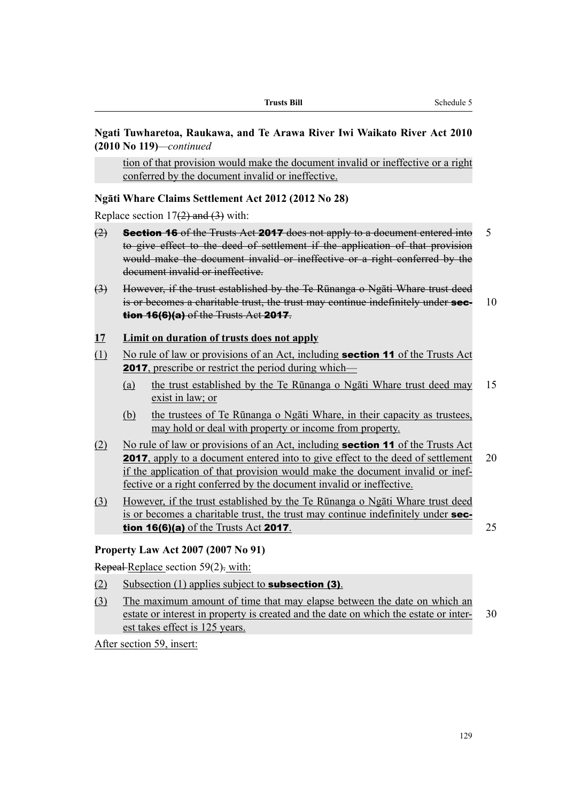# **Ngati Tuwharetoa, Raukawa, and Te Arawa River Iwi Waikato River Act 2010 (2010 No 119)***—continued*

tion of that provision would make the document invalid or ineffective or a right conferred by the document invalid or ineffective.

# **Ngāti Whare Claims Settlement Act 2012 (2012 No 28)**

Replace section  $17(2)$  and  $(3)$  with:

- $(2)$  **Section 16** of the Trusts Act **2017** does not apply to a document entered into 5 to give effect to the deed of settlement if the application of that provision would make the document invalid or ineffective or a right conferred by the document invalid or ineffective.
- (3) However, if the trust established by the Te Rūnanga o Ngāti Whare trust deed is or becomes a charitable trust, the trust may continue indefinitely under  $\sec - 10$ **tion 16(6)(a)** of the Trusts Act 2017.

# **17 Limit on duration of trusts does not apply**

- (1) No rule of law or provisions of an Act, including **section 11** of the Trusts Act **2017**, prescribe or restrict the period during which—
	- (a) the trust established by the Te Rūnanga o Ngāti Whare trust deed may 15 exist in law; or
	- (b) the trustees of Te Rūnanga o Ngāti Whare, in their capacity as trustees, may hold or deal with property or income from property.
- (2) No rule of law or provisions of an Act, including **section 11** of the Trusts Act **2017**, apply to a document entered into to give effect to the deed of settlement 20 if the application of that provision would make the document invalid or ineffective or a right conferred by the document invalid or ineffective.
- (3) However, if the trust established by the Te Rūnanga o Ngāti Whare trust deed is or becomes a charitable trust, the trust may continue indefinitely under section 16(6)(a) of the Trusts Act 2017. 25

# **Property Law Act 2007 (2007 No 91)**

Repeal-Replace section 59(2). with:

- $(2)$  Subsection (1) applies subject to **subsection (3)**.
- (3) The maximum amount of time that may elapse between the date on which an estate or interest in property is created and the date on which the estate or inter- 30 est takes effect is 125 years.

After section 59, insert: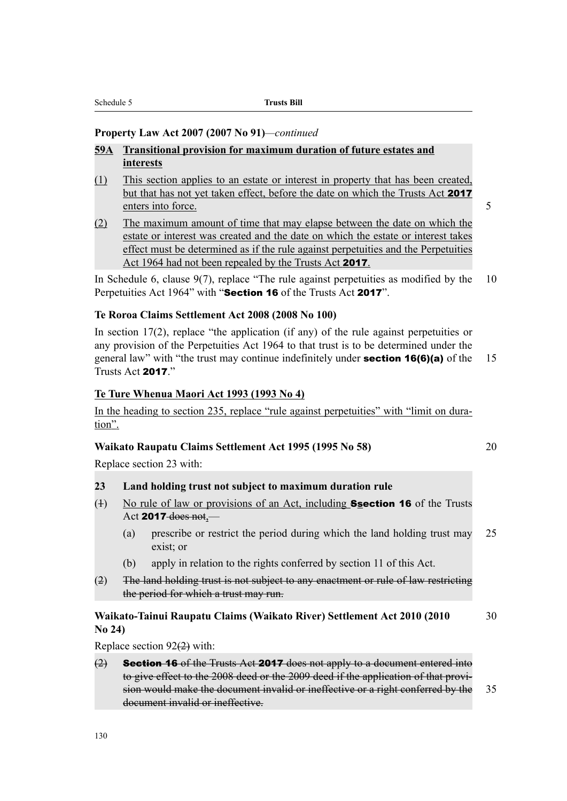# **Property Law Act 2007 (2007 No 91)***—continued*

- **59A Transitional provision for maximum duration of future estates and interests**
- (1) This section applies to an estate or interest in property that has been created, but that has not yet taken effect, before the date on which the Trusts Act 2017 enters into force. 5
- (2) The maximum amount of time that may elapse between the date on which the estate or interest was created and the date on which the estate or interest takes effect must be determined as if the rule against perpetuities and the Perpetuities Act 1964 had not been repealed by the Trusts Act 2017.

In Schedule 6, clause  $9(7)$ , replace "The rule against perpetuities as modified by the 10 Perpetuities Act 1964" with "Section 16 of the Trusts Act 2017".

#### **Te Roroa Claims Settlement Act 2008 (2008 No 100)**

In section  $17(2)$ , replace "the application (if any) of the rule against perpetuities or any provision of the Perpetuities Act 1964 to that trust is to be determined under the general law" with "the trust may continue indefinitely under **section 16(6)(a)** of the 15 Trusts Act 2017<sup>"</sup>

### **Te Ture Whenua Maori Act 1993 (1993 No 4)**

In the heading to section 235, replace "rule against perpetuities" with "limit on duration".

### **Waikato Raupatu Claims Settlement Act 1995 (1995 No 58)** 20

Replace section 23 with:

# **23 Land holding trust not subject to maximum duration rule**

- (4) No rule of law or provisions of an Act, including **Ssection 16** of the Trusts Act 2017 does not,—
	- (a) prescribe or restrict the period during which the land holding trust may 25 exist; or
	- (b) apply in relation to the rights conferred by section 11 of this Act.
- (2) The land holding trust is not subject to any enactment or rule of law restricting the period for which a trust may run.

### **Waikato-Tainui Raupatu Claims (Waikato River) Settlement Act 2010 (2010** 30 **No 24)**

Replace section 92(2) with:

(2) **Section 16** of the Trusts Act **2017** does not apply to a document entered into to give effect to the 2008 deed or the 2009 deed if the application of that provision would make the document invalid or ineffective or a right conferred by the 35 document invalid or ineffective.